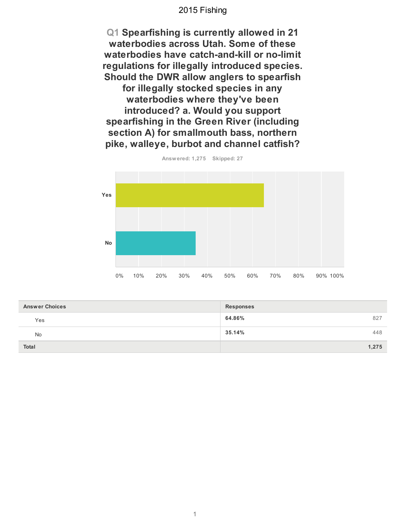**Q1 Spearfishing is currently allowed in 21 waterbodies across Utah. Some of these** waterbodies have catch-and-kill or no-limit regulations for illegally introduced species. **Should the DWR allow anglers to spearfish** for illegally stocked species in any waterbodies where they've been **introduced? a. Would you support** spearfishing in the Green River (including section A) for smallmouth bass, northern pike, walleye, burbot and channel catfish?



**Answ ered: 1,275 Skipped: 27**

| <b>Answer Choices</b> | <b>Responses</b> |
|-----------------------|------------------|
| Yes                   | 64.86%<br>827    |
| No                    | 35.14%<br>448    |
| <b>Total</b>          | 1,275            |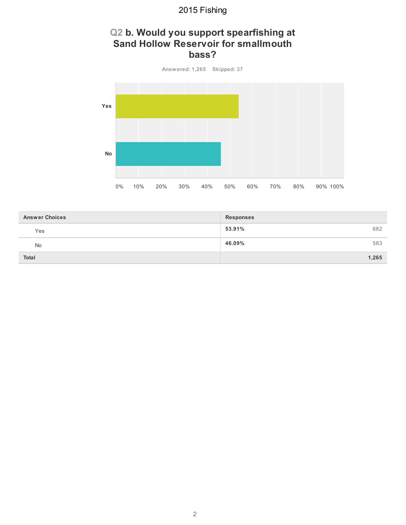### **Q2 b. Would you support spearfishing at Sand Hollow Reservoir for smallmouth bass?**

**Answ ered: 1,265 Skipped: 37 Yes No** 0% 10% 20% 30% 40% 50% 60% 70% 80% 90% 100%

| <b>Answer Choices</b> | <b>Responses</b> |
|-----------------------|------------------|
| Yes                   | 53.91%<br>682    |
| <b>No</b>             | 46.09%<br>583    |
| <b>Total</b>          | 1,265            |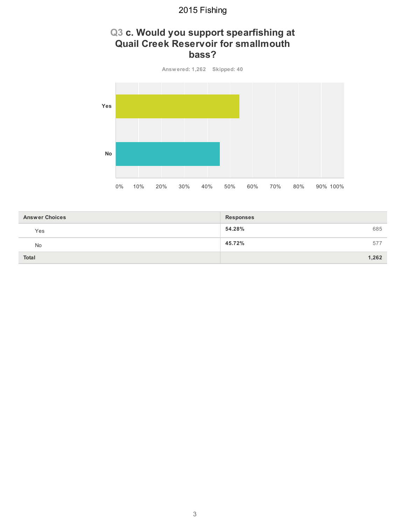### **Q3 c. Would you support spearfishing at Quail Creek Reservoir for smallmouth bass?**



| <b>Answer Choices</b> | <b>Responses</b> |
|-----------------------|------------------|
| Yes                   | 54.28%<br>685    |
| <b>No</b>             | 45.72%<br>577    |
| <b>Total</b>          | 1,262            |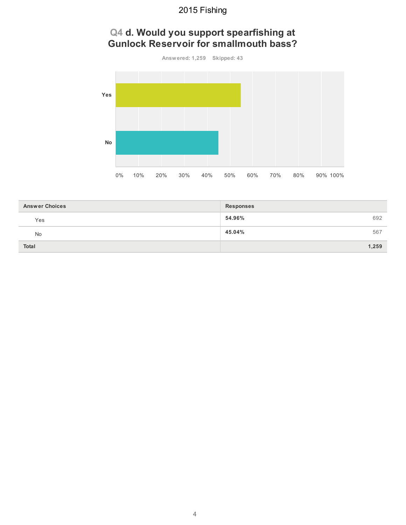### **Q4 d. Would you support spearfishing at Gunlock Reservoir for smallmouth bass?**



| <b>Answer Choices</b> | <b>Responses</b> |
|-----------------------|------------------|
| Yes                   | 54.96%<br>692    |
| <b>No</b>             | 45.04%<br>567    |
| <b>Total</b>          | 1,259            |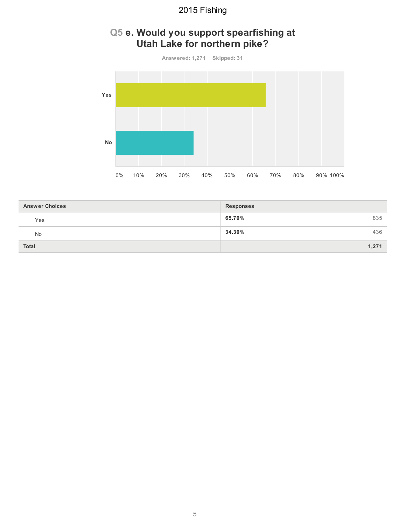### **Q5 e. Would you support spearfishing at Utah Lake for northern pike?**



| <b>Answer Choices</b> | <b>Responses</b> |
|-----------------------|------------------|
| Yes                   | 65.70%<br>835    |
| No                    | 34.30%<br>436    |
| <b>Total</b>          | 1,271            |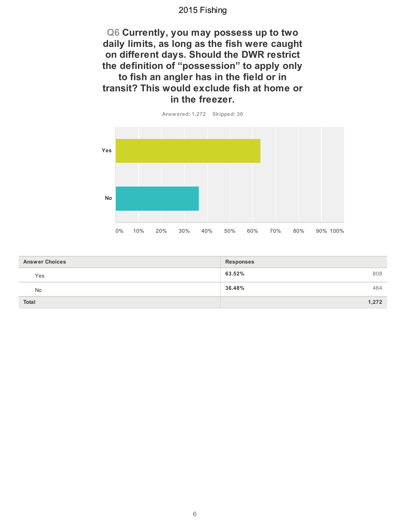**Q6 Currently, you may possess up to two** daily limits, as long as the fish were caught **on different days. Should the DWR restrict** the definition of "possession" to apply only to fish an angler has in the field or in **transit? This would exclude fish at home or** in the freezer.



| <b>Answer Choices</b><br><b>Responses</b> |               |
|-------------------------------------------|---------------|
| Yes                                       | 63.52%<br>808 |
| No                                        | 36.48%<br>464 |
| <b>Total</b>                              | 1,272         |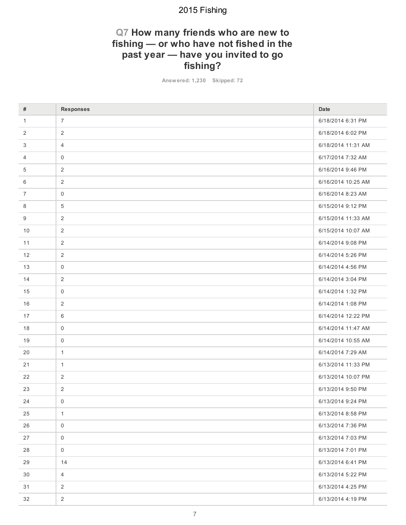### **Q7 How many friends who are new to** fishing — or who have not fished in the past year - have you invited to go **fishing?**

**Answ ered: 1,230 Skipped: 72**

| #            | <b>Responses</b>    | Date               |
|--------------|---------------------|--------------------|
|              |                     |                    |
| $\mathbf{1}$ | $\overline{7}$      | 6/18/2014 6:31 PM  |
| 2            | $\overline{2}$      | 6/18/2014 6:02 PM  |
| 3            | $\overline{4}$      | 6/18/2014 11:31 AM |
| 4            | $\mathbf 0$         | 6/17/2014 7:32 AM  |
| 5            | $\overline{2}$      | 6/16/2014 9:46 PM  |
| 6            | 2                   | 6/16/2014 10:25 AM |
| 7            | $\mathsf{O}\xspace$ | 6/16/2014 8:23 AM  |
| 8            | $\overline{5}$      | 6/15/2014 9:12 PM  |
| 9            | $\overline{2}$      | 6/15/2014 11:33 AM |
| 10           | $\overline{2}$      | 6/15/2014 10:07 AM |
| 11           | 2                   | 6/14/2014 9:08 PM  |
| 12           | 2                   | 6/14/2014 5:26 PM  |
| 13           | $\mathsf{O}\xspace$ | 6/14/2014 4:56 PM  |
| 14           | $\sqrt{2}$          | 6/14/2014 3:04 PM  |
| 15           | $\mathbf 0$         | 6/14/2014 1:32 PM  |
| 16           | $\sqrt{2}$          | 6/14/2014 1:08 PM  |
| 17           | 6                   | 6/14/2014 12:22 PM |
| 18           | $\mathsf{O}\xspace$ | 6/14/2014 11:47 AM |
| 19           | $\mathbf 0$         | 6/14/2014 10:55 AM |
| 20           | $\mathbf{1}$        | 6/14/2014 7:29 AM  |
| 21           | $\mathbf{1}$        | 6/13/2014 11:33 PM |
| 22           | 2                   | 6/13/2014 10:07 PM |
| 23           | $\sqrt{2}$          | 6/13/2014 9:50 PM  |
| 24           | $\mathbf 0$         | 6/13/2014 9:24 PM  |
| 25           | $\mathbf{1}$        | 6/13/2014 8:58 PM  |
| 26           | $\mathsf 0$         | 6/13/2014 7:36 PM  |
| 27           | $\mathsf{O}\xspace$ | 6/13/2014 7:03 PM  |
| 28           | $\mathsf 0$         | 6/13/2014 7:01 PM  |
| 29           | 14                  | 6/13/2014 6:41 PM  |
| 30           | $\overline{4}$      | 6/13/2014 5:22 PM  |
| 31           | $\overline{2}$      | 6/13/2014 4:25 PM  |
| 32           | $\overline{2}$      | 6/13/2014 4:19 PM  |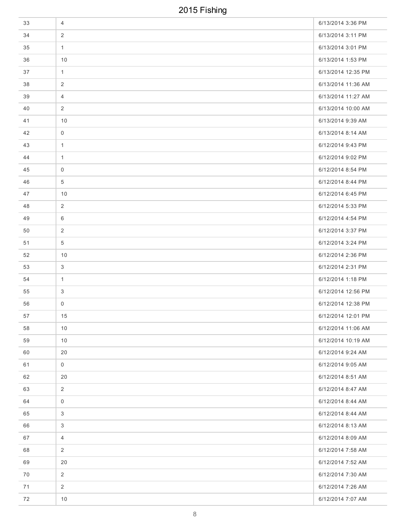| 33 | 4                   | 6/13/2014 3:36 PM  |
|----|---------------------|--------------------|
| 34 | $\overline{2}$      | 6/13/2014 3:11 PM  |
| 35 | $\mathbf{1}$        | 6/13/2014 3:01 PM  |
| 36 | 10                  | 6/13/2014 1:53 PM  |
| 37 | $\mathbf{1}$        | 6/13/2014 12:35 PM |
| 38 | 2                   | 6/13/2014 11:36 AM |
| 39 | 4                   | 6/13/2014 11:27 AM |
| 40 | 2                   | 6/13/2014 10:00 AM |
| 41 | 10                  | 6/13/2014 9:39 AM  |
| 42 | $\mathbf 0$         | 6/13/2014 8:14 AM  |
| 43 | $\mathbf{1}$        | 6/12/2014 9:43 PM  |
| 44 | $\mathbf{1}$        | 6/12/2014 9:02 PM  |
| 45 | $\mathbf 0$         | 6/12/2014 8:54 PM  |
| 46 | 5                   | 6/12/2014 8:44 PM  |
| 47 | 10                  | 6/12/2014 6:45 PM  |
| 48 | 2                   | 6/12/2014 5:33 PM  |
| 49 | 6                   | 6/12/2014 4:54 PM  |
| 50 | 2                   | 6/12/2014 3:37 PM  |
| 51 | $\overline{5}$      | 6/12/2014 3:24 PM  |
| 52 | 10                  | 6/12/2014 2:36 PM  |
| 53 | 3                   | 6/12/2014 2:31 PM  |
| 54 | $\mathbf{1}$        | 6/12/2014 1:18 PM  |
| 55 | 3                   | 6/12/2014 12:56 PM |
| 56 | 0                   | 6/12/2014 12:38 PM |
| 57 | 15                  | 6/12/2014 12:01 PM |
| 58 | 10                  | 6/12/2014 11:06 AM |
| 59 | 10                  | 6/12/2014 10:19 AM |
| 60 | 20                  | 6/12/2014 9:24 AM  |
| 61 | $\mathbf 0$         | 6/12/2014 9:05 AM  |
| 62 | 20                  | 6/12/2014 8:51 AM  |
| 63 | $\overline{2}$      | 6/12/2014 8:47 AM  |
| 64 | $\mathsf{O}\xspace$ | 6/12/2014 8:44 AM  |
| 65 | 3                   | 6/12/2014 8:44 AM  |
| 66 | 3                   | 6/12/2014 8:13 AM  |
| 67 | $\overline{4}$      | 6/12/2014 8:09 AM  |
| 68 | $\overline{2}$      | 6/12/2014 7:58 AM  |
| 69 | 20                  | 6/12/2014 7:52 AM  |
| 70 | $\overline{2}$      | 6/12/2014 7:30 AM  |
| 71 | $\overline{2}$      | 6/12/2014 7:26 AM  |
| 72 | $10$                | 6/12/2014 7:07 AM  |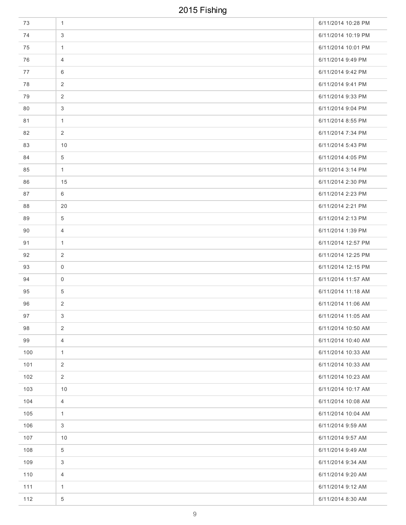| 73  | $\mathbf{1}$   | 6/11/2014 10:28 PM |
|-----|----------------|--------------------|
| 74  | 3              | 6/11/2014 10:19 PM |
| 75  | $\mathbf{1}$   | 6/11/2014 10:01 PM |
| 76  | $\overline{4}$ | 6/11/2014 9:49 PM  |
| 77  | 6              | 6/11/2014 9:42 PM  |
| 78  | 2              | 6/11/2014 9:41 PM  |
| 79  | 2              | 6/11/2014 9:33 PM  |
| 80  | 3              | 6/11/2014 9:04 PM  |
| 81  | $\mathbf{1}$   | 6/11/2014 8:55 PM  |
| 82  | 2              | 6/11/2014 7:34 PM  |
| 83  | 10             | 6/11/2014 5:43 PM  |
| 84  | 5              | 6/11/2014 4:05 PM  |
| 85  | $\mathbf{1}$   | 6/11/2014 3:14 PM  |
| 86  | 15             | 6/11/2014 2:30 PM  |
| 87  | 6              | 6/11/2014 2:23 PM  |
| 88  | 20             | 6/11/2014 2:21 PM  |
| 89  | 5              | 6/11/2014 2:13 PM  |
| 90  | 4              | 6/11/2014 1:39 PM  |
| 91  | $\mathbf{1}$   | 6/11/2014 12:57 PM |
| 92  | 2              | 6/11/2014 12:25 PM |
| 93  | 0              | 6/11/2014 12:15 PM |
| 94  | 0              | 6/11/2014 11:57 AM |
| 95  | 5              | 6/11/2014 11:18 AM |
| 96  | 2              | 6/11/2014 11:06 AM |
| 97  | 3 <sup>1</sup> | 6/11/2014 11:05 AM |
| 98  | $\overline{2}$ | 6/11/2014 10:50 AM |
| 99  | $\overline{4}$ | 6/11/2014 10:40 AM |
| 100 | $\mathbf{1}$   | 6/11/2014 10:33 AM |
| 101 | 2              | 6/11/2014 10:33 AM |
| 102 | 2              | 6/11/2014 10:23 AM |
| 103 | 10             | 6/11/2014 10:17 AM |
| 104 | $\overline{4}$ | 6/11/2014 10:08 AM |
| 105 | $\mathbf{1}$   | 6/11/2014 10:04 AM |
| 106 | $\mathfrak{Z}$ | 6/11/2014 9:59 AM  |
| 107 | 10             | 6/11/2014 9:57 AM  |
| 108 | 5              | 6/11/2014 9:49 AM  |
| 109 | 3              | 6/11/2014 9:34 AM  |
| 110 | $\overline{4}$ | 6/11/2014 9:20 AM  |
| 111 | $\mathbf{1}$   | 6/11/2014 9:12 AM  |
| 112 | 5              | 6/11/2014 8:30 AM  |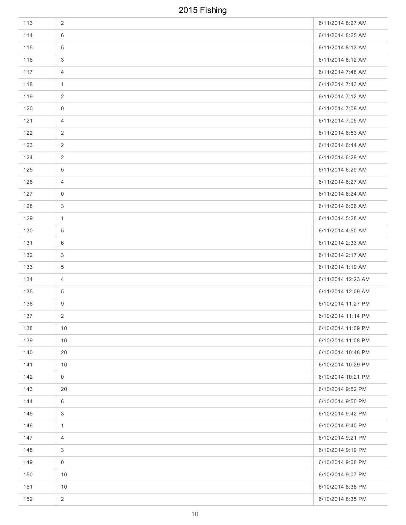| 113 | $\overline{2}$ | 6/11/2014 8:27 AM  |
|-----|----------------|--------------------|
| 114 | 6              | 6/11/2014 8:25 AM  |
| 115 | 5              | 6/11/2014 8:13 AM  |
| 116 | 3              | 6/11/2014 8:12 AM  |
| 117 | 4              | 6/11/2014 7:46 AM  |
| 118 | $\mathbf{1}$   | 6/11/2014 7:43 AM  |
| 119 | 2              | 6/11/2014 7:12 AM  |
| 120 | $\mathbf 0$    | 6/11/2014 7:09 AM  |
| 121 | 4              | 6/11/2014 7:05 AM  |
| 122 | 2              | 6/11/2014 6:53 AM  |
| 123 | 2              | 6/11/2014 6:44 AM  |
| 124 | $\overline{c}$ | 6/11/2014 6:29 AM  |
| 125 | 5              | 6/11/2014 6:29 AM  |
| 126 | $\overline{4}$ | 6/11/2014 6:27 AM  |
| 127 | 0              | 6/11/2014 6:24 AM  |
| 128 | 3              | 6/11/2014 6:06 AM  |
| 129 | $\mathbf{1}$   | 6/11/2014 5:28 AM  |
| 130 | 5              | 6/11/2014 4:50 AM  |
| 131 | 6              | 6/11/2014 2:33 AM  |
| 132 | 3              | 6/11/2014 2:17 AM  |
| 133 | 5              | 6/11/2014 1:19 AM  |
| 134 | 4              | 6/11/2014 12:23 AM |
| 135 | 5              | 6/11/2014 12:09 AM |
| 136 | 9              | 6/10/2014 11:27 PM |
| 137 | $\overline{2}$ | 6/10/2014 11:14 PM |
| 138 | 10             | 6/10/2014 11:09 PM |
| 139 | $10$           | 6/10/2014 11:08 PM |
| 140 | 20             | 6/10/2014 10:48 PM |
| 141 | 10             | 6/10/2014 10:29 PM |
| 142 | $\mathbf 0$    | 6/10/2014 10:21 PM |
| 143 | 20             | 6/10/2014 9:52 PM  |
| 144 | 6              | 6/10/2014 9:50 PM  |
| 145 | 3              | 6/10/2014 9:42 PM  |
| 146 | $\mathbf{1}$   | 6/10/2014 9:40 PM  |
| 147 | $\overline{4}$ | 6/10/2014 9:21 PM  |
| 148 | 3              | 6/10/2014 9:19 PM  |
| 149 | $\mathbf 0$    | 6/10/2014 9:08 PM  |
| 150 | 10             | 6/10/2014 9:07 PM  |
| 151 | 10             | 6/10/2014 8:38 PM  |
| 152 | $\overline{2}$ | 6/10/2014 8:35 PM  |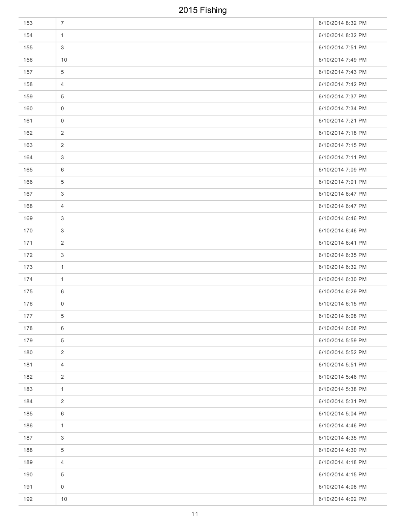| 153 | $\overline{7}$ | 6/10/2014 8:32 PM |
|-----|----------------|-------------------|
| 154 | $\mathbf{1}$   | 6/10/2014 8:32 PM |
| 155 | 3              | 6/10/2014 7:51 PM |
| 156 | 10             | 6/10/2014 7:49 PM |
| 157 | 5              | 6/10/2014 7:43 PM |
| 158 | $\overline{4}$ | 6/10/2014 7:42 PM |
| 159 | 5              | 6/10/2014 7:37 PM |
| 160 | 0              | 6/10/2014 7:34 PM |
| 161 | 0              | 6/10/2014 7:21 PM |
| 162 | 2              | 6/10/2014 7:18 PM |
| 163 | 2              | 6/10/2014 7:15 PM |
| 164 | 3              | 6/10/2014 7:11 PM |
| 165 | 6              | 6/10/2014 7:09 PM |
| 166 | 5              | 6/10/2014 7:01 PM |
| 167 | $\mathbf{3}$   | 6/10/2014 6:47 PM |
| 168 | 4              | 6/10/2014 6:47 PM |
| 169 | 3              | 6/10/2014 6:46 PM |
| 170 | 3              | 6/10/2014 6:46 PM |
| 171 | $\overline{2}$ | 6/10/2014 6:41 PM |
| 172 | 3              | 6/10/2014 6:35 PM |
| 173 | $\mathbf{1}$   | 6/10/2014 6:32 PM |
| 174 | $\mathbf{1}$   | 6/10/2014 6:30 PM |
| 175 | 6              | 6/10/2014 6:29 PM |
| 176 | 0              | 6/10/2014 6:15 PM |
| 177 | 5 <sup>5</sup> | 6/10/2014 6:08 PM |
| 178 | 6              | 6/10/2014 6:08 PM |
| 179 | 5              | 6/10/2014 5:59 PM |
| 180 | 2              | 6/10/2014 5:52 PM |
| 181 | $\overline{4}$ | 6/10/2014 5:51 PM |
| 182 | $\overline{2}$ | 6/10/2014 5:46 PM |
| 183 | $\mathbf{1}$   | 6/10/2014 5:38 PM |
| 184 | 2              | 6/10/2014 5:31 PM |
| 185 | 6              | 6/10/2014 5:04 PM |
| 186 | $\mathbf{1}$   | 6/10/2014 4:46 PM |
| 187 | 3              | 6/10/2014 4:35 PM |
| 188 | 5              | 6/10/2014 4:30 PM |
| 189 | $\overline{4}$ | 6/10/2014 4:18 PM |
| 190 | 5              | 6/10/2014 4:15 PM |
| 191 | 0              | 6/10/2014 4:08 PM |
| 192 | 10             | 6/10/2014 4:02 PM |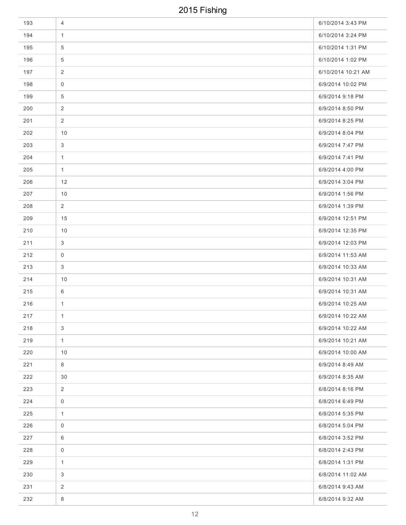| 193 | 4              | 6/10/2014 3:43 PM  |
|-----|----------------|--------------------|
| 194 | $\mathbf{1}$   | 6/10/2014 3:24 PM  |
| 195 | 5              | 6/10/2014 1:31 PM  |
| 196 | 5              | 6/10/2014 1:02 PM  |
| 197 | 2              | 6/10/2014 10:21 AM |
| 198 | $\mathbf 0$    | 6/9/2014 10:02 PM  |
| 199 | 5              | 6/9/2014 9:18 PM   |
| 200 | $\overline{2}$ | 6/9/2014 8:50 PM   |
| 201 | 2              | 6/9/2014 8:25 PM   |
| 202 | 10             | 6/9/2014 8:04 PM   |
| 203 | 3              | 6/9/2014 7:47 PM   |
| 204 | $\mathbf{1}$   | 6/9/2014 7:41 PM   |
| 205 | $\mathbf{1}$   | 6/9/2014 4:00 PM   |
| 206 | 12             | 6/9/2014 3:04 PM   |
| 207 | 10             | 6/9/2014 1:56 PM   |
| 208 | 2              | 6/9/2014 1:39 PM   |
| 209 | 15             | 6/9/2014 12:51 PM  |
| 210 | 10             | 6/9/2014 12:35 PM  |
| 211 | $\mathbf{3}$   | 6/9/2014 12:03 PM  |
| 212 | $\mathbf 0$    | 6/9/2014 11:53 AM  |
| 213 | 3              | 6/9/2014 10:33 AM  |
| 214 | 10             | 6/9/2014 10:31 AM  |
| 215 | 6              | 6/9/2014 10:31 AM  |
| 216 | $\mathbf{1}$   | 6/9/2014 10:25 AM  |
| 217 | $\mathbf{1}$   | 6/9/2014 10:22 AM  |
| 218 | $\mathfrak{S}$ | 6/9/2014 10:22 AM  |
| 219 | $\mathbf{1}$   | 6/9/2014 10:21 AM  |
| 220 | 10             | 6/9/2014 10:00 AM  |
| 221 | 8              | 6/9/2014 8:49 AM   |
| 222 | 30             | 6/9/2014 8:35 AM   |
| 223 | $\overline{2}$ | 6/8/2014 8:16 PM   |
| 224 | $\mathbf 0$    | 6/8/2014 6:49 PM   |
| 225 | $\mathbf{1}$   | 6/8/2014 5:35 PM   |
| 226 | 0              | 6/8/2014 5:04 PM   |
| 227 | 6              | 6/8/2014 3:52 PM   |
| 228 | $\mathsf{O}$   | 6/8/2014 2:43 PM   |
| 229 | $\mathbf{1}$   | 6/8/2014 1:31 PM   |
| 230 | 3              | 6/8/2014 11:02 AM  |
| 231 | $\overline{2}$ | 6/8/2014 9:43 AM   |
| 232 | 8              | 6/8/2014 9:32 AM   |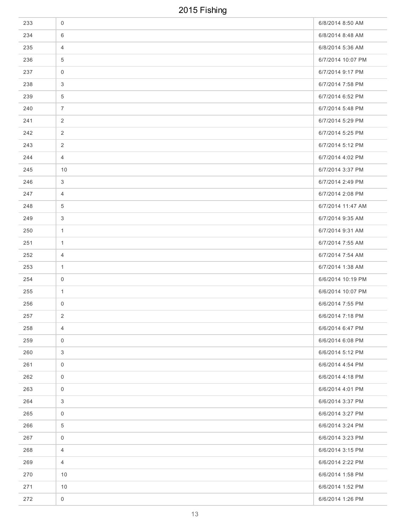| 233 | $\mathbf 0$         | 6/8/2014 8:50 AM  |
|-----|---------------------|-------------------|
| 234 | 6                   | 6/8/2014 8:48 AM  |
| 235 | $\overline{4}$      | 6/8/2014 5:36 AM  |
| 236 | $\overline{5}$      | 6/7/2014 10:07 PM |
| 237 | $\mathbf 0$         | 6/7/2014 9:17 PM  |
| 238 | 3                   | 6/7/2014 7:58 PM  |
| 239 | $\overline{5}$      | 6/7/2014 6:52 PM  |
| 240 | $\overline{7}$      | 6/7/2014 5:48 PM  |
| 241 | 2                   | 6/7/2014 5:29 PM  |
| 242 | 2                   | 6/7/2014 5:25 PM  |
| 243 | 2                   | 6/7/2014 5:12 PM  |
| 244 | $\overline{4}$      | 6/7/2014 4:02 PM  |
| 245 | 10                  | 6/7/2014 3:37 PM  |
| 246 | 3                   | 6/7/2014 2:49 PM  |
| 247 | $\overline{4}$      | 6/7/2014 2:08 PM  |
| 248 | $\overline{5}$      | 6/7/2014 11:47 AM |
| 249 | $\mathbf{3}$        | 6/7/2014 9:35 AM  |
| 250 | $\mathbf{1}$        | 6/7/2014 9:31 AM  |
| 251 | $\mathbf{1}$        | 6/7/2014 7:55 AM  |
| 252 | $\overline{4}$      | 6/7/2014 7:54 AM  |
| 253 | $\mathbf{1}$        | 6/7/2014 1:38 AM  |
| 254 | 0                   | 6/6/2014 10:19 PM |
| 255 | $\mathbf{1}$        | 6/6/2014 10:07 PM |
| 256 | 0                   | 6/6/2014 7:55 PM  |
| 257 | $\overline{2}$      | 6/6/2014 7:18 PM  |
| 258 | $\overline{4}$      | 6/6/2014 6:47 PM  |
| 259 | $\mathbf 0$         | 6/6/2014 6:08 PM  |
| 260 | 3                   | 6/6/2014 5:12 PM  |
| 261 | $\mathbf 0$         | 6/6/2014 4:54 PM  |
| 262 | $\mathsf{O}\xspace$ | 6/6/2014 4:18 PM  |
| 263 | $\mathbf 0$         | 6/6/2014 4:01 PM  |
| 264 | 3                   | 6/6/2014 3:37 PM  |
| 265 | $\mathbf 0$         | 6/6/2014 3:27 PM  |
| 266 | $\overline{5}$      | 6/6/2014 3:24 PM  |
| 267 | $\mathsf{O}\xspace$ | 6/6/2014 3:23 PM  |
| 268 | $\overline{4}$      | 6/6/2014 3:15 PM  |
| 269 | $\overline{4}$      | 6/6/2014 2:22 PM  |
| 270 | 10                  | 6/6/2014 1:58 PM  |
| 271 | 10                  | 6/6/2014 1:52 PM  |
| 272 | $\mathsf{O}\xspace$ | 6/6/2014 1:26 PM  |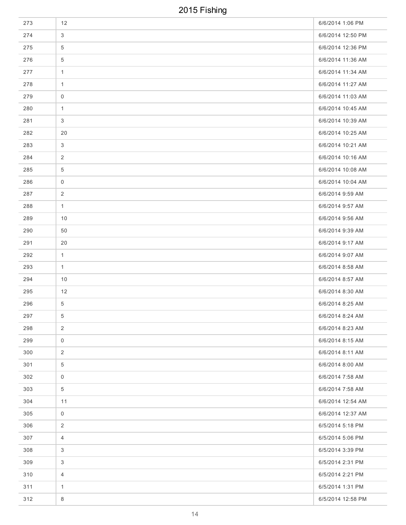| 273 | 12              | 6/6/2014 1:06 PM  |
|-----|-----------------|-------------------|
| 274 | $\mathbf{3}$    | 6/6/2014 12:50 PM |
| 275 | $\overline{5}$  | 6/6/2014 12:36 PM |
| 276 | $\overline{5}$  | 6/6/2014 11:36 AM |
| 277 | $\mathbf{1}$    | 6/6/2014 11:34 AM |
| 278 | $\mathbf{1}$    | 6/6/2014 11:27 AM |
| 279 | 0               | 6/6/2014 11:03 AM |
| 280 | $\mathbf{1}$    | 6/6/2014 10:45 AM |
| 281 | 3               | 6/6/2014 10:39 AM |
| 282 | 20              | 6/6/2014 10:25 AM |
| 283 | 3               | 6/6/2014 10:21 AM |
| 284 | $\overline{2}$  | 6/6/2014 10:16 AM |
| 285 | $\overline{5}$  | 6/6/2014 10:08 AM |
| 286 | 0               | 6/6/2014 10:04 AM |
| 287 | 2               | 6/6/2014 9:59 AM  |
| 288 | $\mathbf{1}$    | 6/6/2014 9:57 AM  |
| 289 | 10              | 6/6/2014 9:56 AM  |
| 290 | 50              | 6/6/2014 9:39 AM  |
| 291 | 20              | 6/6/2014 9:17 AM  |
| 292 | $\mathbf{1}$    | 6/6/2014 9:07 AM  |
| 293 | $\mathbf{1}$    | 6/6/2014 8:58 AM  |
| 294 | 10              | 6/6/2014 8:57 AM  |
| 295 | 12              | 6/6/2014 8:30 AM  |
| 296 | $\overline{5}$  | 6/6/2014 8:25 AM  |
| 297 | 5 <sup>5</sup>  | 6/6/2014 8:24 AM  |
| 298 | 2               | 6/6/2014 8:23 AM  |
| 299 | $\mathbf 0$     | 6/6/2014 8:15 AM  |
| 300 | $\overline{2}$  | 6/6/2014 8:11 AM  |
| 301 | 5               | 6/6/2014 8:00 AM  |
| 302 | $\mathbf 0$     | 6/6/2014 7:58 AM  |
| 303 | $5\phantom{.0}$ | 6/6/2014 7:58 AM  |
| 304 | 11              | 6/6/2014 12:54 AM |
| 305 | $\mathbf 0$     | 6/6/2014 12:37 AM |
| 306 | 2               | 6/5/2014 5:18 PM  |
| 307 | $\overline{4}$  | 6/5/2014 5:06 PM  |
| 308 | 3               | 6/5/2014 3:39 PM  |
| 309 | 3               | 6/5/2014 2:31 PM  |
| 310 | $\overline{4}$  | 6/5/2014 2:21 PM  |
| 311 | $\mathbf{1}$    | 6/5/2014 1:31 PM  |
| 312 | $8\phantom{1}$  | 6/5/2014 12:58 PM |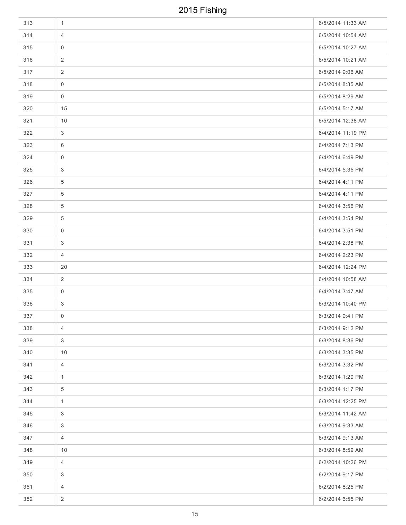| 313 | 1                   | 6/5/2014 11:33 AM |
|-----|---------------------|-------------------|
| 314 | $\overline{4}$      | 6/5/2014 10:54 AM |
| 315 | $\mathbf 0$         | 6/5/2014 10:27 AM |
| 316 | $\overline{c}$      | 6/5/2014 10:21 AM |
| 317 | 2                   | 6/5/2014 9:06 AM  |
| 318 | $\mathbf 0$         | 6/5/2014 8:35 AM  |
| 319 | 0                   | 6/5/2014 8:29 AM  |
| 320 | 15                  | 6/5/2014 5:17 AM  |
| 321 | 10                  | 6/5/2014 12:38 AM |
| 322 | 3                   | 6/4/2014 11:19 PM |
| 323 | 6                   | 6/4/2014 7:13 PM  |
| 324 | $\mathsf{O}\xspace$ | 6/4/2014 6:49 PM  |
| 325 | 3                   | 6/4/2014 5:35 PM  |
| 326 | 5                   | 6/4/2014 4:11 PM  |
| 327 | 5                   | 6/4/2014 4:11 PM  |
| 328 | 5                   | 6/4/2014 3:56 PM  |
| 329 | 5                   | 6/4/2014 3:54 PM  |
| 330 | $\mathbf 0$         | 6/4/2014 3:51 PM  |
| 331 | 3                   | 6/4/2014 2:38 PM  |
| 332 | $\overline{4}$      | 6/4/2014 2:23 PM  |
| 333 | 20                  | 6/4/2014 12:24 PM |
| 334 | $\overline{2}$      | 6/4/2014 10:58 AM |
| 335 | $\overline{0}$      | 6/4/2014 3:47 AM  |
| 336 | 3                   | 6/3/2014 10:40 PM |
| 337 | $\overline{0}$      | 6/3/2014 9:41 PM  |
| 338 | $\overline{4}$      | 6/3/2014 9:12 PM  |
| 339 | 3                   | 6/3/2014 8:36 PM  |
| 340 | 10                  | 6/3/2014 3:35 PM  |
| 341 | $\overline{4}$      | 6/3/2014 3:32 PM  |
| 342 | $\mathbf{1}$        | 6/3/2014 1:20 PM  |
| 343 | $\overline{5}$      | 6/3/2014 1:17 PM  |
| 344 | $\mathbf{1}$        | 6/3/2014 12:25 PM |
| 345 | 3                   | 6/3/2014 11:42 AM |
| 346 | 3                   | 6/3/2014 9:33 AM  |
| 347 | $\overline{4}$      | 6/3/2014 9:13 AM  |
| 348 | 10                  | 6/3/2014 8:59 AM  |
| 349 | $\overline{4}$      | 6/2/2014 10:26 PM |
| 350 | $\mathbf{3}$        | 6/2/2014 9:17 PM  |
| 351 | $\overline{4}$      | 6/2/2014 8:25 PM  |
| 352 | $\overline{2}$      | 6/2/2014 6:55 PM  |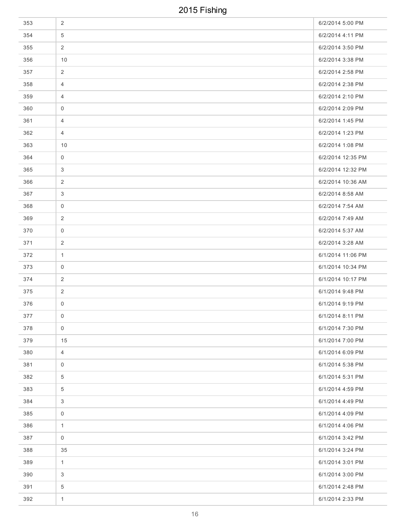| 353 | $\overline{2}$      | 6/2/2014 5:00 PM  |
|-----|---------------------|-------------------|
| 354 | $\overline{5}$      | 6/2/2014 4:11 PM  |
| 355 | $\overline{2}$      | 6/2/2014 3:50 PM  |
| 356 | 10                  | 6/2/2014 3:38 PM  |
| 357 | $\overline{2}$      | 6/2/2014 2:58 PM  |
| 358 | $\overline{4}$      | 6/2/2014 2:38 PM  |
| 359 | $\overline{4}$      | 6/2/2014 2:10 PM  |
| 360 | $\mathbf 0$         | 6/2/2014 2:09 PM  |
| 361 | $\overline{4}$      | 6/2/2014 1:45 PM  |
| 362 | $\overline{4}$      | 6/2/2014 1:23 PM  |
| 363 | 10                  | 6/2/2014 1:08 PM  |
| 364 | 0                   | 6/2/2014 12:35 PM |
| 365 | 3                   | 6/2/2014 12:32 PM |
| 366 | $\overline{2}$      | 6/2/2014 10:36 AM |
| 367 | 3                   | 6/2/2014 8:58 AM  |
| 368 | 0                   | 6/2/2014 7:54 AM  |
| 369 | $\overline{2}$      | 6/2/2014 7:49 AM  |
| 370 | $\mathsf{O}\xspace$ | 6/2/2014 5:37 AM  |
| 371 | 2                   | 6/2/2014 3:28 AM  |
| 372 | $\mathbf{1}$        | 6/1/2014 11:06 PM |
| 373 | $\mathbf 0$         | 6/1/2014 10:34 PM |
| 374 | 2                   | 6/1/2014 10:17 PM |
| 375 | $\overline{2}$      | 6/1/2014 9:48 PM  |
| 376 | 0                   | 6/1/2014 9:19 PM  |
| 377 | $\overline{0}$      | 6/1/2014 8:11 PM  |
| 378 | $\mathbf 0$         | 6/1/2014 7:30 PM  |
| 379 | 15                  | 6/1/2014 7:00 PM  |
| 380 | $\overline{4}$      | 6/1/2014 6:09 PM  |
| 381 | $\mathsf{O}\xspace$ | 6/1/2014 5:38 PM  |
| 382 | $\overline{5}$      | 6/1/2014 5:31 PM  |
| 383 | $\overline{5}$      | 6/1/2014 4:59 PM  |
| 384 | 3                   | 6/1/2014 4:49 PM  |
| 385 | $\mathsf{O}\xspace$ | 6/1/2014 4:09 PM  |
| 386 | $\mathbf{1}$        | 6/1/2014 4:06 PM  |
| 387 | $\mathbf 0$         | 6/1/2014 3:42 PM  |
| 388 | 35                  | 6/1/2014 3:24 PM  |
| 389 | $\mathbf{1}$        | 6/1/2014 3:01 PM  |
| 390 | $\mathfrak{S}$      | 6/1/2014 3:00 PM  |
| 391 | $\overline{5}$      | 6/1/2014 2:48 PM  |
| 392 | $\mathbf{1}$        | 6/1/2014 2:33 PM  |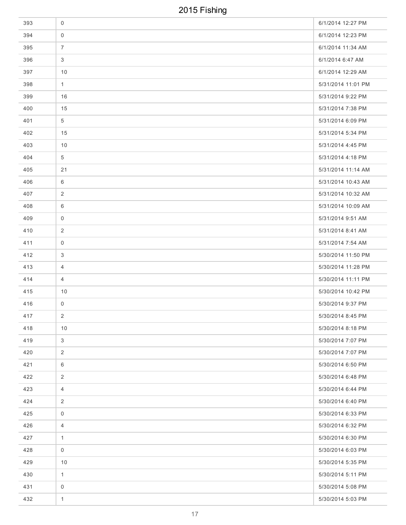| 393 | $\mathsf 0$    | 6/1/2014 12:27 PM  |
|-----|----------------|--------------------|
| 394 | $\mathbf 0$    | 6/1/2014 12:23 PM  |
| 395 | $\overline{7}$ | 6/1/2014 11:34 AM  |
| 396 | 3              | 6/1/2014 6:47 AM   |
| 397 | 10             | 6/1/2014 12:29 AM  |
| 398 | $\mathbf{1}$   | 5/31/2014 11:01 PM |
| 399 | 16             | 5/31/2014 9:22 PM  |
| 400 | 15             | 5/31/2014 7:38 PM  |
| 401 | 5              | 5/31/2014 6:09 PM  |
| 402 | 15             | 5/31/2014 5:34 PM  |
| 403 | 10             | 5/31/2014 4:45 PM  |
| 404 | $\overline{5}$ | 5/31/2014 4:18 PM  |
| 405 | 21             | 5/31/2014 11:14 AM |
| 406 | 6              | 5/31/2014 10:43 AM |
| 407 | 2              | 5/31/2014 10:32 AM |
| 408 | 6              | 5/31/2014 10:09 AM |
| 409 | 0              | 5/31/2014 9:51 AM  |
| 410 | 2              | 5/31/2014 8:41 AM  |
| 411 | $\mathbf 0$    | 5/31/2014 7:54 AM  |
| 412 | 3              | 5/30/2014 11:50 PM |
| 413 | $\overline{4}$ | 5/30/2014 11:28 PM |
| 414 | 4              | 5/30/2014 11:11 PM |
| 415 | 10             | 5/30/2014 10:42 PM |
| 416 | 0              | 5/30/2014 9:37 PM  |
| 417 | $\overline{2}$ | 5/30/2014 8:45 PM  |
| 418 | 10             | 5/30/2014 8:18 PM  |
| 419 | $\mathfrak{S}$ | 5/30/2014 7:07 PM  |
| 420 | $\overline{2}$ | 5/30/2014 7:07 PM  |
| 421 | 6              | 5/30/2014 6:50 PM  |
| 422 | $\overline{2}$ | 5/30/2014 6:48 PM  |
| 423 | $\overline{4}$ | 5/30/2014 6:44 PM  |
| 424 | 2              | 5/30/2014 6:40 PM  |
| 425 | $\mathbf 0$    | 5/30/2014 6:33 PM  |
| 426 | $\overline{4}$ | 5/30/2014 6:32 PM  |
| 427 | $\mathbf{1}$   | 5/30/2014 6:30 PM  |
| 428 | $\mathbf 0$    | 5/30/2014 6:03 PM  |
| 429 | 10             | 5/30/2014 5:35 PM  |
| 430 | $\mathbf{1}$   | 5/30/2014 5:11 PM  |
| 431 | $\mathbf 0$    | 5/30/2014 5:08 PM  |
| 432 | $\mathbf{1}$   | 5/30/2014 5:03 PM  |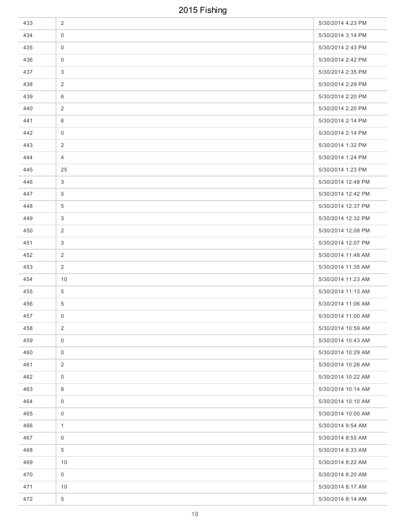| 433 | $\overline{2}$  | 5/30/2014 4:23 PM  |
|-----|-----------------|--------------------|
| 434 | $\mathbf 0$     | 5/30/2014 3:14 PM  |
| 435 | $\mathbf 0$     | 5/30/2014 2:43 PM  |
| 436 | $\mathbf 0$     | 5/30/2014 2:42 PM  |
| 437 | 3               | 5/30/2014 2:35 PM  |
| 438 | 2               | 5/30/2014 2:29 PM  |
| 439 | 6               | 5/30/2014 2:20 PM  |
| 440 | 2               | 5/30/2014 2:20 PM  |
| 441 | 6               | 5/30/2014 2:14 PM  |
| 442 | $\mathbf 0$     | 5/30/2014 2:14 PM  |
| 443 | $\overline{2}$  | 5/30/2014 1:32 PM  |
| 444 | $\overline{4}$  | 5/30/2014 1:24 PM  |
| 445 | 25              | 5/30/2014 1:23 PM  |
| 446 | 3               | 5/30/2014 12:48 PM |
| 447 | 5               | 5/30/2014 12:42 PM |
| 448 | $5\phantom{.0}$ | 5/30/2014 12:37 PM |
| 449 | $\mathbf{3}$    | 5/30/2014 12:32 PM |
| 450 | 2               | 5/30/2014 12:08 PM |
| 451 | 3               | 5/30/2014 12:07 PM |
| 452 | $\overline{2}$  | 5/30/2014 11:48 AM |
| 453 | 2               | 5/30/2014 11:35 AM |
| 454 | 10              | 5/30/2014 11:23 AM |
| 455 | $\overline{5}$  | 5/30/2014 11:13 AM |
| 456 | $\overline{5}$  | 5/30/2014 11:06 AM |
| 457 | $\overline{0}$  | 5/30/2014 11:00 AM |
| 458 | $\overline{2}$  | 5/30/2014 10:59 AM |
| 459 | $\mathbf 0$     | 5/30/2014 10:43 AM |
| 460 | $\mathbf 0$     | 5/30/2014 10:29 AM |
| 461 | 2               | 5/30/2014 10:26 AM |
| 462 | $\mathbf 0$     | 5/30/2014 10:22 AM |
| 463 | 8               | 5/30/2014 10:14 AM |
| 464 | $\mathsf 0$     | 5/30/2014 10:10 AM |
| 465 | $\mathbf 0$     | 5/30/2014 10:00 AM |
| 466 | $\mathbf{1}$    | 5/30/2014 9:54 AM  |
| 467 | $\mathbf 0$     | 5/30/2014 8:55 AM  |
| 468 | $\overline{5}$  | 5/30/2014 8:33 AM  |
| 469 | 10              | 5/30/2014 8:22 AM  |
| 470 | $\mathbf 0$     | 5/30/2014 8:20 AM  |
| 471 | 10              | 5/30/2014 8:17 AM  |
| 472 | $\overline{5}$  | 5/30/2014 8:14 AM  |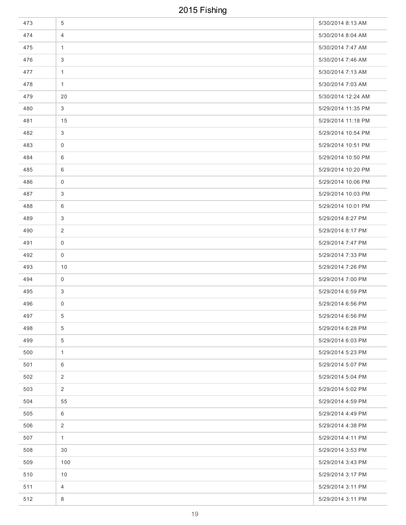| 473 | 5               | 5/30/2014 8:13 AM  |
|-----|-----------------|--------------------|
| 474 | 4               | 5/30/2014 8:04 AM  |
| 475 | $\mathbf{1}$    | 5/30/2014 7:47 AM  |
| 476 | 3               | 5/30/2014 7:46 AM  |
| 477 | $\mathbf{1}$    | 5/30/2014 7:13 AM  |
| 478 | $\mathbf{1}$    | 5/30/2014 7:03 AM  |
| 479 | 20              | 5/30/2014 12:24 AM |
| 480 | $\mathbf{3}$    | 5/29/2014 11:35 PM |
| 481 | 15              | 5/29/2014 11:18 PM |
| 482 | $\mathbf{3}$    | 5/29/2014 10:54 PM |
| 483 | 0               | 5/29/2014 10:51 PM |
| 484 | 6               | 5/29/2014 10:50 PM |
| 485 | 6               | 5/29/2014 10:20 PM |
| 486 | 0               | 5/29/2014 10:06 PM |
| 487 | 3               | 5/29/2014 10:03 PM |
| 488 | 6               | 5/29/2014 10:01 PM |
| 489 | $\mathbf{3}$    | 5/29/2014 8:27 PM  |
| 490 | 2               | 5/29/2014 8:17 PM  |
| 491 | $\mathbf 0$     | 5/29/2014 7:47 PM  |
| 492 | $\mathbf 0$     | 5/29/2014 7:33 PM  |
| 493 | 10              | 5/29/2014 7:26 PM  |
| 494 | 0               | 5/29/2014 7:00 PM  |
| 495 | 3               | 5/29/2014 6:59 PM  |
| 496 | 0               | 5/29/2014 6:56 PM  |
| 497 | $5\overline{)}$ | 5/29/2014 6:56 PM  |
| 498 | $\overline{5}$  | 5/29/2014 6:28 PM  |
| 499 | $\overline{5}$  | 5/29/2014 6:03 PM  |
| 500 | $\mathbf{1}$    | 5/29/2014 5:23 PM  |
| 501 | 6               | 5/29/2014 5:07 PM  |
| 502 | 2               | 5/29/2014 5:04 PM  |
| 503 | $\overline{2}$  | 5/29/2014 5:02 PM  |
| 504 | 55              | 5/29/2014 4:59 PM  |
| 505 | 6               | 5/29/2014 4:49 PM  |
| 506 | 2               | 5/29/2014 4:38 PM  |
| 507 | $\mathbf{1}$    | 5/29/2014 4:11 PM  |
| 508 | 30              | 5/29/2014 3:53 PM  |
| 509 | 100             | 5/29/2014 3:43 PM  |
| 510 | 10              | 5/29/2014 3:17 PM  |
| 511 | $\overline{4}$  | 5/29/2014 3:11 PM  |
| 512 | 8               | 5/29/2014 3:11 PM  |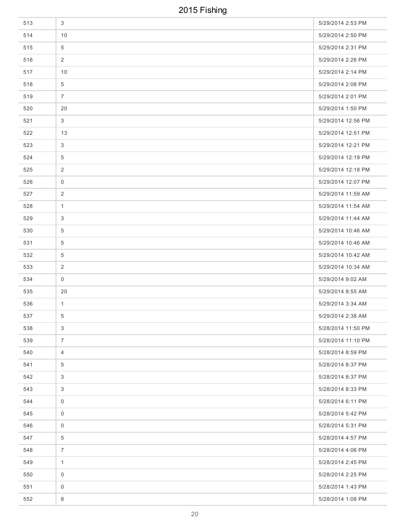| 513 | 3               | 5/29/2014 2:53 PM  |
|-----|-----------------|--------------------|
| 514 | 10              | 5/29/2014 2:50 PM  |
| 515 | $\overline{5}$  | 5/29/2014 2:31 PM  |
| 516 | 2               | 5/29/2014 2:26 PM  |
| 517 | 10              | 5/29/2014 2:14 PM  |
| 518 | $5\phantom{.0}$ | 5/29/2014 2:08 PM  |
| 519 | $\overline{7}$  | 5/29/2014 2:01 PM  |
| 520 | 20              | 5/29/2014 1:50 PM  |
| 521 | 3               | 5/29/2014 12:56 PM |
| 522 | 13              | 5/29/2014 12:51 PM |
| 523 | 3               | 5/29/2014 12:21 PM |
| 524 | $\overline{5}$  | 5/29/2014 12:19 PM |
| 525 | 2               | 5/29/2014 12:18 PM |
| 526 | 0               | 5/29/2014 12:07 PM |
| 527 | 2               | 5/29/2014 11:59 AM |
| 528 | $\mathbf{1}$    | 5/29/2014 11:54 AM |
| 529 | $\mathbf{3}$    | 5/29/2014 11:44 AM |
| 530 | 5               | 5/29/2014 10:46 AM |
| 531 | $\overline{5}$  | 5/29/2014 10:46 AM |
| 532 | $\overline{5}$  | 5/29/2014 10:42 AM |
| 533 | 2               | 5/29/2014 10:34 AM |
| 534 | 0               | 5/29/2014 9:02 AM  |
| 535 | 20              | 5/29/2014 8:55 AM  |
| 536 | $\mathbf{1}$    | 5/29/2014 3:34 AM  |
| 537 | 5 <sup>5</sup>  | 5/29/2014 2:38 AM  |
| 538 | $\mathbf{3}$    | 5/28/2014 11:50 PM |
| 539 | $\overline{7}$  | 5/28/2014 11:10 PM |
| 540 | $\overline{4}$  | 5/28/2014 8:59 PM  |
| 541 | 5               | 5/28/2014 8:37 PM  |
| 542 | 3               | 5/28/2014 8:37 PM  |
| 543 | $\mathbf{3}$    | 5/28/2014 8:33 PM  |
| 544 | $\mathbf 0$     | 5/28/2014 6:11 PM  |
| 545 | $\mathbf 0$     | 5/28/2014 5:42 PM  |
| 546 | $\mathbf 0$     | 5/28/2014 5:31 PM  |
| 547 | $\overline{5}$  | 5/28/2014 4:57 PM  |
| 548 | $\overline{7}$  | 5/28/2014 4:06 PM  |
| 549 | $\mathbf{1}$    | 5/28/2014 2:45 PM  |
| 550 | $\mathbf 0$     | 5/28/2014 2:25 PM  |
| 551 | $\mathbf 0$     | 5/28/2014 1:43 PM  |
| 552 | 8               | 5/28/2014 1:08 PM  |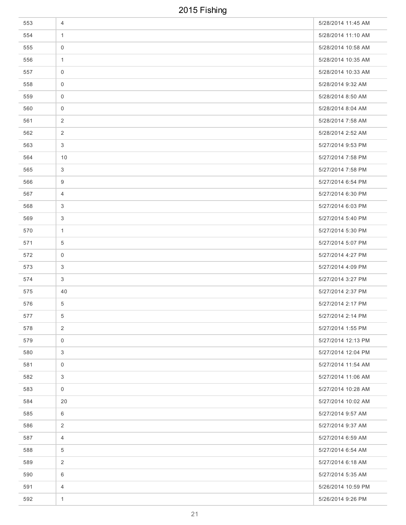| 553 | 4              | 5/28/2014 11:45 AM |
|-----|----------------|--------------------|
| 554 | $\mathbf{1}$   | 5/28/2014 11:10 AM |
| 555 | $\overline{0}$ | 5/28/2014 10:58 AM |
| 556 | $\mathbf{1}$   | 5/28/2014 10:35 AM |
| 557 | $\mathbf 0$    | 5/28/2014 10:33 AM |
| 558 | $\mathbf 0$    | 5/28/2014 9:32 AM  |
| 559 | 0              | 5/28/2014 8:50 AM  |
| 560 | $\mathsf 0$    | 5/28/2014 8:04 AM  |
| 561 | 2              | 5/28/2014 7:58 AM  |
| 562 | $\overline{2}$ | 5/28/2014 2:52 AM  |
| 563 | 3              | 5/27/2014 9:53 PM  |
| 564 | 10             | 5/27/2014 7:58 PM  |
| 565 | 3              | 5/27/2014 7:58 PM  |
| 566 | 9              | 5/27/2014 6:54 PM  |
| 567 | 4              | 5/27/2014 6:30 PM  |
| 568 | 3              | 5/27/2014 6:03 PM  |
| 569 | 3              | 5/27/2014 5:40 PM  |
| 570 | $\mathbf{1}$   | 5/27/2014 5:30 PM  |
| 571 | $\overline{5}$ | 5/27/2014 5:07 PM  |
| 572 | $\mathbf 0$    | 5/27/2014 4:27 PM  |
| 573 | 3              | 5/27/2014 4:09 PM  |
| 574 | 3              | 5/27/2014 3:27 PM  |
| 575 | 40             | 5/27/2014 2:37 PM  |
| 576 | $\overline{5}$ | 5/27/2014 2:17 PM  |
| 577 | 5 <sup>5</sup> | 5/27/2014 2:14 PM  |
| 578 | $\overline{2}$ | 5/27/2014 1:55 PM  |
| 579 | $\mathsf{O}$   | 5/27/2014 12:13 PM |
| 580 | 3              | 5/27/2014 12:04 PM |
| 581 | $\mathbf 0$    | 5/27/2014 11:54 AM |
| 582 | 3              | 5/27/2014 11:06 AM |
| 583 | $\mathbf 0$    | 5/27/2014 10:28 AM |
| 584 | 20             | 5/27/2014 10:02 AM |
| 585 | 6              | 5/27/2014 9:57 AM  |
| 586 | $\overline{c}$ | 5/27/2014 9:37 AM  |
| 587 | $\overline{4}$ | 5/27/2014 6:59 AM  |
| 588 | 5              | 5/27/2014 6:54 AM  |
| 589 | 2              | 5/27/2014 6:18 AM  |
| 590 | 6              | 5/27/2014 5:35 AM  |
| 591 | $\overline{4}$ | 5/26/2014 10:59 PM |
| 592 | $\mathbf{1}$   | 5/26/2014 9:26 PM  |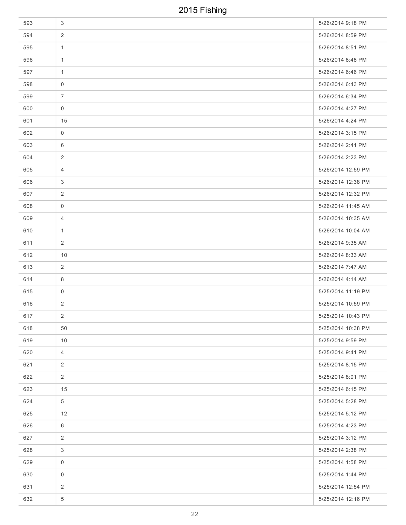| 593 | 3              | 5/26/2014 9:18 PM  |
|-----|----------------|--------------------|
| 594 | $\overline{2}$ | 5/26/2014 8:59 PM  |
| 595 | $\mathbf{1}$   | 5/26/2014 8:51 PM  |
| 596 | $\mathbf{1}$   | 5/26/2014 8:48 PM  |
| 597 | $\mathbf{1}$   | 5/26/2014 6:46 PM  |
| 598 | $\mathbf 0$    | 5/26/2014 6:43 PM  |
| 599 | $\overline{7}$ | 5/26/2014 6:34 PM  |
| 600 | $\mathbf 0$    | 5/26/2014 4:27 PM  |
| 601 | 15             | 5/26/2014 4:24 PM  |
| 602 | $\mathbf 0$    | 5/26/2014 3:15 PM  |
| 603 | 6              | 5/26/2014 2:41 PM  |
| 604 | $\overline{c}$ | 5/26/2014 2:23 PM  |
| 605 | $\overline{4}$ | 5/26/2014 12:59 PM |
| 606 | 3              | 5/26/2014 12:38 PM |
| 607 | 2              | 5/26/2014 12:32 PM |
| 608 | 0              | 5/26/2014 11:45 AM |
| 609 | $\overline{4}$ | 5/26/2014 10:35 AM |
| 610 | $\mathbf{1}$   | 5/26/2014 10:04 AM |
| 611 | 2              | 5/26/2014 9:35 AM  |
| 612 | 10             | 5/26/2014 8:33 AM  |
| 613 | $\overline{2}$ | 5/26/2014 7:47 AM  |
| 614 | 8              | 5/26/2014 4:14 AM  |
| 615 | $\mathbf 0$    | 5/25/2014 11:19 PM |
| 616 | 2              | 5/25/2014 10:59 PM |
| 617 | $\overline{2}$ | 5/25/2014 10:43 PM |
| 618 | 50             | 5/25/2014 10:38 PM |
| 619 | 10             | 5/25/2014 9:59 PM  |
| 620 | $\overline{4}$ | 5/25/2014 9:41 PM  |
| 621 | $\overline{2}$ | 5/25/2014 8:15 PM  |
| 622 | $\overline{2}$ | 5/25/2014 8:01 PM  |
| 623 | 15             | 5/25/2014 6:15 PM  |
| 624 | 5              | 5/25/2014 5:28 PM  |
| 625 | 12             | 5/25/2014 5:12 PM  |
| 626 | 6              | 5/25/2014 4:23 PM  |
| 627 | $\overline{2}$ | 5/25/2014 3:12 PM  |
| 628 | 3              | 5/25/2014 2:38 PM  |
| 629 | $\mathbf 0$    | 5/25/2014 1:58 PM  |
| 630 | $\mathbf 0$    | 5/25/2014 1:44 PM  |
| 631 | $\overline{2}$ | 5/25/2014 12:54 PM |
| 632 | $\overline{5}$ | 5/25/2014 12:16 PM |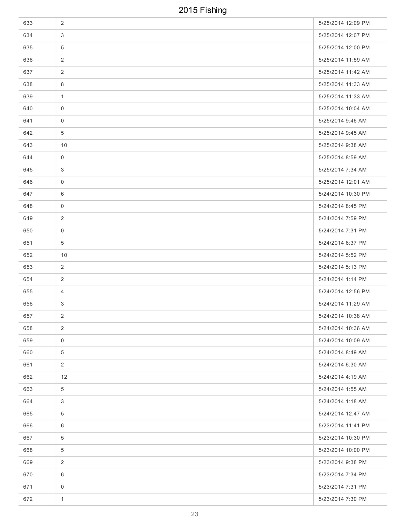| 633 | $\overline{2}$ | 5/25/2014 12:09 PM |
|-----|----------------|--------------------|
| 634 | 3              | 5/25/2014 12:07 PM |
| 635 | 5              | 5/25/2014 12:00 PM |
| 636 | $\overline{2}$ | 5/25/2014 11:59 AM |
| 637 | $\overline{2}$ | 5/25/2014 11:42 AM |
| 638 | 8              | 5/25/2014 11:33 AM |
| 639 | $\mathbf{1}$   | 5/25/2014 11:33 AM |
| 640 | $\overline{0}$ | 5/25/2014 10:04 AM |
| 641 | $\mathbf 0$    | 5/25/2014 9:46 AM  |
| 642 | $\overline{5}$ | 5/25/2014 9:45 AM  |
| 643 | 10             | 5/25/2014 9:38 AM  |
| 644 | $\mathbf 0$    | 5/25/2014 8:59 AM  |
| 645 | 3              | 5/25/2014 7:34 AM  |
| 646 | 0              | 5/25/2014 12:01 AM |
| 647 | 6              | 5/24/2014 10:30 PM |
| 648 | 0              | 5/24/2014 8:45 PM  |
| 649 | 2              | 5/24/2014 7:59 PM  |
| 650 | 0              | 5/24/2014 7:31 PM  |
| 651 | $\overline{5}$ | 5/24/2014 6:37 PM  |
| 652 | 10             | 5/24/2014 5:52 PM  |
| 653 | 2              | 5/24/2014 5:13 PM  |
| 654 | 2              | 5/24/2014 1:14 PM  |
| 655 | $\overline{4}$ | 5/24/2014 12:56 PM |
| 656 | 3              | 5/24/2014 11:29 AM |
| 657 | $\overline{2}$ | 5/24/2014 10:38 AM |
| 658 | $\overline{2}$ | 5/24/2014 10:36 AM |
| 659 | $\mathsf{O}$   | 5/24/2014 10:09 AM |
| 660 | $\overline{5}$ | 5/24/2014 8:49 AM  |
| 661 | $\overline{2}$ | 5/24/2014 6:30 AM  |
| 662 | 12             | 5/24/2014 4:19 AM  |
| 663 | $\overline{5}$ | 5/24/2014 1:55 AM  |
| 664 | 3              | 5/24/2014 1:18 AM  |
| 665 | 5              | 5/24/2014 12:47 AM |
| 666 | 6              | 5/23/2014 11:41 PM |
| 667 | 5              | 5/23/2014 10:30 PM |
| 668 | 5              | 5/23/2014 10:00 PM |
| 669 | 2              | 5/23/2014 9:38 PM  |
| 670 | 6              | 5/23/2014 7:34 PM  |
| 671 | $\mathbf 0$    | 5/23/2014 7:31 PM  |
| 672 | $\mathbf{1}$   | 5/23/2014 7:30 PM  |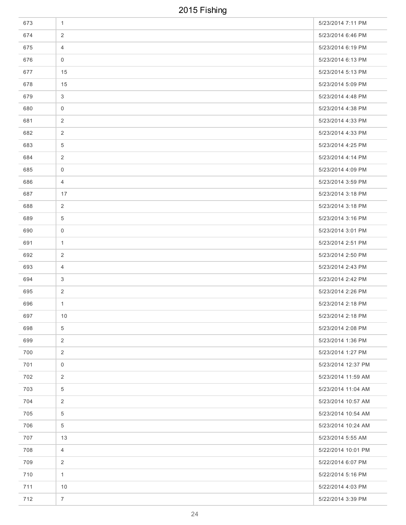| 673 | $\mathbf{1}$   | 5/23/2014 7:11 PM  |
|-----|----------------|--------------------|
| 674 | 2              | 5/23/2014 6:46 PM  |
| 675 | $\overline{4}$ | 5/23/2014 6:19 PM  |
| 676 | 0              | 5/23/2014 6:13 PM  |
| 677 | 15             | 5/23/2014 5:13 PM  |
| 678 | 15             | 5/23/2014 5:09 PM  |
| 679 | 3              | 5/23/2014 4:48 PM  |
| 680 | $\mathbf 0$    | 5/23/2014 4:38 PM  |
| 681 | 2              | 5/23/2014 4:33 PM  |
| 682 | $\overline{2}$ | 5/23/2014 4:33 PM  |
| 683 | 5              | 5/23/2014 4:25 PM  |
| 684 | $\overline{2}$ | 5/23/2014 4:14 PM  |
| 685 | $\mathbf 0$    | 5/23/2014 4:09 PM  |
| 686 | $\overline{4}$ | 5/23/2014 3:59 PM  |
| 687 | 17             | 5/23/2014 3:18 PM  |
| 688 | 2              | 5/23/2014 3:18 PM  |
| 689 | $\overline{5}$ | 5/23/2014 3:16 PM  |
| 690 | 0              | 5/23/2014 3:01 PM  |
| 691 | $\mathbf{1}$   | 5/23/2014 2:51 PM  |
| 692 | 2              | 5/23/2014 2:50 PM  |
| 693 | $\overline{4}$ | 5/23/2014 2:43 PM  |
| 694 | 3              | 5/23/2014 2:42 PM  |
| 695 | 2              | 5/23/2014 2:26 PM  |
| 696 | $\mathbf{1}$   | 5/23/2014 2:18 PM  |
| 697 | 10             | 5/23/2014 2:18 PM  |
| 698 | $\overline{5}$ | 5/23/2014 2:08 PM  |
| 699 | $\overline{2}$ | 5/23/2014 1:36 PM  |
| 700 | $\overline{2}$ | 5/23/2014 1:27 PM  |
| 701 | $\mathbf 0$    | 5/23/2014 12:37 PM |
| 702 | 2              | 5/23/2014 11:59 AM |
| 703 | $\overline{5}$ | 5/23/2014 11:04 AM |
| 704 | 2              | 5/23/2014 10:57 AM |
| 705 | 5              | 5/23/2014 10:54 AM |
| 706 | $\overline{5}$ | 5/23/2014 10:24 AM |
| 707 | 13             | 5/23/2014 5:55 AM  |
| 708 | $\overline{4}$ | 5/22/2014 10:01 PM |
| 709 | 2              | 5/22/2014 6:07 PM  |
| 710 | $\mathbf{1}$   | 5/22/2014 5:16 PM  |
| 711 | 10             | 5/22/2014 4:03 PM  |
| 712 | $\overline{7}$ | 5/22/2014 3:39 PM  |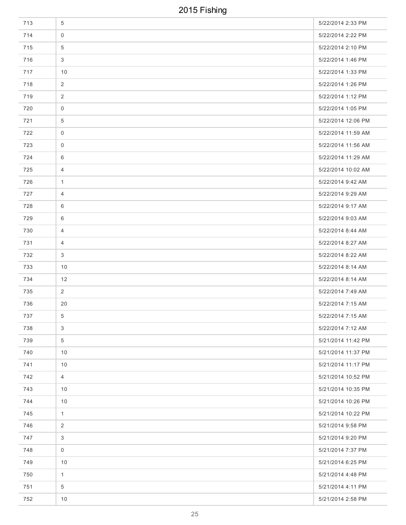| 713 | 5               | 5/22/2014 2:33 PM  |
|-----|-----------------|--------------------|
| 714 | $\mathbf 0$     | 5/22/2014 2:22 PM  |
| 715 | $\overline{5}$  | 5/22/2014 2:10 PM  |
| 716 | $\mathbf{3}$    | 5/22/2014 1:46 PM  |
| 717 | 10              | 5/22/2014 1:33 PM  |
| 718 | 2               | 5/22/2014 1:26 PM  |
| 719 | 2               | 5/22/2014 1:12 PM  |
| 720 | $\mathbf 0$     | 5/22/2014 1:05 PM  |
| 721 | $\overline{5}$  | 5/22/2014 12:06 PM |
| 722 | $\mathbf 0$     | 5/22/2014 11:59 AM |
| 723 | $\mathbf 0$     | 5/22/2014 11:56 AM |
| 724 | 6               | 5/22/2014 11:29 AM |
| 725 | $\overline{4}$  | 5/22/2014 10:02 AM |
| 726 | $\mathbf{1}$    | 5/22/2014 9:42 AM  |
| 727 | 4               | 5/22/2014 9:29 AM  |
| 728 | 6               | 5/22/2014 9:17 AM  |
| 729 | 6               | 5/22/2014 9:03 AM  |
| 730 | $\overline{4}$  | 5/22/2014 8:44 AM  |
| 731 | $\overline{4}$  | 5/22/2014 8:27 AM  |
| 732 | 3               | 5/22/2014 8:22 AM  |
| 733 | 10              | 5/22/2014 8:14 AM  |
| 734 | 12              | 5/22/2014 8:14 AM  |
| 735 | $\overline{2}$  | 5/22/2014 7:49 AM  |
| 736 | 20              | 5/22/2014 7:15 AM  |
| 737 | 5 <sup>5</sup>  | 5/22/2014 7:15 AM  |
| 738 | $\mathfrak{S}$  | 5/22/2014 7:12 AM  |
| 739 | $5\phantom{.0}$ | 5/21/2014 11:42 PM |
| 740 | 10              | 5/21/2014 11:37 PM |
| 741 | 10              | 5/21/2014 11:17 PM |
| 742 | $\overline{4}$  | 5/21/2014 10:52 PM |
| 743 | 10              | 5/21/2014 10:35 PM |
| 744 | 10              | 5/21/2014 10:26 PM |
| 745 | $\mathbf{1}$    | 5/21/2014 10:22 PM |
| 746 | 2               | 5/21/2014 9:58 PM  |
| 747 | 3               | 5/21/2014 9:20 PM  |
| 748 | $\mathbf 0$     | 5/21/2014 7:37 PM  |
| 749 | 10              | 5/21/2014 6:25 PM  |
| 750 | $\mathbf{1}$    | 5/21/2014 4:48 PM  |
| 751 | $5\phantom{.0}$ | 5/21/2014 4:11 PM  |
| 752 | $10$            | 5/21/2014 2:58 PM  |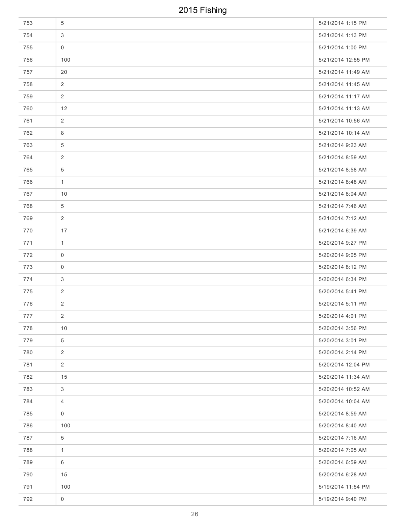| 753 | $\overline{5}$      | 5/21/2014 1:15 PM  |
|-----|---------------------|--------------------|
| 754 | 3                   | 5/21/2014 1:13 PM  |
| 755 | $\mathbf 0$         | 5/21/2014 1:00 PM  |
| 756 | 100                 | 5/21/2014 12:55 PM |
| 757 | 20                  | 5/21/2014 11:49 AM |
| 758 | 2                   | 5/21/2014 11:45 AM |
| 759 | 2                   | 5/21/2014 11:17 AM |
| 760 | 12                  | 5/21/2014 11:13 AM |
| 761 | $\overline{2}$      | 5/21/2014 10:56 AM |
| 762 | 8                   | 5/21/2014 10:14 AM |
| 763 | 5                   | 5/21/2014 9:23 AM  |
| 764 | 2                   | 5/21/2014 8:59 AM  |
| 765 | $\overline{5}$      | 5/21/2014 8:58 AM  |
| 766 | $\mathbf{1}$        | 5/21/2014 8:48 AM  |
| 767 | 10                  | 5/21/2014 8:04 AM  |
| 768 | $\overline{5}$      | 5/21/2014 7:46 AM  |
| 769 | 2                   | 5/21/2014 7:12 AM  |
| 770 | 17                  | 5/21/2014 6:39 AM  |
| 771 | $\mathbf{1}$        | 5/20/2014 9:27 PM  |
| 772 | $\mathbf 0$         | 5/20/2014 9:05 PM  |
| 773 | 0                   | 5/20/2014 8:12 PM  |
| 774 | 3                   | 5/20/2014 6:34 PM  |
| 775 | 2                   | 5/20/2014 5:41 PM  |
| 776 | $\overline{2}$      | 5/20/2014 5:11 PM  |
| 777 | $\overline{2}$      | 5/20/2014 4:01 PM  |
| 778 | 10                  | 5/20/2014 3:56 PM  |
| 779 | $\overline{5}$      | 5/20/2014 3:01 PM  |
| 780 | $\overline{2}$      | 5/20/2014 2:14 PM  |
| 781 | $\overline{2}$      | 5/20/2014 12:04 PM |
| 782 | 15                  | 5/20/2014 11:34 AM |
| 783 | $\mathbf{3}$        | 5/20/2014 10:52 AM |
| 784 | $\overline{4}$      | 5/20/2014 10:04 AM |
| 785 | $\mathbf 0$         | 5/20/2014 8:59 AM  |
| 786 | 100                 | 5/20/2014 8:40 AM  |
| 787 | $\overline{5}$      | 5/20/2014 7:16 AM  |
| 788 | $\mathbf{1}$        | 5/20/2014 7:05 AM  |
| 789 | 6                   | 5/20/2014 6:59 AM  |
| 790 | 15                  | 5/20/2014 6:28 AM  |
| 791 | 100                 | 5/19/2014 11:54 PM |
| 792 | $\mathsf{O}\xspace$ | 5/19/2014 9:40 PM  |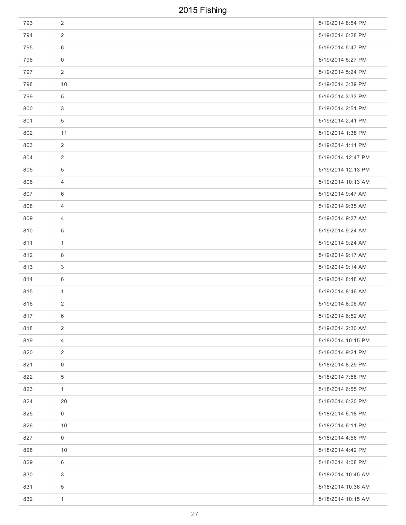| 793 | $\overline{2}$      | 5/19/2014 8:54 PM  |
|-----|---------------------|--------------------|
| 794 | $\overline{2}$      | 5/19/2014 6:28 PM  |
| 795 | 6                   | 5/19/2014 5:47 PM  |
| 796 | $\mathsf{O}\xspace$ | 5/19/2014 5:27 PM  |
| 797 | 2                   | 5/19/2014 5:24 PM  |
| 798 | 10                  | 5/19/2014 3:39 PM  |
| 799 | 5                   | 5/19/2014 3:33 PM  |
| 800 | 3                   | 5/19/2014 2:51 PM  |
| 801 | $\overline{5}$      | 5/19/2014 2:41 PM  |
| 802 | 11                  | 5/19/2014 1:38 PM  |
| 803 | $\overline{2}$      | 5/19/2014 1:11 PM  |
| 804 | $\overline{2}$      | 5/19/2014 12:47 PM |
| 805 | $\overline{5}$      | 5/19/2014 12:13 PM |
| 806 | $\overline{4}$      | 5/19/2014 10:13 AM |
| 807 | 6                   | 5/19/2014 9:47 AM  |
| 808 | $\overline{4}$      | 5/19/2014 9:35 AM  |
| 809 | $\overline{4}$      | 5/19/2014 9:27 AM  |
| 810 | 5                   | 5/19/2014 9:24 AM  |
| 811 | $\mathbf{1}$        | 5/19/2014 9:24 AM  |
| 812 | 8                   | 5/19/2014 9:17 AM  |
| 813 | 3                   | 5/19/2014 9:14 AM  |
| 814 | 6                   | 5/19/2014 8:48 AM  |
| 815 | $\mathbf{1}$        | 5/19/2014 8:46 AM  |
| 816 | 2                   | 5/19/2014 8:06 AM  |
| 817 | 6                   | 5/19/2014 6:52 AM  |
| 818 | $\overline{2}$      | 5/19/2014 2:30 AM  |
| 819 | $\overline{4}$      | 5/18/2014 10:15 PM |
| 820 | $\overline{2}$      | 5/18/2014 9:21 PM  |
| 821 | $\mathbf 0$         | 5/18/2014 8:29 PM  |
| 822 | $\overline{5}$      | 5/18/2014 7:58 PM  |
| 823 | $\mathbf{1}$        | 5/18/2014 6:55 PM  |
| 824 | 20                  | 5/18/2014 6:20 PM  |
| 825 | $\mathbf 0$         | 5/18/2014 6:18 PM  |
| 826 | 10                  | 5/18/2014 6:11 PM  |
| 827 | $\mathsf{O}$        | 5/18/2014 4:56 PM  |
| 828 | 10                  | 5/18/2014 4:42 PM  |
| 829 | 6                   | 5/18/2014 4:08 PM  |
| 830 | 3                   | 5/18/2014 10:45 AM |
| 831 | $\overline{5}$      | 5/18/2014 10:36 AM |
| 832 | $\mathbf{1}$        | 5/18/2014 10:15 AM |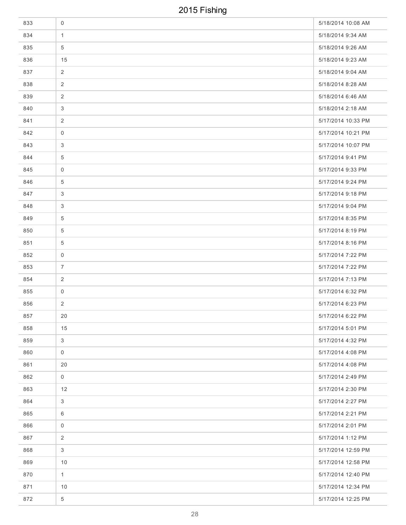| 833 | $\mathsf{O}\xspace$ | 5/18/2014 10:08 AM |
|-----|---------------------|--------------------|
| 834 | $\mathbf{1}$        | 5/18/2014 9:34 AM  |
| 835 | 5                   | 5/18/2014 9:26 AM  |
| 836 | 15                  | 5/18/2014 9:23 AM  |
| 837 | $\overline{2}$      | 5/18/2014 9:04 AM  |
| 838 | 2                   | 5/18/2014 8:28 AM  |
| 839 | 2                   | 5/18/2014 6:46 AM  |
| 840 | 3                   | 5/18/2014 2:18 AM  |
| 841 | 2                   | 5/17/2014 10:33 PM |
| 842 | $\overline{0}$      | 5/17/2014 10:21 PM |
| 843 | 3                   | 5/17/2014 10:07 PM |
| 844 | 5                   | 5/17/2014 9:41 PM  |
| 845 | $\mathbf 0$         | 5/17/2014 9:33 PM  |
| 846 | 5                   | 5/17/2014 9:24 PM  |
| 847 | 3                   | 5/17/2014 9:18 PM  |
| 848 | 3                   | 5/17/2014 9:04 PM  |
| 849 | 5                   | 5/17/2014 8:35 PM  |
| 850 | 5                   | 5/17/2014 8:19 PM  |
| 851 | $\overline{5}$      | 5/17/2014 8:16 PM  |
| 852 | $\mathbf 0$         | 5/17/2014 7:22 PM  |
| 853 | $\overline{7}$      | 5/17/2014 7:22 PM  |
| 854 | 2                   | 5/17/2014 7:13 PM  |
| 855 | $\mathsf 0$         | 5/17/2014 6:32 PM  |
| 856 | $\overline{2}$      | 5/17/2014 6:23 PM  |
| 857 | 20                  | 5/17/2014 6:22 PM  |
| 858 | 15                  | 5/17/2014 5:01 PM  |
| 859 | $\mathfrak{S}$      | 5/17/2014 4:32 PM  |
| 860 | $\mathsf{O}$        | 5/17/2014 4:08 PM  |
| 861 | 20                  | 5/17/2014 4:08 PM  |
| 862 | $\mathbf 0$         | 5/17/2014 2:49 PM  |
| 863 | 12                  | 5/17/2014 2:30 PM  |
| 864 | 3                   | 5/17/2014 2:27 PM  |
| 865 | 6                   | 5/17/2014 2:21 PM  |
| 866 | $\mathbf 0$         | 5/17/2014 2:01 PM  |
| 867 | $\overline{2}$      | 5/17/2014 1:12 PM  |
| 868 | $\mathbf{3}$        | 5/17/2014 12:59 PM |
| 869 | 10                  | 5/17/2014 12:58 PM |
| 870 | $\mathbf{1}$        | 5/17/2014 12:40 PM |
| 871 | 10                  | 5/17/2014 12:34 PM |
| 872 | 5                   | 5/17/2014 12:25 PM |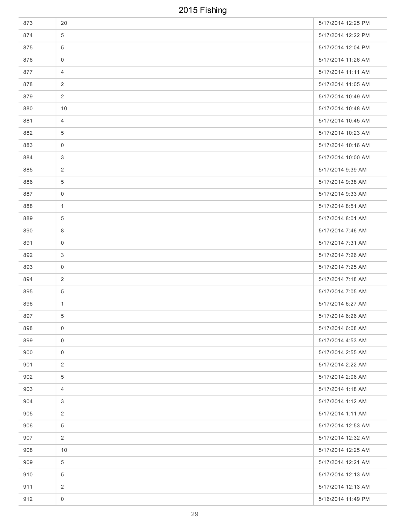| 873 | 20                  | 5/17/2014 12:25 PM |
|-----|---------------------|--------------------|
| 874 | 5                   | 5/17/2014 12:22 PM |
| 875 | 5                   | 5/17/2014 12:04 PM |
| 876 | $\mathbf 0$         | 5/17/2014 11:26 AM |
| 877 | $\overline{4}$      | 5/17/2014 11:11 AM |
| 878 | 2                   | 5/17/2014 11:05 AM |
| 879 | 2                   | 5/17/2014 10:49 AM |
| 880 | 10                  | 5/17/2014 10:48 AM |
| 881 | $\overline{4}$      | 5/17/2014 10:45 AM |
| 882 | $\overline{5}$      | 5/17/2014 10:23 AM |
| 883 | $\mathbf 0$         | 5/17/2014 10:16 AM |
| 884 | 3                   | 5/17/2014 10:00 AM |
| 885 | 2                   | 5/17/2014 9:39 AM  |
| 886 | 5                   | 5/17/2014 9:38 AM  |
| 887 | $\mathbf 0$         | 5/17/2014 9:33 AM  |
| 888 | $\mathbf{1}$        | 5/17/2014 8:51 AM  |
| 889 | 5                   | 5/17/2014 8:01 AM  |
| 890 | 8                   | 5/17/2014 7:46 AM  |
| 891 | $\mathbf 0$         | 5/17/2014 7:31 AM  |
| 892 | 3                   | 5/17/2014 7:26 AM  |
| 893 | 0                   | 5/17/2014 7:25 AM  |
| 894 | 2                   | 5/17/2014 7:18 AM  |
| 895 | $\overline{5}$      | 5/17/2014 7:05 AM  |
| 896 | $\mathbf{1}$        | 5/17/2014 6:27 AM  |
| 897 | $5\overline{)}$     | 5/17/2014 6:26 AM  |
| 898 | $\mathbf 0$         | 5/17/2014 6:08 AM  |
| 899 | $\mathbf 0$         | 5/17/2014 4:53 AM  |
| 900 | $\mathbf 0$         | 5/17/2014 2:55 AM  |
| 901 | 2                   | 5/17/2014 2:22 AM  |
| 902 | $\overline{5}$      | 5/17/2014 2:06 AM  |
| 903 | $\overline{4}$      | 5/17/2014 1:18 AM  |
| 904 | 3                   | 5/17/2014 1:12 AM  |
| 905 | 2                   | 5/17/2014 1:11 AM  |
| 906 | $\overline{5}$      | 5/17/2014 12:53 AM |
| 907 | $\overline{2}$      | 5/17/2014 12:32 AM |
| 908 | 10                  | 5/17/2014 12:25 AM |
| 909 | $\overline{5}$      | 5/17/2014 12:21 AM |
| 910 | $\overline{5}$      | 5/17/2014 12:13 AM |
| 911 | $\overline{2}$      | 5/17/2014 12:13 AM |
| 912 | $\mathsf{O}\xspace$ | 5/16/2014 11:49 PM |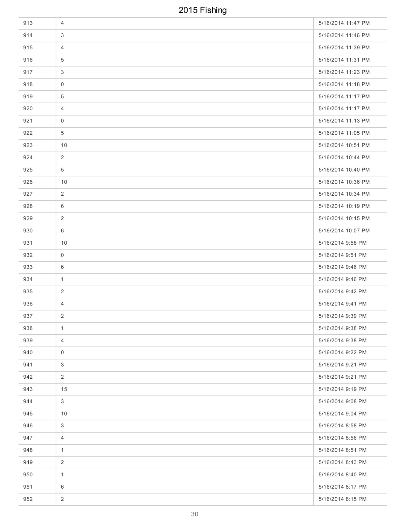| 913 | $\overline{4}$  | 5/16/2014 11:47 PM |
|-----|-----------------|--------------------|
| 914 | 3               | 5/16/2014 11:46 PM |
| 915 | 4               | 5/16/2014 11:39 PM |
| 916 | $5\phantom{.0}$ | 5/16/2014 11:31 PM |
| 917 | 3               | 5/16/2014 11:23 PM |
| 918 | $\mathbf 0$     | 5/16/2014 11:18 PM |
| 919 | 5               | 5/16/2014 11:17 PM |
| 920 | $\overline{4}$  | 5/16/2014 11:17 PM |
| 921 | 0               | 5/16/2014 11:13 PM |
| 922 | $\overline{5}$  | 5/16/2014 11:05 PM |
| 923 | 10              | 5/16/2014 10:51 PM |
| 924 | $\overline{2}$  | 5/16/2014 10:44 PM |
| 925 | $\overline{5}$  | 5/16/2014 10:40 PM |
| 926 | 10              | 5/16/2014 10:36 PM |
| 927 | 2               | 5/16/2014 10:34 PM |
| 928 | 6               | 5/16/2014 10:19 PM |
| 929 | 2               | 5/16/2014 10:15 PM |
| 930 | 6               | 5/16/2014 10:07 PM |
| 931 | 10              | 5/16/2014 9:58 PM  |
| 932 | 0               | 5/16/2014 9:51 PM  |
| 933 | 6               | 5/16/2014 9:46 PM  |
| 934 | 1               | 5/16/2014 9:46 PM  |
| 935 | 2               | 5/16/2014 9:42 PM  |
| 936 | 4               | 5/16/2014 9:41 PM  |
| 937 | $\overline{2}$  | 5/16/2014 9:39 PM  |
| 938 | $\mathbf{1}$    | 5/16/2014 9:38 PM  |
| 939 | $\overline{4}$  | 5/16/2014 9:38 PM  |
| 940 | $\mathbf 0$     | 5/16/2014 9:22 PM  |
| 941 | 3               | 5/16/2014 9:21 PM  |
| 942 | 2               | 5/16/2014 9:21 PM  |
| 943 | 15              | 5/16/2014 9:19 PM  |
| 944 | $\mathbf{3}$    | 5/16/2014 9:08 PM  |
| 945 | 10              | 5/16/2014 9:04 PM  |
| 946 | 3               | 5/16/2014 8:58 PM  |
| 947 | $\overline{4}$  | 5/16/2014 8:56 PM  |
| 948 | $\mathbf{1}$    | 5/16/2014 8:51 PM  |
| 949 | 2               | 5/16/2014 8:43 PM  |
| 950 | $\mathbf{1}$    | 5/16/2014 8:40 PM  |
| 951 | 6               | 5/16/2014 8:17 PM  |
| 952 | $\overline{2}$  | 5/16/2014 8:15 PM  |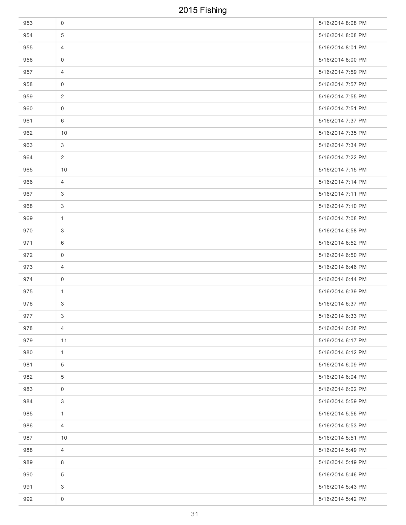| 953 | $\mathbf 0$         | 5/16/2014 8:08 PM |
|-----|---------------------|-------------------|
| 954 | 5                   | 5/16/2014 8:08 PM |
| 955 | $\overline{4}$      | 5/16/2014 8:01 PM |
| 956 | $\mathsf{O}\xspace$ | 5/16/2014 8:00 PM |
| 957 | $\overline{4}$      | 5/16/2014 7:59 PM |
| 958 | 0                   | 5/16/2014 7:57 PM |
| 959 | 2                   | 5/16/2014 7:55 PM |
| 960 | $\mathsf 0$         | 5/16/2014 7:51 PM |
| 961 | 6                   | 5/16/2014 7:37 PM |
| 962 | 10                  | 5/16/2014 7:35 PM |
| 963 | 3                   | 5/16/2014 7:34 PM |
| 964 | 2                   | 5/16/2014 7:22 PM |
| 965 | 10                  | 5/16/2014 7:15 PM |
| 966 | $\overline{4}$      | 5/16/2014 7:14 PM |
| 967 | $\mathbf{3}$        | 5/16/2014 7:11 PM |
| 968 | 3                   | 5/16/2014 7:10 PM |
| 969 | $\mathbf{1}$        | 5/16/2014 7:08 PM |
| 970 | 3                   | 5/16/2014 6:58 PM |
| 971 | 6                   | 5/16/2014 6:52 PM |
| 972 | 0                   | 5/16/2014 6:50 PM |
| 973 | $\overline{4}$      | 5/16/2014 6:46 PM |
| 974 | $\mathbf 0$         | 5/16/2014 6:44 PM |
| 975 | $\mathbf{1}$        | 5/16/2014 6:39 PM |
| 976 | 3                   | 5/16/2014 6:37 PM |
| 977 | $\mathfrak{S}$      | 5/16/2014 6:33 PM |
| 978 | $\overline{4}$      | 5/16/2014 6:28 PM |
| 979 | 11                  | 5/16/2014 6:17 PM |
| 980 | $\mathbf{1}$        | 5/16/2014 6:12 PM |
| 981 | $\overline{5}$      | 5/16/2014 6:09 PM |
| 982 | $\overline{5}$      | 5/16/2014 6:04 PM |
| 983 | $\mathbf 0$         | 5/16/2014 6:02 PM |
| 984 | 3                   | 5/16/2014 5:59 PM |
| 985 | $\mathbf{1}$        | 5/16/2014 5:56 PM |
| 986 | $\overline{4}$      | 5/16/2014 5:53 PM |
| 987 | 10                  | 5/16/2014 5:51 PM |
| 988 | $\overline{4}$      | 5/16/2014 5:49 PM |
| 989 | 8                   | 5/16/2014 5:49 PM |
| 990 | 5                   | 5/16/2014 5:46 PM |
| 991 | 3                   | 5/16/2014 5:43 PM |
| 992 | $\mathsf{O}\xspace$ | 5/16/2014 5:42 PM |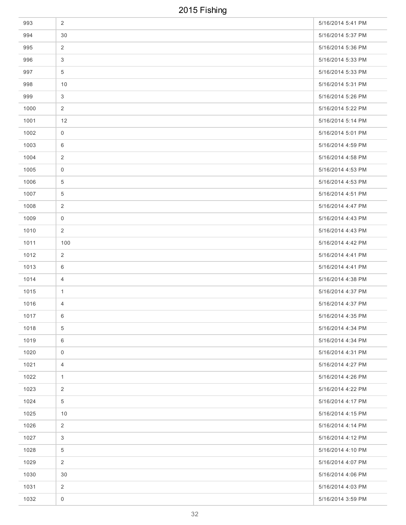| 993  | 2                   | 5/16/2014 5:41 PM |
|------|---------------------|-------------------|
| 994  | 30                  | 5/16/2014 5:37 PM |
| 995  | $\overline{2}$      | 5/16/2014 5:36 PM |
| 996  | 3                   | 5/16/2014 5:33 PM |
| 997  | $\overline{5}$      | 5/16/2014 5:33 PM |
| 998  | 10                  | 5/16/2014 5:31 PM |
| 999  | 3                   | 5/16/2014 5:26 PM |
| 1000 | 2                   | 5/16/2014 5:22 PM |
| 1001 | 12                  | 5/16/2014 5:14 PM |
| 1002 | $\mathbf 0$         | 5/16/2014 5:01 PM |
| 1003 | 6                   | 5/16/2014 4:59 PM |
| 1004 | $\overline{2}$      | 5/16/2014 4:58 PM |
| 1005 | $\mathbf 0$         | 5/16/2014 4:53 PM |
| 1006 | 5                   | 5/16/2014 4:53 PM |
| 1007 | 5                   | 5/16/2014 4:51 PM |
| 1008 | $\overline{2}$      | 5/16/2014 4:47 PM |
| 1009 | 0                   | 5/16/2014 4:43 PM |
| 1010 | $\overline{2}$      | 5/16/2014 4:43 PM |
| 1011 | 100                 | 5/16/2014 4:42 PM |
| 1012 | 2                   | 5/16/2014 4:41 PM |
| 1013 | 6                   | 5/16/2014 4:41 PM |
| 1014 | 4                   | 5/16/2014 4:38 PM |
| 1015 | $\mathbf{1}$        | 5/16/2014 4:37 PM |
| 1016 | 4                   | 5/16/2014 4:37 PM |
| 1017 | 6                   | 5/16/2014 4:35 PM |
| 1018 | $\overline{5}$      | 5/16/2014 4:34 PM |
| 1019 | 6                   | 5/16/2014 4:34 PM |
| 1020 | $\mathsf{O}\xspace$ | 5/16/2014 4:31 PM |
| 1021 | $\overline{4}$      | 5/16/2014 4:27 PM |
| 1022 | $\mathbf{1}$        | 5/16/2014 4:26 PM |
| 1023 | 2                   | 5/16/2014 4:22 PM |
| 1024 | $5\phantom{.0}$     | 5/16/2014 4:17 PM |
| 1025 | 10                  | 5/16/2014 4:15 PM |
| 1026 | $\overline{2}$      | 5/16/2014 4:14 PM |
| 1027 | 3                   | 5/16/2014 4:12 PM |
| 1028 | $\overline{5}$      | 5/16/2014 4:10 PM |
| 1029 | $\overline{2}$      | 5/16/2014 4:07 PM |
| 1030 | 30                  | 5/16/2014 4:06 PM |
| 1031 | $\overline{2}$      | 5/16/2014 4:03 PM |
| 1032 | $\mathsf{O}\xspace$ | 5/16/2014 3:59 PM |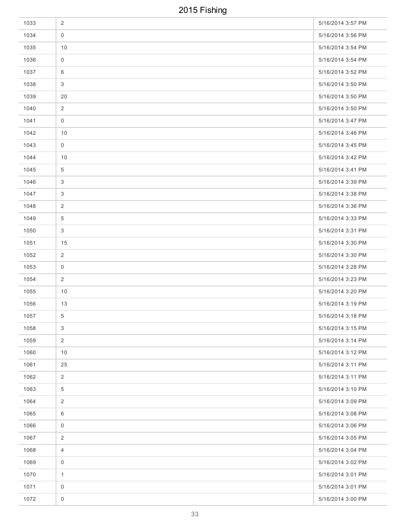| 1033 | $\overline{2}$      | 5/16/2014 3:57 PM |
|------|---------------------|-------------------|
| 1034 | $\mathbf 0$         | 5/16/2014 3:56 PM |
| 1035 | 10                  | 5/16/2014 3:54 PM |
| 1036 | $\mathsf{O}\xspace$ | 5/16/2014 3:54 PM |
| 1037 | 6                   | 5/16/2014 3:52 PM |
| 1038 | 3                   | 5/16/2014 3:50 PM |
| 1039 | 20                  | 5/16/2014 3:50 PM |
| 1040 | $\overline{2}$      | 5/16/2014 3:50 PM |
| 1041 | $\mathbf 0$         | 5/16/2014 3:47 PM |
| 1042 | 10                  | 5/16/2014 3:46 PM |
| 1043 | $\mathbf 0$         | 5/16/2014 3:45 PM |
| 1044 | 10                  | 5/16/2014 3:42 PM |
| 1045 | $\overline{5}$      | 5/16/2014 3:41 PM |
| 1046 | 3                   | 5/16/2014 3:39 PM |
| 1047 | 3                   | 5/16/2014 3:38 PM |
| 1048 | 2                   | 5/16/2014 3:36 PM |
| 1049 | $\overline{5}$      | 5/16/2014 3:33 PM |
| 1050 | 3                   | 5/16/2014 3:31 PM |
| 1051 | 15                  | 5/16/2014 3:30 PM |
| 1052 | 2                   | 5/16/2014 3:30 PM |
| 1053 | $\mathbf 0$         | 5/16/2014 3:28 PM |
| 1054 | 2                   | 5/16/2014 3:23 PM |
| 1055 | 10                  | 5/16/2014 3:20 PM |
| 1056 | 13                  | 5/16/2014 3:19 PM |
| 1057 | 5 <sup>5</sup>      | 5/16/2014 3:18 PM |
| 1058 | $\mathbf{3}$        | 5/16/2014 3:15 PM |
| 1059 | $\overline{2}$      | 5/16/2014 3:14 PM |
| 1060 | 10                  | 5/16/2014 3:12 PM |
| 1061 | 25                  | 5/16/2014 3:11 PM |
| 1062 | $\overline{2}$      | 5/16/2014 3:11 PM |
| 1063 | $\overline{5}$      | 5/16/2014 3:10 PM |
| 1064 | 2                   | 5/16/2014 3:09 PM |
| 1065 | 6                   | 5/16/2014 3:08 PM |
| 1066 | $\mathbf 0$         | 5/16/2014 3:06 PM |
| 1067 | $\overline{2}$      | 5/16/2014 3:05 PM |
| 1068 | $\overline{4}$      | 5/16/2014 3:04 PM |
| 1069 | $\mathbf 0$         | 5/16/2014 3:02 PM |
| 1070 | $\mathbf{1}$        | 5/16/2014 3:01 PM |
| 1071 | $\mathsf 0$         | 5/16/2014 3:01 PM |
| 1072 | $\mathsf{O}\xspace$ | 5/16/2014 3:00 PM |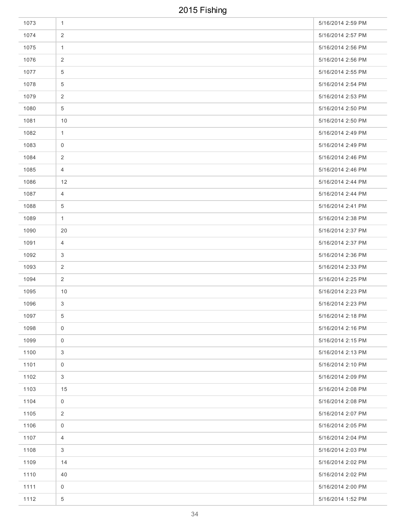| 1073 | $\mathbf{1}$        | 5/16/2014 2:59 PM |
|------|---------------------|-------------------|
| 1074 | $\overline{2}$      | 5/16/2014 2:57 PM |
| 1075 | $\mathbf{1}$        | 5/16/2014 2:56 PM |
| 1076 | $\overline{2}$      | 5/16/2014 2:56 PM |
| 1077 | 5                   | 5/16/2014 2:55 PM |
| 1078 | 5                   | 5/16/2014 2:54 PM |
| 1079 | 2                   | 5/16/2014 2:53 PM |
| 1080 | $\overline{5}$      | 5/16/2014 2:50 PM |
| 1081 | 10                  | 5/16/2014 2:50 PM |
| 1082 | $\mathbf{1}$        | 5/16/2014 2:49 PM |
| 1083 | $\mathbf 0$         | 5/16/2014 2:49 PM |
| 1084 | $\overline{c}$      | 5/16/2014 2:46 PM |
| 1085 | $\overline{4}$      | 5/16/2014 2:46 PM |
| 1086 | 12                  | 5/16/2014 2:44 PM |
| 1087 | $\overline{4}$      | 5/16/2014 2:44 PM |
| 1088 | 5                   | 5/16/2014 2:41 PM |
| 1089 | $\mathbf{1}$        | 5/16/2014 2:38 PM |
| 1090 | 20                  | 5/16/2014 2:37 PM |
| 1091 | $\overline{4}$      | 5/16/2014 2:37 PM |
| 1092 | 3                   | 5/16/2014 2:36 PM |
| 1093 | 2                   | 5/16/2014 2:33 PM |
| 1094 | 2                   | 5/16/2014 2:25 PM |
| 1095 | 10                  | 5/16/2014 2:23 PM |
| 1096 | 3                   | 5/16/2014 2:23 PM |
| 1097 | 5 <sup>5</sup>      | 5/16/2014 2:18 PM |
| 1098 | $\mathbf 0$         | 5/16/2014 2:16 PM |
| 1099 | $\mathsf{O}$        | 5/16/2014 2:15 PM |
| 1100 | 3                   | 5/16/2014 2:13 PM |
| 1101 | $\mathbf 0$         | 5/16/2014 2:10 PM |
| 1102 | 3                   | 5/16/2014 2:09 PM |
| 1103 | 15                  | 5/16/2014 2:08 PM |
| 1104 | $\mathbf 0$         | 5/16/2014 2:08 PM |
| 1105 | $\overline{2}$      | 5/16/2014 2:07 PM |
| 1106 | $\mathsf{O}\xspace$ | 5/16/2014 2:05 PM |
| 1107 | $\overline{4}$      | 5/16/2014 2:04 PM |
| 1108 | 3                   | 5/16/2014 2:03 PM |
| 1109 | 14                  | 5/16/2014 2:02 PM |
| 1110 | 40                  | 5/16/2014 2:02 PM |
| 1111 | $\mathsf{O}\xspace$ | 5/16/2014 2:00 PM |
| 1112 | $\,$ 5 $\,$         | 5/16/2014 1:52 PM |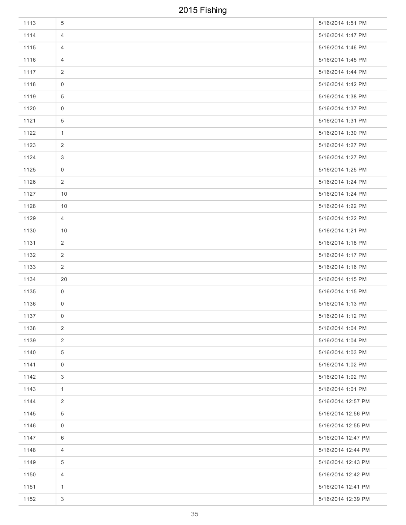| 1113 | 5              | 5/16/2014 1:51 PM  |
|------|----------------|--------------------|
| 1114 | 4              | 5/16/2014 1:47 PM  |
| 1115 | 4              | 5/16/2014 1:46 PM  |
| 1116 | $\overline{4}$ | 5/16/2014 1:45 PM  |
| 1117 | 2              | 5/16/2014 1:44 PM  |
| 1118 | $\overline{0}$ | 5/16/2014 1:42 PM  |
| 1119 | 5              | 5/16/2014 1:38 PM  |
| 1120 | $\overline{0}$ | 5/16/2014 1:37 PM  |
| 1121 | $\overline{5}$ | 5/16/2014 1:31 PM  |
| 1122 | $\mathbf{1}$   | 5/16/2014 1:30 PM  |
| 1123 | 2              | 5/16/2014 1:27 PM  |
| 1124 | 3              | 5/16/2014 1:27 PM  |
| 1125 | $\mathsf{O}$   | 5/16/2014 1:25 PM  |
| 1126 | $\overline{2}$ | 5/16/2014 1:24 PM  |
| 1127 | 10             | 5/16/2014 1:24 PM  |
| 1128 | 10             | 5/16/2014 1:22 PM  |
| 1129 | $\overline{4}$ | 5/16/2014 1:22 PM  |
| 1130 | 10             | 5/16/2014 1:21 PM  |
| 1131 | $\overline{2}$ | 5/16/2014 1:18 PM  |
| 1132 | 2              | 5/16/2014 1:17 PM  |
| 1133 | $\overline{2}$ | 5/16/2014 1:16 PM  |
| 1134 | 20             | 5/16/2014 1:15 PM  |
| 1135 | $\mathbf 0$    | 5/16/2014 1:15 PM  |
| 1136 | 0              | 5/16/2014 1:13 PM  |
| 1137 | $\overline{0}$ | 5/16/2014 1:12 PM  |
| 1138 | $\overline{2}$ | 5/16/2014 1:04 PM  |
| 1139 | $\overline{2}$ | 5/16/2014 1:04 PM  |
| 1140 | $\overline{5}$ | 5/16/2014 1:03 PM  |
| 1141 | $\mathsf{O}$   | 5/16/2014 1:02 PM  |
| 1142 | 3              | 5/16/2014 1:02 PM  |
| 1143 | $\mathbf{1}$   | 5/16/2014 1:01 PM  |
| 1144 | $\overline{2}$ | 5/16/2014 12:57 PM |
| 1145 | $\overline{5}$ | 5/16/2014 12:56 PM |
| 1146 | $\mathsf 0$    | 5/16/2014 12:55 PM |
| 1147 | 6              | 5/16/2014 12:47 PM |
| 1148 | $\overline{4}$ | 5/16/2014 12:44 PM |
| 1149 | $\overline{5}$ | 5/16/2014 12:43 PM |
| 1150 | $\overline{4}$ | 5/16/2014 12:42 PM |
| 1151 | $\mathbf{1}$   | 5/16/2014 12:41 PM |
| 1152 | $\mathbf{3}$   | 5/16/2014 12:39 PM |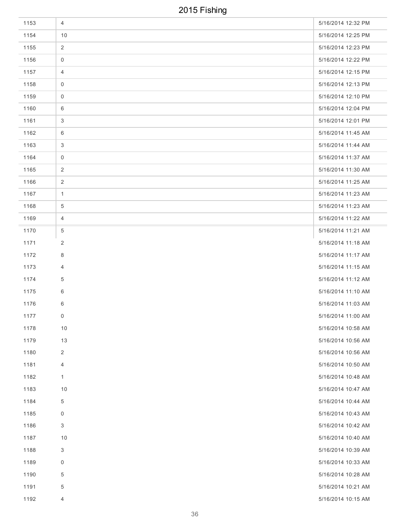| 1153 | 4                   | 5/16/2014 12:32 PM |
|------|---------------------|--------------------|
| 1154 | 10                  | 5/16/2014 12:25 PM |
| 1155 | 2                   | 5/16/2014 12:23 PM |
| 1156 | 0                   | 5/16/2014 12:22 PM |
| 1157 | 4                   | 5/16/2014 12:15 PM |
| 1158 | 0                   | 5/16/2014 12:13 PM |
| 1159 | $\mathsf{O}\xspace$ | 5/16/2014 12:10 PM |
| 1160 | 6                   | 5/16/2014 12:04 PM |
| 1161 | 3                   | 5/16/2014 12:01 PM |
| 1162 | 6                   | 5/16/2014 11:45 AM |
| 1163 | 3                   | 5/16/2014 11:44 AM |
| 1164 | $\mathsf{O}\xspace$ | 5/16/2014 11:37 AM |
| 1165 | $\overline{2}$      | 5/16/2014 11:30 AM |
| 1166 | $\overline{2}$      | 5/16/2014 11:25 AM |
| 1167 | $\mathbf{1}$        | 5/16/2014 11:23 AM |
| 1168 | $\overline{5}$      | 5/16/2014 11:23 AM |
| 1169 | 4                   | 5/16/2014 11:22 AM |
| 1170 | 5                   | 5/16/2014 11:21 AM |
| 1171 | 2                   | 5/16/2014 11:18 AM |
| 1172 | 8                   | 5/16/2014 11:17 AM |
| 1173 | 4                   | 5/16/2014 11:15 AM |
| 1174 | 5                   | 5/16/2014 11:12 AM |
| 1175 | 6                   | 5/16/2014 11:10 AM |
| 1176 | 6                   | 5/16/2014 11:03 AM |
| 1177 | $\overline{0}$      | 5/16/2014 11:00 AM |
| 1178 | 10                  | 5/16/2014 10:58 AM |
| 1179 | 13                  | 5/16/2014 10:56 AM |
| 1180 | $\overline{2}$      | 5/16/2014 10:56 AM |
| 1181 | 4                   | 5/16/2014 10:50 AM |
| 1182 | $\mathbf{1}$        | 5/16/2014 10:48 AM |
| 1183 | 10                  | 5/16/2014 10:47 AM |
| 1184 | 5                   | 5/16/2014 10:44 AM |
| 1185 | $\overline{0}$      | 5/16/2014 10:43 AM |
| 1186 | 3                   | 5/16/2014 10:42 AM |
| 1187 | 10                  | 5/16/2014 10:40 AM |
| 1188 | 3                   | 5/16/2014 10:39 AM |
| 1189 | 0                   | 5/16/2014 10:33 AM |
| 1190 | 5                   | 5/16/2014 10:28 AM |
| 1191 | 5                   | 5/16/2014 10:21 AM |
| 1192 | $\overline{4}$      | 5/16/2014 10:15 AM |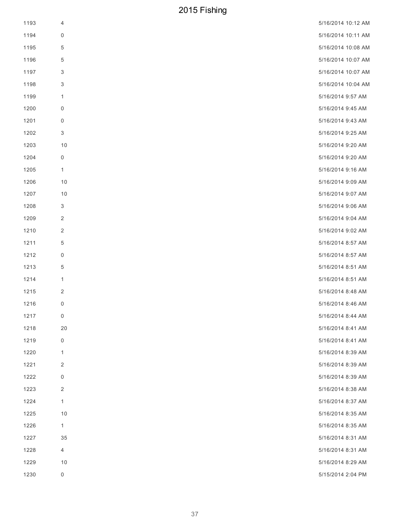| 1193 | 4                   | 5/16/2014 10:12 AM |
|------|---------------------|--------------------|
| 1194 | 0                   | 5/16/2014 10:11 AM |
| 1195 | 5                   | 5/16/2014 10:08 AM |
| 1196 | 5                   | 5/16/2014 10:07 AM |
| 1197 | 3                   | 5/16/2014 10:07 AM |
| 1198 | 3                   | 5/16/2014 10:04 AM |
| 1199 | 1                   | 5/16/2014 9:57 AM  |
| 1200 | 0                   | 5/16/2014 9:45 AM  |
| 1201 | 0                   | 5/16/2014 9:43 AM  |
| 1202 | 3                   | 5/16/2014 9:25 AM  |
| 1203 | 10                  | 5/16/2014 9:20 AM  |
| 1204 | $\pmb{0}$           | 5/16/2014 9:20 AM  |
| 1205 | $\mathbf{1}$        | 5/16/2014 9:16 AM  |
| 1206 | 10                  | 5/16/2014 9:09 AM  |
| 1207 | $10$                | 5/16/2014 9:07 AM  |
| 1208 | 3                   | 5/16/2014 9:06 AM  |
| 1209 | $\overline{2}$      | 5/16/2014 9:04 AM  |
| 1210 | 2                   | 5/16/2014 9:02 AM  |
| 1211 | 5                   | 5/16/2014 8:57 AM  |
| 1212 | 0                   | 5/16/2014 8:57 AM  |
| 1213 | 5                   | 5/16/2014 8:51 AM  |
| 1214 | 1                   | 5/16/2014 8:51 AM  |
| 1215 | $\overline{c}$      | 5/16/2014 8:48 AM  |
| 1216 | $\boldsymbol{0}$    | 5/16/2014 8:46 AM  |
| 1217 | 0                   | 5/16/2014 8:44 AM  |
| 1218 | $20\,$              | 5/16/2014 8:41 AM  |
| 1219 | $\pmb{0}$           | 5/16/2014 8:41 AM  |
| 1220 | 1                   | 5/16/2014 8:39 AM  |
| 1221 | $\overline{c}$      | 5/16/2014 8:39 AM  |
| 1222 | 0                   | 5/16/2014 8:39 AM  |
| 1223 | $\overline{c}$      | 5/16/2014 8:38 AM  |
| 1224 | 1                   | 5/16/2014 8:37 AM  |
| 1225 | 10                  | 5/16/2014 8:35 AM  |
| 1226 | 1                   | 5/16/2014 8:35 AM  |
| 1227 | 35                  | 5/16/2014 8:31 AM  |
| 1228 | 4                   | 5/16/2014 8:31 AM  |
| 1229 | 10                  | 5/16/2014 8:29 AM  |
| 1230 | $\mathsf{O}\xspace$ | 5/15/2014 2:04 PM  |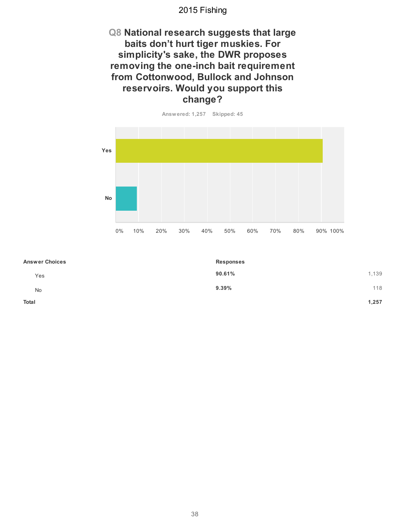#### **Q8 National research suggests that large** baits don't hurt tiger muskies. For simplicity's sake, the DWR proposes removing the one-inch bait requirement **from Cottonwood, Bullock and Johnson reservoirs. Would you support this change?**



| <b>Answer Choices</b> | <b>Responses</b> |
|-----------------------|------------------|
| Yes                   | 1,139<br>90.61%  |
| No                    | 118<br>9.39%     |
| Total                 | 1,257            |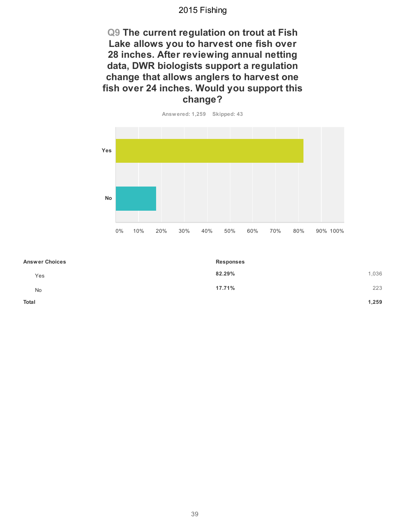**Q9 The current regulation on trout at Fish** Lake allows you to harvest one fish over **28 inches. After reviewing annual netting** data, DWR biologists support a regulation change that allows anglers to harvest one fish over 24 inches. Would you support this **change?**



| <b>Answer Choices</b> | <b>Responses</b> |       |
|-----------------------|------------------|-------|
| Yes                   | 82.29%           | 1,036 |
| <b>No</b>             | 17.71%           | 223   |
| Total                 |                  | 1,259 |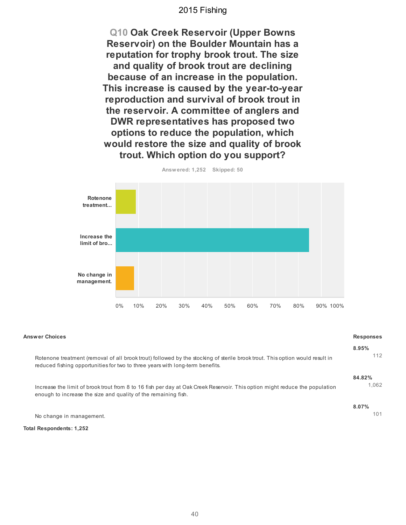**Q10 Oak Creek Reservoir (Upper Bowns Reservoir) on the Boulder Mountain has a** reputation for trophy brook trout. The size and quality of brook trout are declining because of an increase in the population. This increase is caused by the year-to-year reproduction and survival of brook trout in the reservoir. A committee of anglers and **DWR representatives has proposed two** options to reduce the population, which would restore the size and quality of brook **trout. Which option do you support?**



| <b>Answer Choices</b>                                                                                                        | <b>Responses</b> |
|------------------------------------------------------------------------------------------------------------------------------|------------------|
| Rotenone treatment (removal of all brook trout) followed by the stocking of sterile brook trout. This option would result in | 8.95%            |
| reduced fishing opportunities for two to three years with long-term benefits.                                                | 112              |
| Increase the limit of brook trout from 8 to 16 fish per day at Oak Creek Reservoir. This option might reduce the population  | 84.82%           |
| enough to increase the size and quality of the remaining fish.                                                               | 1.062            |
| No change in management.                                                                                                     | 8.07%<br>101     |

**Total Respondents: 1,252**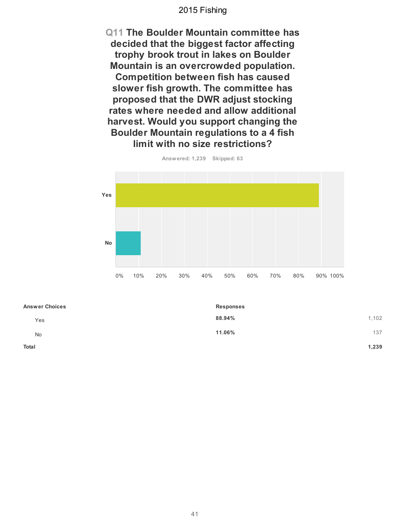**Q11 The Boulder Mountain committee has decided that the biggest factor affecting** trophy brook trout in lakes on Boulder **Mountain is an overcrowded population. Competition between fish has caused** slower fish growth. The committee has **proposed that the DWR adjust stocking** rates where needed and allow additional harvest. Would you support changing the **Boulder Mountain regulations to a 4 fish limit with no size restrictions?** 



**Answ ered: 1,239 Skipped: 63**

| <b>Answer Choices</b> | <b>Responses</b> |       |
|-----------------------|------------------|-------|
| Yes                   | 88.94%           | 1,102 |
| No                    | 11.06%           | 137   |
| <b>Total</b>          |                  | 1,239 |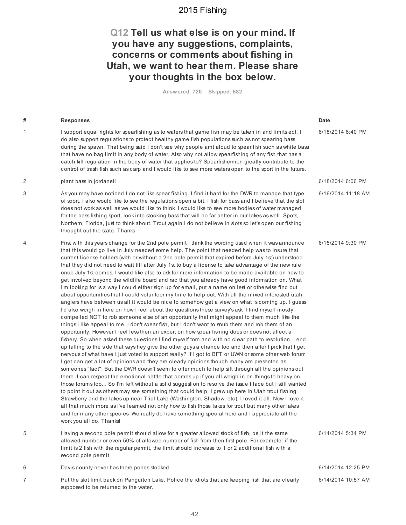#### Q12 Tell us what else is on your mind. If you have any suggestions, complaints, concerns or comments about fishing in Utah, we want to hear them. Please share **your thoughts in the box below.**

**Answ ered: 720 Skipped: 582**

| # | <b>Responses</b>                                                                                                                                                                                                                                                                                                                                                                                                                                                                                                                                                                                                                                                                                                                                                                                                                                                                                                                                                                                                                                                                                                                                                                                                                                                                                                                                                                                                                                                                                                                                                                                                                                                                                                                                                                                                                                                                                                                                                                                                                                                                                                                                                                                                                                                                                                                                                                                                                                                                                                                                    | Date               |
|---|-----------------------------------------------------------------------------------------------------------------------------------------------------------------------------------------------------------------------------------------------------------------------------------------------------------------------------------------------------------------------------------------------------------------------------------------------------------------------------------------------------------------------------------------------------------------------------------------------------------------------------------------------------------------------------------------------------------------------------------------------------------------------------------------------------------------------------------------------------------------------------------------------------------------------------------------------------------------------------------------------------------------------------------------------------------------------------------------------------------------------------------------------------------------------------------------------------------------------------------------------------------------------------------------------------------------------------------------------------------------------------------------------------------------------------------------------------------------------------------------------------------------------------------------------------------------------------------------------------------------------------------------------------------------------------------------------------------------------------------------------------------------------------------------------------------------------------------------------------------------------------------------------------------------------------------------------------------------------------------------------------------------------------------------------------------------------------------------------------------------------------------------------------------------------------------------------------------------------------------------------------------------------------------------------------------------------------------------------------------------------------------------------------------------------------------------------------------------------------------------------------------------------------------------------------|--------------------|
| 1 | I support equal rights for spearfishing as to waters that game fish may be taken in and limits ect. I<br>do also support regulations to protect healthy game fish populations such as not spearing bass<br>during the spawn. That being said I don't see why people arnt aloud to spear fish such as white bass<br>that have no bag limit in any body of water. Also why not allow spearfishing of any fish that has a<br>catch kill regulation in the body of water that applies to? Spearfishermen greatly contribute to the<br>control of trash fish such as carp and I would like to see more waters open to the sport in the future.                                                                                                                                                                                                                                                                                                                                                                                                                                                                                                                                                                                                                                                                                                                                                                                                                                                                                                                                                                                                                                                                                                                                                                                                                                                                                                                                                                                                                                                                                                                                                                                                                                                                                                                                                                                                                                                                                                           | 6/18/2014 6:40 PM  |
| 2 | plant bass in jordanell                                                                                                                                                                                                                                                                                                                                                                                                                                                                                                                                                                                                                                                                                                                                                                                                                                                                                                                                                                                                                                                                                                                                                                                                                                                                                                                                                                                                                                                                                                                                                                                                                                                                                                                                                                                                                                                                                                                                                                                                                                                                                                                                                                                                                                                                                                                                                                                                                                                                                                                             | 6/18/2014 6:06 PM  |
| 3 | As you may have noticed I do not like spear fishing. I find it hard for the DWR to manage that type<br>of sport. I also would like to see the regulations open a bit. I fish for bass and I believe that the slot<br>does not work as well as we would like to think. I would like to see more bodies of water managed<br>for the bass fishing sport, look into stocking bass that will do far better in our lakes as well. Spots,<br>Northern, Florida, just to think about. Trout again I do not believe in slots so let's open our fishing<br>throught out the state. Thanks                                                                                                                                                                                                                                                                                                                                                                                                                                                                                                                                                                                                                                                                                                                                                                                                                                                                                                                                                                                                                                                                                                                                                                                                                                                                                                                                                                                                                                                                                                                                                                                                                                                                                                                                                                                                                                                                                                                                                                     | 6/16/2014 11:18 AM |
| 4 | First with this years change for the 2nd pole permit I think the wording used when it was announce<br>that this would go live in July needed some help. The point that needed help was to insure that<br>current license holders (with or without a 2nd pole permit that expired before July 1st) understood<br>that they did not need to wait till after July 1st to buy a license to take advantage of the new rule<br>once July 1st comes. I would like also to ask for more information to be made available on how to<br>get involved beyond the wildlife board and rac that you already have good information on. What<br>I'm looking for is a way I could either sign up for email, put a name on lest or otherwise find out<br>about opportunities that I could volunteer my time to help out. With all the mixed interested utah<br>anglers have between us all it would be nice to somehow get a view on what is coming up. I guess<br>I'd also weigh in here on how I feel about the questions these survey's ask. I find myself mostly<br>compelled NOT to rob someone else of an opportunity that might appeal to them much like the<br>things I like appeal to me. I don't spear fish, but I don't want to snub them and rob them of an<br>opportunity. However I feel less then an expert on how spear fishing does or does not affect a<br>fishery. So when asked these questions I find myself torn and with no clear path to resolution. I end<br>up falling to the side that says hey give the other guys a chance too and then after I pick that I get<br>nervous of what have I just voted to support really? If I got to BFT or UWN or some other web forum<br>I get can get a lot of opinions and they are clearly opinions though many are presented as<br>someones "fact". But the DWR doesn't seem to offer much to help sift through all the opinions out<br>there. I can respect the emotional battle that comes up if you all weigh in on things to heavy on<br>those forums too So I'm left without a solid suggestion to resolve the issue I face but I still wanted<br>to point it out as others may see something that could help. I grew up here in Utah trout fishing<br>Strawberry and the lakes up near Trial Lake (Washington, Shadow, etc). I loved it all. Now I love it<br>all that much more as I've learned not only how to fish those lakes for trout but many other lakes<br>and for many other species. We really do have something special here and I appreciate all the<br>work you all do. Thanks! | 6/15/2014 9:30 PM  |
| 5 | Having a second pole permit should allow for a greater allowed stock of fish, be it the same<br>allowed number or even 50% of allowed number of fish from then first pole. For example: if the<br>limit is 2 fish with the regular permit, the limit should increase to 1 or 2 additional fish with a<br>second pole permit.                                                                                                                                                                                                                                                                                                                                                                                                                                                                                                                                                                                                                                                                                                                                                                                                                                                                                                                                                                                                                                                                                                                                                                                                                                                                                                                                                                                                                                                                                                                                                                                                                                                                                                                                                                                                                                                                                                                                                                                                                                                                                                                                                                                                                        | 6/14/2014 5:34 PM  |
| 6 | Davis county never has there ponds stocked                                                                                                                                                                                                                                                                                                                                                                                                                                                                                                                                                                                                                                                                                                                                                                                                                                                                                                                                                                                                                                                                                                                                                                                                                                                                                                                                                                                                                                                                                                                                                                                                                                                                                                                                                                                                                                                                                                                                                                                                                                                                                                                                                                                                                                                                                                                                                                                                                                                                                                          | 6/14/2014 12:25 PM |
| 7 | Put the slot limit back on Panguitch Lake. Police the idiots that are keeping fish that are clearly<br>supposed to be returned to the water.                                                                                                                                                                                                                                                                                                                                                                                                                                                                                                                                                                                                                                                                                                                                                                                                                                                                                                                                                                                                                                                                                                                                                                                                                                                                                                                                                                                                                                                                                                                                                                                                                                                                                                                                                                                                                                                                                                                                                                                                                                                                                                                                                                                                                                                                                                                                                                                                        | 6/14/2014 10:57 AM |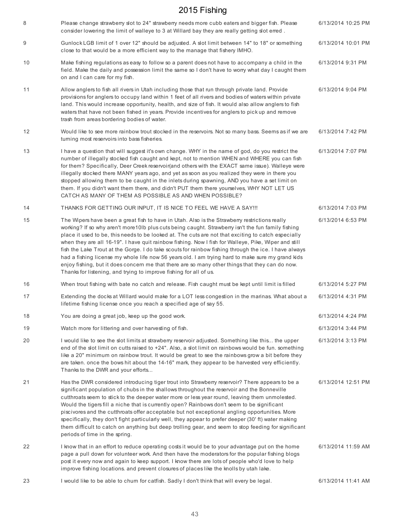| 8  | Please change strawberry slot to 24" strawberry needs more cubb eaters and bigger fish. Please<br>consider lowering the limit of walleye to 3 at Willard bay they are really getting slot erred.                                                                                                                                                                                                                                                                                                                                                                                                                                                                                                                                                                                                          | 6/13/2014 10:25 PM |
|----|-----------------------------------------------------------------------------------------------------------------------------------------------------------------------------------------------------------------------------------------------------------------------------------------------------------------------------------------------------------------------------------------------------------------------------------------------------------------------------------------------------------------------------------------------------------------------------------------------------------------------------------------------------------------------------------------------------------------------------------------------------------------------------------------------------------|--------------------|
| 9  | Gunlock LGB limit of 1 over 12" should be adjusted. A slot limit between 14" to 18" or something<br>close to that would be a more efficient way to the manage that fishery IMHO.                                                                                                                                                                                                                                                                                                                                                                                                                                                                                                                                                                                                                          | 6/13/2014 10:01 PM |
| 10 | Make fishing regulations as easy to follow so a parent does not have to accompany a child in the<br>field. Make the daily and possession limit the same so I don't have to worry what day I caught them<br>on and I can care for my fish.                                                                                                                                                                                                                                                                                                                                                                                                                                                                                                                                                                 | 6/13/2014 9:31 PM  |
| 11 | Allow anglers to fish all rivers in Utah including those that run through private land. Provide<br>provisions for anglers to occupy land within 1 feet of all rivers and bodies of waters within private<br>land. This would increase opportunity, health, and size of fish. It would also allow anglers to fish<br>waters that have not been fished in years. Provide incentives for anglers to pick up and remove<br>trash from areas bordering bodies of water.                                                                                                                                                                                                                                                                                                                                        | 6/13/2014 9:04 PM  |
| 12 | Would like to see more rainbow trout stocked in the reservoirs. Not so many bass. Seems as if we are<br>turning most reservoirs into bass fisheries.                                                                                                                                                                                                                                                                                                                                                                                                                                                                                                                                                                                                                                                      | 6/13/2014 7:42 PM  |
| 13 | I have a question that will suggest it's own change. WHY in the name of god, do you restrict the<br>number of illegally stocked fish caught and kept, not to mention WHEN and WHERE you can fish<br>for them? Specifically, Deer Creek reservoir(and others with the EXACT same issue). Walleye were<br>illegally stocked there MANY years ago, and yet as soon as you realized they were in there you<br>stopped allowing them to be caught in the inlets during spawning, AND you have a set limit on<br>them. If you didn't want them there, and didn't PUT them there yourselves, WHY NOT LET US<br>CATCH AS MANY OF THEM AS POSSIBLE AS AND WHEN POSSIBLE?                                                                                                                                           | 6/13/2014 7:07 PM  |
| 14 | THANKS FOR GETTING OUR INPUT, IT IS NICE TO FEEL WE HAVE A SAY !!!                                                                                                                                                                                                                                                                                                                                                                                                                                                                                                                                                                                                                                                                                                                                        | 6/13/2014 7:03 PM  |
| 15 | The Wipers have been a great fish to have in Utah. Also is the Strawberry restrictions really<br>working? If so why aren't more10lb plus cuts being caught. Strawberry isn't the fun family fishing<br>place it used to be, this needs to be looked at. The cuts are not that exciting to catch especially<br>when they are all 16-19". I have quit rainbow fishing. Now I fish for Walleye, Pike, Wiper and still<br>fish the Lake Trout at the Gorge. I do take scouts for rainbow fishing through the ice. I have always<br>had a fishing license my whole life now 56 years old. I am trying hard to make sure my grand kids<br>enjoy fishing, but it does concern me that there are so many other things that they can do now.<br>Thanks for listening, and trying to improve fishing for all of us. | 6/13/2014 6:53 PM  |
| 16 | When trout fishing with bate no catch and release. Fish caught must be kept until limit is filled                                                                                                                                                                                                                                                                                                                                                                                                                                                                                                                                                                                                                                                                                                         | 6/13/2014 5:27 PM  |
| 17 | Extending the docks at Willard would make for a LOT less congestion in the marinas. What about a<br>lifetime fishing license once you reach a specified age of say 55.                                                                                                                                                                                                                                                                                                                                                                                                                                                                                                                                                                                                                                    | 6/13/2014 4:31 PM  |
| 18 | You are doing a great job, keep up the good work.                                                                                                                                                                                                                                                                                                                                                                                                                                                                                                                                                                                                                                                                                                                                                         | 6/13/2014 4:24 PM  |
| 19 | Watch more for littering and over harvesting of fish.                                                                                                                                                                                                                                                                                                                                                                                                                                                                                                                                                                                                                                                                                                                                                     | 6/13/2014 3:44 PM  |
| 20 | I would like to see the slot limits at strawberry reservoir adjusted. Something like this the upper<br>end of the slot limit on cutts raised to +24". Also, a slot limit on rainbows would be fun. something<br>like a 20" minimum on rainbow trout. It would be great to see the rainbows grow a bit before they<br>are taken. once the bows hit about the 14-16" mark, they appear to be harvested very efficiently.<br>Thanks to the DWR and your efforts                                                                                                                                                                                                                                                                                                                                              | 6/13/2014 3:13 PM  |
| 21 | Has the DWR considered introducing tiger trout into Strawberry reservoir? There appears to be a<br>significant population of chubs in the shallows throughout the reservoir and the Bonneville<br>cutthroats seem to stick to the deeper water more or less year round, leaving them unmolested.<br>Would the tigers fill a niche that is currently open? Rainbows don't seem to be significant<br>piscivores and the cutthroats offer acceptable but not exceptional angling opportunities. More<br>specifically, they don't fight particularly well, they appear to prefer deeper (30' ft) water making<br>them difficult to catch on anything but deep trolling gear, and seem to stop feeding for significant<br>periods of time in the spring.                                                       | 6/13/2014 12:51 PM |
| 22 | I know that in an effort to reduce operating costs it would be to your advantage put on the home<br>page a pull down for volunteer work. And then have the moderators for the popular fishing blogs<br>post it every now and again to keep support. I know there are lots of people who'd love to help<br>improve fishing locations. and prevent closures of places like the knolls by utah lake.                                                                                                                                                                                                                                                                                                                                                                                                         | 6/13/2014 11:59 AM |
| 23 | I would like to be able to chum for catfish. Sadly I don't think that will every be legal.                                                                                                                                                                                                                                                                                                                                                                                                                                                                                                                                                                                                                                                                                                                | 6/13/2014 11:41 AM |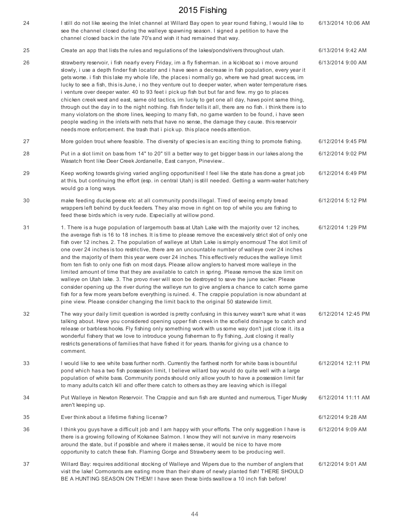| 24 | I still do not like seeing the Inlet channel at Willard Bay open to year round fishing, I would like to<br>see the channel closed during the walleye spawning season. I signed a petition to have the<br>channel closed back in the late 70's and wish it had remained that way.                                                                                                                                                                                                                                                                                                                                                                                                                                                                                                                                                                                                                                                                                                                                                                                                                                                                | 6/13/2014 10:06 AM |
|----|-------------------------------------------------------------------------------------------------------------------------------------------------------------------------------------------------------------------------------------------------------------------------------------------------------------------------------------------------------------------------------------------------------------------------------------------------------------------------------------------------------------------------------------------------------------------------------------------------------------------------------------------------------------------------------------------------------------------------------------------------------------------------------------------------------------------------------------------------------------------------------------------------------------------------------------------------------------------------------------------------------------------------------------------------------------------------------------------------------------------------------------------------|--------------------|
| 25 | Create an app that lists the rules and regulations of the lakes/ponds/rivers throughout utah.                                                                                                                                                                                                                                                                                                                                                                                                                                                                                                                                                                                                                                                                                                                                                                                                                                                                                                                                                                                                                                                   | 6/13/2014 9:42 AM  |
| 26 | strawberry reservoir, i fish nearly every Friday, im a fly fisherman. in a kickboat so i move around<br>slowly, i use a depth finder fish locator and i have seen a decrease in fish population, every year it<br>gets worse. i fish this lake my whole life, the places i normally go, where we had great success, im<br>lucky to see a fish, this is June, i no they venture out to deeper water, when water temperature rises.<br>i venture over deeper water. 40 to 93 feet i pick up fish but but far and few. my go to places<br>chicken creek west and east, same old tactics, im lucky to get one all day, haws point same thing,<br>through out the day in to the night nothing. fish finder tells it all, there are no fish. i think there is to<br>many violators on the shore lines, keeping to many fish, no game warden to be found, i have seen<br>people wading in the inlets with nets that have no sense, the damage they cause. this reservoir<br>needs more enforcement, the trash that i pick up, this place needs attention.                                                                                              | 6/13/2014 9:00 AM  |
| 27 | More golden trout where feasible. The diversity of species is an exciting thing to promote fishing.                                                                                                                                                                                                                                                                                                                                                                                                                                                                                                                                                                                                                                                                                                                                                                                                                                                                                                                                                                                                                                             | 6/12/2014 9:45 PM  |
| 28 | Put in a slot limit on bass from 14" to 20" till a better way to get bigger bass in our lakes along the<br>Wasatch front like Deer Creek Jordanelle, East canyon, Pineview                                                                                                                                                                                                                                                                                                                                                                                                                                                                                                                                                                                                                                                                                                                                                                                                                                                                                                                                                                      | 6/12/2014 9:02 PM  |
| 29 | Keep working towards giving varied angling opportunities! I feel like the state has done a great job<br>at this, but continuing the effort (esp. in central Utah) is still needed. Getting a warm-water hatchery<br>would go a long ways.                                                                                                                                                                                                                                                                                                                                                                                                                                                                                                                                                                                                                                                                                                                                                                                                                                                                                                       | 6/12/2014 6:49 PM  |
| 30 | make feeding ducks geese etc at all community ponds illegal. Tired of seeing empty bread<br>wrappers left behind by duck feeders. They also move in right on top of while you are fishing to<br>feed these birds which is very rude. Especially at willow pond.                                                                                                                                                                                                                                                                                                                                                                                                                                                                                                                                                                                                                                                                                                                                                                                                                                                                                 | 6/12/2014 5:12 PM  |
| 31 | 1. There is a huge population of largemouth bass at Utah Lake with the majority over 12 inches,<br>the average fish is 16 to 18 inches. It is time to please remove the excessively strict slot of only one<br>fish over 12 inches. 2. The population of walleye at Utah Lake is simply enormous! The slot limit of<br>one over 24 inches is too restrictive, there are an uncountable number of walleye over 24 inches<br>and the majority of them this year were over 24 inches. This effectively reduces the walleye limit<br>from ten fish to only one fish on most days. Please allow anglers to harvest more walleye in the<br>limited amount of time that they are available to catch in spring. Please remove the size limit on<br>walleye on Utah lake. 3. The provo river will soon be destroyed to save the june sucker. Please<br>consider opening up the river during the walleye run to give anglers a chance to catch some game<br>fish for a few more years before everything is ruined. 4. The crappie population is now abundant at<br>pine view. Please consider changing the limit back to the original 50 statewide limit. | 6/12/2014 1:29 PM  |
| 32 | The way your daily limit question is worded is pretty confusing in this survey wasn't sure what it was<br>talking about. Have you considered opening upper fish creek in the scofield drainage to catch and<br>release or barbless hooks. Fly fishing only something work with us some way don't just close it. its a<br>wonderful fishery that we love to introduce young fisherman to fly fishing, Just closing it really<br>restricts generations of families that have fished it for years. thanks for giving us a chance to<br>comment.                                                                                                                                                                                                                                                                                                                                                                                                                                                                                                                                                                                                    | 6/12/2014 12:45 PM |
| 33 | I would like to see white bass further north. Currently the farthest north for white bass is bountiful<br>pond which has a two fish possession limit, I believe willard bay would do quite well with a large<br>population of white bass. Community ponds should only allow youth to have a possession limit far<br>to many adults catch kill and offer there catch to others as they are leaving which is illegal                                                                                                                                                                                                                                                                                                                                                                                                                                                                                                                                                                                                                                                                                                                              | 6/12/2014 12:11 PM |
| 34 | Put Walleye in Newton Reservoir. The Crappie and sun fish are stunted and numerous, Tiger Musky<br>aren't keeping up.                                                                                                                                                                                                                                                                                                                                                                                                                                                                                                                                                                                                                                                                                                                                                                                                                                                                                                                                                                                                                           | 6/12/2014 11:11 AM |
| 35 | Ever think about a lifetime fishing license?                                                                                                                                                                                                                                                                                                                                                                                                                                                                                                                                                                                                                                                                                                                                                                                                                                                                                                                                                                                                                                                                                                    | 6/12/2014 9:28 AM  |
| 36 | I think you guys have a difficult job and I am happy with your efforts. The only suggestion I have is<br>there is a growing following of Kokanee Salmon. I know they will not survive in many reservoirs<br>around the state, but if possible and where it makes sense, it would be nice to have more<br>opportunity to catch these fish. Flaming Gorge and Strawberry seem to be producing well.                                                                                                                                                                                                                                                                                                                                                                                                                                                                                                                                                                                                                                                                                                                                               | 6/12/2014 9:09 AM  |
| 37 | Willard Bay: requires additional stocking of Walleye and Wipers due to the number of anglers that<br>visit the lake! Cormorants are eating more than their share of newly planted fish! THERE SHOULD<br>BE A HUNTING SEASON ON THEM! I have seen these birds swallow a 10 inch fish before!                                                                                                                                                                                                                                                                                                                                                                                                                                                                                                                                                                                                                                                                                                                                                                                                                                                     | 6/12/2014 9:01 AM  |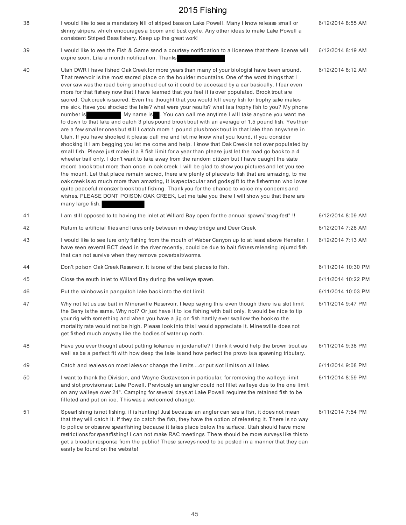| 38 | I would like to see a mandatory kill of striped bass on Lake Powell. Many I know release small or<br>skinny stripers, which encourages a boom and bust cycle. Any other ideas to make Lake Powell a<br>consistent Striped Bass fishery. Keep up the great work!                                                                                                                                                                                                                                                                                                                                                                                                                                                                                                                                                                                                                                                                                                                                                                                                                                                                                                                                                                                                                                                                                                                                                                                                                                                                                                                                                                                                                                                                                                                                                                                                                        | 6/12/2014 8:55 AM  |
|----|----------------------------------------------------------------------------------------------------------------------------------------------------------------------------------------------------------------------------------------------------------------------------------------------------------------------------------------------------------------------------------------------------------------------------------------------------------------------------------------------------------------------------------------------------------------------------------------------------------------------------------------------------------------------------------------------------------------------------------------------------------------------------------------------------------------------------------------------------------------------------------------------------------------------------------------------------------------------------------------------------------------------------------------------------------------------------------------------------------------------------------------------------------------------------------------------------------------------------------------------------------------------------------------------------------------------------------------------------------------------------------------------------------------------------------------------------------------------------------------------------------------------------------------------------------------------------------------------------------------------------------------------------------------------------------------------------------------------------------------------------------------------------------------------------------------------------------------------------------------------------------------|--------------------|
| 39 | I would like to see the Fish & Game send a courtsey notification to a licensee that there license will<br>expire soon. Like a month notification. Thanks                                                                                                                                                                                                                                                                                                                                                                                                                                                                                                                                                                                                                                                                                                                                                                                                                                                                                                                                                                                                                                                                                                                                                                                                                                                                                                                                                                                                                                                                                                                                                                                                                                                                                                                               | 6/12/2014 8:19 AM  |
| 40 | Utah DWR I have fished Oak Creek for more years than many of your biologist have been around.<br>That reservoir is the most sacred place on the boulder mountains. One of the worst things that I<br>ever saw was the road being smoothed out so it could be accessed by a car basically. I fear even<br>more for that fishery now that I have learned that you feel it is over populated. Brook trout are<br>sacred. Oak creek is sacred. Even the thought that you would kill every fish for trophy sake makes<br>me sick. Have you shocked the lake? what were your results? what is a trophy fish to you? My phone<br>My name is All You can call me anytime I will take anyone you want me<br>number is<br>to down to that lake and catch 3 plus pound brook trout with an average of 1.5 pound fish. Yes their<br>are a few smaller ones but still I catch more 1 pound plus brook trout in that lake than anywhere in<br>Utah. If you have shocked it please call me and let me know what you found, if you consider<br>shocking it I am begging you let me come and help. I know that Oak Creek is not over populated by<br>small fish. Please just make it a 8 fish limit for a year than please just let the road go back to a 4<br>wheeler trail only. I don't want to take away from the random citizen but I have caught the state<br>record brook trout more than once in oak creek. I will be glad to show you pictures and let you see<br>the mount. Let that place remain sacred, there are plenty of places to fish that are amazing, to me<br>oak creek is so much more than amazing, it is spectacular and gods gift to the fisherman who loves<br>quite peaceful monster brook trout fishing. Thank you for the chance to voice my concerns and<br>wishes. PLEASE DONT POISON OAK CREEK, Let me take you there I will show you that there are<br>many large fish. | 6/12/2014 8:12 AM  |
| 41 | I am still opposed to to having the inlet at Willard Bay open for the annual spawn/"snag-fest" !!                                                                                                                                                                                                                                                                                                                                                                                                                                                                                                                                                                                                                                                                                                                                                                                                                                                                                                                                                                                                                                                                                                                                                                                                                                                                                                                                                                                                                                                                                                                                                                                                                                                                                                                                                                                      | 6/12/2014 8:09 AM  |
| 42 | Return to artificial flies and lures only between midway bridge and Deer Creek.                                                                                                                                                                                                                                                                                                                                                                                                                                                                                                                                                                                                                                                                                                                                                                                                                                                                                                                                                                                                                                                                                                                                                                                                                                                                                                                                                                                                                                                                                                                                                                                                                                                                                                                                                                                                        | 6/12/2014 7:28 AM  |
| 43 | I would like to see lure only fishing from the mouth of Weber Canyon up to at least above Henefer. I<br>have seen several BCT dead in the river recently, could be due to bait fishers releasing injured fish<br>that can not survive when they remove powerbait/worms.                                                                                                                                                                                                                                                                                                                                                                                                                                                                                                                                                                                                                                                                                                                                                                                                                                                                                                                                                                                                                                                                                                                                                                                                                                                                                                                                                                                                                                                                                                                                                                                                                | 6/12/2014 7:13 AM  |
| 44 | Don't poison Oak Creek Reservoir. It is one of the best places to fish.                                                                                                                                                                                                                                                                                                                                                                                                                                                                                                                                                                                                                                                                                                                                                                                                                                                                                                                                                                                                                                                                                                                                                                                                                                                                                                                                                                                                                                                                                                                                                                                                                                                                                                                                                                                                                | 6/11/2014 10:30 PM |
| 45 | Close the south inlet to Willard Bay during the walleye spawn.                                                                                                                                                                                                                                                                                                                                                                                                                                                                                                                                                                                                                                                                                                                                                                                                                                                                                                                                                                                                                                                                                                                                                                                                                                                                                                                                                                                                                                                                                                                                                                                                                                                                                                                                                                                                                         | 6/11/2014 10:22 PM |
| 46 | Put the rainbows in panguitch lake back into the slot limit.                                                                                                                                                                                                                                                                                                                                                                                                                                                                                                                                                                                                                                                                                                                                                                                                                                                                                                                                                                                                                                                                                                                                                                                                                                                                                                                                                                                                                                                                                                                                                                                                                                                                                                                                                                                                                           | 6/11/2014 10:03 PM |
| 47 | Why not let us use bait in Minersville Reservoir. I keep saying this, even though there is a slot limit<br>the Berry is the same. Why not? Or just have it to ice fishing with bait only. It would be nice to tip<br>your rig with something and when you have a jig on fish hardly ever swallow the hook so the<br>mortality rate would not be high. Please look into this I would appreciate it. Minersville does not<br>get fished much anyway like the bodies of water up north.                                                                                                                                                                                                                                                                                                                                                                                                                                                                                                                                                                                                                                                                                                                                                                                                                                                                                                                                                                                                                                                                                                                                                                                                                                                                                                                                                                                                   | 6/11/2014 9:47 PM  |
| 48 | Have you ever thought about putting kokanee in jordanelle? I think it would help the brown trout as<br>well as be a perfect fit with how deep the lake is and how perfect the provo is a spawning tributary.                                                                                                                                                                                                                                                                                                                                                                                                                                                                                                                                                                                                                                                                                                                                                                                                                                                                                                                                                                                                                                                                                                                                                                                                                                                                                                                                                                                                                                                                                                                                                                                                                                                                           | 6/11/2014 9:38 PM  |
| 49 | Catch and realeas on most lakes or change the limits  or put slot limits on all lakes                                                                                                                                                                                                                                                                                                                                                                                                                                                                                                                                                                                                                                                                                                                                                                                                                                                                                                                                                                                                                                                                                                                                                                                                                                                                                                                                                                                                                                                                                                                                                                                                                                                                                                                                                                                                  | 6/11/2014 9:08 PM  |
| 50 | I want to thank the Division, and Wayne Gustaveson in particular, for removing the walleye limit<br>and slot provisions at Lake Powell. Previously an angler could not fillet walleye due to the one limit<br>on any walleye over 24". Camping for several days at Lake Powell requires the retained fish to be<br>filleted and put on ice. This was a welcomed change.                                                                                                                                                                                                                                                                                                                                                                                                                                                                                                                                                                                                                                                                                                                                                                                                                                                                                                                                                                                                                                                                                                                                                                                                                                                                                                                                                                                                                                                                                                                | 6/11/2014 8:59 PM  |
| 51 | Spearfishing is not fishing, it is hunting! Just because an angler can see a fish, it does not mean<br>that they will catch it. If they do catch the fish, they have the option of releasing it. There is no way<br>to police or observe spearfishing because it takes place below the surface. Utah should have more<br>restrictions for spearfishing! I can not make RAC meetings. There should be more surveys like this to<br>get a broader response from the public! These surveys need to be posted in a manner that they can<br>easily be found on the website!                                                                                                                                                                                                                                                                                                                                                                                                                                                                                                                                                                                                                                                                                                                                                                                                                                                                                                                                                                                                                                                                                                                                                                                                                                                                                                                 | 6/11/2014 7:54 PM  |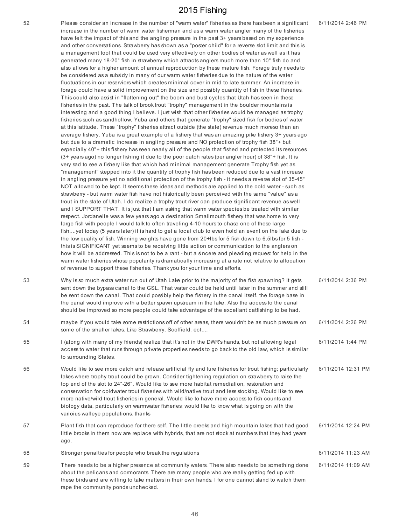| 52 | Please consider an increase in the number of "warm water" fisheries as there has been a significant<br>increase in the number of warm water fisherman and as a warm water angler many of the fisheries<br>have felt the impact of this and the angling pressure in the past 3+ years based on my experience<br>and other conversations. Strawberry has shown as a "poster child" for a reverse slot limit and this is<br>a management tool that could be used very effectively on other bodies of water as well as it has<br>generated many 18-20" fish in strawberry which attracts anglers much more than 10" fish do and                                                                                                                                                                                                                                                                                                                                                                                                                                                                                                                                                                                                                                                                                                                                                                                                                                                                                                                                                                                                                                                                                                                                                                                                                                                                                                                                                                                                                                                                                                                                                                                                                                                                                                                                                                                                                                                                                                                                                                                                                                                                                                                                                                                                                                                                                                    | 6/11/2014 2:46 PM  |
|----|--------------------------------------------------------------------------------------------------------------------------------------------------------------------------------------------------------------------------------------------------------------------------------------------------------------------------------------------------------------------------------------------------------------------------------------------------------------------------------------------------------------------------------------------------------------------------------------------------------------------------------------------------------------------------------------------------------------------------------------------------------------------------------------------------------------------------------------------------------------------------------------------------------------------------------------------------------------------------------------------------------------------------------------------------------------------------------------------------------------------------------------------------------------------------------------------------------------------------------------------------------------------------------------------------------------------------------------------------------------------------------------------------------------------------------------------------------------------------------------------------------------------------------------------------------------------------------------------------------------------------------------------------------------------------------------------------------------------------------------------------------------------------------------------------------------------------------------------------------------------------------------------------------------------------------------------------------------------------------------------------------------------------------------------------------------------------------------------------------------------------------------------------------------------------------------------------------------------------------------------------------------------------------------------------------------------------------------------------------------------------------------------------------------------------------------------------------------------------------------------------------------------------------------------------------------------------------------------------------------------------------------------------------------------------------------------------------------------------------------------------------------------------------------------------------------------------------------------------------------------------------------------------------------------------------|--------------------|
|    | also allows for a higher amount of annual reproduction by these mature fish. Forage truly needs to<br>be considered as a subsidy in many of our warm water fisheries due to the nature of the water<br>fluctuations in our reserviors which creates minimal cover in mid to late summer. An increase in<br>forage could have a solid improvement on the size and possibly quantity of fish in these fisheries.<br>This could also assist in "flattening out" the boom and bust cycles that Utah has seen in these<br>fisheries in the past. The talk of brook trout "trophy" management in the boulder mountains is<br>interesting and a good thing I believe. I just wish that other fisheries would be managed as trophy<br>fisheries such as sandhollow, Yuba and others that generate "trophy" sized fish for bodies of water<br>at this latitude. These "trophy" fisheries attract outside (the state) revenue much moreso than an<br>average fishery. Yuba is a great example of a fishery that was an amazing pike fishery 3+ years ago<br>but due to a dramatic increase in angling pressure and NO protection of trophy fish 38"+ but<br>especially 40"+ this fishery has seen nearly all of the people that fished and protected its resources<br>(3+ years ago) no longer fishing it due to the poor catch rates (per angler hour) of 38"+ fish. It is<br>very sad to see a fishery like that which had minimal management generate Trophy fish yet as<br>"management" stepped into it the quantity of trophy fish has been reduced due to a vast increase<br>in angling pressure yet no additional protection of the trophy fish - it needs a reverse slot of 35-45"<br>NOT allowed to be kept. It seems these ideas and methods are applied to the cold water - such as<br>strawberry - but warm water fish have not historically been perceived with the same "value" as a<br>trout in the state of Utah. I do realize a trophy trout river can produce significant revenue as well<br>and I SUPPORT THAT. It is just that I am asking that warm water species be treated with similar<br>respect. Jordanelle was a few years ago a destination Smallmouth fishery that was home to very<br>large fish with people I would talk to often traveling 4-10 hours to chase one of these large<br>fishyet today (5 years later) it is hard to get a local club to even hold an event on the lake due to<br>the low quality of fish. Winning weights have gone from 20+lbs for 5 fish down to 6.5lbs for 5 fish -<br>this is SIGNIFICANT yet seems to be receiving little action or communication to the anglers on<br>how it will be addressed. This is not to be a rant - but a sincere and pleading request for help in the<br>warm water fisheries whose popularity is dramatically increasing at a rate not relative to allocation<br>of revenue to support these fisheries. Thank you for your time and efforts. |                    |
| 53 | Why is so much extra water run out of Utah Lake prior to the majority of the fish spawning? It gets<br>sent down the bypass canal to the GSL. That water could be held until later in the summer and still<br>be sent down the canal. That could possibly help the fishery in the canal itself. the forage base in<br>the canal would improve with a better spawn upstream in the lake. Also the access to the canal<br>should be improved so more people could take advantage of the excellant catfishing to be had.                                                                                                                                                                                                                                                                                                                                                                                                                                                                                                                                                                                                                                                                                                                                                                                                                                                                                                                                                                                                                                                                                                                                                                                                                                                                                                                                                                                                                                                                                                                                                                                                                                                                                                                                                                                                                                                                                                                                                                                                                                                                                                                                                                                                                                                                                                                                                                                                          | 6/11/2014 2:36 PM  |
| 54 | maybe if you would take some restrictions off of other areas, there wouldn't be as much pressure on<br>some of the smaller lakes. Like Strawberry, Scolfield. ect                                                                                                                                                                                                                                                                                                                                                                                                                                                                                                                                                                                                                                                                                                                                                                                                                                                                                                                                                                                                                                                                                                                                                                                                                                                                                                                                                                                                                                                                                                                                                                                                                                                                                                                                                                                                                                                                                                                                                                                                                                                                                                                                                                                                                                                                                                                                                                                                                                                                                                                                                                                                                                                                                                                                                              | 6/11/2014 2:26 PM  |
| 55 | I (along with many of my friends) realize that it's not in the DWR's hands, but not allowing legal<br>access to water that runs through private properties needs to go back to the old law, which is similar<br>to surrounding States.                                                                                                                                                                                                                                                                                                                                                                                                                                                                                                                                                                                                                                                                                                                                                                                                                                                                                                                                                                                                                                                                                                                                                                                                                                                                                                                                                                                                                                                                                                                                                                                                                                                                                                                                                                                                                                                                                                                                                                                                                                                                                                                                                                                                                                                                                                                                                                                                                                                                                                                                                                                                                                                                                         | 6/11/2014 1:44 PM  |
| 56 | Would like to see more catch and release artificial fly and lure fisheries for trout fishing; particularly<br>lakes where trophy trout could be grown. Consider tightening regulation on strawberry to raise the<br>top end of the slot to 24"-26". Would like to see more habitat remediation, restoration and<br>conservation for coldwater trout fisheries with wild/native trout and less stocking. Would like to see<br>more native/wild trout fisheries in general. Would like to have more access to fish counts and<br>biology data, particularly on warmwater fisheries; would like to know what is going on with the<br>varioius walleye populations. thanks                                                                                                                                                                                                                                                                                                                                                                                                                                                                                                                                                                                                                                                                                                                                                                                                                                                                                                                                                                                                                                                                                                                                                                                                                                                                                                                                                                                                                                                                                                                                                                                                                                                                                                                                                                                                                                                                                                                                                                                                                                                                                                                                                                                                                                                         | 6/11/2014 12:31 PM |
| 57 | Plant fish that can reproduce for there self. The little creeks and high mountain lakes that had good<br>little brooks in them now are replace with hybrids, that are not stock at numbers that they had years<br>ago.                                                                                                                                                                                                                                                                                                                                                                                                                                                                                                                                                                                                                                                                                                                                                                                                                                                                                                                                                                                                                                                                                                                                                                                                                                                                                                                                                                                                                                                                                                                                                                                                                                                                                                                                                                                                                                                                                                                                                                                                                                                                                                                                                                                                                                                                                                                                                                                                                                                                                                                                                                                                                                                                                                         | 6/11/2014 12:24 PM |
| 58 | Stronger penalties for people who break the regulations                                                                                                                                                                                                                                                                                                                                                                                                                                                                                                                                                                                                                                                                                                                                                                                                                                                                                                                                                                                                                                                                                                                                                                                                                                                                                                                                                                                                                                                                                                                                                                                                                                                                                                                                                                                                                                                                                                                                                                                                                                                                                                                                                                                                                                                                                                                                                                                                                                                                                                                                                                                                                                                                                                                                                                                                                                                                        | 6/11/2014 11:23 AM |
| 59 | There needs to be a higher presence at community waters. There also needs to be something done<br>about the pelicans and cormorants. There are many people who are really getting fed up with<br>these birds and are willing to take matters in their own hands. I for one cannot stand to watch them<br>rape the community ponds unchecked.                                                                                                                                                                                                                                                                                                                                                                                                                                                                                                                                                                                                                                                                                                                                                                                                                                                                                                                                                                                                                                                                                                                                                                                                                                                                                                                                                                                                                                                                                                                                                                                                                                                                                                                                                                                                                                                                                                                                                                                                                                                                                                                                                                                                                                                                                                                                                                                                                                                                                                                                                                                   | 6/11/2014 11:09 AM |

46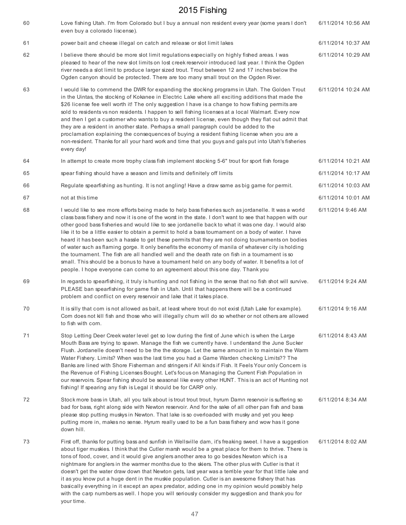| 60 | Love fishing Utah. I'm from Colorado but I buy a annual non resident every year (some years I don't<br>even buy a colorado liscense).                                                                                                                                                                                                                                                                                                                                                                                                                                                                                                                                                                                                                                                                                                                                                                                                    | 6/11/2014 10:56 AM |
|----|------------------------------------------------------------------------------------------------------------------------------------------------------------------------------------------------------------------------------------------------------------------------------------------------------------------------------------------------------------------------------------------------------------------------------------------------------------------------------------------------------------------------------------------------------------------------------------------------------------------------------------------------------------------------------------------------------------------------------------------------------------------------------------------------------------------------------------------------------------------------------------------------------------------------------------------|--------------------|
| 61 | power bait and cheese illegal on catch and release or slot limit lakes                                                                                                                                                                                                                                                                                                                                                                                                                                                                                                                                                                                                                                                                                                                                                                                                                                                                   | 6/11/2014 10:37 AM |
| 62 | I believe there should be more slot limit regulations especially on highly fished areas. I was<br>pleased to hear of the new slot limits on lost creek reservoir introduced last year. I think the Ogden<br>river needs a slot limit to produce larger sized trout. Trout between 12 and 17 inches below the<br>Ogden canyon should be protected. There are too many small trout on the Ogden River.                                                                                                                                                                                                                                                                                                                                                                                                                                                                                                                                     | 6/11/2014 10:29 AM |
| 63 | I would like to commend the DWR for expanding the stocking programs in Utah. The Golden Trout<br>in the Uintas, the stocking of Kokanee in Electric Lake where all exciting additions that made the<br>\$26 license fee well worth it! The only suggestion I have is a change to how fishing permits are<br>sold to residents vs non residents. I happen to sell fishing licenses at a local Walmart. Every now<br>and then I get a customer who wants to buy a resident license, even though they flat out admit that<br>they are a resident in another state. Perhaps a small paragraph could be added to the<br>proclamation explaining the consequences of buying a resident fishing license when you are a<br>non-resident. Thanks for all your hard work and time that you guys and gals put into Utah's fisheries<br>every day!                                                                                                   | 6/11/2014 10:24 AM |
| 64 | In attempt to create more trophy class fish implement stocking 5-6" trout for sport fish forage                                                                                                                                                                                                                                                                                                                                                                                                                                                                                                                                                                                                                                                                                                                                                                                                                                          | 6/11/2014 10:21 AM |
| 65 | spear fishing should have a season and limits and definitely off limits                                                                                                                                                                                                                                                                                                                                                                                                                                                                                                                                                                                                                                                                                                                                                                                                                                                                  | 6/11/2014 10:17 AM |
| 66 | Regulate spearfishing as hunting. It is not angling! Have a draw same as big game for permit.                                                                                                                                                                                                                                                                                                                                                                                                                                                                                                                                                                                                                                                                                                                                                                                                                                            | 6/11/2014 10:03 AM |
| 67 | not at this time                                                                                                                                                                                                                                                                                                                                                                                                                                                                                                                                                                                                                                                                                                                                                                                                                                                                                                                         | 6/11/2014 10:01 AM |
| 68 | I would like to see more efforts being made to help bass fisheries such as jordanelle. It was a world<br>class bass fishery and now it is one of the worst in the state. I don't want to see that happen with our<br>other good bass fisheries and would like to see jordanelle back to what it was one day. I would also<br>like it to be a little easier to obtain a permit to hold a bass tournament on a body of water. I have<br>heard it has been such a hassle to get these permits that they are not doing tournaments on bodies<br>of water such as flaming gorge. It only benefits the economy of manila of whatever city is holding<br>the tournament. The fish are all handled well and the death rate on fish in a tournament is so<br>small. This should be a bonus to have a tournament held on any body of water. It benefits a lot of<br>people. I hope everyone can come to an agreement about this one day. Thank you | 6/11/2014 9:46 AM  |
| 69 | In regards to spearfishing, it truly is hunting and not fishing in the sense that no fish shot will survive.<br>PLEASE ban spearfishing for game fish in Utah. Until that happens there will be a continued<br>problem and conflict on every reservoir and lake that it takes place.                                                                                                                                                                                                                                                                                                                                                                                                                                                                                                                                                                                                                                                     | 6/11/2014 9:24 AM  |
| 70 | It is silly that com is not allowed as bait, at least where trout do not exist (Utah Lake for example).<br>Com does not kill fish and those who will illegally chum will do so whether or not others are allowed<br>to fish with corn.                                                                                                                                                                                                                                                                                                                                                                                                                                                                                                                                                                                                                                                                                                   | 6/11/2014 9:16 AM  |
| 71 | Stop Letting Deer Creek water level get so low during the first of June which is when the Large<br>Mouth Bass are trying to spawn. Manage the fish we currently have. I understand the June Sucker<br>Flush. Jordanelle doesn't need to be the the storage. Let the same amount in to maintain the Warm<br>Water Fishery. Limits? When was the last time you had a Game Warden checking Limits?? The<br>Banks are lined with Shore Fisherman and stringers if All kinds if Fish. It Feels Your only Concern is<br>the Revenue of Fishing Licenses Bought. Let's focus on Managing the Current Fish Population in<br>our reservoirs. Spear fishing should be seasonal like every other HUNT. This is an act of Hunting not<br>fishing! If spearing any fish is Legal it should be for CARP only.                                                                                                                                          | 6/11/2014 8:43 AM  |
| 72 | Stock more bass in Utah, all you talk about is trout trout trout, hyrum Damn reservoir is suffering so<br>bad for bass, right along side with Newton reservoir. And for the sake of all other pan fish and bass<br>please stop putting muskys in Newton. That lake is so overloaded with musky and yet you keep<br>putting more in, makes no sense. Hyrum really used to be a fun bass fishery and wow has it gone<br>down hill.                                                                                                                                                                                                                                                                                                                                                                                                                                                                                                         | 6/11/2014 8:34 AM  |
| 73 | First off, thanks for putting bass and sunfish in Wellsville dam, it's freaking sweet. I have a suggestion<br>about tiger muskies. I think that the Cutler marsh would be a great place for them to thrive. There is<br>tons of food, cover, and it would give anglers another area to go besides Newton which is a<br>nightmare for anglers in the warmer months due to the skiers. The other plus with Cutler is that it<br>doesn't get the water draw down that Newton gets, last year was a terrible year for that little lake and<br>it as you know put a huge dent in the muskie population. Cutler is an awesome fishery that has<br>basically everything in it except an apex predator, adding one in my opinion would possibly help<br>with the carp numbers as well. I hope you will seriously consider my suggestion and thank you for<br>your time.                                                                          | 6/11/2014 8:02 AM  |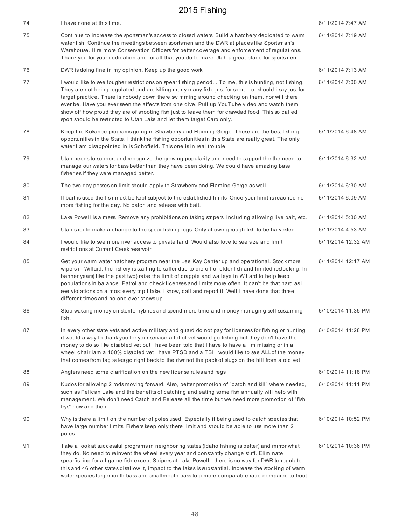| 74 | I have none at this time.                                                                                                                                                                                                                                                                                                                                                                                                                                                                                                                                                                 | 6/11/2014 7:47 AM  |
|----|-------------------------------------------------------------------------------------------------------------------------------------------------------------------------------------------------------------------------------------------------------------------------------------------------------------------------------------------------------------------------------------------------------------------------------------------------------------------------------------------------------------------------------------------------------------------------------------------|--------------------|
| 75 | Continue to increase the sportsman's access to closed waters. Build a hatchery dedicated to warm<br>water fish. Continue the meetings between sportsmen and the DWR at places like Sportsman's<br>Warehouse. Hire more Conservation Officers for better coverage and enforcement of regulations.<br>Thank you for your dedication and for all that you do to make Utah a great place for sportsmen.                                                                                                                                                                                       | 6/11/2014 7:19 AM  |
| 76 | DWR is doing fine in my opinion. Keep up the good work                                                                                                                                                                                                                                                                                                                                                                                                                                                                                                                                    | 6/11/2014 7:13 AM  |
| 77 | I would like to see tougher restrictions on spear fishing period To me, this is hunting, not fishing.<br>They are not being regulated and are killing many many fish, just for sportor should i say just for<br>target practice. There is nobody down there swimming around checking on them, nor will there<br>ever be. Have you ever seen the affects from one dive. Pull up YouTube video and watch them<br>show off how proud they are of shooting fish just to leave them for crawdad food. This so called<br>sport should be restricted to Utah Lake and let them target Carp only. | 6/11/2014 7:00 AM  |
| 78 | Keep the Kokanee programs going in Strawberry and Flaming Gorge. These are the best fishing<br>opportunities in the State. I think the fishing opportunities in this State are really great. The only<br>water I am disappointed in is Schofield. This one is in real trouble.                                                                                                                                                                                                                                                                                                            | 6/11/2014 6:48 AM  |
| 79 | Utah needs to support and recognize the growing popularity and need to support the the need to<br>manage our waters for bass better than they have been doing. We could have amazing bass<br>fisheries if they were managed better.                                                                                                                                                                                                                                                                                                                                                       | 6/11/2014 6:32 AM  |
| 80 | The two-day possesion limit should apply to Strawberry and Flaming Gorge as well.                                                                                                                                                                                                                                                                                                                                                                                                                                                                                                         | 6/11/2014 6:30 AM  |
| 81 | If bait is used the fish must be kept subject to the established limits. Once your limit is reached no<br>more fishing for the day. No catch and release with bait.                                                                                                                                                                                                                                                                                                                                                                                                                       | 6/11/2014 6:09 AM  |
| 82 | Lake Powell is a mess. Remove any prohibitions on taking stripers, including allowing live bait, etc.                                                                                                                                                                                                                                                                                                                                                                                                                                                                                     | 6/11/2014 5:30 AM  |
| 83 | Utah should make a change to the spear fishing regs. Only allowing rough fish to be harvested.                                                                                                                                                                                                                                                                                                                                                                                                                                                                                            | 6/11/2014 4:53 AM  |
| 84 | I would like to see more river access to private land. Would also love to see size and limit<br>restrictions at Currant Creek reservoir.                                                                                                                                                                                                                                                                                                                                                                                                                                                  | 6/11/2014 12:32 AM |
| 85 | Get your warm water hatchery program near the Lee Kay Center up and operational. Stock more<br>wipers in Willard, the fishery is starting to suffer due to die off of older fish and limited restocking. In<br>banner years(like the past two) raise the limit of crappie and walleye in Willard to help keep<br>populations in balance. Patrol and check licenses and limits more often. It can't be that hard as I<br>see violations on almost every trip I take. I know, call and report it! Well I have done that three<br>different times and no one ever shows up.                  | 6/11/2014 12:17 AM |
| 86 | Stop wasting money on sterile hybrids and spend more time and money managing self sustaining<br>fish.                                                                                                                                                                                                                                                                                                                                                                                                                                                                                     | 6/10/2014 11:35 PM |
| 87 | in every other state vets and active military and guard do not pay for licenses for fishing or hunting<br>it would a way to thank you for your service a lot of vet would go fishing but they don't have the<br>money to do so like disabled vet but I have been told that I have to have a lim missing or in a<br>wheel chair iam a 100% disabled vet I have PTSD and a TBI I would like to see ALLof the money<br>that comes from tag sales go right back to the dwr not the pack of slugs on the hill from a old vet                                                                   | 6/10/2014 11:28 PM |
| 88 | Anglers need some clarification on the new license rules and regs.                                                                                                                                                                                                                                                                                                                                                                                                                                                                                                                        | 6/10/2014 11:18 PM |
| 89 | Kudos for allowing 2 rods moving forward. Also, better promotion of "catch and kill" where needed,<br>such as Pelican Lake and the benefits of catching and eating some fish annually will help with<br>management. We don't need Catch and Release all the time but we need more promotion of "fish<br>frys" now and then.                                                                                                                                                                                                                                                               | 6/10/2014 11:11 PM |
| 90 | Why is there a limit on the number of poles used. Especially if being used to catch species that<br>have large number limits. Fishers keep only there limit and should be able to use more than 2<br>poles.                                                                                                                                                                                                                                                                                                                                                                               | 6/10/2014 10:52 PM |
| 91 | Take a look at successful programs in neighboring states (Idaho fishing is better) and mirror what<br>they do. No need to reinvent the wheel every year and constantly change stuff. Eliminate<br>spearfishing for all game fish except Stripers at Lake Powell - there is no way for DWR to regulate<br>this and 46 other states disallow it, impact to the lakes is substantial. Increase the stocking of warm<br>water species largemouth bass and smallmouth bass to a more comparable ratio compared to trout.                                                                       | 6/10/2014 10:36 PM |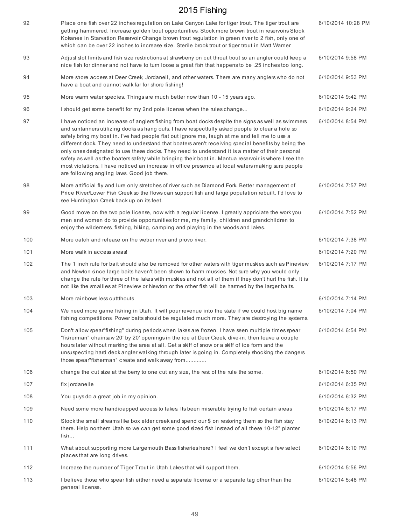| 92  | Place one fish over 22 inches regulation on Lake Canyon Lake for tiger trout. The tiger trout are<br>getting hammered. Increase golden trout opportunities. Stock more brown trout in reservoirs Stock<br>Kokanee in Starvation Reservoir Change brown trout regulation in green river to 2 fish, only one of<br>which can be over 22 inches to increase size. Sterile brook trout or tiger trout in Matt Warner                                                                                                                                                                                                                                                                                                                                                                   | 6/10/2014 10:28 PM |
|-----|------------------------------------------------------------------------------------------------------------------------------------------------------------------------------------------------------------------------------------------------------------------------------------------------------------------------------------------------------------------------------------------------------------------------------------------------------------------------------------------------------------------------------------------------------------------------------------------------------------------------------------------------------------------------------------------------------------------------------------------------------------------------------------|--------------------|
| 93  | Adjust slot limits and fish size restrictions at strawberry on cut throat trout so an angler could keep a<br>nice fish for dinner and not have to turn loose a great fish that happens to be .25 inches too long.                                                                                                                                                                                                                                                                                                                                                                                                                                                                                                                                                                  | 6/10/2014 9:58 PM  |
| 94  | More shore access at Deer Creek, Jordanell, and other waters. There are many anglers who do not<br>have a boat and cannot walk far for shore fishing!                                                                                                                                                                                                                                                                                                                                                                                                                                                                                                                                                                                                                              | 6/10/2014 9:53 PM  |
| 95  | More warm water species. Things are much better now than 10 - 15 years ago.                                                                                                                                                                                                                                                                                                                                                                                                                                                                                                                                                                                                                                                                                                        | 6/10/2014 9:42 PM  |
| 96  | I should get some benefit for my 2nd pole license when the rules change                                                                                                                                                                                                                                                                                                                                                                                                                                                                                                                                                                                                                                                                                                            | 6/10/2014 9:24 PM  |
| 97  | I have noticed an increase of anglers fishing from boat docks despite the signs as well as swimmers<br>and suntanners utilizing docks as hang outs. I have respectfully asked people to clear a hole so<br>safely bring my boat in. I've had people flat out ignore me, laugh at me and tell me to use a<br>different dock. They need to understand that boaters aren't receiving special benefits by being the<br>only ones designated to use these docks. They need to understand it is a matter of their personal<br>safety as well as the boaters safety while bringing their boat in. Mantua reservoir is where I see the<br>most violations. I have noticed an increase in office presence at local waters making sure people<br>are following angling laws. Good job there. | 6/10/2014 8:54 PM  |
| 98  | More artificial fly and lure only stretches of river such as Diamond Fork. Better management of<br>Price River/Lower Fish Creek so the flows can support fish and large population rebuilt. I'd love to<br>see Huntington Creek back up on its feet.                                                                                                                                                                                                                                                                                                                                                                                                                                                                                                                               | 6/10/2014 7:57 PM  |
| 99  | Good move on the two pole license, now with a regular license. I greatly appriciate the work you<br>men and women do to provide opportunities for me, my family, children and grandchildren to<br>enjoy the wilderness, fishing, hiking, camping and playing in the woods and lakes.                                                                                                                                                                                                                                                                                                                                                                                                                                                                                               | 6/10/2014 7:52 PM  |
| 100 | More catch and release on the weber river and provo river.                                                                                                                                                                                                                                                                                                                                                                                                                                                                                                                                                                                                                                                                                                                         | 6/10/2014 7:38 PM  |
| 101 | More walk in access areas!                                                                                                                                                                                                                                                                                                                                                                                                                                                                                                                                                                                                                                                                                                                                                         | 6/10/2014 7:20 PM  |
| 102 | The 1 inch rule for bait should also be removed for other waters with tiger muskies such as Pineview<br>and Newton since large baits haven't been shown to harm muskies. Not sure why you would only<br>change the rule for three of the lakes with muskies and not all of them if they don't hurt the fish. It is<br>not like the smallies at Pineview or Newton or the other fish will be harmed by the larger baits.                                                                                                                                                                                                                                                                                                                                                            | 6/10/2014 7:17 PM  |
| 103 | More rainbows less cutt thouts                                                                                                                                                                                                                                                                                                                                                                                                                                                                                                                                                                                                                                                                                                                                                     | 6/10/2014 7:14 PM  |
| 104 | We need more game fishing in Utah. It will pour revenue into the state if we could host big name<br>fishing competitions. Power baits should be regulated much more. They are destroying the systems.                                                                                                                                                                                                                                                                                                                                                                                                                                                                                                                                                                              | 6/10/2014 7:04 PM  |
| 105 | Don't allow spear" fishing" during periods when lakes are frozen. I have seen multiple times spear<br>"fisherman" chainsaw 20' by 20' openings in the ice at Deer Creek, dive-in, then leave a couple<br>hours later without marking the area at all. Get a skiff of snow or a skiff of ice form and the<br>unsuspecting hard deck angler walking through later is going in. Completely shocking the dangers<br>those spear"fisherman" create and walk away from                                                                                                                                                                                                                                                                                                                   | 6/10/2014 6:54 PM  |
| 106 | change the cut size at the berry to one cut any size, the rest of the rule the some.                                                                                                                                                                                                                                                                                                                                                                                                                                                                                                                                                                                                                                                                                               | 6/10/2014 6:50 PM  |
| 107 | fix jordanelle                                                                                                                                                                                                                                                                                                                                                                                                                                                                                                                                                                                                                                                                                                                                                                     | 6/10/2014 6:35 PM  |
| 108 | You guys do a great job in my opinion.                                                                                                                                                                                                                                                                                                                                                                                                                                                                                                                                                                                                                                                                                                                                             | 6/10/2014 6:32 PM  |
| 109 | Need some more handicapped access to lakes. Its been miserable trying to fish certain areas                                                                                                                                                                                                                                                                                                                                                                                                                                                                                                                                                                                                                                                                                        | 6/10/2014 6:17 PM  |
| 110 | Stock the small streams like box elder creek and spend our \$ on restoring them so the fish stay<br>there. Help northern Utah so we can get some good sized fish instead of all these 10-12" planter<br>fish                                                                                                                                                                                                                                                                                                                                                                                                                                                                                                                                                                       | 6/10/2014 6:13 PM  |
| 111 | What about supporting more Largemouth Bass fisheries here? I feel we don't except a few select<br>places that are long drives.                                                                                                                                                                                                                                                                                                                                                                                                                                                                                                                                                                                                                                                     | 6/10/2014 6:10 PM  |
| 112 | Increase the number of Tiger Trout in Utah Lakes that will support them.                                                                                                                                                                                                                                                                                                                                                                                                                                                                                                                                                                                                                                                                                                           | 6/10/2014 5:56 PM  |
| 113 | I believe those who spear fish either need a separate license or a separate tag other than the<br>general license.                                                                                                                                                                                                                                                                                                                                                                                                                                                                                                                                                                                                                                                                 | 6/10/2014 5:48 PM  |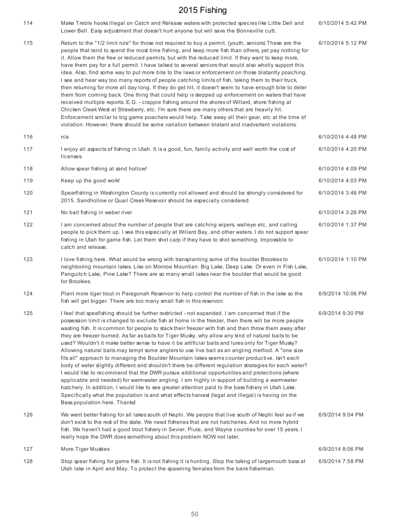| 114 | Make Treble hooks illegal on Catch and Release waters with protected species like Little Dell and<br>Lower Bell. Easy adjustment that doesn't hurt anyone but will save the Bonneville cutt.                                                                                                                                                                                                                                                                                                                                                                                                                                                                                                                                                                                                                                                                                                                                                                                                                                                                                                                                                                                                                                                                                               | 6/10/2014 5:42 PM |
|-----|--------------------------------------------------------------------------------------------------------------------------------------------------------------------------------------------------------------------------------------------------------------------------------------------------------------------------------------------------------------------------------------------------------------------------------------------------------------------------------------------------------------------------------------------------------------------------------------------------------------------------------------------------------------------------------------------------------------------------------------------------------------------------------------------------------------------------------------------------------------------------------------------------------------------------------------------------------------------------------------------------------------------------------------------------------------------------------------------------------------------------------------------------------------------------------------------------------------------------------------------------------------------------------------------|-------------------|
| 115 | Return to the "1/2 limit rule" for those not required to buy a permit. (youth, seniors) These are the<br>people that tend to spend the most time fishing, and keep more fish than others, yet pay nothing for<br>it. Allow them the free or reduced permits, but with the reduced limit. If they want to keep more,<br>have them pay for a full permit. I have talked to several seniors that would also wholly support this<br>idea. Also, find some way to put more bite to the laws or enforcement on those blatantly poaching.<br>I see and hear way too many reports of people catching limits of fish, taking them to their truck,<br>then returning for more all day long. If they do get hit, it doesn't seem to have enough bite to deter<br>them from coming back. One thing that could help is stepped up enforcement on waters that have<br>received multiple reports. E.G. - crappie fishing around the shores of Willard, shore fishing at<br>Chicken Creek West at Strawberry, etc. I'm sure there are many others that are heavily hit.<br>Enforcement similar to big game poachers would help. Take away all their gear, etc at the time of<br>violation. However, there should be some variation between blatant and inadvertent violations.                             | 6/10/2014 5:12 PM |
| 116 | n/a                                                                                                                                                                                                                                                                                                                                                                                                                                                                                                                                                                                                                                                                                                                                                                                                                                                                                                                                                                                                                                                                                                                                                                                                                                                                                        | 6/10/2014 4:48 PM |
| 117 | I enjoy all aspects of fishing in Utah. It is a good, fun, family activity and well worth the cost of<br>licenses.                                                                                                                                                                                                                                                                                                                                                                                                                                                                                                                                                                                                                                                                                                                                                                                                                                                                                                                                                                                                                                                                                                                                                                         | 6/10/2014 4:20 PM |
| 118 | Allow spear fishing at sand hollow!                                                                                                                                                                                                                                                                                                                                                                                                                                                                                                                                                                                                                                                                                                                                                                                                                                                                                                                                                                                                                                                                                                                                                                                                                                                        | 6/10/2014 4:09 PM |
| 119 | Keep up the good work!                                                                                                                                                                                                                                                                                                                                                                                                                                                                                                                                                                                                                                                                                                                                                                                                                                                                                                                                                                                                                                                                                                                                                                                                                                                                     | 6/10/2014 4:03 PM |
| 120 | Spearfishing in Washington County is currently not allowed and should be strongly considered for<br>2015. Sandhollow or Quail Creek Resevoir should be especially considered.                                                                                                                                                                                                                                                                                                                                                                                                                                                                                                                                                                                                                                                                                                                                                                                                                                                                                                                                                                                                                                                                                                              | 6/10/2014 3:46 PM |
| 121 | No bait fishing in weber river                                                                                                                                                                                                                                                                                                                                                                                                                                                                                                                                                                                                                                                                                                                                                                                                                                                                                                                                                                                                                                                                                                                                                                                                                                                             | 6/10/2014 3:26 PM |
| 122 | I am concerned about the number of people that are catching wipers, walleye etc, and calling<br>people to pick them up. I see this especially at Willard Bay, and other waters. I do not support spear<br>fishing in Utah for game fish. Let them shot carp if they have to shot something. Impossible to<br>catch and release.                                                                                                                                                                                                                                                                                                                                                                                                                                                                                                                                                                                                                                                                                                                                                                                                                                                                                                                                                            | 6/10/2014 1:37 PM |
| 123 | I love fishing here. What would be wrong with transplanting some of the boulder Brookies to<br>neighboring mountain lakes. Like on Monroe Mountian. Big Lake, Deep Lake. Or even in Fish Lake,<br>Panguitch Lake, Pine Lake? There are so many small lakes near the boulder that would be good<br>for Brookies.                                                                                                                                                                                                                                                                                                                                                                                                                                                                                                                                                                                                                                                                                                                                                                                                                                                                                                                                                                            | 6/10/2014 1:10 PM |
| 124 | Plant more tiger trout in Paragonah Reservoir to help control the number of fish in the lake so the<br>fish will get bigger. There are too many small fish in this reservoir.                                                                                                                                                                                                                                                                                                                                                                                                                                                                                                                                                                                                                                                                                                                                                                                                                                                                                                                                                                                                                                                                                                              | 6/9/2014 10:06 PM |
| 125 | I feel that speafishing should be further restricted - not expanded. I am concerned that if the<br>possession limit is changed to exclude fish at home in the freezer, then there will be more people<br>wasting fish. It is common for people to stack their freezer with fish and then throw them away after<br>they are freezer burned. As far as baits for Tiger Musky, why allow any kind of natural baits to be<br>used? Wouldn't it make better sense to have it be artificial baits and lures only for Tiger Musky?<br>Allowing natural baits may tempt some anglers to use live bait as an angling method. A "one size<br>fits all" approach to managing the Boulder Mountain lakes seems counter productive. Isn't each<br>body of water slightly different and shouldn't there be different regulation strategies for each water?<br>I would like to recommend that the DWR pursue additional opportunities and protections (where<br>applicable and needed) for warmwater angling. I am highly in support of building a warmwater<br>hatchery. In addition, I would like to see greater attention paid to the bass fishery in Utah Lake.<br>Specifically what the population is and what effects harvest (legal and illegal) is having on the<br>Bass population here. Thanks! | 6/9/2014 9:30 PM  |
| 126 | We want better fishing for all lakes south of Nephi. We people that live south of Nephi feel as if we<br>don't exist to the rest of the state. We need fisheries that are not hatcheries. And no more hybrid<br>fish. We haven't had a good trout fishery in Sevier, Piute, and Wayne counties for over 15 years. I<br>really hope the DWR does something about this problem NOW not later.                                                                                                                                                                                                                                                                                                                                                                                                                                                                                                                                                                                                                                                                                                                                                                                                                                                                                                | 6/9/2014 9:04 PM  |
| 127 | More Tiger Muskies                                                                                                                                                                                                                                                                                                                                                                                                                                                                                                                                                                                                                                                                                                                                                                                                                                                                                                                                                                                                                                                                                                                                                                                                                                                                         | 6/9/2014 8:06 PM  |
| 128 | Stop spear fishing for game fish. It is not fishing it is hunting. Stop the taking of largemouth bass at<br>Utah lake in April and May. To protect the spawning females from the bank fisherman.                                                                                                                                                                                                                                                                                                                                                                                                                                                                                                                                                                                                                                                                                                                                                                                                                                                                                                                                                                                                                                                                                           | 6/9/2014 7:58 PM  |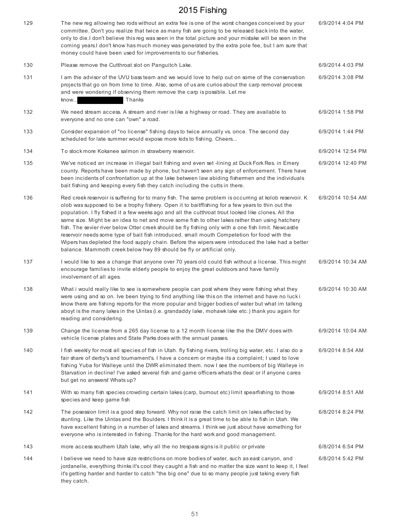| 129 | The new reg allowing two rods without an extra fee is one of the worst changes conceived by your<br>committee. Don't you realize that twice as many fish are going to be released backinto the water,<br>only to die.I don't believe this reg was seen in the total picture and your mistake will be seen in the<br>coming years.I don't know has much money was generated by the extra pole fee, but I am sure that<br>money could have been used for improvements to our fisheries.                                                                                                                                                                                                                                                                                                                        | 6/9/2014 4:04 PM  |
|-----|--------------------------------------------------------------------------------------------------------------------------------------------------------------------------------------------------------------------------------------------------------------------------------------------------------------------------------------------------------------------------------------------------------------------------------------------------------------------------------------------------------------------------------------------------------------------------------------------------------------------------------------------------------------------------------------------------------------------------------------------------------------------------------------------------------------|-------------------|
| 130 | Please remove the Cutthroat slot on Panguitch Lake.                                                                                                                                                                                                                                                                                                                                                                                                                                                                                                                                                                                                                                                                                                                                                          | 6/9/2014 4:03 PM  |
| 131 | I am the advisor of the UVU bass team and we would love to help out on some of the conservation<br>projects that go on from time to time. Also, some of us are curios about the carp removal process<br>and were wondering if observing them remove the carp is possible. Let me<br>Thanks<br>know                                                                                                                                                                                                                                                                                                                                                                                                                                                                                                           | 6/9/2014 3:08 PM  |
| 132 | We need stream access. A stream and river is like a highway or road. They are available to<br>everyone and no one can "own" a road.                                                                                                                                                                                                                                                                                                                                                                                                                                                                                                                                                                                                                                                                          | 6/9/2014 1:58 PM  |
| 133 | Consider expansion of "no license" fishing days to twice annually vs. once. The second day<br>scheduled for late summer would expose more kids to fishing. Cheers                                                                                                                                                                                                                                                                                                                                                                                                                                                                                                                                                                                                                                            | 6/9/2014 1:44 PM  |
| 134 | To stock more Kokanee salmon in strawberry reservoir.                                                                                                                                                                                                                                                                                                                                                                                                                                                                                                                                                                                                                                                                                                                                                        | 6/9/2014 12:54 PM |
| 135 | We've noticed an increase in illegal bait fishing and even set -lining at Duck Fork Res. in Emery<br>county. Reports have been made by phone, but haven't seen any sign of enforcement. There have<br>been incidents of confrontation up at the lake between law abiding fishermen and the individuals<br>bait fishing and keeping every fish they catch including the cutts in there.                                                                                                                                                                                                                                                                                                                                                                                                                       | 6/9/2014 12:40 PM |
| 136 | Red creek reservoir is suffering for to many fish. The same problem is occurring at kolob reservoir. K<br>olob was supposed to be a trophy fishery. Open it to baitffishing for a few years to thin out the<br>population. I fly fished it a few weeks ago and all the cutthroat trout looked like clones. All the<br>same size. Might be an idea to net and move some fish to other lakes rather than using hatchery<br>fish. The sevier river below Otter creek should be fly fishing only with a one fish limit. Newcastle<br>reservoir needs some type of bait fish introduced. small mouth Competetion for food with the<br>Wipers has depleted the food supply chain. Before the wipers were introduced the lake had a better<br>balance. Mammoth creek below hwy 89 should be fly or artificial only. | 6/9/2014 10:54 AM |
| 137 | I would like to see a change that anyone over 70 years old could fish without a license. This might<br>encourage families to invite elderly people to enjoy the great outdoors and have family<br>involvement of all ages.                                                                                                                                                                                                                                                                                                                                                                                                                                                                                                                                                                                   | 6/9/2014 10:34 AM |
| 138 | What i would really like to see is somewhere people can post where they were fishing what they<br>were using and so on. Ive been trying to find anything like this on the internet and have no luck i<br>know there are fishing reports for the more popular and bigger bodies of water but what im talking<br>aboyt is the many lakes in the Uintas (i.e. grandaddy lake, mohawk lake etc.) thank you again for<br>reading and considering.                                                                                                                                                                                                                                                                                                                                                                 | 6/9/2014 10:30 AM |
| 139 | Change the license from a 265 day license to a 12 month license like the the DMV does with<br>vehicle license plates and State Parks does with the annual passes.                                                                                                                                                                                                                                                                                                                                                                                                                                                                                                                                                                                                                                            | 6/9/2014 10:04 AM |
| 140 | I fish weekly for most all species of fish in Utah. fly fishing rivers, trolling big water, etc. I also do a<br>fair share of derby's and tournament's. I have a concern or maybe its a complaint; I used to love<br>fishing Yuba for Walleye until the DWR eliminated them. now I see the numbers of big Walleye in<br>Starvation in decline! I've asked several fish and game officers whats the deal or if anyone cares<br>but get no answers! Whats up?                                                                                                                                                                                                                                                                                                                                                  | 6/9/2014 8:54 AM  |
| 141 | With so many fish species crowding certain lakes (carp, burnout etc) limit spearfishing to those<br>species and keep game fish                                                                                                                                                                                                                                                                                                                                                                                                                                                                                                                                                                                                                                                                               | 6/9/2014 8:51 AM  |
| 142 | The posession limit is a good step forward. Why not raise the catch limit on lakes affected by<br>stunting. Like the Uintas and the Boulders. I think it is a great time to be able to fish in Utah. We<br>have excellent fishing in a number of lakes and streams. I think we just about have something for<br>everyone who is interested in fishing. Thanks for the hard work and good management.                                                                                                                                                                                                                                                                                                                                                                                                         | 6/8/2014 8:24 PM  |
| 143 | more access southern Utah lake, why all the no trespass signs is it public or private                                                                                                                                                                                                                                                                                                                                                                                                                                                                                                                                                                                                                                                                                                                        | 6/8/2014 6:54 PM  |
| 144 | I believe we need to have size restrictions on more bodies of water, such as east canyon, and<br>jordanelle, everything thinks it's cool they caught a fish and no matter the size want to keep it, I feel<br>it's getting harder and harder to catch "the big one" due to so many people just taking every fish<br>they catch.                                                                                                                                                                                                                                                                                                                                                                                                                                                                              | 6/8/2014 5:42 PM  |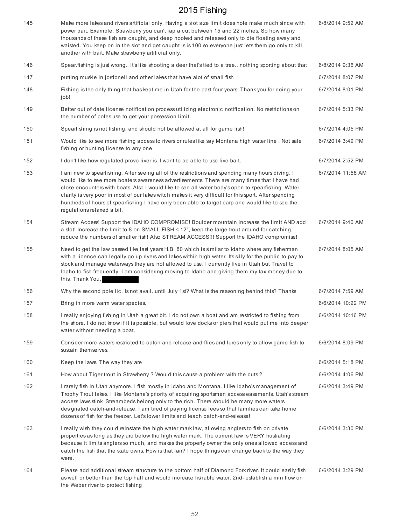| 145 | Make more lakes and rivers artificial only. Having a slot size limit does note make much since with<br>power bait. Example, Strawberry you can't lap a cut between 15 and 22 inches. So how many<br>thousands of these fish are caught, and deep hooked and released only to die floating away and<br>waisted. You keep on in the slot and get caught is is 100 so everyone just lets them go only to kill<br>another with bait. Make strawberry artificial only.                                                                                   | 6/8/2014 9:52 AM  |
|-----|-----------------------------------------------------------------------------------------------------------------------------------------------------------------------------------------------------------------------------------------------------------------------------------------------------------------------------------------------------------------------------------------------------------------------------------------------------------------------------------------------------------------------------------------------------|-------------------|
| 146 | Spear fishing is just wrong. it's like shooting a deer that's tied to a tree nothing sporting about that                                                                                                                                                                                                                                                                                                                                                                                                                                            | 6/8/2014 9:36 AM  |
| 147 | putting muskie in jordonell and other lakes that have alot of small fish                                                                                                                                                                                                                                                                                                                                                                                                                                                                            | 6/7/2014 8:07 PM  |
| 148 | Fishing is the only thing that has kept me in Utah for the past four years. Thank you for doing your<br>job!                                                                                                                                                                                                                                                                                                                                                                                                                                        | 6/7/2014 8:01 PM  |
| 149 | Better out of date license notification process utilizing electronic notification. No restrictions on<br>the number of poles use to get your possession limit.                                                                                                                                                                                                                                                                                                                                                                                      | 6/7/2014 5:33 PM  |
| 150 | Spearfishing is not fishing, and should not be allowed at all for game fish!                                                                                                                                                                                                                                                                                                                                                                                                                                                                        | 6/7/2014 4:05 PM  |
| 151 | Would like to see more fishing access to rivers or rules like say Montana high water line. Not sale<br>fishing or hunting license to any one                                                                                                                                                                                                                                                                                                                                                                                                        | 6/7/2014 3:49 PM  |
| 152 | I don't like how regulated provo river is. I want to be able to use live bait.                                                                                                                                                                                                                                                                                                                                                                                                                                                                      | 6/7/2014 2:52 PM  |
| 153 | I am new to spearfishing. After seeing all of the restrictions and spending many hours diving, I<br>would like to see more boaters awareness advertisements. There are many times that I have had<br>close encounters with boats. Also I would like to see all water body's open to spearfishing. Water<br>clarity is very poor in most of our lakes witch makes it very difficult for this sport. After spending<br>hundreds of hours of spearfishing I have only been able to target carp and would like to see the<br>regulations relaxed a bit. | 6/7/2014 11:58 AM |
| 154 | Stream Access! Support the IDAHO COMPROMISE! Boulder mountain increase the limit AND add<br>a slot! Increase the limit to 8 on SMALL FISH < 12", keep the large trout around for catching,<br>reduce the numbers of smaller fish! Also STREAM ACCESS!!! Support the IDAHO compromise!                                                                                                                                                                                                                                                               | 6/7/2014 9:40 AM  |
| 155 | Need to get the law passed like last years H.B. 80 which is similar to Idaho where any fisherman<br>with a licence can legally go up rivers and lakes within high water. Its silly for the public to pay to<br>stock and manage waterways they are not allowed to use. I currently live in Utah but Travel to<br>Idaho to fish frequently. I am considering moving to Idaho and giving them my tax money due to<br>this. Thank You,                                                                                                                 | 6/7/2014 8:05 AM  |
| 156 | Why the second pole lic. Is not avail. until July 1st? What is the reasoning behind this? Thanks                                                                                                                                                                                                                                                                                                                                                                                                                                                    | 6/7/2014 7:59 AM  |
| 157 | Bring in more warm water species.                                                                                                                                                                                                                                                                                                                                                                                                                                                                                                                   | 6/6/2014 10:22 PM |
| 158 | I really enjoying fishing in Utah a great bit. I do not own a boat and am restricted to fishing from<br>the shore. I do not know if it is possible, but would love docks or piers that would put me into deeper<br>water without needing a boat.                                                                                                                                                                                                                                                                                                    | 6/6/2014 10:16 PM |
| 159 | Consider more waters restricted to catch-and-release and flies and lures only to allow game fish to<br>sustain themselves.                                                                                                                                                                                                                                                                                                                                                                                                                          | 6/6/2014 8:09 PM  |
| 160 | Keep the laws. The way they are                                                                                                                                                                                                                                                                                                                                                                                                                                                                                                                     | 6/6/2014 5:18 PM  |
| 161 | How about Tiger trout in Strawberry? Would this cause a problem with the cuts?                                                                                                                                                                                                                                                                                                                                                                                                                                                                      | 6/6/2014 4:06 PM  |
| 162 | I rarely fish in Utah anymore. I fish mostly in Idaho and Montana. I like Idaho's management of<br>Trophy Trout lakes. I like Montana's priority of acquiring sportsmen access easements. Utah's stream<br>access laws stink. Streambeds belong only to the rich. There should be many more waters<br>designated catch-and-release. I am tired of paying license fees so that families can take home<br>dozens of fish for the freezer. Let's lower limits and teach catch-and-release!                                                             | 6/6/2014 3:49 PM  |
| 163 | I really wish they could reinstate the high water mark law, allowing anglers to fish on private<br>properties as long as they are below the high water mark. The current law is VERY frustrating<br>because it limits anglers so much, and makes the property owner the only ones allowed access and<br>catch the fish that the state owns. How is that fair? I hope things can change back to the way they<br>were.                                                                                                                                | 6/6/2014 3:30 PM  |
| 164 | Please add additional stream structure to the bottom half of Diamond Fork river. It could easily fish<br>as well or better than the top half and would increase fishable water. 2nd- establish a min flow on<br>the Weber river to protect fishing                                                                                                                                                                                                                                                                                                  | 6/6/2014 3:29 PM  |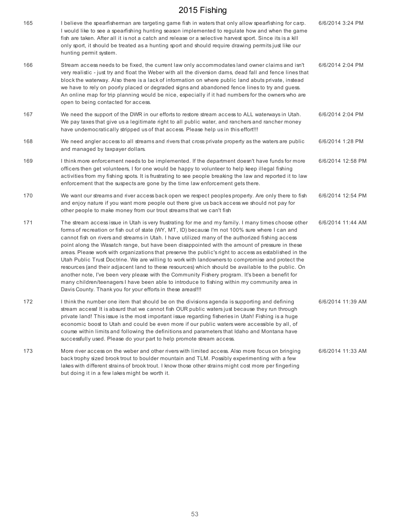| 165 | I believe the spearfisherman are targeting game fish in waters that only allow spearfishing for carp.<br>I would like to see a spearfishing hunting season implemented to regulate how and when the game<br>fish are taken. After all it is not a catch and release or a selective harvest sport. Since its is a kill<br>only sport, it should be treated as a hunting sport and should require drawing permits just like our<br>hunting permit system.                                                                                                                                                                                                                                                                                                                                                                                                                                                                                                                                            | 6/6/2014 3:24 PM  |
|-----|----------------------------------------------------------------------------------------------------------------------------------------------------------------------------------------------------------------------------------------------------------------------------------------------------------------------------------------------------------------------------------------------------------------------------------------------------------------------------------------------------------------------------------------------------------------------------------------------------------------------------------------------------------------------------------------------------------------------------------------------------------------------------------------------------------------------------------------------------------------------------------------------------------------------------------------------------------------------------------------------------|-------------------|
| 166 | Stream access needs to be fixed, the current law only accommodates land owner claims and isn't<br>very realistic - just try and float the Weber with all the diversion dams, dead fall and fence lines that<br>block the waterway. Also there is a lack of information on where public land abuts private, instead<br>we have to rely on poorly placed or degraded signs and abandoned fence lines to try and guess.<br>An online map for trip planning would be nice, especially if it had numbers for the owners who are<br>open to being contacted for access.                                                                                                                                                                                                                                                                                                                                                                                                                                  | 6/6/2014 2:04 PM  |
| 167 | We need the support of the DWR in our efforts to restore stream access to ALL waterways in Utah.<br>We pay taxes that give us a legitimate right to all public water, and ranchers and rancher money<br>have undemocratically stripped us of that access. Please help us in this effort!!!                                                                                                                                                                                                                                                                                                                                                                                                                                                                                                                                                                                                                                                                                                         | 6/6/2014 2:04 PM  |
| 168 | We need angler access to all streams and rivers that cross private property as the waters are public<br>and managed by taxpayer dollars.                                                                                                                                                                                                                                                                                                                                                                                                                                                                                                                                                                                                                                                                                                                                                                                                                                                           | 6/6/2014 1:28 PM  |
| 169 | I think more enforcement needs to be implemented. If the department doesn't have funds for more<br>officers then get volunteers, I for one would be happy to volunteer to help keep illegal fishing<br>activities from my fishing spots. It is frustrating to see people breaking the law and reported it to law<br>enforcement that the suspects are gone by the time law enforcement gets there.                                                                                                                                                                                                                                                                                                                                                                                                                                                                                                                                                                                                 | 6/6/2014 12:58 PM |
| 170 | We want our streams and river access back open we respect peoples property. Are only there to fish<br>and enjoy nature if you want more people out there give us back access we should not pay for<br>other people to make money from our trout streams that we can't fish                                                                                                                                                                                                                                                                                                                                                                                                                                                                                                                                                                                                                                                                                                                         | 6/6/2014 12:54 PM |
| 171 | The stream access issue in Utah is very frustrating for me and my family. I many times choose other<br>forms of recreation or fish out of state (WY, MT, ID) because I'm not 100% sure where I can and<br>cannot fish on rivers and streams in Utah. I have utilized many of the authorized fishing access<br>point along the Wasatch range, but have been disappointed with the amount of pressure in these<br>areas. Please work with organizations that preserve the public's right to access as established in the<br>Utah Public Trust Doctrine. We are willing to work with landowners to compromise and protect the<br>resources (and their adjacent land to these resources) which should be available to the public. On<br>another note, I've been very please with the Community Fishery program. It's been a benefit for<br>many children/teenagers I have been able to introduce to fishing within my community area in<br>Davis County. Thank you for your efforts in these areas!!!! | 6/6/2014 11:44 AM |
| 172 | I think the number one item that should be on the divisions agenda is supporting and defining<br>stream access! It is absurd that we cannot fish OUR public waters just because they run through<br>private land! This issue is the most important issue regarding fisheries in Utah! Fishing is a huge<br>economic boost to Utah and could be even more if our public waters were accessible by all, of<br>course within limits and following the definitions and parameters that Idaho and Montana have<br>successfully used. Please do your part to help promote stream access.                                                                                                                                                                                                                                                                                                                                                                                                                 | 6/6/2014 11:39 AM |
| 173 | More river access on the weber and other rivers with limited access. Also more focus on bringing<br>back trophy sized brook trout to boulder mountain and TLM. Possibly experimenting with a few<br>lakes with different strains of brook trout. I know those other strains might cost more per fingerling<br>but doing it in a few lakes might be worth it.                                                                                                                                                                                                                                                                                                                                                                                                                                                                                                                                                                                                                                       | 6/6/2014 11:33 AM |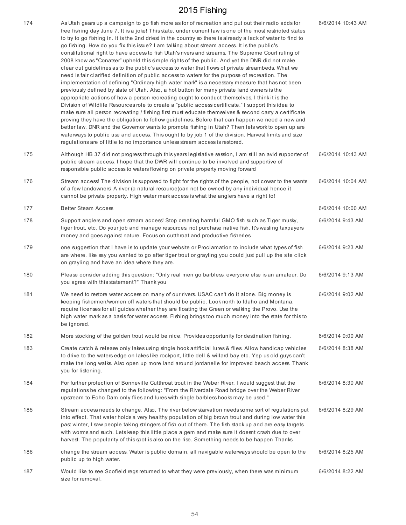| 174 | As Utah gears up a campaign to go fish more as for of recreation and put out their radio adds for<br>free fishing day June 7. It is a joke! This state, under current law is one of the most restricted states<br>to try to go fishing in. It is the 2nd driest in the country so there is already a lack of water to find to<br>go fishing. How do you fix this issue? I am talking about stream access. It is the public's<br>constitutional right to have access to fish Utah's rivers and streams. The Supreme Court ruling of<br>2008 know as "Conatser" upheld this simple rights of the public. And yet the DNR did not make<br>clear cut quidelines as to the public's access to water that flows of private streambeds. What we<br>need is fair clarified definition of public access to waters for the purpose of recreation. The<br>implementation of defining "Ordinary high water mark" is a necessary measure that has not been<br>previously defined by state of Utah. Also, a hot button for many private land owners is the<br>appropriate actions of how a person recreating ought to conduct themselves. I think it is the<br>Division of Wildlife Resources role to create a "public access certificate." I support this idea to<br>make sure all person recreating / fishing first must educate themselves & second carry a certificate<br>proving they have the obligation to follow guidelines. Before that can happen we need a new and<br>better law. DNR and the Governor wants to promote fishing in Utah? Then lets work to open up are<br>waterways to public use and access. This ought to by job 1 of the division. Harvest limits and size<br>regulations are of little to no importance unless stream access is restored. | 6/6/2014 10:43 AM |
|-----|------------------------------------------------------------------------------------------------------------------------------------------------------------------------------------------------------------------------------------------------------------------------------------------------------------------------------------------------------------------------------------------------------------------------------------------------------------------------------------------------------------------------------------------------------------------------------------------------------------------------------------------------------------------------------------------------------------------------------------------------------------------------------------------------------------------------------------------------------------------------------------------------------------------------------------------------------------------------------------------------------------------------------------------------------------------------------------------------------------------------------------------------------------------------------------------------------------------------------------------------------------------------------------------------------------------------------------------------------------------------------------------------------------------------------------------------------------------------------------------------------------------------------------------------------------------------------------------------------------------------------------------------------------------------------------------------------------------------------------------------------------|-------------------|
| 175 | Although HB 37 did not progress through this years legislative session, I am still an avid supporter of<br>public stream access. I hope that the DWR will continue to be involved and supportive of<br>responsible public access to waters flowing on private property moving forward                                                                                                                                                                                                                                                                                                                                                                                                                                                                                                                                                                                                                                                                                                                                                                                                                                                                                                                                                                                                                                                                                                                                                                                                                                                                                                                                                                                                                                                                      | 6/6/2014 10:43 AM |
| 176 | Stream access! The division is supposed to fight for the rights of the people, not cowar to the wants<br>of a few landowners! A river (a natural resource)can not be owned by any individual hence it<br>cannot be private property. High water mark access is what the anglers have a right to!                                                                                                                                                                                                                                                                                                                                                                                                                                                                                                                                                                                                                                                                                                                                                                                                                                                                                                                                                                                                                                                                                                                                                                                                                                                                                                                                                                                                                                                           | 6/6/2014 10:04 AM |
| 177 | <b>Better Steam Access</b>                                                                                                                                                                                                                                                                                                                                                                                                                                                                                                                                                                                                                                                                                                                                                                                                                                                                                                                                                                                                                                                                                                                                                                                                                                                                                                                                                                                                                                                                                                                                                                                                                                                                                                                                 | 6/6/2014 10:00 AM |
| 178 | Support anglers and open stream access! Stop creating harmful GMO fish such as Tiger musky,<br>tiger trout, etc. Do your job and manage resources, not purchase native fish. It's wasting taxpayers<br>money and goes against nature. Focus on cutthroat and productive fisheries.                                                                                                                                                                                                                                                                                                                                                                                                                                                                                                                                                                                                                                                                                                                                                                                                                                                                                                                                                                                                                                                                                                                                                                                                                                                                                                                                                                                                                                                                         | 6/6/2014 9:43 AM  |
| 179 | one suggestion that I have is to update your website or Proclamation to include what types of fish<br>are where. like say you wanted to go after tiger trout or grayling you could just pull up the site click<br>on grayling and have an idea where they are.                                                                                                                                                                                                                                                                                                                                                                                                                                                                                                                                                                                                                                                                                                                                                                                                                                                                                                                                                                                                                                                                                                                                                                                                                                                                                                                                                                                                                                                                                             | 6/6/2014 9:23 AM  |
| 180 | Please consider adding this question: "Only real men go barbless, everyone else is an amateur. Do<br>you agree with this statement?" Thank you                                                                                                                                                                                                                                                                                                                                                                                                                                                                                                                                                                                                                                                                                                                                                                                                                                                                                                                                                                                                                                                                                                                                                                                                                                                                                                                                                                                                                                                                                                                                                                                                             | 6/6/2014 9:13 AM  |
| 181 | We need to restore water access on many of our rivers. USAC can't do it alone. Big money is<br>keeping fishermen/women off waters that should be public. Look north to Idaho and Montana,<br>require licenses for all guides whether they are floating the Green or walking the Provo. Use the<br>high water mark as a basis for water access. Fishing brings too much money into the state for this to<br>be ignored.                                                                                                                                                                                                                                                                                                                                                                                                                                                                                                                                                                                                                                                                                                                                                                                                                                                                                                                                                                                                                                                                                                                                                                                                                                                                                                                                     | 6/6/2014 9:02 AM  |
| 182 | More stocking of the golden trout would be nice. Provides opportunity for destination fishing.                                                                                                                                                                                                                                                                                                                                                                                                                                                                                                                                                                                                                                                                                                                                                                                                                                                                                                                                                                                                                                                                                                                                                                                                                                                                                                                                                                                                                                                                                                                                                                                                                                                             | 6/6/2014 9:00 AM  |
| 183 | Create catch & release only lakes using single hook artificial lures & flies. Allow handicap vehicles<br>to drive to the waters edge on lakes like rockport, little dell & willard bay etc. Yep us old guys can't<br>make the long walks. Also open up more land around jordanelle for improved beach access. Thank<br>you for listening.                                                                                                                                                                                                                                                                                                                                                                                                                                                                                                                                                                                                                                                                                                                                                                                                                                                                                                                                                                                                                                                                                                                                                                                                                                                                                                                                                                                                                  | 6/6/2014 8:38 AM  |
| 184 | For further protection of Bonneville Cutthroat trout in the Weber River, I would suggest that the<br>regulations be changed to the following: "From the Riverdale Road bridge over the Weber River<br>upstream to Echo Dam only flies and lures with single barbless hooks may be used."                                                                                                                                                                                                                                                                                                                                                                                                                                                                                                                                                                                                                                                                                                                                                                                                                                                                                                                                                                                                                                                                                                                                                                                                                                                                                                                                                                                                                                                                   | 6/6/2014 8:30 AM  |
| 185 | Stream access needs to change. Also, The river below starvation needs some sort of regulations put<br>into effect. That water holds a very healthy population of big brown trout and during low water this<br>past winter, I saw people taking stringers of fish out of there. The fish stack up and are easy targets<br>with worms and such. Lets keep this little place a gem and make sure it doesnt crash due to over<br>harvest. The popularity of this spot is also on the rise. Something needs to be happen Thanks                                                                                                                                                                                                                                                                                                                                                                                                                                                                                                                                                                                                                                                                                                                                                                                                                                                                                                                                                                                                                                                                                                                                                                                                                                 | 6/6/2014 8:29 AM  |
| 186 | change the stream access. Water is public domain, all navigable waterways should be open to the<br>public up to high water.                                                                                                                                                                                                                                                                                                                                                                                                                                                                                                                                                                                                                                                                                                                                                                                                                                                                                                                                                                                                                                                                                                                                                                                                                                                                                                                                                                                                                                                                                                                                                                                                                                | 6/6/2014 8:25 AM  |
| 187 | Would like to see Scofield regs returned to what they were previously, when there was minimum<br>size for removal.                                                                                                                                                                                                                                                                                                                                                                                                                                                                                                                                                                                                                                                                                                                                                                                                                                                                                                                                                                                                                                                                                                                                                                                                                                                                                                                                                                                                                                                                                                                                                                                                                                         | 6/6/2014 8:22 AM  |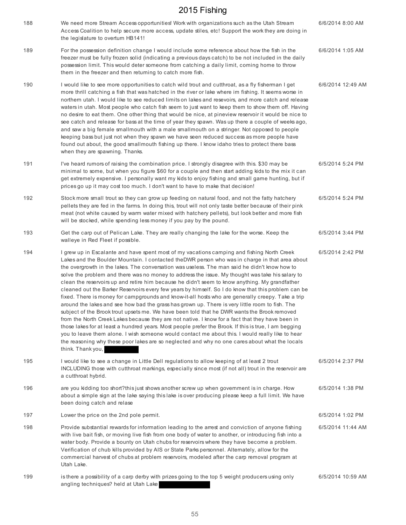| 188 | We need more Stream Access opportunities! Work with organizations such as the Utah Stream<br>Access Coalition to help secure more access, update stiles, etc! Support the work they are doing in<br>the legislature to overturn HB141!                                                                                                                                                                                                                                                                                                                                                                                                                                                                                                                                                                                                                                                                                                                                                                                                                                                                                                                                                                                                                                                                                                                     | 6/6/2014 8:00 AM  |
|-----|------------------------------------------------------------------------------------------------------------------------------------------------------------------------------------------------------------------------------------------------------------------------------------------------------------------------------------------------------------------------------------------------------------------------------------------------------------------------------------------------------------------------------------------------------------------------------------------------------------------------------------------------------------------------------------------------------------------------------------------------------------------------------------------------------------------------------------------------------------------------------------------------------------------------------------------------------------------------------------------------------------------------------------------------------------------------------------------------------------------------------------------------------------------------------------------------------------------------------------------------------------------------------------------------------------------------------------------------------------|-------------------|
| 189 | For the possession definition change I would include some reference about how the fish in the<br>freezer must be fully frozen solid (indicating a previous days catch) to be not included in the daily<br>possession limit. This would deter someone from catching a daily limit, coming home to throw<br>them in the freezer and then returning to catch more fish.                                                                                                                                                                                                                                                                                                                                                                                                                                                                                                                                                                                                                                                                                                                                                                                                                                                                                                                                                                                       | 6/6/2014 1:05 AM  |
| 190 | I would like to see more opportunities to catch wild trout and cutthroat, as a fly fisherman I get<br>more thrill catching a fish that was hatched in the river or lake where im fishing. It seems worse in<br>northern utah. I would like to see reduced limits on lakes and resevoirs, and more catch and release<br>waters in utah. Most people who catch fish seem to just want to keep them to show them off. Having<br>no desire to eat them. One other thing that would be nice, at pineview reservoir it would be nice to<br>see catch and release for bass at the time of year they spawn. Was up there a couple of weeks ago,<br>and saw a big female smallmouth with a male smallmouth on a stringer. Not opposed to people<br>keeping bass but just not when they spawn we have seen reduced success as more people have<br>found out about, the good smallmouth fishing up there. I know idaho tries to protect there bass<br>when they are spawning. Thanks.                                                                                                                                                                                                                                                                                                                                                                                 | 6/6/2014 12:49 AM |
| 191 | I've heard rumors of raising the combination price. I strongly disagree with this. \$30 may be<br>minimal to some, but when you figure \$60 for a couple and then start adding kids to the mix it can<br>get extremely expensive. I personally want my kids to enjoy fishing and small game hunting, but if<br>prices go up it may cost too much. I don't want to have to make that decision!                                                                                                                                                                                                                                                                                                                                                                                                                                                                                                                                                                                                                                                                                                                                                                                                                                                                                                                                                              | 6/5/2014 5:24 PM  |
| 192 | Stock more small trout so they can grow up feeding on natural food, and not the fatty hatchery<br>pellets they are fed in the farms. In doing this, trout will not only taste better because of their pink<br>meat (not white caused by warm water mixed with hatchery pellets), but look better and more fish<br>will be stocked, while spending less money if you pay by the pound.                                                                                                                                                                                                                                                                                                                                                                                                                                                                                                                                                                                                                                                                                                                                                                                                                                                                                                                                                                      | 6/5/2014 5:24 PM  |
| 193 | Get the carp out of Pelican Lake. They are really changing the lake for the worse. Keep the<br>walleye in Red Fleet if possible.                                                                                                                                                                                                                                                                                                                                                                                                                                                                                                                                                                                                                                                                                                                                                                                                                                                                                                                                                                                                                                                                                                                                                                                                                           | 6/5/2014 3:44 PM  |
| 194 | I grew up in Escalante and have spent most of my vacations camping and fishing North Creek<br>Lakes and the Boulder Mountain. I contacted the DWR person who was in charge in that area about<br>the overgrowth in the lakes. The conversation was useless. The man said he didn't know how to<br>solve the problem and there was no money to address the issue. My thought was take his salary to<br>clean the reservoirs up and retire him because he didn't seem to know anything. My grandfather<br>cleaned out the Barker Reservoirs every few years by himself. So I do know that this problem can be<br>fixed. There is money for campgrounds and know-it-all hosts who are generally creepy. Take a trip<br>around the lakes and see how bad the grass has grown up. There is very little room to fish. The<br>subject of the Brook trout upsets me. We have been told that he DWR wants the Brook removed<br>from the North Creek Lakes because they are not native. I know for a fact that they have been in<br>those lakes for at least a hundred years. Most people prefer the Brook. If this is true, I am begging<br>you to leave them alone. I wish someone would contact me about this. I would really like to hear<br>the reasoning why these poor lakes are so neglected and why no one cares about what the locals<br>think. Thank you, | 6/5/2014 2:42 PM  |
| 195 | I would like to see a change in Little Dell regulations to allow keeping of at least 2 trout<br>INCLUDING those with cutthroat markings, especially since most (if not all) trout in the reservoir are<br>a cutthroat hybrid.                                                                                                                                                                                                                                                                                                                                                                                                                                                                                                                                                                                                                                                                                                                                                                                                                                                                                                                                                                                                                                                                                                                              | 6/5/2014 2:37 PM  |
| 196 | are you kidding too short?this just shows another screw up when government is in charge. How<br>about a simple sign at the lake saying this lake is over producing please keep a full limit. We have<br>been doing catch and relase                                                                                                                                                                                                                                                                                                                                                                                                                                                                                                                                                                                                                                                                                                                                                                                                                                                                                                                                                                                                                                                                                                                        | 6/5/2014 1:38 PM  |
| 197 | Lower the price on the 2nd pole permit.                                                                                                                                                                                                                                                                                                                                                                                                                                                                                                                                                                                                                                                                                                                                                                                                                                                                                                                                                                                                                                                                                                                                                                                                                                                                                                                    | 6/5/2014 1:02 PM  |
| 198 | Provide substantial rewards for information leading to the arrest and conviction of anyone fishing<br>with live bait fish, or moving live fish from one body of water to another, or introducing fish into a<br>water body. Provide a bounty on Utah chubs for reservoirs where they have become a problem.<br>Verification of chub kills provided by AIS or State Parks personnel. Alternately, allow for the<br>commercial harvest of chubs at problem reservoirs, modeled after the carp removal program at<br>Utah Lake.                                                                                                                                                                                                                                                                                                                                                                                                                                                                                                                                                                                                                                                                                                                                                                                                                               | 6/5/2014 11:44 AM |
| 199 | is there a possibility of a carp derby with prizes going to the top 5 weight producers using only<br>angling techniques? held at Utah Lake                                                                                                                                                                                                                                                                                                                                                                                                                                                                                                                                                                                                                                                                                                                                                                                                                                                                                                                                                                                                                                                                                                                                                                                                                 | 6/5/2014 10:59 AM |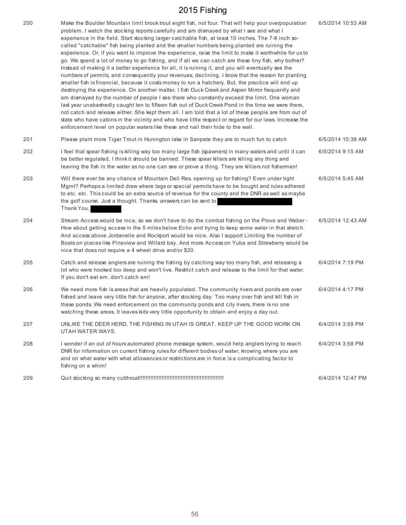| 200 | Make the Boulder Mountain limit brook trout eight fish, not four. That will help your overpopulation<br>problem. I watch the stocking reports carefully and am dismayed by what I see and what I<br>experience in the field. Start stocking larger catchable fish, at least 10 inches. The 7-8 inch so-<br>called "catchable" fish being planted and the smaller numbers being planted are ruining the<br>experience. Or, if you want to improve the experience, raise the limit to make it worthwhile for us to<br>go. We spend a lot of money to go fishing, and if all we can catch are these tiny fish, why bother?<br>Instead of making it a better experience for all, it is ruining it, and you will eventually see the<br>numbers of permits, and consequently your revenues, declining. I know that the reason for planting<br>smaller fish is financial, because it costs money to run a hatchery. But, the practice will end up<br>destroying the experience. On another matter, I fish Duck Creek and Aspen Mirror frequently and<br>am dismayed by the number of people I see there who constantly exceed the limit. One woman<br>last year unabashedly caught ten to fifteen fish out of Duck Creek Pond in the time we were there,<br>not catch and release either. She kept them all. I am told that a lot of these people are from out of<br>state who have cabins in the vicinity and who have little respect or regard for our laws. Increase the<br>enforcement level on popular waters like these and nail their hide to the wall. | 6/5/2014 10:53 AM |
|-----|---------------------------------------------------------------------------------------------------------------------------------------------------------------------------------------------------------------------------------------------------------------------------------------------------------------------------------------------------------------------------------------------------------------------------------------------------------------------------------------------------------------------------------------------------------------------------------------------------------------------------------------------------------------------------------------------------------------------------------------------------------------------------------------------------------------------------------------------------------------------------------------------------------------------------------------------------------------------------------------------------------------------------------------------------------------------------------------------------------------------------------------------------------------------------------------------------------------------------------------------------------------------------------------------------------------------------------------------------------------------------------------------------------------------------------------------------------------------------------------------------------------------------------------------------------|-------------------|
| 201 | Please plant more Tiger Trout in Hunington lake in Sanpete they are to much fun to catch                                                                                                                                                                                                                                                                                                                                                                                                                                                                                                                                                                                                                                                                                                                                                                                                                                                                                                                                                                                                                                                                                                                                                                                                                                                                                                                                                                                                                                                                | 6/5/2014 10:38 AM |
| 202 | I feel that spear fishing is killing way too many large fish (spawners) in many waters and until it can<br>be better regulated, I think it should be banned. These spear killers are killing any thing and<br>leaving the fish in the water as no one can see or prove a thing. They are killiers not fishermen!                                                                                                                                                                                                                                                                                                                                                                                                                                                                                                                                                                                                                                                                                                                                                                                                                                                                                                                                                                                                                                                                                                                                                                                                                                        | 6/5/2014 9:15 AM  |
| 203 | Will there ever be any chance of Mountain Dell Res. opening up for fishing? Even under tight<br>Mgmt? Perhaps a limited draw where tags or special permits have to be bought and rules adhered<br>to etc. etc. This could be an extra source of revenue for the county and the DNR as well as maybe<br>the golf course. Just a thought. Thanks. answers can be sent to<br>Thank You,                                                                                                                                                                                                                                                                                                                                                                                                                                                                                                                                                                                                                                                                                                                                                                                                                                                                                                                                                                                                                                                                                                                                                                    | 6/5/2014 5:45 AM  |
| 204 | Stream Access would be nice, so we don't have to do the combat fishing on the Provo and Weber -<br>How about getting access in the 5 miles below Echo and trying to keep some water in that stretch.<br>And access above Jordanelle and Rockport would be nice. Also I support Limiting the number of<br>Boats on places like Pineview and Willard bay. And more Access on Yuba and Strawberry would be<br>nice that does not require a 4 wheel drive and/or \$20.                                                                                                                                                                                                                                                                                                                                                                                                                                                                                                                                                                                                                                                                                                                                                                                                                                                                                                                                                                                                                                                                                      | 6/5/2014 12:43 AM |
| 205 | Catch and release anglers are ruining the fishing by catching way too many fish, and releasing a<br>lot who were hooked too deep and won't live. Restrict catch and release to the limit for that water.<br>If you don't eat em. don't catch em!                                                                                                                                                                                                                                                                                                                                                                                                                                                                                                                                                                                                                                                                                                                                                                                                                                                                                                                                                                                                                                                                                                                                                                                                                                                                                                        | 6/4/2014 7:19 PM  |
| 206 | We need more fish is areas that are heavily populated. The community rivers and ponds are over<br>fished and leave very little fish for anyone, after stocking day. Too many over fish and kill fish in<br>these ponds. We need enforcement on the community ponds and city rivers, there is no one<br>watching these areas. It leaves kids very little opportunity to obtain and enjoy a day out.                                                                                                                                                                                                                                                                                                                                                                                                                                                                                                                                                                                                                                                                                                                                                                                                                                                                                                                                                                                                                                                                                                                                                      | 6/4/2014 4:17 PM  |
| 207 | UNLIKE THE DEER HERD, THE FISHING IN UTAH IS GREAT. KEEP UP THE GOOD WORK ON<br>UTAH WATER WAYS.                                                                                                                                                                                                                                                                                                                                                                                                                                                                                                                                                                                                                                                                                                                                                                                                                                                                                                                                                                                                                                                                                                                                                                                                                                                                                                                                                                                                                                                        | 6/4/2014 3:59 PM  |
| 208 | I wonder if an out of hours automated phone message system, would help anglers trying to reach<br>DNR for information on current fishing rules for different bodies of water, knowing where you are<br>and on what water with what allowances or restrictions are in force is a complicating factor to<br>fishing on a whim!                                                                                                                                                                                                                                                                                                                                                                                                                                                                                                                                                                                                                                                                                                                                                                                                                                                                                                                                                                                                                                                                                                                                                                                                                            | 6/4/2014 3:58 PM  |
| 209 |                                                                                                                                                                                                                                                                                                                                                                                                                                                                                                                                                                                                                                                                                                                                                                                                                                                                                                                                                                                                                                                                                                                                                                                                                                                                                                                                                                                                                                                                                                                                                         | 6/4/2014 12:47 PM |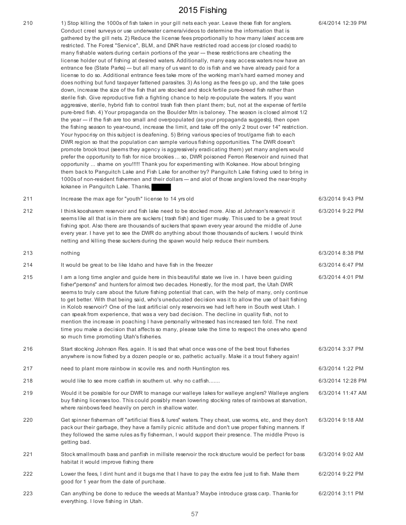210 1) Stop killing the 1000s of fish taken in your gill nets each year. Leave these fish for anglers. Conduct creel surveys or use underwater camera/videos to determine the information that is gathered by the gill nets. 2) Reduce the license fees proportionally to how many lakes' access are restricted. The Forest "Service", BLM, and DNR have restricted road access (or closed roads) to many fishable waters during certain portions of the year --- these restrictions are cheating the license holder out of fishing at desired waters. Additionally, many easy access waters now have an entrance fee (State Parks) --- but all many of us want to do is fish and we have already paid for a license to do so. Additional entrance fees take more of the working man's hard earned money and does nothing but fund taxpayer fattened parasites. 3) As long as the fees go up, and the take goes down, increase the size of the fish that are stocked and stock fertile pure-breed fish rather than sterile fish. Give reproductive fish a fighting chance to help re-populate the waters. If you want aggressive, sterile, hybrid fish to control trash fish then plant them; but, not at the expense of fertile pure-bred fish. 4) Your propaganda on the Boulder Mtn is baloney. The season is closed almost 1/2 the year --- if the fish are too small and overpopulated (as your propaganda suggests), then open the fishing season to year-round, increase the limit, and take off the only 2 trout over 14" restriction. Your hypocrisy on this subject is deafening. 5) Bring various species of trout/game fish to each DWR region so that the population can sample various fishing opportunities. The DWR doesn't promote brook trout (seems they agency is aggressively eradicating them) yet many anglers would prefer the opportunity to fish for nice brookies ... so, DWR poisoned Ferron Reservoir and ruined that opportunity ... shame on you!!!!! Thank you for experimenting with Kokanee. How about bringing them back to Panguitch Lake and Fish Lake for another try? Panguitch Lake fishing used to bring in 1000s of non-resident fishermen and their dollars --- and alot of those anglers loved the near-trophy kokanee in Panguitch Lake. Thanks,

211 Increase the max age for "youth" license to 14 yrs old 6/3/2014 9:43 PM

212 I think koosharem reservoir and fish lake need to be stocked more. Also at Johnson's reservoir it seems like all that is in there are suckers (trash fish) and tiger musky. This used to be a great trout fishing spot. Also there are thousands of suckers that spawn every year around the middle of June every year. I have yet to see the DWR do anything about those thousands of suckers. I would think netting and killing these suckers during the spawn would help reduce their numbers.

213 nothing 6/3/2014 8:38 PM 214 It would be great to be like Idaho and have fish in the freezer 6/3/2014 6:47 PM 215 I am a long time angler and guide here in this beautiful state we live in. I have been guiding fisher"persons" and hunters for almost two decades. Honestly, for the most part, the Utah DWR seems to truly care about the future fishing potential that can, with the help of many, only continue to get better. With that being said, who's uneducated decision was it to allow the use of bait fishing in Kolob reservoir? One of the last artificial only reservoirs we had left here in South west Utah. I can speak from experience, that was a very bad decision. The decline in quality fish, not to mention the increase in poaching I have personally witnessed has increased ten fold. The next time you make a decision that affects so many, please take the time to respect the ones who spend so much time promoting Utah's fisheries. 6/3/2014 4:01 PM

216 Start stocking Johnson Res. again. It is sad that what once was one of the best trout fisheries anywhere is now fished by a dozen people or so, pathetic actually. Make it a trout fishery again! 6/3/2014 3:37 PM 217 need to plant more rainbow in scovile res. and north Huntington res. 6/3/2014 1:22 PM 218 would like to see more catfish in southern ut. why no catfish....... **600 metabric 100 metabric 1200** metabri 219 Would it be possible for our DWR to manage our walleye lakes for walleye anglers? Walleye anglers buy fishing licenses too. This could possibly mean lowering stocking rates of rainbows at starvation, where rainbows feed heavily on perch in shallow water. 6/3/2014 11:47 AM 220 Get spinner fisherman off "artificial flies & lures" waters. They cheat, use worms, etc, and they don't pack our their garbage, they have a family picnic attitude and don't use proper fishing manners. If they followed the same rules as fly fisherman, I would support their presence. The middle Provo is getting bad. 6/3/2014 9:18 AM 221 Stock smallmouth bass and panfish in millsite reservoir the rock structure would be perfect for bass 6/3/2014 9:02 AM

habitat it would improve fishing there 222 Lower the fees, I dint hunt and it bugs me that I have to pay the extra fee just to fish. Make them 6/2/2014 9:22 PM

good for 1 year from the date of purchase.

223 Can anything be done to reduce the weeds at Mantua? Maybe introduce grass carp. Thanks for everything. I love fishing in Utah. 6/2/2014 3:11 PM

6/4/2014 12:39 PM

6/3/2014 9:22 PM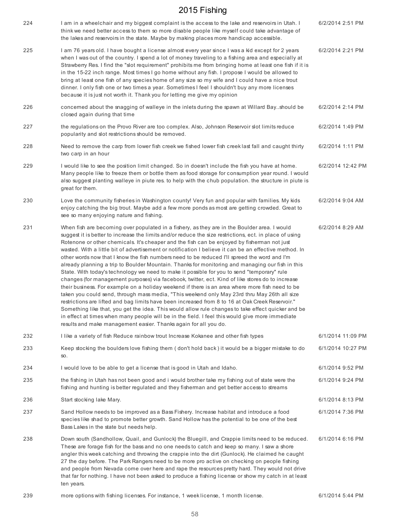| 224 | I am in a wheelchair and my biggest complaint is the access to the lake and reservoirs in Utah. I<br>think we need better access to them so more disable people like myself could take advantage of<br>the lakes and reservoirs in the state. Maybe by making places more handicap accessible.                                                                                                                                                                                                                                                                                                                                                                                                                                                                                                                                                                                                                                                                                                                                                                                                                                                                                                                                                                                                                                                                                                              | 6/2/2014 2:51 PM  |
|-----|-------------------------------------------------------------------------------------------------------------------------------------------------------------------------------------------------------------------------------------------------------------------------------------------------------------------------------------------------------------------------------------------------------------------------------------------------------------------------------------------------------------------------------------------------------------------------------------------------------------------------------------------------------------------------------------------------------------------------------------------------------------------------------------------------------------------------------------------------------------------------------------------------------------------------------------------------------------------------------------------------------------------------------------------------------------------------------------------------------------------------------------------------------------------------------------------------------------------------------------------------------------------------------------------------------------------------------------------------------------------------------------------------------------|-------------------|
| 225 | I am 76 years old. I have bought a license almost every year since I was a kid except for 2 years<br>when I was out of the country. I spend a lot of money traveling to a fishing area and especially at<br>Strawberry Res. I find the "slot requirement" prohibits me from bringing home at least one fish if it is<br>in the 15-22 inch range. Most times I go home without any fish. I propose I would be allowed to<br>bring at least one fish of any species home of any size so my wife and I could have a nice trout<br>dinner. I only fish one or two times a year. Sometimes I feel I shouldn't buy any more licenses<br>because it is just not worth it. Thank you for letting me give my opinion                                                                                                                                                                                                                                                                                                                                                                                                                                                                                                                                                                                                                                                                                                 | 6/2/2014 2:21 PM  |
| 226 | concerned about the snagging of walleye in the inlets during the spawn at Willard Bay. should be<br>closed again during that time                                                                                                                                                                                                                                                                                                                                                                                                                                                                                                                                                                                                                                                                                                                                                                                                                                                                                                                                                                                                                                                                                                                                                                                                                                                                           | 6/2/2014 2:14 PM  |
| 227 | the regulations on the Provo River are too complex. Also, Johnson Reservoir slot limits reduce<br>popularity and slot restrictions should be removed.                                                                                                                                                                                                                                                                                                                                                                                                                                                                                                                                                                                                                                                                                                                                                                                                                                                                                                                                                                                                                                                                                                                                                                                                                                                       | 6/2/2014 1:49 PM  |
| 228 | Need to remove the carp from lower fish creek we fished lower fish creek last fall and caught thirty<br>two carp in an hour                                                                                                                                                                                                                                                                                                                                                                                                                                                                                                                                                                                                                                                                                                                                                                                                                                                                                                                                                                                                                                                                                                                                                                                                                                                                                 | 6/2/2014 1:11 PM  |
| 229 | I would like to see the position limit changed. So in doesn't include the fish you have at home.<br>Many people like to freeze them or bottle them as food storage for consumption year round. I would<br>also suggest planting walleye in piute res. to help with the chub population. the structure in piute is<br>great for them.                                                                                                                                                                                                                                                                                                                                                                                                                                                                                                                                                                                                                                                                                                                                                                                                                                                                                                                                                                                                                                                                        | 6/2/2014 12:42 PM |
| 230 | Love the community fisheries in Washington county! Very fun and popular with families. My kids<br>enjoy catching the big trout. Maybe add a few more ponds as most are getting crowded. Great to<br>see so many enjoying nature and fishing.                                                                                                                                                                                                                                                                                                                                                                                                                                                                                                                                                                                                                                                                                                                                                                                                                                                                                                                                                                                                                                                                                                                                                                | 6/2/2014 9:04 AM  |
| 231 | When fish are becoming over populated in a fishery, as they are in the Boulder area. I would<br>suggest it is better to increase the limits and/or reduce the size restrictions, ect. in place of using<br>Rotenone or other chemicals. It's cheaper and the fish can be enjoyed by fisherman not just<br>wasted. With a little bit of advertisement or notification I believe it can be an effective method. In<br>other words now that I know the fish numbers need to be reduced I'll spreed the word and I'm<br>already planning a trip to Boulder Mountain. Thanks for monitoring and managing our fish in this<br>State. With today's technology we need to make it possible for you to send "temporary" rule<br>changes (for management purposes) via facebook, twitter, ect. Kind of like stores do to increase<br>their business. For example on a holiday weekend if there is an area where more fish need to be<br>taken you could send, through mass media, "This weekend only May 23rd thru May 26th all size<br>restrictions are lifted and bag limits have been increased from 8 to 16 at Oak Creek Reservoir."<br>Something like that, you get the idea. This would allow rule changes to take effect quicker and be<br>in effect at times when many people will be in the field. I feel this would give more immediate<br>results and make management easier. Thanks again for all you do. | 6/2/2014 8:29 AM  |
| 232 | I like a variety of fish Reduce rainbow trout Increase Kokanee and other fish types                                                                                                                                                                                                                                                                                                                                                                                                                                                                                                                                                                                                                                                                                                                                                                                                                                                                                                                                                                                                                                                                                                                                                                                                                                                                                                                         | 6/1/2014 11:09 PM |
| 233 | Keep stocking the boulders love fishing them (don't hold back) it would be a bigger mistake to do<br>SO <sub>1</sub>                                                                                                                                                                                                                                                                                                                                                                                                                                                                                                                                                                                                                                                                                                                                                                                                                                                                                                                                                                                                                                                                                                                                                                                                                                                                                        | 6/1/2014 10:27 PM |
| 234 | I would love to be able to get a license that is good in Utah and Idaho.                                                                                                                                                                                                                                                                                                                                                                                                                                                                                                                                                                                                                                                                                                                                                                                                                                                                                                                                                                                                                                                                                                                                                                                                                                                                                                                                    | 6/1/2014 9:52 PM  |
| 235 | the fishing in Utah has not been good and i would brother take my fishing out of state were the<br>fishing and hunting is better regulated and they fisherman and get better access to streams                                                                                                                                                                                                                                                                                                                                                                                                                                                                                                                                                                                                                                                                                                                                                                                                                                                                                                                                                                                                                                                                                                                                                                                                              | 6/1/2014 9:24 PM  |
| 236 | Start stocking lake Mary.                                                                                                                                                                                                                                                                                                                                                                                                                                                                                                                                                                                                                                                                                                                                                                                                                                                                                                                                                                                                                                                                                                                                                                                                                                                                                                                                                                                   | 6/1/2014 8:13 PM  |
| 237 | Sand Hollow needs to be improved as a Bass Fishery. Increase habitat and introduce a food<br>species like shad to promote better growth. Sand Hollow has the potential to be one of the best<br>Bass Lakes in the state but needs help.                                                                                                                                                                                                                                                                                                                                                                                                                                                                                                                                                                                                                                                                                                                                                                                                                                                                                                                                                                                                                                                                                                                                                                     | 6/1/2014 7:36 PM  |
| 238 | Down south (Sandhollow, Quail, and Gunlock) the Bluegill, and Crappie limits need to be reduced.<br>These are forage fish for the bass and no one needs to catch and keep so many. I saw a shore<br>angler this week catching and throwing the crappie into the dirt (Gunlock). He claimed he caught<br>27 the day before. The Park Rangers need to be more pro active on checking on people fishing<br>and people from Nevada come over here and rape the resources pretty hard. They would not drive<br>that far for nothing. I have not been asked to produce a fishing license or show my catch in at least<br>ten years.                                                                                                                                                                                                                                                                                                                                                                                                                                                                                                                                                                                                                                                                                                                                                                               | 6/1/2014 6:16 PM  |
| 239 | more options with fishing licenses. For instance, 1 week license, 1 month license.                                                                                                                                                                                                                                                                                                                                                                                                                                                                                                                                                                                                                                                                                                                                                                                                                                                                                                                                                                                                                                                                                                                                                                                                                                                                                                                          | 6/1/2014 5:44 PM  |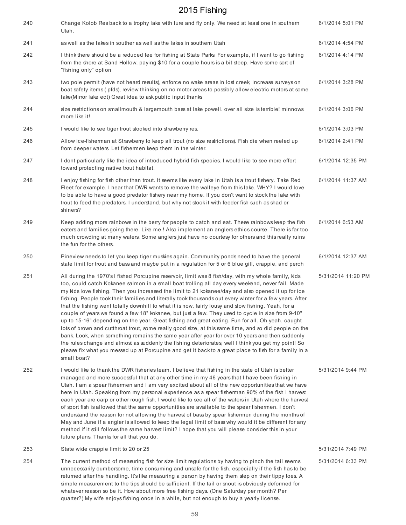| 240 | Change Kolob Res back to a trophy lake with lure and fly only. We need at least one in southern<br>Utah.                                                                                                                                                                                                                                                                                                                                                                                                                                                                                                                                                                                                                                                                                                                                                                                                                                                                                                                                                                                                                                                                               | 6/1/2014 5:01 PM   |
|-----|----------------------------------------------------------------------------------------------------------------------------------------------------------------------------------------------------------------------------------------------------------------------------------------------------------------------------------------------------------------------------------------------------------------------------------------------------------------------------------------------------------------------------------------------------------------------------------------------------------------------------------------------------------------------------------------------------------------------------------------------------------------------------------------------------------------------------------------------------------------------------------------------------------------------------------------------------------------------------------------------------------------------------------------------------------------------------------------------------------------------------------------------------------------------------------------|--------------------|
| 241 | as well as the lakes in souther as well as the lakes in southern Utah                                                                                                                                                                                                                                                                                                                                                                                                                                                                                                                                                                                                                                                                                                                                                                                                                                                                                                                                                                                                                                                                                                                  | 6/1/2014 4:54 PM   |
| 242 | I think there should be a reduced fee for fishing at State Parks. For example, if I want to go fishing<br>from the shore at Sand Hollow, paying \$10 for a couple hours is a bit steep. Have some sort of<br>"fishing only" option                                                                                                                                                                                                                                                                                                                                                                                                                                                                                                                                                                                                                                                                                                                                                                                                                                                                                                                                                     | 6/1/2014 4:14 PM   |
| 243 | two pole permit (have not heard results), enforce no wake areas in lost creek, increase surveys on<br>boat safety items (pfds), review thinking on no motor areas to possibly allow electric motors at some<br>lake(Mirror lake ect) Great idea to ask public input thanks                                                                                                                                                                                                                                                                                                                                                                                                                                                                                                                                                                                                                                                                                                                                                                                                                                                                                                             | 6/1/2014 3:28 PM   |
| 244 | size restrictions on smallmouth & largemouth bass at lake powell, over all size is terrible! minnows<br>more like it!                                                                                                                                                                                                                                                                                                                                                                                                                                                                                                                                                                                                                                                                                                                                                                                                                                                                                                                                                                                                                                                                  | 6/1/2014 3:06 PM   |
| 245 | I would like to see tiger trout stocked into strawberry res.                                                                                                                                                                                                                                                                                                                                                                                                                                                                                                                                                                                                                                                                                                                                                                                                                                                                                                                                                                                                                                                                                                                           | 6/1/2014 3:03 PM   |
| 246 | Allow ice-fisherman at Strawberry to keep all trout (no size restrictions). Fish die when reeled up<br>from deeper waters. Let fishermen keep them in the winter.                                                                                                                                                                                                                                                                                                                                                                                                                                                                                                                                                                                                                                                                                                                                                                                                                                                                                                                                                                                                                      | 6/1/2014 2:41 PM   |
| 247 | I dont particularly like the idea of introduced hybrid fish species. I would like to see more effort<br>toward protecting native trout habitat.                                                                                                                                                                                                                                                                                                                                                                                                                                                                                                                                                                                                                                                                                                                                                                                                                                                                                                                                                                                                                                        | 6/1/2014 12:35 PM  |
| 248 | I enjoy fishing for fish other than trout. It seems like every lake in Utah is a trout fishery. Take Red<br>Fleet for example. I hear that DWR wants to remove the walleye from this lake. WHY? I would love<br>to be able to have a good predator fishery near my home. If you don't want to stock the lake with<br>trout to feed the predators, I understand, but why not stock it with feeder fish such as shad or<br>shiners?                                                                                                                                                                                                                                                                                                                                                                                                                                                                                                                                                                                                                                                                                                                                                      | 6/1/2014 11:37 AM  |
| 249 | Keep adding more rainbows in the berry for people to catch and eat. These rainbows keep the fish<br>eaters and families going there. Like me! Also implement an anglers ethics course. There is far too<br>much crowding at many waters. Some anglers just have no courtesy for others and this really ruins<br>the fun for the others.                                                                                                                                                                                                                                                                                                                                                                                                                                                                                                                                                                                                                                                                                                                                                                                                                                                | 6/1/2014 6:53 AM   |
| 250 | Pineview needs to let you keep tiger muskies again. Community ponds need to have the general<br>state limit for trout and bass and maybe put in a regulation for 5 or 6 blue gill, crappie, and perch                                                                                                                                                                                                                                                                                                                                                                                                                                                                                                                                                                                                                                                                                                                                                                                                                                                                                                                                                                                  | 6/1/2014 12:37 AM  |
| 251 | All during the 1970's I fished Porcupine reservoir, limit was 8 fish/day, with my whole family, kids<br>too, could catch Kokanee salmon in a small boat trolling all day every weekend, never fail. Made<br>my kids love fishing. Then you increased the limit to 21 kokanee/day and also opened it up for ice<br>fishing. People took their families and literally took thousands out every winter for a few years. After<br>that the fishing went totally downhill to what it is now, fairly lousy and slow fishing. Yeah, for a<br>couple of years we found a few 18" kokanee, but just a few. They used to cycle in size from 9-10"<br>up to 15-16" depending on the year. Great fishing and great eating. Fun for all. Oh yeah, caught<br>lots of brown and cutthroat trout, some really good size, at this same time, and so did people on the<br>bank. Look, when something remains the same year after year for over 10 years and then suddenly<br>the rules change and almost as suddenly the fishing deteriorates, well I think you get my point! So<br>please fix what you messed up at Porcupine and get it back to a great place to fish for a family in a<br>small boat? | 5/31/2014 11:20 PM |
| 252 | I would like to thank the DWR fisheries team. I believe that fishing in the state of Utah is better<br>managed and more successful that at any other time in my 46 years that I have been fishing in<br>Utah. I am a spear fishermen and I am very excited about all of the new opportunities that we have<br>here in Utah. Speaking from my personal experience as a spear fisherman 90% of the fish I harvest<br>each year are carp or other rough fish. I would like to see all of the waters in Utah where the harvest<br>of sport fish is allowed that the same opportunities are available to the spear fishermen. I don't<br>understand the reason for not allowing the harvest of bass by spear fishermen during the months of<br>May and June if a angler is allowed to keep the legal limit of bass why would it be different for any<br>method if it still follows the same harvest limit? I hope that you will please consider this in your<br>future plans. Thanks for all that you do.                                                                                                                                                                                   | 5/31/2014 9:44 PM  |
| 253 | State wide crappie limit to 20 or 25                                                                                                                                                                                                                                                                                                                                                                                                                                                                                                                                                                                                                                                                                                                                                                                                                                                                                                                                                                                                                                                                                                                                                   | 5/31/2014 7:49 PM  |
| 254 | The current method of measuring fish for size limit regulations by having to pinch the tail seems<br>unnecessarily cumbersome, time consuming and unsafe for the fish, especially if the fish has to be<br>returned after the handling. It's like measuring a person by having them step on their tippy toes. A<br>simple measurement to the tips should be sufficient. If the tail or snout is obviously deformed for<br>whatever reason so be it. How about more free fishing days. (One Saturday per month? Per                                                                                                                                                                                                                                                                                                                                                                                                                                                                                                                                                                                                                                                                     | 5/31/2014 6:33 PM  |

quarter?) My wife enjoys fishing once in a while, but not enough to buy a yearly license.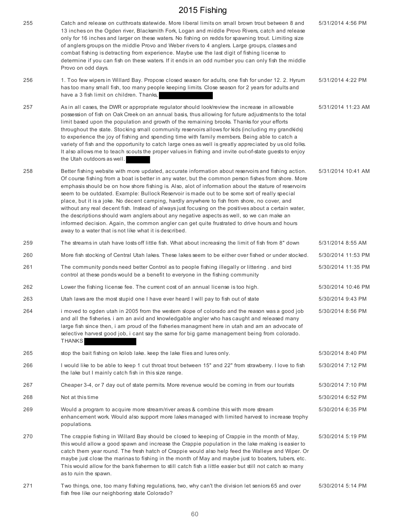| 255 | Catch and release on cutthroats statewide. More liberal limits on small brown trout between 8 and<br>13 inches on the Ogden river, Blacksmith Fork, Logan and middle Provo Rivers, catch and release<br>only for 16 inches and larger on these waters. No fishing on redds for spawning trout. Limiting size<br>of anglers groups on the middle Provo and Weber rivers to 4 anglers. Large groups, classes and<br>combat fishing is detracting from experience. Maybe use the last digit of fishing license to<br>determine if you can fish on these waters. If it ends in an odd number you can only fish the middle<br>Provo on odd days.                                                                                                                                                                                                                                             | 5/31/2014 4:56 PM  |
|-----|-----------------------------------------------------------------------------------------------------------------------------------------------------------------------------------------------------------------------------------------------------------------------------------------------------------------------------------------------------------------------------------------------------------------------------------------------------------------------------------------------------------------------------------------------------------------------------------------------------------------------------------------------------------------------------------------------------------------------------------------------------------------------------------------------------------------------------------------------------------------------------------------|--------------------|
| 256 | 1. Too few wipers in Willard Bay. Propose closed season for adults, one fish for under 12. 2. Hyrum<br>has too many small fish, too many people keeping limits. Close season for 2 years for adults and<br>have a 3 fish limit on children. Thanks,                                                                                                                                                                                                                                                                                                                                                                                                                                                                                                                                                                                                                                     | 5/31/2014 4:22 PM  |
| 257 | As in all cases, the DWR or appropriate regulator should look/review the increase in allowable<br>possession of fish on Oak Creek on an annual basis, thus allowing for future adjustments to the total<br>limit based upon the population and growth of the remaining brooks. Thanks for your efforts<br>throughout the state. Stocking small community reservoirs allows for kids (including my grandkids)<br>to experience the joy of fishing and spending time with family members. Being able to catch a<br>variety of fish and the opportunity to catch large ones as well is greatly appreciated by us old folks.<br>It also allows me to teach scouts the proper values in fishing and invite out-of-state guests to enjoy<br>the Utah outdoors as well.                                                                                                                        | 5/31/2014 11:23 AM |
| 258 | Better fishing website with more updated, accurate information about reservoirs and fishing action.<br>Of course fishing from a boat is better in any water, but the common person fishes from shore. More<br>emphasis should be on how shore fishing is. Also, alot of information about the stature of reservoirs<br>seem to be outdated. Example: Bullock Reservoir is made out to be some sort of really special<br>place, but it is a joke. No decent camping, hardly anywhere to fish from shore, no cover, and<br>without any real decent fish. Instead of always just focusing on the positives about a certain water,<br>the descriptions should warn anglers about any negative aspects as well, so we can make an<br>informed decision. Again, the common angler can get quite frustrated to drive hours and hours<br>away to a water that is not like what it is described. | 5/31/2014 10:41 AM |
| 259 | The streams in utah have losts off little fish. What about increasing the limit of fish from 8" down                                                                                                                                                                                                                                                                                                                                                                                                                                                                                                                                                                                                                                                                                                                                                                                    | 5/31/2014 8:55 AM  |
| 260 | More fish stocking of Central Utah lakes. These lakes seem to be either over fished or under stocked.                                                                                                                                                                                                                                                                                                                                                                                                                                                                                                                                                                                                                                                                                                                                                                                   | 5/30/2014 11:53 PM |
| 261 | The community ponds need better Control as to people fishing illegally or littering. and bird<br>control at these ponds would be a benefit to everyone in the fishing community                                                                                                                                                                                                                                                                                                                                                                                                                                                                                                                                                                                                                                                                                                         | 5/30/2014 11:35 PM |
| 262 | Lower the fishing license fee. The current cost of an annual license is too high.                                                                                                                                                                                                                                                                                                                                                                                                                                                                                                                                                                                                                                                                                                                                                                                                       | 5/30/2014 10:46 PM |
| 263 | Utah laws are the most stupid one I have ever heard I will pay to fish out of state                                                                                                                                                                                                                                                                                                                                                                                                                                                                                                                                                                                                                                                                                                                                                                                                     | 5/30/2014 9:43 PM  |
| 264 | i moved to ogden utah in 2005 from the western slope of colorado and the reason was a good job<br>and all the fisheries. i am an avid and knowledgable angler who has caught and released many<br>large fish since then, i am proud of the fisheries managment here in utah and am an advocate of<br>selective harvest good job, i cant say the same for big game management being from colorado.<br><b>THANKS</b>                                                                                                                                                                                                                                                                                                                                                                                                                                                                      | 5/30/2014 8:56 PM  |
| 265 | stop the bait fishing on kolob lake. keep the lake flies and lures only.                                                                                                                                                                                                                                                                                                                                                                                                                                                                                                                                                                                                                                                                                                                                                                                                                | 5/30/2014 8:40 PM  |
| 266 | I would like to be able to keep 1 cut throat trout between 15" and 22" from strawberry. I love to fish<br>the lake but I mainly catch fish in this size range.                                                                                                                                                                                                                                                                                                                                                                                                                                                                                                                                                                                                                                                                                                                          | 5/30/2014 7:12 PM  |
| 267 | Cheaper 3-4, or 7 day out of state permits. More revenue would be coming in from our tourists                                                                                                                                                                                                                                                                                                                                                                                                                                                                                                                                                                                                                                                                                                                                                                                           | 5/30/2014 7:10 PM  |
| 268 | Not at this time                                                                                                                                                                                                                                                                                                                                                                                                                                                                                                                                                                                                                                                                                                                                                                                                                                                                        | 5/30/2014 6:52 PM  |
| 269 | Would a program to acquire more stream/river areas & combine this with more stream<br>enhancement work. Would also support more lakes managed with limited harvest to increase trophy<br>populations.                                                                                                                                                                                                                                                                                                                                                                                                                                                                                                                                                                                                                                                                                   | 5/30/2014 6:35 PM  |
| 270 | The crappie fishing in Willard Bay should be closed to keeping of Crappie in the month of May,<br>this would allow a good spawn and increase the Crappie population in the lake making is easier to<br>catch them year round. The fresh hatch of Crappie would also help feed the Walleye and Wiper. Or<br>maybe just close the marinas to fishing in the month of May and maybe just to boaters, tubers, etc.<br>This would allow for the bank fishermen to still catch fish a little easier but still not catch so many<br>as to ruin the spawn.                                                                                                                                                                                                                                                                                                                                      | 5/30/2014 5:19 PM  |
| 271 | Two things, one, too many fishing regulations, two, why can't the division let seniors 65 and over<br>fish free like our neighboring state Colorado?                                                                                                                                                                                                                                                                                                                                                                                                                                                                                                                                                                                                                                                                                                                                    | 5/30/2014 5:14 PM  |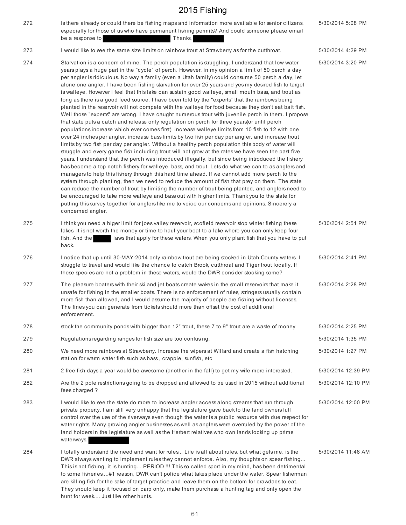| 272 | Is there already or could there be fishing maps and information more available for senior citizens,<br>especially for those of us who have permanent fishing permits? And could someone please email<br>be a response to<br>Thanks,                                                                                                                                                                                                                                                                                                                                                                                                                                                                                                                                                                                                                                                                                                                                                                                                                                                                                                                                                                                                                                                                                                                                                                                                                                                                                                                                                                                                                                                                                                                                                                                                                                                                                                                                                                                                                                                                               | 5/30/2014 5:08 PM  |
|-----|-------------------------------------------------------------------------------------------------------------------------------------------------------------------------------------------------------------------------------------------------------------------------------------------------------------------------------------------------------------------------------------------------------------------------------------------------------------------------------------------------------------------------------------------------------------------------------------------------------------------------------------------------------------------------------------------------------------------------------------------------------------------------------------------------------------------------------------------------------------------------------------------------------------------------------------------------------------------------------------------------------------------------------------------------------------------------------------------------------------------------------------------------------------------------------------------------------------------------------------------------------------------------------------------------------------------------------------------------------------------------------------------------------------------------------------------------------------------------------------------------------------------------------------------------------------------------------------------------------------------------------------------------------------------------------------------------------------------------------------------------------------------------------------------------------------------------------------------------------------------------------------------------------------------------------------------------------------------------------------------------------------------------------------------------------------------------------------------------------------------|--------------------|
| 273 | I would like to see the same size limits on rainbow trout at Strawberry as for the cutthroat.                                                                                                                                                                                                                                                                                                                                                                                                                                                                                                                                                                                                                                                                                                                                                                                                                                                                                                                                                                                                                                                                                                                                                                                                                                                                                                                                                                                                                                                                                                                                                                                                                                                                                                                                                                                                                                                                                                                                                                                                                     | 5/30/2014 4:29 PM  |
| 274 | Starvation is a concern of mine. The perch population is struggling. I understand that low water<br>years plays a huge part in the "cycle" of perch. However, in my opinion a limit of 50 perch a day<br>per angler is ridiculous. No way a family (even a Utah family) could consume 50 perch a day, let<br>alone one angler. I have been fishing starvation for over 25 years and yes my desired fish to target<br>is walleye. However I feel that this lake can sustain good walleye, small mouth bass, and trout as<br>long as there is a good feed source. I have been told by the "experts" that the rainbows being<br>planted in the reservoir will not compete with the walleye for food because they don't eat bait fish.<br>Well those "experts" are wrong. I have caught numerous trout with juvenile perch in them. I propose<br>that state puts a catch and release only regulation on perch for three years (or until perch<br>populations increase which ever comes first), increase walleye limits from 10 fish to 12 with one<br>over 24 inches per angler, increase bass limits by two fish per day per angler, and increase trout<br>limits by two fish per day per angler. Without a healthy perch population this body of water will<br>struggle and every game fish including trout will not grow at the rates we have seen the past five<br>years. I understand that the perch was introduced illegally, but since being introduced the fishery<br>has become a top notch fishery for walleye, bass, and trout. Lets do what we can to as anglers and<br>managers to help this fishery through this hard time ahead. If we cannot add more perch to the<br>system through planting, then we need to reduce the amount of fish that prey on them. The state<br>can reduce the number of trout by limiting the number of trout being planted, and anglers need to<br>be encouraged to take more walleye and bass out with higher limits. Thank you to the state for<br>putting this survey together for anglers like me to voice our concerns and opinions. Sincerely a<br>concerned angler. | 5/30/2014 3:20 PM  |
| 275 | I think you need a biger limit for joes valley reservoir, scofield reservoir stop winter fishing these<br>lakes. It is not worth the money or time to haul your boat to a lake where you can only keep four<br>fish. And the<br>laws that apply for these waters. When you only plant fish that you have to put<br>back.                                                                                                                                                                                                                                                                                                                                                                                                                                                                                                                                                                                                                                                                                                                                                                                                                                                                                                                                                                                                                                                                                                                                                                                                                                                                                                                                                                                                                                                                                                                                                                                                                                                                                                                                                                                          | 5/30/2014 2:51 PM  |
| 276 | I notice that up until 30-MAY-2014 only rainbow trout are being stocked in Utah County waters. I<br>struggle to travel and would like the chance to catch Brook, cutthroat and Tiger trout locally. If<br>these species are not a problem in these waters, would the DWR consider stocking some?                                                                                                                                                                                                                                                                                                                                                                                                                                                                                                                                                                                                                                                                                                                                                                                                                                                                                                                                                                                                                                                                                                                                                                                                                                                                                                                                                                                                                                                                                                                                                                                                                                                                                                                                                                                                                  | 5/30/2014 2:41 PM  |
| 277 | The pleasure boaters with their ski and jet boats create wakes in the small reservoirs that make it<br>unsafe for fishing in the smaller boats. There is no enforcement of rules, stringers usually contain<br>more fish than allowed, and I would assume the majority of people are fishing without licenses.<br>The fines you can generate from tickets should more than offset the cost of additional<br>enforcement.                                                                                                                                                                                                                                                                                                                                                                                                                                                                                                                                                                                                                                                                                                                                                                                                                                                                                                                                                                                                                                                                                                                                                                                                                                                                                                                                                                                                                                                                                                                                                                                                                                                                                          | 5/30/2014 2:28 PM  |
| 278 | stock the community ponds with bigger than 12" trout, these 7 to 9" trout are a waste of money                                                                                                                                                                                                                                                                                                                                                                                                                                                                                                                                                                                                                                                                                                                                                                                                                                                                                                                                                                                                                                                                                                                                                                                                                                                                                                                                                                                                                                                                                                                                                                                                                                                                                                                                                                                                                                                                                                                                                                                                                    | 5/30/2014 2:25 PM  |
| 279 | Regulations regarding ranges for fish size are too confusing.                                                                                                                                                                                                                                                                                                                                                                                                                                                                                                                                                                                                                                                                                                                                                                                                                                                                                                                                                                                                                                                                                                                                                                                                                                                                                                                                                                                                                                                                                                                                                                                                                                                                                                                                                                                                                                                                                                                                                                                                                                                     | 5/30/2014 1:35 PM  |
| 280 | We need more rainbows at Strawberry. Increase the wipers at Willard and create a fish hatching<br>station for warm water fish such as bass, crappie, sunfish, etc                                                                                                                                                                                                                                                                                                                                                                                                                                                                                                                                                                                                                                                                                                                                                                                                                                                                                                                                                                                                                                                                                                                                                                                                                                                                                                                                                                                                                                                                                                                                                                                                                                                                                                                                                                                                                                                                                                                                                 | 5/30/2014 1:27 PM  |
| 281 | 2 free fish days a year would be awesome (another in the fall) to get my wife more interested.                                                                                                                                                                                                                                                                                                                                                                                                                                                                                                                                                                                                                                                                                                                                                                                                                                                                                                                                                                                                                                                                                                                                                                                                                                                                                                                                                                                                                                                                                                                                                                                                                                                                                                                                                                                                                                                                                                                                                                                                                    | 5/30/2014 12:39 PM |
| 282 | Are the 2 pole restrictions going to be dropped and allowed to be used in 2015 without additional<br>fees charged?                                                                                                                                                                                                                                                                                                                                                                                                                                                                                                                                                                                                                                                                                                                                                                                                                                                                                                                                                                                                                                                                                                                                                                                                                                                                                                                                                                                                                                                                                                                                                                                                                                                                                                                                                                                                                                                                                                                                                                                                | 5/30/2014 12:10 PM |
| 283 | I would like to see the state do more to increase angler access along streams that run through<br>private property. I am still very unhappy that the legislature gave back to the land owners full<br>control over the use of the riverways even though the water is a public resource with due respect for<br>water rights. Many growing angler businesses as well as anglers were overruled by the power of the<br>land holders in the legislature as well as the Herbert relatives who own lands locking up prime<br>waterways.                                                                                                                                                                                                                                                                                                                                                                                                                                                                                                                                                                                                                                                                                                                                                                                                                                                                                                                                                                                                                                                                                                                                                                                                                                                                                                                                                                                                                                                                                                                                                                                | 5/30/2014 12:00 PM |
| 284 | I totally understand the need and want for rules Life is all about rules, but what gets me, is the<br>DWR always wanting to implement rules they cannot enforce. Also, my thoughts on spear fishing<br>This is not fishing, it is hunting PERIOD !!! This so called sport in my mind, has been detrimental<br>to some fisheries#1 reason, DWR can't police what takes place under the water. Spear fisherman<br>are killing fish for the sake of target practice and leave them on the bottom for crawdads to eat.<br>They should keep it focused on carp only, make them purchase a hunting tag and only open the                                                                                                                                                                                                                                                                                                                                                                                                                                                                                                                                                                                                                                                                                                                                                                                                                                                                                                                                                                                                                                                                                                                                                                                                                                                                                                                                                                                                                                                                                                | 5/30/2014 11:48 AM |

hunt for week... Just like other hunts.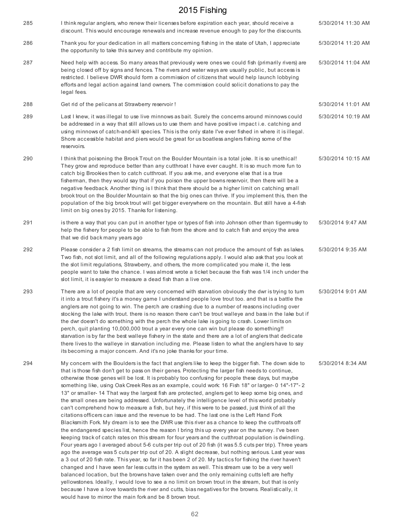| 285 | I think regular anglers, who renew their licenses before expiration each year, should receive a<br>discount. This would encourage renewals and increase revenue enough to pay for the discounts.                                                                                                                                                                                                                                                                                                                                                                                                                                                                                                                                                                                                                                                                                                                                                                                                                                                                                                                                                                                                                                                                                                                                                                                                                                                                                                                                                                                                                                                                                                                                                                                                                                                                                                                                                                  | 5/30/2014 11:30 AM |
|-----|-------------------------------------------------------------------------------------------------------------------------------------------------------------------------------------------------------------------------------------------------------------------------------------------------------------------------------------------------------------------------------------------------------------------------------------------------------------------------------------------------------------------------------------------------------------------------------------------------------------------------------------------------------------------------------------------------------------------------------------------------------------------------------------------------------------------------------------------------------------------------------------------------------------------------------------------------------------------------------------------------------------------------------------------------------------------------------------------------------------------------------------------------------------------------------------------------------------------------------------------------------------------------------------------------------------------------------------------------------------------------------------------------------------------------------------------------------------------------------------------------------------------------------------------------------------------------------------------------------------------------------------------------------------------------------------------------------------------------------------------------------------------------------------------------------------------------------------------------------------------------------------------------------------------------------------------------------------------|--------------------|
| 286 | Thank you for your dedication in all matters concerning fishing in the state of Utah, I appreciate<br>the opportunity to take this survey and contribute my opinion.                                                                                                                                                                                                                                                                                                                                                                                                                                                                                                                                                                                                                                                                                                                                                                                                                                                                                                                                                                                                                                                                                                                                                                                                                                                                                                                                                                                                                                                                                                                                                                                                                                                                                                                                                                                              | 5/30/2014 11:20 AM |
| 287 | Need help with access. So many areas that previously were ones we could fish (primarily rivers) are<br>being closed off by signs and fences. The rivers and water ways are usually public, but access is<br>restricted. I believe DWR should form a commission of citizens that would help launch lobbying<br>efforts and legal action against land owners. The commission could solicit donations to pay the<br>legal fees.                                                                                                                                                                                                                                                                                                                                                                                                                                                                                                                                                                                                                                                                                                                                                                                                                                                                                                                                                                                                                                                                                                                                                                                                                                                                                                                                                                                                                                                                                                                                      | 5/30/2014 11:04 AM |
| 288 | Get rid of the pelicans at Strawberry reservoir !                                                                                                                                                                                                                                                                                                                                                                                                                                                                                                                                                                                                                                                                                                                                                                                                                                                                                                                                                                                                                                                                                                                                                                                                                                                                                                                                                                                                                                                                                                                                                                                                                                                                                                                                                                                                                                                                                                                 | 5/30/2014 11:01 AM |
| 289 | Last I knew, it was illegal to use live minnows as bait. Surely the concerns around minnows could<br>be addressed in a way that still allows us to use them and have positive impact i.e. catching and<br>using minnows of catch-and-kill species. This is the only state I've ever fished in where it is illegal.<br>Shore accessible habitat and piers would be great for us boatless anglers fishing some of the<br>reservoirs.                                                                                                                                                                                                                                                                                                                                                                                                                                                                                                                                                                                                                                                                                                                                                                                                                                                                                                                                                                                                                                                                                                                                                                                                                                                                                                                                                                                                                                                                                                                                | 5/30/2014 10:19 AM |
| 290 | I think that poisoning the Brook Trout on the Boulder Mountain is a total joke. It is so unethical!<br>They grow and reproduce better than any cutthroat I have ever caught. It is so much more fun to<br>catch big Brookies then to catch cutthroat. If you ask me, and everyone else that is a true<br>fisherman, then they would say that if you poison the upper bowns reservoir, then there will be a<br>negative feedback. Another thing is I think that there should be a higher limit on catching small<br>brook trout on the Boulder Mountain so that the big ones can thrive. If you implement this, then the<br>population of the big brook trout will get bigger everywhere on the mountain. But still have a 4-fish<br>limit on big ones by 2015. Thanks for listening.                                                                                                                                                                                                                                                                                                                                                                                                                                                                                                                                                                                                                                                                                                                                                                                                                                                                                                                                                                                                                                                                                                                                                                              | 5/30/2014 10:15 AM |
| 291 | is there a way that you can put in another type or types of fish into Johnson other than tigermusky to<br>help the fishery for people to be able to fish from the shore and to catch fish and enjoy the area<br>that we did back many years ago                                                                                                                                                                                                                                                                                                                                                                                                                                                                                                                                                                                                                                                                                                                                                                                                                                                                                                                                                                                                                                                                                                                                                                                                                                                                                                                                                                                                                                                                                                                                                                                                                                                                                                                   | 5/30/2014 9:47 AM  |
| 292 | Please consider a 2 fish limit on streams, the streams can not produce the amount of fish as lakes.<br>Two fish, not slot limit, and all of the following regulations apply. I would also ask that you look at<br>the slot limit regulations, Strawberry, and others, the more complicated you make it, the less<br>people want to take the chance. I was almost wrote a ticket because the fish was 1/4 inch under the<br>slot limit, it is easyler to measure a dead fish than a live one.                                                                                                                                                                                                                                                                                                                                                                                                                                                                                                                                                                                                                                                                                                                                                                                                                                                                                                                                                                                                                                                                                                                                                                                                                                                                                                                                                                                                                                                                      | 5/30/2014 9:35 AM  |
| 293 | There are a lot of people that are very concerned with starvation obviously the dwr is trying to turn<br>it into a trout fishery it's a money game I understand people love trout too. and that is a battle the<br>anglers are not going to win. The perch are crashing due to a number of reasons including over<br>stocking the lake with trout. there is no reason there can't be trout walleye and bass in the lake but if<br>the dwr doesn't do something with the perch the whole lake is going to crash. Lower limits on<br>perch, quit planting 10,000,000 trout a year every one can win but please do something!!<br>starvation is by far the best walleye fishery in the state and there are a lot of anglers that dedicate<br>there lives to the walleye in starvation including me. Please listen to what the anglers have to say<br>its becoming a major concern. And it's no joke thanks for your time.                                                                                                                                                                                                                                                                                                                                                                                                                                                                                                                                                                                                                                                                                                                                                                                                                                                                                                                                                                                                                                            | 5/30/2014 9:01 AM  |
| 294 | My concern with the Boulders is the fact that anglers like to keep the bigger fish. The down side to<br>that is those fish don't get to pass on their genes. Protecting the larger fish needs to continue,<br>otherwise those genes will be lost. It is probably too confusing for people these days, but maybe<br>something like, using Oak Creek Res as an example, could work: 16 Fish 18" or larger- 0 14"-17"-2<br>13" or smaller-14 That way the largest fish are protected, anglers get to keep some big ones, and<br>the small ones are being addressed. Unfortunately the intelligence level of this world probably<br>can't comprehend how to measure a fish, but hey, if this were to be passed, just think of all the<br>citations officers can issue and the revenue to be had. The last one is the Left Hand Fork<br>Blacksmith Fork. My dream is to see the DWR use this river as a chance to keep the cutthroats off<br>the endangered species list, hence the reason I bring this up every year on the survey. I've been<br>keeping track of catch rates on this stream for four years and the cutthroat population is dwindling.<br>Four years ago I averaged about 5-6 cuts per trip out of 20 fish (it was 5.5 cuts per trip). Three years<br>ago the average was 5 cuts per trip out of 20. A slight decrease, but nothing serious. Last year was<br>a 3 out of 20 fish rate. This year, so far it has been 2 of 20. My tactics for fishing the river haven't<br>changed and I have seen far less cutts in the system as well. This stream use to be a very well<br>balanced location, but the browns have taken over and the only remaining cutts left are hefty<br>yellowstones. Ideally, I would love to see a no limit on brown trout in the stream, but that is only<br>because I have a love towards the river and cutts, bias negatives for the browns. Realistically, it<br>would have to mirror the main fork and be 8 brown trout. | 5/30/2014 8:34 AM  |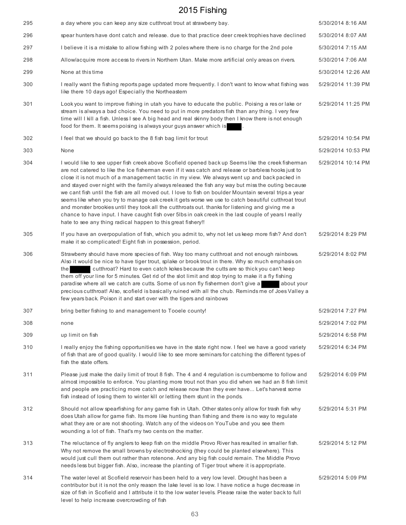| 295 | a day where you can keep any size cutthroat trout at strawberry bay.                                                                                                                                                                                                                                                                                                                                                                                                                                                                                                                                                                                                                                                                                                                                                                                                                                          | 5/30/2014 8:16 AM  |
|-----|---------------------------------------------------------------------------------------------------------------------------------------------------------------------------------------------------------------------------------------------------------------------------------------------------------------------------------------------------------------------------------------------------------------------------------------------------------------------------------------------------------------------------------------------------------------------------------------------------------------------------------------------------------------------------------------------------------------------------------------------------------------------------------------------------------------------------------------------------------------------------------------------------------------|--------------------|
| 296 | spear hunters have dont catch and release, due to that practice deer creek trophies have declined                                                                                                                                                                                                                                                                                                                                                                                                                                                                                                                                                                                                                                                                                                                                                                                                             | 5/30/2014 8:07 AM  |
| 297 | I believe it is a mistake to allow fishing with 2 poles where there is no charge for the 2nd pole                                                                                                                                                                                                                                                                                                                                                                                                                                                                                                                                                                                                                                                                                                                                                                                                             | 5/30/2014 7:15 AM  |
| 298 | Allow/acquire more access to rivers in Northern Utan. Make more artificial only areas on rivers.                                                                                                                                                                                                                                                                                                                                                                                                                                                                                                                                                                                                                                                                                                                                                                                                              | 5/30/2014 7:06 AM  |
| 299 | None at this time                                                                                                                                                                                                                                                                                                                                                                                                                                                                                                                                                                                                                                                                                                                                                                                                                                                                                             | 5/30/2014 12:26 AM |
| 300 | I really want the fishing reports page updated more frequently. I don't want to know what fishing was<br>like there 10 days ago! Especially the Northeastern                                                                                                                                                                                                                                                                                                                                                                                                                                                                                                                                                                                                                                                                                                                                                  | 5/29/2014 11:39 PM |
| 301 | Look you want to improve fishing in utah you have to educate the public. Poising a res or lake or<br>stream is always a bad choice. You need to put in more predators fish than any thing. I very few<br>time will I kill a fish. Unless I see A big head and real skinny body then I know there is not enough<br>food for them. It seems poising is always your guys answer which is                                                                                                                                                                                                                                                                                                                                                                                                                                                                                                                         | 5/29/2014 11:25 PM |
| 302 | I feel that we should go back to the 8 fish bag limit for trout                                                                                                                                                                                                                                                                                                                                                                                                                                                                                                                                                                                                                                                                                                                                                                                                                                               | 5/29/2014 10:54 PM |
| 303 | None                                                                                                                                                                                                                                                                                                                                                                                                                                                                                                                                                                                                                                                                                                                                                                                                                                                                                                          | 5/29/2014 10:53 PM |
| 304 | I would like to see upper fish creek above Scofield opened back up Seems like the creek fisherman<br>are not catered to like the Ice fisherman even if it was catch and release or barbless hooks just to<br>close it is not much of a management tactic in my view. We always went up and back packed in<br>and stayed over night with the family always released the fish any way but miss the outing because<br>we cant fish until the fish are all moved out. I love to fish on boulder Mountain several trips a year<br>seems like when you try to manage oak creek it gets worse we use to catch beautiful cutthroat trout<br>and monster brookies until they took all the cutthroats out. thanks for listening and giving me a<br>chance to have input. I have caught fish over 5lbs in oak creek in the last couple of years I really<br>hate to see any thing radical happen to this great fishery!! | 5/29/2014 10:14 PM |
| 305 | If you have an overpopulation of fish, which you admit to, why not let us keep more fish? And don't<br>make it so complicated! Eight fish in possession, period.                                                                                                                                                                                                                                                                                                                                                                                                                                                                                                                                                                                                                                                                                                                                              | 5/29/2014 8:29 PM  |
| 306 | Strawberry should have more species of fish. Way too many cutthroat and not enough rainbows.<br>Also it would be nice to have tiger trout, splake or brook trout in there. Why so much emphasis on<br>cutthroat? Hard to even catch kokes because the cutts are so thick you can't keep<br>the<br>them off your line for 5 minutes. Get rid of the slot limit and stop trying to make it a fly fishing<br>paradise where all we catch are cutts. Some of us non fly fishermen don't give a<br>about your<br>precious cutthroat! Also, scofield is basically ruined with all the chub. Reminds me of Joes Valley a<br>few years back. Poison it and start over with the tigers and rainbows                                                                                                                                                                                                                    | 5/29/2014 8:02 PM  |
| 307 | bring better fishing to and management to Tooele county!                                                                                                                                                                                                                                                                                                                                                                                                                                                                                                                                                                                                                                                                                                                                                                                                                                                      | 5/29/2014 7:27 PM  |
| 308 | none                                                                                                                                                                                                                                                                                                                                                                                                                                                                                                                                                                                                                                                                                                                                                                                                                                                                                                          | 5/29/2014 7:02 PM  |
| 309 | up limit on fish                                                                                                                                                                                                                                                                                                                                                                                                                                                                                                                                                                                                                                                                                                                                                                                                                                                                                              | 5/29/2014 6:58 PM  |
| 310 | I really enjoy the fishing opportunities we have in the state right now. I feel we have a good variety<br>of fish that are of good quality. I would like to see more seminars for catching the different types of<br>fish the state offers.                                                                                                                                                                                                                                                                                                                                                                                                                                                                                                                                                                                                                                                                   | 5/29/2014 6:34 PM  |
| 311 | Please just make the daily limit of trout 8 fish. The 4 and 4 regulation is cumbersome to follow and<br>almost impossible to enforce. You planting more trout not than you did when we had an 8 fish limit<br>and people are practicing more catch and release now than they ever have Let's harvest some<br>fish instead of losing them to winter kill or letting them stunt in the ponds.                                                                                                                                                                                                                                                                                                                                                                                                                                                                                                                   | 5/29/2014 6:09 PM  |
| 312 | Should not allow spearfishing for any game fish in Utah. Other states only allow for trash fish why<br>does Utah allow for game fish. Its more like hunting than fishing and there is no way to regulate<br>what they are or are not shooting. Watch any of the videos on YouTube and you see them<br>wounding a lot of fish. That's my two cents on the matter.                                                                                                                                                                                                                                                                                                                                                                                                                                                                                                                                              | 5/29/2014 5:31 PM  |
| 313 | The reluctance of fly anglers to keep fish on the middle Provo River has resulted in smaller fish.<br>Why not remove the small browns by electroshocking (they could be planted elsewhere). This<br>would just cull them out rather than rotenone. And any big fish could remain. The Middle Provo<br>needs less but bigger fish. Also, increase the planting of Tiger trout where it is appropriate.                                                                                                                                                                                                                                                                                                                                                                                                                                                                                                         | 5/29/2014 5:12 PM  |
| 314 | The water level at Scofield reservoir has been held to a very low level. Drought has been a<br>contributor but it is not the only reason the lake level is so low. I have notice a huge decrease in<br>size of fish in Scofield and I attribute it to the low water levels. Please raise the water back to full<br>level to help increase overcrowding of fish                                                                                                                                                                                                                                                                                                                                                                                                                                                                                                                                                | 5/29/2014 5:09 PM  |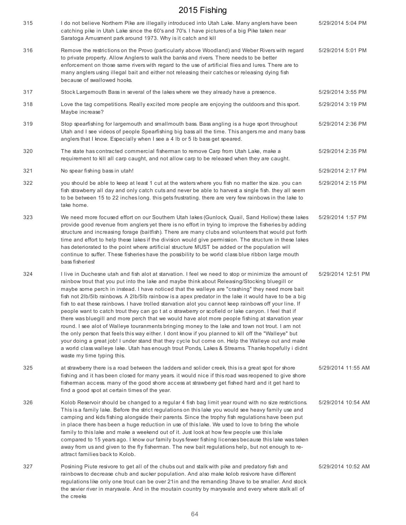| 315 | I do not believe Northem Pike are illegally introduced into Utah Lake. Many anglers have been<br>catching pike in Utah Lake since the 60's and 70's. I have pictures of a big Pike taken near<br>Saratoga Amusment park around 1973. Why is it catch and kill                                                                                                                                                                                                                                                                                                                                                                                                                                                                                                                                                                                                                                                                                                                                                                                                                                                                                                                              | 5/29/2014 5:04 PM  |
|-----|--------------------------------------------------------------------------------------------------------------------------------------------------------------------------------------------------------------------------------------------------------------------------------------------------------------------------------------------------------------------------------------------------------------------------------------------------------------------------------------------------------------------------------------------------------------------------------------------------------------------------------------------------------------------------------------------------------------------------------------------------------------------------------------------------------------------------------------------------------------------------------------------------------------------------------------------------------------------------------------------------------------------------------------------------------------------------------------------------------------------------------------------------------------------------------------------|--------------------|
| 316 | Remove the restrictions on the Provo (particularly above Woodland) and Weber Rivers with regard<br>to private property. Allow Anglers to walk the banks and rivers. There needs to be better<br>enforcement on those same rivers with regard to the use of artificial flies and lures. There are to<br>many anglers using illegal bait and either not releasing their catches or releasing dying fish<br>because of swallowed hooks.                                                                                                                                                                                                                                                                                                                                                                                                                                                                                                                                                                                                                                                                                                                                                       | 5/29/2014 5:01 PM  |
| 317 | Stock Largemouth Bass in several of the lakes where we they already have a presence.                                                                                                                                                                                                                                                                                                                                                                                                                                                                                                                                                                                                                                                                                                                                                                                                                                                                                                                                                                                                                                                                                                       | 5/29/2014 3:55 PM  |
| 318 | Love the tag competitions. Really excited more people are enjoying the outdoors and this sport.<br>Maybe increase?                                                                                                                                                                                                                                                                                                                                                                                                                                                                                                                                                                                                                                                                                                                                                                                                                                                                                                                                                                                                                                                                         | 5/29/2014 3:19 PM  |
| 319 | Stop spearfishing for largemouth and smallmouth bass. Bass angling is a huge sport throughout<br>Utah and I see videos of people Spearfishing big bass all the time. This angers me and many bass<br>anglers that I know. Especially when I see a 4 Ib or 5 Ib bass get speared.                                                                                                                                                                                                                                                                                                                                                                                                                                                                                                                                                                                                                                                                                                                                                                                                                                                                                                           | 5/29/2014 2:36 PM  |
| 320 | The state has contracted commercial fisherman to remove Carp from Utah Lake, make a<br>requirement to kill all carp caught, and not allow carp to be released when they are caught.                                                                                                                                                                                                                                                                                                                                                                                                                                                                                                                                                                                                                                                                                                                                                                                                                                                                                                                                                                                                        | 5/29/2014 2:35 PM  |
| 321 | No spear fishing bass in utah!                                                                                                                                                                                                                                                                                                                                                                                                                                                                                                                                                                                                                                                                                                                                                                                                                                                                                                                                                                                                                                                                                                                                                             | 5/29/2014 2:17 PM  |
| 322 | you should be able to keep at least 1 cut at the waters where you fish no matter the size. you can<br>fish strawberry all day and only catch cuts and never be able to harvest a single fish. they all seem<br>to be between 15 to 22 inches long. this gets frustrating. there are very few rainbows in the lake to<br>take home.                                                                                                                                                                                                                                                                                                                                                                                                                                                                                                                                                                                                                                                                                                                                                                                                                                                         | 5/29/2014 2:15 PM  |
| 323 | We need more focused effort on our Southern Utah lakes (Gunlock, Quail, Sand Hollow) these lakes<br>provide good revenue from anglers yet there is no effort in trying to improve the fisheries by adding<br>structure and increasing forage (baitfish). There are many clubs and volunteers that would put forth<br>time and effort to help these lakes if the division would give permission. The structure in these lakes<br>has deteriorated to the point where artificial structure MUST be added or the population will<br>continue to suffer. These fisheries have the possibility to be world class blue ribbon large mouth<br>bass fisheries!                                                                                                                                                                                                                                                                                                                                                                                                                                                                                                                                     | 5/29/2014 1:57 PM  |
| 324 | I live in Duchesne utah and fish alot at starvation. I feel we need to stop or minimize the amount of<br>rainbow trout that you put into the lake and maybe think about Releasing/Stocking bluegill or<br>maybe some perch in instead. I have noticed that the walleye are "crashing" they need more bait<br>fish not 2lb/5lb rainbows. A 2lb/5lb rainbow is a apex predator in the lake it would have to be a big<br>fish to eat these rainbows. I have trolled starvation alot you cannot keep rainbows off your line. If<br>people want to catch trout they can go t at o strawberry or scofield or lake canyon. I feel that if<br>there was bluegill and more perch that we would have alot more people fishing at starvation year<br>round. I see alot of Walleye touranments bringing money to the lake and town not trout. I am not<br>the only person that feels this way either. I dont know if you planned to kill off the "Walleye" but<br>your doing a great job! I under stand that they cycle but come on. Help the Walleye out and make<br>a world class walleye lake. Utah has enough trout Ponds, Lakes & Streams. Thanks hopefully i didnt<br>waste my time typing this. | 5/29/2014 12:51 PM |
| 325 | at strawberry there is a road between the ladders and solider creek, this is a great spot for shore<br>fishing and it has been closed for many years. it would nice if this road was reopened to give shore<br>fisherman access. many of the good shore access at strawberry get fished hard and it get hard to<br>find a good spot at certain times of the year.                                                                                                                                                                                                                                                                                                                                                                                                                                                                                                                                                                                                                                                                                                                                                                                                                          | 5/29/2014 11:55 AM |
| 326 | Kolob Reservoir should be changed to a regular 4 fish bag limit year round with no size restrictions.<br>This is a family lake. Before the strict regulations on this lake you would see heavy family use and<br>camping and kids fishing alongside their parents. Since the trophy fish regulations have been put<br>in place there has been a huge reduction in use of this lake. We used to love to bring the whole<br>family to this lake and make a weekend out of it. Just look at how few people use this lake<br>compared to 15 years ago. I know our family buys fewer fishing licenses because this lake was taken<br>away from us and given to the fly fisherman. The new bait regulations help, but not enough to re-<br>attract families back to Kolob.                                                                                                                                                                                                                                                                                                                                                                                                                       | 5/29/2014 10:54 AM |
| 327 | Posining Piute resivore to get all of the chubs out and stalk with pike and predatory fish and<br>rainbows to decrease chub and sucker population. And also make kolob resivore have different<br>regulations like only one trout can be over 21in and the remanding 3have to be smaller. And stock<br>the sevier river in marysvale. And in the moutain country by marysvale and every where stalk all of<br>the creeks                                                                                                                                                                                                                                                                                                                                                                                                                                                                                                                                                                                                                                                                                                                                                                   | 5/29/2014 10:52 AM |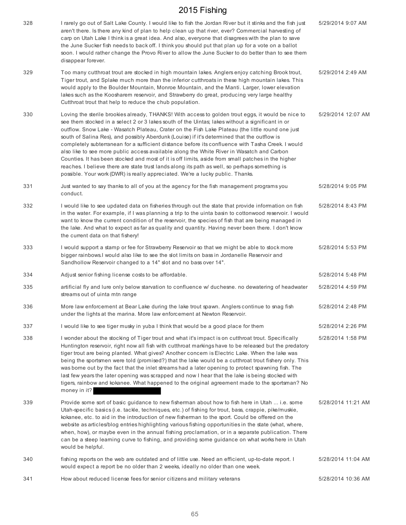| 328 | I rarely go out of Salt Lake County. I would like to fish the Jordan River but it stinks and the fish just<br>aren't there. Is there any kind of plan to help clean up that river, ever? Commercial harvesting of<br>carp on Utah Lake I think is a great idea. And also, everyone that disagrees with the plan to save<br>the June Sucker fish needs to back off. I think you should put that plan up for a vote on a ballot<br>soon. I would rather change the Provo River to allow the June Sucker to do better than to see them<br>disappear forever.                                                                                                                                                                                                                                                                                                                                             | 5/29/2014 9:07 AM  |
|-----|-------------------------------------------------------------------------------------------------------------------------------------------------------------------------------------------------------------------------------------------------------------------------------------------------------------------------------------------------------------------------------------------------------------------------------------------------------------------------------------------------------------------------------------------------------------------------------------------------------------------------------------------------------------------------------------------------------------------------------------------------------------------------------------------------------------------------------------------------------------------------------------------------------|--------------------|
| 329 | Too many cutthroat trout are stocked in high mountain lakes. Anglers enjoy catching Brook trout,<br>Tiger trout, and Splake much more than the inferior cutthroats in these high mountain lakes. This<br>would apply to the Boulder Mountain, Monroe Mountain, and the Manti. Larger, lower elevation<br>lakes such as the Koosharem reservoir, and Strawberry do great, producing very large healthy<br>Cutthroat trout that help to reduce the chub population.                                                                                                                                                                                                                                                                                                                                                                                                                                     | 5/29/2014 2:49 AM  |
| 330 | Loving the sterile brookies already, THANKS! With access to golden trout eggs, it would be nice to<br>see them stocked in a select 2 or 3 lakes south of the Uintas; lakes without a significant in or<br>outflow. Snow Lake - Wasatch Plateau, Crater on the Fish Lake Plateau (the little round one just<br>south of Salina Res), and possibly Aberdunk (Louise) if it's determined that the outflow is<br>completely subterranean for a sufficient distance before its confluence with Tasha Creek. I would<br>also like to see more public access available along the White River in Wasatch and Carbon<br>Counties. It has been stocked and most of it is off limits, aside from small patches in the higher<br>reaches. I believe there are state trust lands along its path as well, so perhaps something is<br>possible. Your work (DWR) is really appreciated. We're a lucky public. Thanks. | 5/29/2014 12:07 AM |
| 331 | Just wanted to say thanks to all of you at the agency for the fish management programs you<br>conduct.                                                                                                                                                                                                                                                                                                                                                                                                                                                                                                                                                                                                                                                                                                                                                                                                | 5/28/2014 9:05 PM  |
| 332 | I would like to see updated data on fisheries through out the state that provide information on fish<br>in the water. For example, if I was planning a trip to the uinta basin to cottonwood reservoir. I would<br>want to know the current condition of the reservoir, the species of fish that are being managed in<br>the lake. And what to expect as far as quality and quantity. Having never been there. I don't know<br>the current data on that fishery!                                                                                                                                                                                                                                                                                                                                                                                                                                      | 5/28/2014 8:43 PM  |
| 333 | I would support a stamp or fee for Strawberry Reservoir so that we might be able to stock more<br>bigger rainbows. I would also like to see the slot limits on bass in Jordanelle Reservoir and<br>Sandhollow Reservoir changed to a 14" slot and no bass over 14".                                                                                                                                                                                                                                                                                                                                                                                                                                                                                                                                                                                                                                   | 5/28/2014 5:53 PM  |
| 334 | Adjust senior fishing license costs to be affordable.                                                                                                                                                                                                                                                                                                                                                                                                                                                                                                                                                                                                                                                                                                                                                                                                                                                 | 5/28/2014 5:48 PM  |
| 335 | artificial fly and lure only below starvation to confluence w/ duchesne. no dewatering of headwater<br>streams out of uinta mtn range                                                                                                                                                                                                                                                                                                                                                                                                                                                                                                                                                                                                                                                                                                                                                                 | 5/28/2014 4:59 PM  |
| 336 | More law enforcement at Bear Lake during the lake trout spawn. Anglers continue to snag fish<br>under the lights at the marina. More law enforcement at Newton Reservoir.                                                                                                                                                                                                                                                                                                                                                                                                                                                                                                                                                                                                                                                                                                                             | 5/28/2014 2:48 PM  |
| 337 | I would like to see tiger musky in yuba I think that would be a good place for them                                                                                                                                                                                                                                                                                                                                                                                                                                                                                                                                                                                                                                                                                                                                                                                                                   | 5/28/2014 2:26 PM  |
| 338 | I wonder about the stocking of Tiger trout and what it's impact is on cutthroat trout. Specifically<br>Huntington reservoir, right now all fish with cutthroat markings have to be released but the predatory<br>tiger trout are being planted. What gives? Another concern is Electric Lake. When the lake was<br>being the sportsmen were told (promised?) that the lake would be a cutthroat trout fishery only. This<br>was borne out by the fact that the inlet streams had a later opening to protect spawning fish. The<br>last few years the later opening was scrapped and now I hear that the lake is being stocked with<br>tigers, rainbow and kokanee. What happened to the original agreement made to the sportsman? No<br>money in it?                                                                                                                                                  | 5/28/2014 1:58 PM  |
| 339 | Provide some sort of basic guidance to new fisherman about how to fish here in Utah  i.e. some<br>Utah-specific basics (i.e. tackle, techniques, etc.) of fishing for trout, bass, crappie, pike/muskie,<br>kokanee, etc. to aid in the introduction of new fisherman to the sport. Could be offered on the<br>website as articles/blog entries highlighting various fishing opportunities in the state (what, where,<br>when, how), or maybe even in the annual fishing proclamation, or in a separate publication. There<br>can be a steep learning curve to fishing, and providing some guidance on what works here in Utah<br>would be helpful.                                                                                                                                                                                                                                                   | 5/28/2014 11:21 AM |
| 340 | fishing reports on the web are outdated and of little use. Need an efficient, up-to-date report. I<br>would expect a report be no older than 2 weeks, ideally no older than one week.                                                                                                                                                                                                                                                                                                                                                                                                                                                                                                                                                                                                                                                                                                                 | 5/28/2014 11:04 AM |
| 341 | How about reduced license fees for senior citizens and military veterans                                                                                                                                                                                                                                                                                                                                                                                                                                                                                                                                                                                                                                                                                                                                                                                                                              | 5/28/2014 10:36 AM |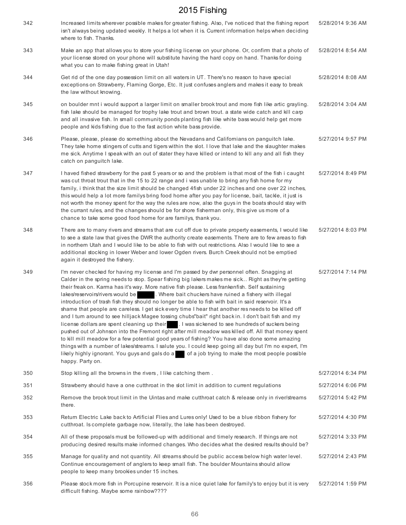| 342 | Increased limits wherever possible makes for greater fishing. Also, I've noticed that the fishing report<br>isn't always being updated weekly. It helps a lot when it is. Current information helps when deciding<br>where to fish. Thanks.                                                                                                                                                                                                                                                                                                                                                                                                                                                                                                                                                                                                                                                                                                                                                                                                                                                                                                                                                                                                                                | 5/28/2014 9:36 AM |
|-----|----------------------------------------------------------------------------------------------------------------------------------------------------------------------------------------------------------------------------------------------------------------------------------------------------------------------------------------------------------------------------------------------------------------------------------------------------------------------------------------------------------------------------------------------------------------------------------------------------------------------------------------------------------------------------------------------------------------------------------------------------------------------------------------------------------------------------------------------------------------------------------------------------------------------------------------------------------------------------------------------------------------------------------------------------------------------------------------------------------------------------------------------------------------------------------------------------------------------------------------------------------------------------|-------------------|
| 343 | Make an app that allows you to store your fishing license on your phone. Or, confirm that a photo of<br>your license stored on your phone will substitute having the hard copy on hand. Thanks for doing<br>what you can to make fishing great in Utah!                                                                                                                                                                                                                                                                                                                                                                                                                                                                                                                                                                                                                                                                                                                                                                                                                                                                                                                                                                                                                    | 5/28/2014 8:54 AM |
| 344 | Get rid of the one day possession limit on all waters in UT. There's no reason to have special<br>exceptions on Strawberry, Flaming Gorge, Etc. It just confuses anglers and makes it easy to break<br>the law without knowing.                                                                                                                                                                                                                                                                                                                                                                                                                                                                                                                                                                                                                                                                                                                                                                                                                                                                                                                                                                                                                                            | 5/28/2014 8:08 AM |
| 345 | on boulder mnt i would support a larger limit on smaller brook trout and more fish like artic grayling.<br>fish lake should be managed for trophy lake trout and brown trout. a state wide catch and kill carp<br>and all invasive fish. In small community ponds planting fish like white bass would help get more<br>people and kids fishing due to the fast action white bass provide.                                                                                                                                                                                                                                                                                                                                                                                                                                                                                                                                                                                                                                                                                                                                                                                                                                                                                  | 5/28/2014 3:04 AM |
| 346 | Please, please, please do something about the Nevadans and Californians on panguitch lake.<br>They take home stingers of cutts and tigers within the slot. I love that lake and the slaughter makes<br>me sick. Anytime I speak with an out of stater they have killed or intend to kill any and all fish they<br>catch on panguitch lake.                                                                                                                                                                                                                                                                                                                                                                                                                                                                                                                                                                                                                                                                                                                                                                                                                                                                                                                                 | 5/27/2014 9:57 PM |
| 347 | I haved fished strawberry for the past 5 years or so and the problem is that most of the fish i caught<br>was cut throat trout that in the 15 to 22 range and i was unable to bring any fish home for my<br>family, i think that the size limit should be changed 4fish under 22 inches and one over 22 inches,<br>this would help a lot more familys bring food home after you pay for license, bait, tackle, it just is<br>not worth the money spent for the way the rules are now, also the guys in the boats should stay with<br>the currant rules, and the changes should be for shore fisherman only, this give us more of a<br>chance to take some good food home for are familys, thank you.                                                                                                                                                                                                                                                                                                                                                                                                                                                                                                                                                                       | 5/27/2014 8:49 PM |
| 348 | There are to many rivers and streams that are cut off due to private property easements, I would like<br>to see a state law that gives the DWR the authority create easements. There are to few areas to fish<br>in northern Utah and I would like to be able to fish with out restrictions. Also I would like to see a<br>additional stocking in lower Weber and lower Ogden rivers. Burch Creek should not be emptied<br>again it destroyed the fishery.                                                                                                                                                                                                                                                                                                                                                                                                                                                                                                                                                                                                                                                                                                                                                                                                                 | 5/27/2014 8:03 PM |
| 349 | I'm never checked for having my license and I'm passed by dwr personnel often. Snagging at<br>Calder in the spring needs to stop. Spear fishing big lakers makes me sick Right as they're getting<br>their freak on. Karma has it's way. More native fish please. Less frankenfish. Self sustaining<br>lakes/reservoirs/rivers would be [15] . Where bait chuckers have ruined a fishery with illegal<br>introduction of trash fish they should no longer be able to fish with bait in said reservoir. It's a<br>shame that people are careless. I get sick every time I hear that another res needs to be killed off<br>and I turn around to see hilljack Magee tossing chubs"bait" right back in. I don't bait fish and my<br>license dollars are spent cleaning up their . I was sickened to see hundreds of suckers being<br>pushed out of Johnson into the Fremont right after mill meadow was killed off. All that money spent<br>to kill mill meadow for a few potential good years of fishing? You have also done some amazing<br>things with a number of lakes/streams. I salute you. I could keep going all day but I'm no expert, I'm<br>likely highly ignorant. You guys and gals do a<br>of a job trying to make the most people possible<br>happy. Party on. | 5/27/2014 7:14 PM |
| 350 | Stop killing all the browns in the rivers, I like catching them.                                                                                                                                                                                                                                                                                                                                                                                                                                                                                                                                                                                                                                                                                                                                                                                                                                                                                                                                                                                                                                                                                                                                                                                                           | 5/27/2014 6:34 PM |
| 351 | Strawberry should have a one cutthroat in the slot limit in addition to current regulations                                                                                                                                                                                                                                                                                                                                                                                                                                                                                                                                                                                                                                                                                                                                                                                                                                                                                                                                                                                                                                                                                                                                                                                | 5/27/2014 6:06 PM |
| 352 | Remove the brook trout limit in the Uintas and make cutthroat catch & release only in river/streams<br>there.                                                                                                                                                                                                                                                                                                                                                                                                                                                                                                                                                                                                                                                                                                                                                                                                                                                                                                                                                                                                                                                                                                                                                              | 5/27/2014 5:42 PM |
| 353 | Return Electric Lake back to Artificial Flies and Lures only! Used to be a blue ribbon fishery for<br>cutthroat. Is complete garbage now, literally, the lake has been destroyed.                                                                                                                                                                                                                                                                                                                                                                                                                                                                                                                                                                                                                                                                                                                                                                                                                                                                                                                                                                                                                                                                                          | 5/27/2014 4:30 PM |
| 354 | All of these proposals must be followed-up with additional and timely research. If things are not<br>producing desired results make informed changes. Who decides what the desired results should be?                                                                                                                                                                                                                                                                                                                                                                                                                                                                                                                                                                                                                                                                                                                                                                                                                                                                                                                                                                                                                                                                      | 5/27/2014 3:33 PM |
| 355 | Manage for quality and not quantity. All streams should be public access below high water level.<br>Continue encouragement of anglers to keep small fish. The boulder Mountains should allow<br>people to keep many brookies under 15 inches.                                                                                                                                                                                                                                                                                                                                                                                                                                                                                                                                                                                                                                                                                                                                                                                                                                                                                                                                                                                                                              | 5/27/2014 2:43 PM |
| 356 | Please stock more fish in Porcupine reservoir. It is a nice quiet lake for family's to enjoy but it is very<br>difficult fishing. Maybe some rainbow????                                                                                                                                                                                                                                                                                                                                                                                                                                                                                                                                                                                                                                                                                                                                                                                                                                                                                                                                                                                                                                                                                                                   | 5/27/2014 1:59 PM |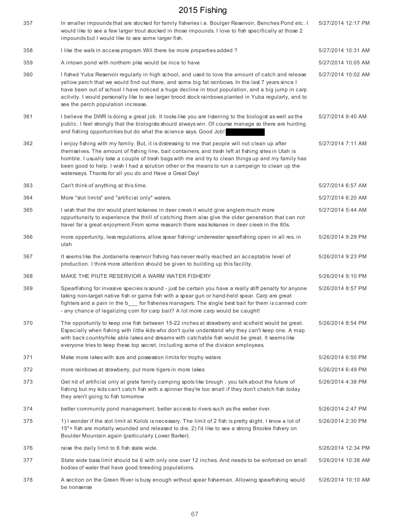| 357 | In smaller impounds that are stocked for family fisheries i.e. Boulger Reservoir, Benches Pond etc. I<br>would like to see a few larger trout stocked in those impounds. I love to fish specifically at those 2<br>impounds but I would like to see some larger fish.                                                                                                                                                                                                        | 5/27/2014 12:17 PM |
|-----|------------------------------------------------------------------------------------------------------------------------------------------------------------------------------------------------------------------------------------------------------------------------------------------------------------------------------------------------------------------------------------------------------------------------------------------------------------------------------|--------------------|
| 358 | I like the walk in access program. Will there be more properties added?                                                                                                                                                                                                                                                                                                                                                                                                      | 5/27/2014 10:31 AM |
| 359 | A intown pond with northern pike would be nice to have                                                                                                                                                                                                                                                                                                                                                                                                                       | 5/27/2014 10:05 AM |
| 360 | I fished Yuba Reservoir regularly in high school, and used to love the amount of catch and release<br>yellow perch that we would find out there, and some big fat rainbows. In the last 7 years since I<br>have been out of school I have noticed a huge decline in trout population, and a big jump in carp<br>activity. I would personally like to see larger brood stock rainbows planted in Yuba regularly, and to<br>see the perch population increase.                 | 5/27/2014 10:02 AM |
| 361 | I believe the DWR is doing a great job. It looks like you are listening to the biologist as well as the<br>public. I feel strongly that the biologists should always win. Of course manage so there are hunting<br>and fishing opportunities but do what the science says. Good Job!                                                                                                                                                                                         | 5/27/2014 9:40 AM  |
| 362 | I enjoy fishing with my family. But, it is distressing to me that people will not clean up after<br>themselves. The amount of fishing line, bait containers, and trash left at fishing sites in Utah is<br>horrible. I usually take a couple of trash bags with me and try to clean things up and my family has<br>been good to help. I wish I had a solution other or the means to run a campeign to clean up the<br>waterways. Thanks for all you do and Have a Great Day! | 5/27/2014 7:11 AM  |
| 363 | Can't think of anything at this time.                                                                                                                                                                                                                                                                                                                                                                                                                                        | 5/27/2014 6:57 AM  |
| 364 | More "slot limits" and "artificial only" waters.                                                                                                                                                                                                                                                                                                                                                                                                                             | 5/27/2014 6:20 AM  |
| 365 | I wish that the dnr would plant kokanee in deer creek it would give anglers much more<br>oppurituneity to experience the thrill of catching them also give the older generation that can not<br>travel far a great enjoyment. From some research there was kokanee in deer creek in the 80s.                                                                                                                                                                                 | 5/27/2014 5:44 AM  |
| 366 | more oppertunity, less regulations, allow spear fishing/ underwater spearfishing open in all res. in<br>utah                                                                                                                                                                                                                                                                                                                                                                 | 5/26/2014 9:29 PM  |
| 367 | It seems like the Jordanelle reservoir fishing has never really reached an acceptable level of<br>production. I think more attention should be given to building up this facility.                                                                                                                                                                                                                                                                                           | 5/26/2014 9:23 PM  |
| 368 | MAKE THE PIUTE RESERVIOR A WARM WATER FISHERY                                                                                                                                                                                                                                                                                                                                                                                                                                | 5/26/2014 9:10 PM  |
| 369 | Spearfishing for invasive species is sound - just be certain you have a really stiff penalty for anyone<br>taking non-target native fish or game fish with a spear gun or hand-held spear. Carp are great<br>fighters and a pain in the b___ for fisheries managers. The single best bait for them is canned com<br>- any chance of legalizing com for carp bait? A lot more carp would be caught!                                                                           | 5/26/2014 8:57 PM  |
| 370 | The opportunity to keep one fish between 15-22 inches at strawberry and scofield would be great.<br>Especially when fishing with little kids who don't quite understand why they can't keep one. A map<br>with back country/hike able lakes and streams with catchable fish would be great. It seems like<br>everyone tries to keep these top secret, including some of the division employees.                                                                              | 5/26/2014 8:54 PM  |
| 371 | Make more lakes with size and possession limits for trophy waters                                                                                                                                                                                                                                                                                                                                                                                                            | 5/26/2014 6:50 PM  |
| 372 | more rainbows at strawberry, put more tigers in more lakes                                                                                                                                                                                                                                                                                                                                                                                                                   | 5/26/2014 6:49 PM  |
| 373 | Get rid of artificial only at grate family camping spots like brough, you talk about the future of<br>fishing but my kids can't catch fish with a spinner they're too small if they don't chetch fish today<br>they aren't going to fish tomorrow                                                                                                                                                                                                                            | 5/26/2014 4:38 PM  |
| 374 | better community pond management. better access to rivers such as the weber river.                                                                                                                                                                                                                                                                                                                                                                                           | 5/26/2014 2:47 PM  |
| 375 | 1) I wonder if the slot limit at Kolob is necessary. The limit of 2 fish is pretty slight. I know a lot of<br>15"+ fish are mortally wounded and released to die. 2) I'd like to see a strong Brookie fishery on<br>Boulder Mountain again (particularly Lower Barker).                                                                                                                                                                                                      | 5/26/2014 2:30 PM  |
| 376 | raise the daily limit to 6 fish state wide.                                                                                                                                                                                                                                                                                                                                                                                                                                  | 5/26/2014 12:34 PM |
| 377 | State wide bass limit should be 6 with only one over 12 inches. And needs to be enforced on small<br>bodies of water that have good breeding populations.                                                                                                                                                                                                                                                                                                                    | 5/26/2014 10:38 AM |
| 378 | A section on the Green River is busy enough without spear fisherman. Allowing spearfishing would<br>be nonsense                                                                                                                                                                                                                                                                                                                                                              | 5/26/2014 10:10 AM |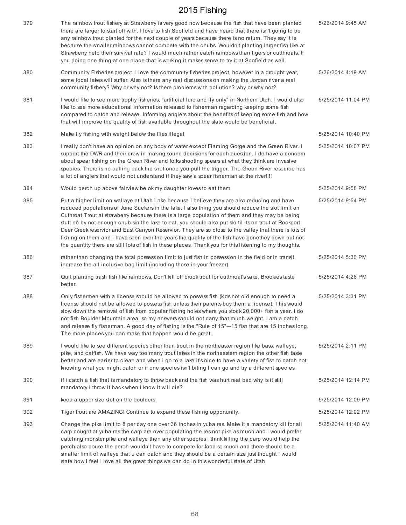| 379 | The rainbow trout fishery at Strawberry is very good now because the fish that have been planted<br>there are larger to start off with. I love to fish Scofield and have heard that there isn't going to be<br>any rainbow trout planted for the next couple of years because there is no return. They say it is<br>because the smaller rainbows cannot compete with the chubs. Wouldn't planting larger fish like at<br>Strawberry help their survival rate? I would much rather catch rainbows than tigers or cutthroats. If<br>you doing one thing at one place that is working it makes sense to try it at Scofield as well.                                                                                                      | 5/26/2014 9:45 AM  |
|-----|---------------------------------------------------------------------------------------------------------------------------------------------------------------------------------------------------------------------------------------------------------------------------------------------------------------------------------------------------------------------------------------------------------------------------------------------------------------------------------------------------------------------------------------------------------------------------------------------------------------------------------------------------------------------------------------------------------------------------------------|--------------------|
| 380 | Community Fisheries project. I love the community fisheries project, however in a drought year,<br>some local lakes will suffer. Also is there any real discussions on making the Jordan river a real<br>community fishery? Why or why not? Is there problems with pollution? why or why not?                                                                                                                                                                                                                                                                                                                                                                                                                                         | 5/26/2014 4:19 AM  |
| 381 | I would like to see more trophy fisheries, "artificial lure and fly only" in Northern Utah. I would also<br>like to see more educational information released to fisherman regarding keeping some fish<br>compared to catch and release. Informing anglers about the benefits of keeping some fish and how<br>that will improve the quality of fish available throughout the state would be beneficial.                                                                                                                                                                                                                                                                                                                               | 5/25/2014 11:04 PM |
| 382 | Make fly fishing with weight below the flies illegal                                                                                                                                                                                                                                                                                                                                                                                                                                                                                                                                                                                                                                                                                  | 5/25/2014 10:40 PM |
| 383 | I really don't have an opinion on any body of water except Flaming Gorge and the Green River. I<br>support the DWR and their crew in making sound decisions for each question. I do have a concern<br>about spear fishing on the Green River and folks shooting spears at what they think are invasive<br>species. There is no calling back the shot once you pull the trigger. The Green River resource has<br>a lot of anglers that would not understand if they saw a spear fisherman at the river!!!!                                                                                                                                                                                                                             | 5/25/2014 10:07 PM |
| 384 | Would perch up above fairview be okmy daughter loves to eat them                                                                                                                                                                                                                                                                                                                                                                                                                                                                                                                                                                                                                                                                      | 5/25/2014 9:58 PM  |
| 385 | Put a higher limit on wallaye at Utah Lake because I believe they are also reducing and have<br>reduced populations of June Suckers in the lake. I also thing you should reduce the slot limit on<br>Cuthroat Trout at strawberry because there is a large population of them and they may be being<br>stutt eð by not enough chub sin the lake to eat. you should also put sló til its on trout at Rockport<br>Deer Creek reservior and East Canyon Reservior. They are so close to the valley that there is lots of<br>fishing on them and i have seen over the years the quality of the fish have gonethey down but not<br>the quantity there are still lots of fish in these places. Thank you for this listening to my thoughts. | 5/25/2014 9:54 PM  |
| 386 | rather than changing the total possession limit to just fish in possession in the field or in transit,<br>increase the all inclusive bag limit (including those in your freezer)                                                                                                                                                                                                                                                                                                                                                                                                                                                                                                                                                      | 5/25/2014 5:30 PM  |
| 387 | Quit planting trash fish like rainbows. Don't kill off brook trout for cutthroat's sake. Brookies taste<br>better.                                                                                                                                                                                                                                                                                                                                                                                                                                                                                                                                                                                                                    | 5/25/2014 4:26 PM  |
| 388 | Only fishermen with a license should be allowed to possess fish (kids not old enough to need a<br>license should not be allowed to possess fish unless their parents buy them a license). This would<br>slow down the removal of fish from popular fishing holes where you stock 20,000+ fish a year. I do<br>not fish Boulder Mountain area, so my answers should not carry that much weight. I am a catch<br>and release fly fisherman. A good day of fishing is the "Rule of 15"---15 fish that are 15 inches long.<br>The more places you can make that happen would be great.                                                                                                                                                    | 5/25/2014 3:31 PM  |
| 389 | I would like to see different species other than trout in the northeaster region like bass, walleye,<br>pike, and catfish. We have way too many trout lakes in the northeastern region the other fish taste<br>better and are easier to clean and when i go to a lake it's nice to have a variety of fish to catch not<br>knowing what you might catch or if one species isn't biting I can go and try a different species.                                                                                                                                                                                                                                                                                                           | 5/25/2014 2:11 PM  |
| 390 | if i catch a fish that is mandatory to throw back and the fish was hurt real bad why is it still<br>mandatory i throw it back when i know it will die?                                                                                                                                                                                                                                                                                                                                                                                                                                                                                                                                                                                | 5/25/2014 12:14 PM |
| 391 | keep a upper size slot on the boulders                                                                                                                                                                                                                                                                                                                                                                                                                                                                                                                                                                                                                                                                                                | 5/25/2014 12:09 PM |
| 392 | Tiger trout are AMAZING! Continue to expand these fishing opportunity.                                                                                                                                                                                                                                                                                                                                                                                                                                                                                                                                                                                                                                                                | 5/25/2014 12:02 PM |
| 393 | Change the pike limit to 8 per day one over 36 inches in yuba res. Make it a mandatory kill for all<br>carp cought at yuba res the carp are over populating the res not pike as much and I would prefer<br>catching monster pike and walleye then any other species I think killing the carp would help the<br>perch also couse the perch wouldn't have to compete for food so much and there should be a<br>smaller limit of walleye that u can catch and they should be a certain size just thought I would<br>state how I feel I love all the great things we can do in this wonderful state of Utah                                                                                                                               | 5/25/2014 11:40 AM |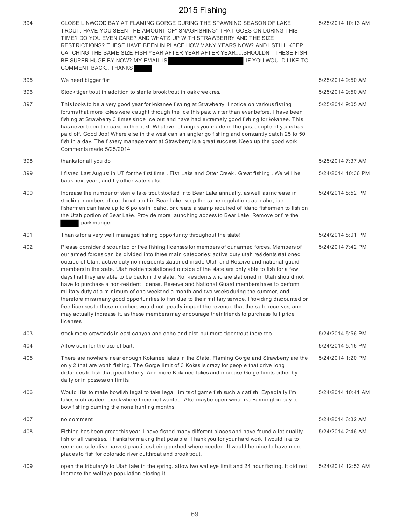| 394 | CLOSE LINWOOD BAY AT FLAMING GORGE DURING THE SPAWNING SEASON OF LAKE<br>TROUT. HAVE YOU SEEN THE AMOUNT OF" SNAGFISHING" THAT GOES ON DURING THIS<br>TIME? DO YOU EVEN CARE? AND WHATS UP WITH STRAWBERRY AND THE SIZE<br>RESTRICTIONS? THESE HAVE BEEN IN PLACE HOW MANY YEARS NOW? AND I STILL KEEP<br>CATCHING THE SAME SIZE FISH YEAR AFTER YEAR AFTER YEARSHOULDNT THESE FISH<br>BE SUPER HUGE BY NOW? MY EMAIL IS:<br>IF YOU WOULD LIKE TO<br>COMMENT BACK THANKS                                                                                                                                                                                                                                                                                                                                                                                                                                                                                                                                                                 | 5/25/2014 10:13 AM |
|-----|------------------------------------------------------------------------------------------------------------------------------------------------------------------------------------------------------------------------------------------------------------------------------------------------------------------------------------------------------------------------------------------------------------------------------------------------------------------------------------------------------------------------------------------------------------------------------------------------------------------------------------------------------------------------------------------------------------------------------------------------------------------------------------------------------------------------------------------------------------------------------------------------------------------------------------------------------------------------------------------------------------------------------------------|--------------------|
| 395 | We need bigger fish                                                                                                                                                                                                                                                                                                                                                                                                                                                                                                                                                                                                                                                                                                                                                                                                                                                                                                                                                                                                                      | 5/25/2014 9:50 AM  |
| 396 | Stock tiger trout in addition to sterile brook trout in oak creek res.                                                                                                                                                                                                                                                                                                                                                                                                                                                                                                                                                                                                                                                                                                                                                                                                                                                                                                                                                                   | 5/25/2014 9:50 AM  |
| 397 | This looks to be a very good year for kokanee fishing at Strawberry. I notice on various fishing<br>forums that more kokes were caught through the ice this past winter than ever before. I have been<br>fishing at Strawberry 3 times since ice out and have had extremely good fishing for kokanee. This<br>has never been the case in the past. Whatever changes you made in the past couple of years has<br>paid off. Good Job! Where else in the west can an angler go fishing and constantly catch 25 to 50<br>fish in a day. The fishery management at Strawberry is a great success. Keep up the good work.<br>Comments made 5/25/2014                                                                                                                                                                                                                                                                                                                                                                                           | 5/25/2014 9:05 AM  |
| 398 | thanks for all you do                                                                                                                                                                                                                                                                                                                                                                                                                                                                                                                                                                                                                                                                                                                                                                                                                                                                                                                                                                                                                    | 5/25/2014 7:37 AM  |
| 399 | I fished Last August in UT for the first time . Fish Lake and Otter Creek. Great fishing . We will be<br>back next year, and try other waters also.                                                                                                                                                                                                                                                                                                                                                                                                                                                                                                                                                                                                                                                                                                                                                                                                                                                                                      | 5/24/2014 10:36 PM |
| 400 | Increase the number of sterile lake trout stocked into Bear Lake annually, as well as increase in<br>stocking numbers of cut throat trout in Bear Lake, keep the same regulations as Idaho, ice<br>fishermen can have up to 6 poles in Idaho, or create a stamp required of Idaho fishermen to fish on<br>the Utah portion of Bear Lake. Provide more launching access to Bear Lake. Remove or fire the<br>park manger.                                                                                                                                                                                                                                                                                                                                                                                                                                                                                                                                                                                                                  | 5/24/2014 8:52 PM  |
| 401 | Thanks for a very well managed fishing opportunity throughout the state!                                                                                                                                                                                                                                                                                                                                                                                                                                                                                                                                                                                                                                                                                                                                                                                                                                                                                                                                                                 | 5/24/2014 8:01 PM  |
| 402 | Please consider discounted or free fishing licenses for members of our armed forces. Members of<br>our armed forces can be divided into three main categories: active duty utah residents stationed<br>outside of Utah, active duty non-residents stationed inside Utah and Reserve and national guard<br>members in the state. Utah residents stationed outside of the state are only able to fish for a few<br>days that they are able to be back in the state. Non-residents who are stationed in Utah should not<br>have to purchase a non-resident license. Reserve and National Guard members have to perform<br>military duty at a minimum of one weekend a month and two weeks during the summer, and<br>therefore miss many good opportunities to fish due to their military service. Providing discounted or<br>free licenses to these members would not greatly impact the revenue that the state receives, and<br>may actually increase it, as these members may encourage their friends to purchase full price<br>licenses. | 5/24/2014 7:42 PM  |
| 403 | stock more crawdads in east canyon and echo and also put more tiger trout there too.                                                                                                                                                                                                                                                                                                                                                                                                                                                                                                                                                                                                                                                                                                                                                                                                                                                                                                                                                     | 5/24/2014 5:56 PM  |
| 404 | Allow com for the use of bait.                                                                                                                                                                                                                                                                                                                                                                                                                                                                                                                                                                                                                                                                                                                                                                                                                                                                                                                                                                                                           | 5/24/2014 5:16 PM  |
| 405 | There are nowhere near enough Kokanee lakes in the State. Flaming Gorge and Strawberry are the<br>only 2 that are worth fishing. The Gorge limit of 3 Kokes is crazy for people that drive long<br>distances to fish that great fishery. Add more Kokanee lakes and increase Gorge limits either by<br>daily or in possession limits.                                                                                                                                                                                                                                                                                                                                                                                                                                                                                                                                                                                                                                                                                                    | 5/24/2014 1:20 PM  |
| 406 | Would like to make bowfish legal to take legal limits of game fish such a catfish. Especially I'm<br>lakes such as deer creek where there not wanted. Also maybe open wma like Farmington bay to<br>bow fishing durning the none hunting months                                                                                                                                                                                                                                                                                                                                                                                                                                                                                                                                                                                                                                                                                                                                                                                          | 5/24/2014 10:41 AM |
| 407 | no comment                                                                                                                                                                                                                                                                                                                                                                                                                                                                                                                                                                                                                                                                                                                                                                                                                                                                                                                                                                                                                               | 5/24/2014 6:32 AM  |
| 408 | Fishing has been great this year. I have fished many different places and have found a lot quality<br>fish of all varieties. Thanks for making that possible. Thank you for your hard work. I would like to<br>see more selective harvest practices being pushed where needed. It would be nice to have more<br>places to fish for colorado river cutthroat and brook trout.                                                                                                                                                                                                                                                                                                                                                                                                                                                                                                                                                                                                                                                             | 5/24/2014 2:46 AM  |
| 409 | open the tributary's to Utah lake in the spring. allow two walleye limit and 24 hour fishing. It did not<br>increase the walleye population closing it.                                                                                                                                                                                                                                                                                                                                                                                                                                                                                                                                                                                                                                                                                                                                                                                                                                                                                  | 5/24/2014 12:53 AM |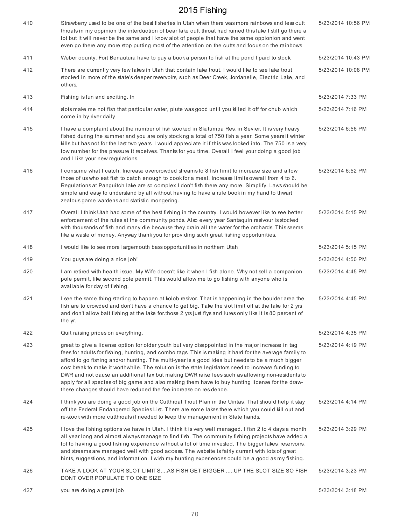| 410 | Strawberry used to be one of the best fisheries in Utah when there was more rainbows and less cutt<br>throats in my oppinion the interduction of bear lake cutt throat had ruined this lake I still go there a<br>lot but it will never be the same and I know alot of people that have the same oppionion and went<br>even go there any more stop putting most of the attention on the cutts and focus on the rainbows                                                                                                                                                                                                                                                                           | 5/23/2014 10:56 PM |
|-----|---------------------------------------------------------------------------------------------------------------------------------------------------------------------------------------------------------------------------------------------------------------------------------------------------------------------------------------------------------------------------------------------------------------------------------------------------------------------------------------------------------------------------------------------------------------------------------------------------------------------------------------------------------------------------------------------------|--------------------|
| 411 | Weber county, Fort Benautura have to pay a buck a person to fish at the pond I paid to stock.                                                                                                                                                                                                                                                                                                                                                                                                                                                                                                                                                                                                     | 5/23/2014 10:43 PM |
| 412 | There are currently very few lakes in Utah that contain lake trout. I would like to see lake trout<br>stocked in more of the state's deeper reservoirs, such as Deer Creek, Jordanelle, Electric Lake, and<br>others.                                                                                                                                                                                                                                                                                                                                                                                                                                                                             | 5/23/2014 10:08 PM |
| 413 | Fishing is fun and exciting. In                                                                                                                                                                                                                                                                                                                                                                                                                                                                                                                                                                                                                                                                   | 5/23/2014 7:33 PM  |
| 414 | slots make me not fish that particular water, piute was good until you killed it off for chub which<br>come in by river daily                                                                                                                                                                                                                                                                                                                                                                                                                                                                                                                                                                     | 5/23/2014 7:16 PM  |
| 415 | I have a complaint about the number of fish stocked in Skutumpa Res. in Sevier. It is very heavy<br>fished during the summer and you are only stocking a total of 750 fish a year. Some years it winter<br>kills but has not for the last two years. I would appreciate it if this was looked into. The 750 is a very<br>low number for the pressure it receives. Thanks for you time. Overall I feel your doing a good job<br>and I like your new regulations.                                                                                                                                                                                                                                   | 5/23/2014 6:56 PM  |
| 416 | I consume what I catch. Increase overcrowded streams to 8 fish limit to increase size and allow<br>those of us who eat fish to catch enough to cook for a meal. Increase limits overall from 4 to 6.<br>Regulations at Panguitch lake are so complex I don't fish there any more. Simplify. Laws should be<br>simple and easy to understand by all without having to have a rule book in my hand to thwart<br>zealous game wardens and statistic mongering.                                                                                                                                                                                                                                       | 5/23/2014 6:52 PM  |
| 417 | Overall I think Utah had some of the best fishing in the country. I would however like to see better<br>enforcement of the rules at the community ponds. Also every year Santaquin resivour is stocked<br>with thousands of fish and many die because they drain all the water for the orchards. This seems<br>like a waste of money. Anyway thank you for providing such great fishing opportunities.                                                                                                                                                                                                                                                                                            | 5/23/2014 5:15 PM  |
| 418 | I would like to see more largemouth bass opportunities in northern Utah                                                                                                                                                                                                                                                                                                                                                                                                                                                                                                                                                                                                                           | 5/23/2014 5:15 PM  |
| 419 | You guys are doing a nice job!                                                                                                                                                                                                                                                                                                                                                                                                                                                                                                                                                                                                                                                                    | 5/23/2014 4:50 PM  |
| 420 | I am retired with health issue. My Wife doesn't like it when I fish alone. Why not sell a companion<br>pole permit, like second pole permit. This would allow me to go fishing with anyone who is<br>available for day of fishing.                                                                                                                                                                                                                                                                                                                                                                                                                                                                | 5/23/2014 4:45 PM  |
| 421 | I see the same thing starting to happen at kolob resivor. That is happening in the boulder area the<br>fish are to crowded and don't have a chance to get big. Take the slot limit off at the lake for 2 yrs<br>and don't allow bait fishing at the lake for those 2 yrs just flys and lures only like it is 80 percent of<br>the yr.                                                                                                                                                                                                                                                                                                                                                             | 5/23/2014 4:45 PM  |
| 422 | Quit raising prices on everything.                                                                                                                                                                                                                                                                                                                                                                                                                                                                                                                                                                                                                                                                | 5/23/2014 4:35 PM  |
| 423 | great to give a license option for older youth but very disappointed in the major increase in tag<br>fees for adults for fishing, hunting, and combo tags. This is making it hard for the average family to<br>afford to go fishing and/or hunting. The multi-year is a good idea but needs to be a much bigger<br>cost break to make it worthwhile. The solution is the state legislators need to increase funding to<br>DWR and not cause an additional tax but making DWR raise fees such as allowing non-residents to<br>apply for all species of big game and also making them have to buy hunting license for the draw-<br>these changes should have reduced the fee increase on residence. | 5/23/2014 4:19 PM  |
| 424 | I think you are doing a good job on the Cutthroat Trout Plan in the Uintas. That should help it stay<br>off the Federal Endangered Species List. There are some lakes there which you could kill out and<br>re-stock with more cutthroats if needed to keep the management in State hands.                                                                                                                                                                                                                                                                                                                                                                                                        | 5/23/2014 4:14 PM  |
| 425 | I love the fishing options we have in Utah. I think it is very well managed. I fish 2 to 4 days a month<br>all year long and almost always manage to find fish. The community fishing projects have added a<br>lot to having a good fishing experience without a lot of time invested. The bigger lakes, reservoirs,<br>and streams are managed well with good access. The website is fairly current with lots of great<br>hints, suggestions, and information. I wish my hunting experiences could be a good as my fishing.                                                                                                                                                                      | 5/23/2014 3:29 PM  |
| 426 | TAKE A LOOK AT YOUR SLOT LIMITSAS FISH GET BIGGER UP THE SLOT SIZE SO FISH<br>DONT OVER POPULATE TO ONE SIZE                                                                                                                                                                                                                                                                                                                                                                                                                                                                                                                                                                                      | 5/23/2014 3:23 PM  |
| 427 | you are doing a great job                                                                                                                                                                                                                                                                                                                                                                                                                                                                                                                                                                                                                                                                         | 5/23/2014 3:18 PM  |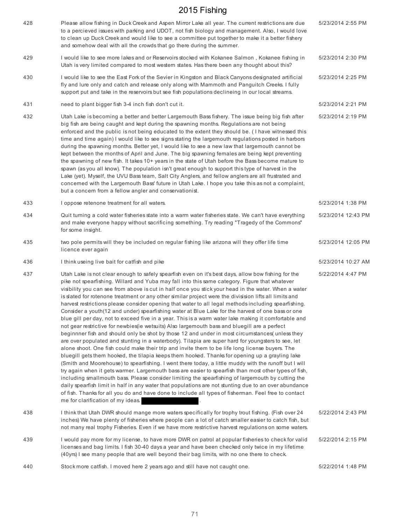| 428 | Please allow fishing in Duck Creek and Aspen Mirror Lake all year. The current restrictions are due<br>to a percieved issues with parking and UDOT, not fish biology and management. Also, I would love<br>to clean up Duck Creek and would like to see a committee put together to make it a better fishery<br>and somehow deal with all the crowds that go there during the summer.                                                                                                                                                                                                                                                                                                                                                                                                                                                                                                                                                                                                                                                                                                                                                                                                                                                                                                                                                                                                                                                                                                                                                                                                                                                                                                                                                                                                                                                     | 5/23/2014 2:55 PM  |
|-----|-------------------------------------------------------------------------------------------------------------------------------------------------------------------------------------------------------------------------------------------------------------------------------------------------------------------------------------------------------------------------------------------------------------------------------------------------------------------------------------------------------------------------------------------------------------------------------------------------------------------------------------------------------------------------------------------------------------------------------------------------------------------------------------------------------------------------------------------------------------------------------------------------------------------------------------------------------------------------------------------------------------------------------------------------------------------------------------------------------------------------------------------------------------------------------------------------------------------------------------------------------------------------------------------------------------------------------------------------------------------------------------------------------------------------------------------------------------------------------------------------------------------------------------------------------------------------------------------------------------------------------------------------------------------------------------------------------------------------------------------------------------------------------------------------------------------------------------------|--------------------|
| 429 | I would like to see more lakes and or Reservoirs stocked with Kokanee Salmon, Kokanee fishing in<br>Utah is very limited compared to most western states. Has there been any thought about this?                                                                                                                                                                                                                                                                                                                                                                                                                                                                                                                                                                                                                                                                                                                                                                                                                                                                                                                                                                                                                                                                                                                                                                                                                                                                                                                                                                                                                                                                                                                                                                                                                                          | 5/23/2014 2:30 PM  |
| 430 | I would like to see the East Fork of the Sevier in Kingston and Black Canyons designated artificial<br>fly and lure only and catch and release only along with Mammoth and Panguitch Creeks. I fully<br>support put and take in the reservoirs but see fish populations declineing in our local streams.                                                                                                                                                                                                                                                                                                                                                                                                                                                                                                                                                                                                                                                                                                                                                                                                                                                                                                                                                                                                                                                                                                                                                                                                                                                                                                                                                                                                                                                                                                                                  | 5/23/2014 2:25 PM  |
| 431 | need to plant bigger fish 3-4 inch fish don't cut it.                                                                                                                                                                                                                                                                                                                                                                                                                                                                                                                                                                                                                                                                                                                                                                                                                                                                                                                                                                                                                                                                                                                                                                                                                                                                                                                                                                                                                                                                                                                                                                                                                                                                                                                                                                                     | 5/23/2014 2:21 PM  |
| 432 | Utah Lake is becoming a better and better Largemouth Bass fishery. The issue being big fish after<br>big fish are being caught and kept during the spawning months. Regulations are not being<br>enforced and the public is not being educated to the extent they should be. (I have witnessed this<br>time and time again) I would like to see signs stating the largemouth regulations posted in harbors<br>during the spawning months. Better yet, I would like to see a new law that largemouth cannot be<br>kept between the months of April and June. The big spawning females are being kept preventing<br>the spawning of new fish. It takes 10+ years in the state of Utah before the Bass become mature to<br>spawn (as you all know). The population isn't great enough to support this type of harvest in the<br>Lake (yet). Myself, the UVU Bass team, Salt City Anglers, and fellow anglers are all frustrated and<br>concerned with the Largemouth Bass' future in Utah Lake. I hope you take this as not a complaint,<br>but a concern from a fellow angler and conservationist.                                                                                                                                                                                                                                                                                                                                                                                                                                                                                                                                                                                                                                                                                                                                          | 5/23/2014 2:19 PM  |
| 433 | I oppose retenone treatment for all waters.                                                                                                                                                                                                                                                                                                                                                                                                                                                                                                                                                                                                                                                                                                                                                                                                                                                                                                                                                                                                                                                                                                                                                                                                                                                                                                                                                                                                                                                                                                                                                                                                                                                                                                                                                                                               | 5/23/2014 1:38 PM  |
| 434 | Quit turning a cold water fisheries state into a warm water fisheries state. We can't have everything<br>and make everyone happy without sacrificing something. Try reading "Tragedy of the Commons"<br>for some insight.                                                                                                                                                                                                                                                                                                                                                                                                                                                                                                                                                                                                                                                                                                                                                                                                                                                                                                                                                                                                                                                                                                                                                                                                                                                                                                                                                                                                                                                                                                                                                                                                                 | 5/23/2014 12:43 PM |
| 435 | two pole permits will they be included on regular fishing like arizona will they offer life time<br>licence ever again                                                                                                                                                                                                                                                                                                                                                                                                                                                                                                                                                                                                                                                                                                                                                                                                                                                                                                                                                                                                                                                                                                                                                                                                                                                                                                                                                                                                                                                                                                                                                                                                                                                                                                                    | 5/23/2014 12:05 PM |
| 436 | I think useing live bait for catfish and pike                                                                                                                                                                                                                                                                                                                                                                                                                                                                                                                                                                                                                                                                                                                                                                                                                                                                                                                                                                                                                                                                                                                                                                                                                                                                                                                                                                                                                                                                                                                                                                                                                                                                                                                                                                                             | 5/23/2014 10:27 AM |
| 437 | Utah Lake is not clear enough to safely spearfish even on it's best days, allow bow fishing for the<br>pike not spearfishing. Willard and Yuba may fall into this same category. Figure that whatever<br>visibility you can see from above is cut in half once you stick your head in the water. When a water<br>is slated for rotenone treatment or any other similar project were the divisision lifts all limits and<br>harvest restrictions please consider opening that water to all legal methods including spearfishing.<br>Consider a youth(12 and under) spearfishing water at Blue Lake for the harvest of one bass or one<br>blue gill per day, not to exceed five in a year. This is a warm water lake making it comfortable and<br>not gear restrictive for newbies (ie wetsuits) Also largemouth bass and bluegill are a perfect<br>beginnner fish and should only be shot by those 12 and under in most circumstances(unless they<br>are over populated and stunting in a waterbody). Tilapia are super hard for youngsters to see, let<br>alone shoot. One fish could make their trip and invite them to be life long license buyers. The<br>bluegill gets them hooked, the tilapia keeps them hooked. Thanks for opening up a grayling lake<br>(Smith and Moorehouse) to spearfishing. I went there today, a little muddy with the runoff but I will<br>try again when it gets warmer. Largemouth bass are easier to spearfish than most other types of fish,<br>including smallmouth bass. Please consider limiting the spearfishing of largemouth by cutting the<br>daily spearfish limit in half in any water that populations are not stunting due to an over abundance<br>of fish. Thanks for all you do and have done to include all types of fisherman. Feel free to contact<br>me for clarification of my ideas. | 5/22/2014 4:47 PM  |
| 438 | I think that Utah DWR should mange more waters specifically for trophy trout fishing. (Fish over 24<br>inches) We have plenty of fisheries where people can a lot of catch smaller easier to catch fish, but<br>not many real trophy Fisheries. Even if we have more restrictive harvest regulations on some waters.                                                                                                                                                                                                                                                                                                                                                                                                                                                                                                                                                                                                                                                                                                                                                                                                                                                                                                                                                                                                                                                                                                                                                                                                                                                                                                                                                                                                                                                                                                                      | 5/22/2014 2:43 PM  |
| 439 | I would pay more for my license, to have more DWR on patrol at popular fisheries to check for valid<br>licenses and bag limits. I fish 30-40 days a year and have been checked only twice in my lifetime<br>(40yrs) I see many people that are well beyond their bag limits, with no one there to check.                                                                                                                                                                                                                                                                                                                                                                                                                                                                                                                                                                                                                                                                                                                                                                                                                                                                                                                                                                                                                                                                                                                                                                                                                                                                                                                                                                                                                                                                                                                                  | 5/22/2014 2:15 PM  |
| 440 | Stock more catfish. I moved here 2 years ago and still have not caught one.                                                                                                                                                                                                                                                                                                                                                                                                                                                                                                                                                                                                                                                                                                                                                                                                                                                                                                                                                                                                                                                                                                                                                                                                                                                                                                                                                                                                                                                                                                                                                                                                                                                                                                                                                               | 5/22/2014 1:48 PM  |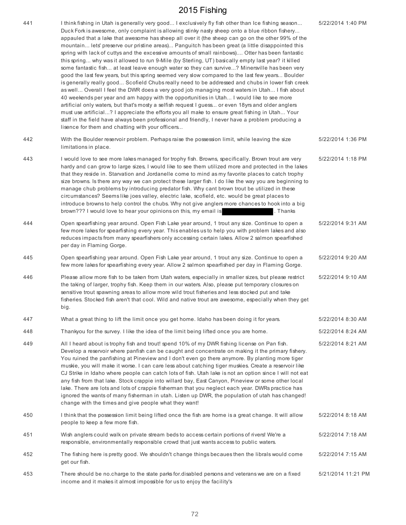| 441 | I think fishing in Utah is generally very good I exclusively fly fish other than Ice fishing season<br>Duck Fork is awesome, only complaint is allowing stinky nasty sheep onto a blue ribbon fishery<br>appauled that a lake that awesome has sheep all over it (the sheep can go on the other 99% of the<br>mountain lets' preserve our pristine areas) Panguitch has been great (a little disappointed this<br>spring with lack of cuttys and the excessive amounts of small rainbows) Otter has been fantastic<br>this spring why was it allowed to run 9-Mile (by Sterling, UT) basically empty last year? it killed<br>some fantastic fish at least leave enough water so they can survive? Minersville has been very<br>good the last few years, but this spring seemed very slow compared to the last few years Boulder<br>is generally really good Scofield Chubs really need to be addressed and chubs in lower fish creek<br>as well Overall I feel the DWR does a very good job managing most waters in Utah I fish about<br>40 weekends per year and am happy with the opportunities in Utah I would like to see more<br>artificial only waters, but that's mosty a selfish request I guess or even 18yrs and older anglers<br>must use artificial? I appreciate the efforts you all make to ensure great fishing in Utah Your<br>staff in the field have always been professional and friendly, I never have a problem producing a<br>lisence for them and chatting with your officers | 5/22/2014 1:40 PM  |
|-----|------------------------------------------------------------------------------------------------------------------------------------------------------------------------------------------------------------------------------------------------------------------------------------------------------------------------------------------------------------------------------------------------------------------------------------------------------------------------------------------------------------------------------------------------------------------------------------------------------------------------------------------------------------------------------------------------------------------------------------------------------------------------------------------------------------------------------------------------------------------------------------------------------------------------------------------------------------------------------------------------------------------------------------------------------------------------------------------------------------------------------------------------------------------------------------------------------------------------------------------------------------------------------------------------------------------------------------------------------------------------------------------------------------------------------------------------------------------------------------------------------|--------------------|
| 442 | With the Boulder reservoir problem. Perhaps raise the possession limit, while leaving the size<br>limitations in place.                                                                                                                                                                                                                                                                                                                                                                                                                                                                                                                                                                                                                                                                                                                                                                                                                                                                                                                                                                                                                                                                                                                                                                                                                                                                                                                                                                              | 5/22/2014 1:36 PM  |
| 443 | I would love to see more lakes managed for trophy fish. Browns, specifically. Brown trout are very<br>hardy and can grow to large sizes, I would like to see them utilized more and protected in the lakes<br>that they reside in. Starvation and Jordanelle come to mind as my favorite places to catch trophy<br>size browns. Is there any way we can protect these larger fish. I do like the way you are beginning to<br>manage chub problems by introducing predator fish. Why cant brown trout be utilized in these<br>circumstances? Seems like joes valley, electric lake, scofield, etc. would be great places to<br>introduce browns to help control the chubs. Why not give anglers more chances to hook into a big<br>brown??? I would love to hear your opinions on this, my email is<br>. Thanks                                                                                                                                                                                                                                                                                                                                                                                                                                                                                                                                                                                                                                                                                       | 5/22/2014 1:18 PM  |
| 444 | Open spearfishing year around. Open Fish Lake year around, 1 trout any size. Continue to open a<br>few more lakes for spearfishing every year. This enables us to help you with problem lakes and also<br>reduces impacts from many spearfishers only accessing certain lakes. Allow 2 salmon spearfished<br>per day in Flaming Gorge.                                                                                                                                                                                                                                                                                                                                                                                                                                                                                                                                                                                                                                                                                                                                                                                                                                                                                                                                                                                                                                                                                                                                                               | 5/22/2014 9:31 AM  |
| 445 | Open spearfishing year around. Open Fish Lake year around, 1 trout any size. Continue to open a<br>few more lakes for spearfishing every year. Allow 2 salmon spearfished per day in Flaming Gorge.                                                                                                                                                                                                                                                                                                                                                                                                                                                                                                                                                                                                                                                                                                                                                                                                                                                                                                                                                                                                                                                                                                                                                                                                                                                                                                  | 5/22/2014 9:20 AM  |
| 446 | Please allow more fish to be taken from Utah waters, especially in smaller sizes, but please restrict<br>the taking of larger, trophy fish. Keep them in our waters. Also, please put temporary closures on<br>sensitive trout spawning areas to allow more wild trout fisheries and less stocked put and take<br>fisheries. Stocked fish aren't that cool. Wild and native trout are awesome, especially when they get<br>big.                                                                                                                                                                                                                                                                                                                                                                                                                                                                                                                                                                                                                                                                                                                                                                                                                                                                                                                                                                                                                                                                      | 5/22/2014 9:10 AM  |
| 447 | What a great thing to lift the limit once you get home. Idaho has been doing it for years.                                                                                                                                                                                                                                                                                                                                                                                                                                                                                                                                                                                                                                                                                                                                                                                                                                                                                                                                                                                                                                                                                                                                                                                                                                                                                                                                                                                                           | 5/22/2014 8:30 AM  |
| 448 | Thankyou for the survey. I like the idea of the limit being lifted once you are home.                                                                                                                                                                                                                                                                                                                                                                                                                                                                                                                                                                                                                                                                                                                                                                                                                                                                                                                                                                                                                                                                                                                                                                                                                                                                                                                                                                                                                | 5/22/2014 8:24 AM  |
| 449 | All I heard about is trophy fish and trout! spend 10% of my DWR fishing license on Pan fish.<br>Develop a reservoir where panfish can be caught and concentrate on making it the primary fishery.<br>You ruined the panfishing at Pineview and I don't even go there anymore. By planting more tiger<br>muskie, you will make it worse. I can care less about catching tiger muskies. Create a reservoir like<br>CJ Strike in Idaho where people can catch lots of fish. Utah lake is not an option since I will not eat<br>any fish from that lake. Stock crappie into willard bay, East Canyon, Pineview or some other local<br>lake. There are lots and lots of crappie fisherman that you neglect each year. DWRs practice has<br>ignored the wants of many fisherman in utah. Listen up DWR, the population of utah has changed!<br>change with the times and give people what they want!                                                                                                                                                                                                                                                                                                                                                                                                                                                                                                                                                                                                       | 5/22/2014 8:21 AM  |
| 450 | I think that the possession limit being lifted once the fish are home is a great change. It will allow<br>people to keep a few more fish.                                                                                                                                                                                                                                                                                                                                                                                                                                                                                                                                                                                                                                                                                                                                                                                                                                                                                                                                                                                                                                                                                                                                                                                                                                                                                                                                                            | 5/22/2014 8:18 AM  |
| 451 | Wish anglers could walk on private stream beds to access certain portions of rivers! We're a<br>responsible, environmentally responsible crowd that just wants access to public waters.                                                                                                                                                                                                                                                                                                                                                                                                                                                                                                                                                                                                                                                                                                                                                                                                                                                                                                                                                                                                                                                                                                                                                                                                                                                                                                              | 5/22/2014 7:18 AM  |
| 452 | The fishing here is pretty good. We shouldn't change things becaues then the librals would come<br>get our fish.                                                                                                                                                                                                                                                                                                                                                                                                                                                                                                                                                                                                                                                                                                                                                                                                                                                                                                                                                                                                                                                                                                                                                                                                                                                                                                                                                                                     | 5/22/2014 7:15 AM  |
| 453 | There should be no.charge to the state parks for.disabled persons and veterans we are on a fixed<br>income and it makes it almost impossible for us to enjoy the facility's                                                                                                                                                                                                                                                                                                                                                                                                                                                                                                                                                                                                                                                                                                                                                                                                                                                                                                                                                                                                                                                                                                                                                                                                                                                                                                                          | 5/21/2014 11:21 PM |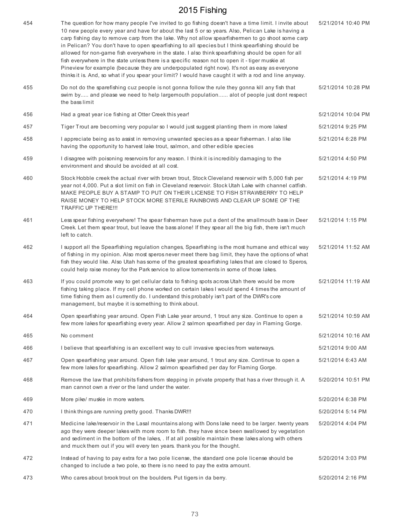| 454 | The question for how many people I've invited to go fishing doesn't have a time limit. I invite about<br>10 new people every year and have for about the last 5 or so years. Also, Pelican Lake is having a<br>carp fishing day to remove carp from the lake. Why not allow spearfishermen to go shoot some carp<br>in Pelican? You don't have to open spearfishing to all species but I think spearfishing should be<br>allowed for non-game fish everywhere in the state. I also think spearfishing should be open for all<br>fish everywhere in the state unless there is a specific reason not to open it - tiger muskie at<br>Pineview for example (because they are underpopulated right now). It's not as easy as everyone<br>thinks it is. And, so what if you spear your limit? I would have caught it with a rod and line anyway. | 5/21/2014 10:40 PM |
|-----|---------------------------------------------------------------------------------------------------------------------------------------------------------------------------------------------------------------------------------------------------------------------------------------------------------------------------------------------------------------------------------------------------------------------------------------------------------------------------------------------------------------------------------------------------------------------------------------------------------------------------------------------------------------------------------------------------------------------------------------------------------------------------------------------------------------------------------------------|--------------------|
| 455 | Do not do the sparefishing cuz people is not gonna follow the rule they gonna kill any fish that<br>swim by and please we need to help largemouth population alot of people just dont respect<br>the bass limit                                                                                                                                                                                                                                                                                                                                                                                                                                                                                                                                                                                                                             | 5/21/2014 10:28 PM |
| 456 | Had a great year ice fishing at Otter Creek this year!                                                                                                                                                                                                                                                                                                                                                                                                                                                                                                                                                                                                                                                                                                                                                                                      | 5/21/2014 10:04 PM |
| 457 | Tiger Trout are becoming very popular so I would just suggest planting them in more lakes!                                                                                                                                                                                                                                                                                                                                                                                                                                                                                                                                                                                                                                                                                                                                                  | 5/21/2014 9:25 PM  |
| 458 | I appreciate being as to assist in removing unwanted species as a spear fisherman. I also like<br>having the opportunity to harvest lake trout, salmon, and other edible species                                                                                                                                                                                                                                                                                                                                                                                                                                                                                                                                                                                                                                                            | 5/21/2014 6:28 PM  |
| 459 | I disagree with poisoning reservoirs for any reason. I think it is incredibly damaging to the<br>environment and should be avoided at all cost.                                                                                                                                                                                                                                                                                                                                                                                                                                                                                                                                                                                                                                                                                             | 5/21/2014 4:50 PM  |
| 460 | Stock Hobble creek the actual river with brown trout, Stock Cleveland reservoir with 5,000 fish per<br>year not 4,000. Put a slot limit on fish in Cleveland reservoir. Stock Utah Lake with channel catfish.<br>MAKE PEOPLE BUY A STAMP TO PUT ON THEIR LICENSE TO FISH STRAWBERRY TO HELP<br>RAISE MONEY TO HELP STOCK MORE STERILE RAINBOWS AND CLEAR UP SOME OF THE<br>TRAFFIC UP THERE !!!                                                                                                                                                                                                                                                                                                                                                                                                                                             | 5/21/2014 4:19 PM  |
| 461 | Less spear fishing everywhere! The spear fisherman have put a dent of the smallmouth bass in Deer<br>Creek. Let them spear trout, but leave the bass alone! If they spear all the big fish, there isn't much<br>left to catch.                                                                                                                                                                                                                                                                                                                                                                                                                                                                                                                                                                                                              | 5/21/2014 1:15 PM  |
| 462 | I support all the Spearfishing regulation changes, Spearfishing is the most humane and ethical way<br>of fishing in my opinion. Also most speros never meet there bag limit, they have the options of what<br>fish they would like. Also Utah has some of the greatest spearfishing lakes that are closed to Speros,<br>could help raise money for the Park service to allow tomements in some of those lakes.                                                                                                                                                                                                                                                                                                                                                                                                                              | 5/21/2014 11:52 AM |
| 463 | If you could promote way to get cellular data to fishing spots across Utah there would be more<br>fishing taking place. If my cell phone worked on certain lakes I would spend 4 times the amount of<br>time fishing them as I currently do. I understand this probably isn't part of the DWR's core<br>management, but maybe it is something to think about.                                                                                                                                                                                                                                                                                                                                                                                                                                                                               | 5/21/2014 11:19 AM |
| 464 | Open spearfishing year around. Open Fish Lake year around, 1 trout any size. Continue to open a<br>few more lakes for spearfishing every year. Allow 2 salmon spearfished per day in Flaming Gorge.                                                                                                                                                                                                                                                                                                                                                                                                                                                                                                                                                                                                                                         | 5/21/2014 10:59 AM |
| 465 | No comment                                                                                                                                                                                                                                                                                                                                                                                                                                                                                                                                                                                                                                                                                                                                                                                                                                  | 5/21/2014 10:16 AM |
| 466 | I believe that spearfishing is an excellent way to cull invasive species from waterways.                                                                                                                                                                                                                                                                                                                                                                                                                                                                                                                                                                                                                                                                                                                                                    | 5/21/2014 9:00 AM  |
| 467 | Open spearfishing year around. Open fish lake year around, 1 trout any size. Continue to open a<br>few more lakes for spearfishing. Allow 2 salmon spearfished per day for Flaming Gorge.                                                                                                                                                                                                                                                                                                                                                                                                                                                                                                                                                                                                                                                   | 5/21/2014 6:43 AM  |
| 468 | Remove the law that prohibits fishers from stepping in private property that has a river through it. A<br>man cannot own a river or the land under the water.                                                                                                                                                                                                                                                                                                                                                                                                                                                                                                                                                                                                                                                                               | 5/20/2014 10:51 PM |
| 469 | More pike/ muskie in more waters.                                                                                                                                                                                                                                                                                                                                                                                                                                                                                                                                                                                                                                                                                                                                                                                                           | 5/20/2014 6:38 PM  |
| 470 | I think things are running pretty good. Thanks DWR !!!                                                                                                                                                                                                                                                                                                                                                                                                                                                                                                                                                                                                                                                                                                                                                                                      | 5/20/2014 5:14 PM  |
| 471 | Medicine lake/reservoir in the Lasal mountains along with Dons lake need to be larger. twenty years<br>ago they were deeper lakes with more room to fish. they have since been swallowed by vegetation<br>and sediment in the bottom of the lakes, . If at all possible maintain these lakes along with others<br>and muck them out if you will every ten years. thank you for the thought.                                                                                                                                                                                                                                                                                                                                                                                                                                                 | 5/20/2014 4:04 PM  |
| 472 | Instead of having to pay extra for a two pole license, the standard one pole license should be<br>changed to include a two pole, so there is no need to pay the extra amount.                                                                                                                                                                                                                                                                                                                                                                                                                                                                                                                                                                                                                                                               | 5/20/2014 3:03 PM  |
| 473 | Who cares about brook trout on the boulders. Put tigers in da berry.                                                                                                                                                                                                                                                                                                                                                                                                                                                                                                                                                                                                                                                                                                                                                                        | 5/20/2014 2:16 PM  |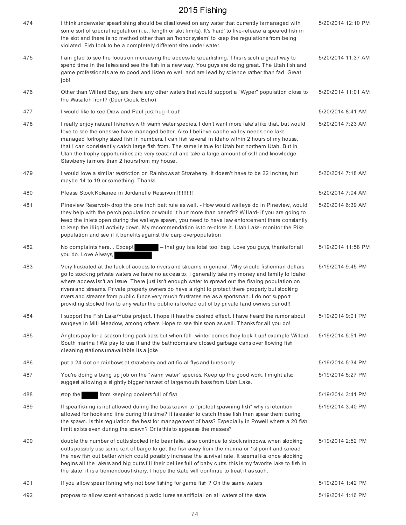| 474 | I think underwater spearfishing should be disallowed on any water that currently is managed with<br>some sort of special regulation (i.e., length or slot limits). It's 'hard' to live-release a speared fish in<br>the slot and there is no method other than an 'honor system' to keep the regulations from being<br>violated. Fish look to be a completely different size under water.                                                                                                                                                                                                                                 | 5/20/2014 12:10 PM |
|-----|---------------------------------------------------------------------------------------------------------------------------------------------------------------------------------------------------------------------------------------------------------------------------------------------------------------------------------------------------------------------------------------------------------------------------------------------------------------------------------------------------------------------------------------------------------------------------------------------------------------------------|--------------------|
| 475 | I am glad to see the focus on increasing the access to spearfishing. This is such a great way to<br>spend time in the lakes and see the fish in a new way. You guys are doing great. The Utah fish and<br>game professionals are so good and listen so well and are lead by science rather than fad. Great<br>job!                                                                                                                                                                                                                                                                                                        | 5/20/2014 11:37 AM |
| 476 | Other than Willard Bay, are there any other waters that would support a "Wyper" population close to<br>the Wasatch front? (Deer Creek, Echo)                                                                                                                                                                                                                                                                                                                                                                                                                                                                              | 5/20/2014 11:01 AM |
| 477 | I would like to see Drew and Paul just hug-it-out!                                                                                                                                                                                                                                                                                                                                                                                                                                                                                                                                                                        | 5/20/2014 8:41 AM  |
| 478 | I really enjoy natural fisheries with warm water species. I don't want more lake's like that, but would<br>love to see the ones we have managed better. Also I believe cache valley needs one lake<br>managed fortrophy sized fish In numbers. I can fish several in Idaho within 2 hours of my house,<br>that I can consistently catch large fish from. The same is true for Utah but northern Utah. But in<br>Utah the trophy opportunities are very seasonal and take a large amount of skill and knowledge.<br>Stawberry is more than 2 hours from my house.                                                          | 5/20/2014 7:23 AM  |
| 479 | I would love a similar restriction on Rainbows at Strawberry. It doesn't have to be 22 inches, but<br>maybe 14 to 19 or something. Thanks                                                                                                                                                                                                                                                                                                                                                                                                                                                                                 | 5/20/2014 7:18 AM  |
| 480 | Please Stock Kokanee in Jordanelle Reservoir !!!!!!!!!!!                                                                                                                                                                                                                                                                                                                                                                                                                                                                                                                                                                  | 5/20/2014 7:04 AM  |
| 481 | Pineview Reservoir- drop the one inch bait rule as well. - How would walleye do in Pineview, would<br>they help with the perch population or would it hurt more than benefit? Willard- if you are going to<br>keep the inlets open during the walleye spawn, you need to have law enforcement there constantly<br>to keep the illigal activity down. My recommendation is to re-close it. Utah Lake- monitor the Pike<br>population and see if it benefits against the carp overpopulation                                                                                                                                | 5/20/2014 6:39 AM  |
| 482 | -- that guy is a total tool bag. Love you guys, thanks for all<br>No complaints here Except<br>you do. Love Always,                                                                                                                                                                                                                                                                                                                                                                                                                                                                                                       | 5/19/2014 11:58 PM |
| 483 | Very frustrated at the lack of access to rivers and streams in general. Why should fisherman dollars<br>go to stocking private waters we have no access to. I generally take my money and family to Idaho<br>where access isn't an issue. There just isn't enough water to spread out the fishing population on<br>rivers and streams. Private property owners do have a right to protect there property but stocking<br>rivers and streams from public funds very much frustrates me as a sportsman. I do not support<br>providing stocked fish to any water the public is locked out of by private land owners period!! | 5/19/2014 9:45 PM  |
| 484 | I support the Fish Lake/Yuba project. I hope it has the desired effect. I have heard the rumor about<br>saugeye in Mill Meadow, among others. Hope to see this soon as well. Thanks for all you do!                                                                                                                                                                                                                                                                                                                                                                                                                       | 5/19/2014 9:01 PM  |
| 485 | Anglers pay for a season long park pass but when fall-winter comes they lock it up! example Willard<br>South marina ! We pay to use it and the bathrooms are closed garbage cans over flowing fish<br>cleaning stations unavailable its a joke                                                                                                                                                                                                                                                                                                                                                                            | 5/19/2014 5:51 PM  |
| 486 | put a 24 slot on rainbows at strawberry and artificial flys and lures only                                                                                                                                                                                                                                                                                                                                                                                                                                                                                                                                                | 5/19/2014 5:34 PM  |
| 487 | You're doing a bang up job on the "warm water" species. Keep up the good work. I might also<br>suggest allowing a slightly bigger harvest of largemouth bass from Utah Lake.                                                                                                                                                                                                                                                                                                                                                                                                                                              | 5/19/2014 5:27 PM  |
| 488 | from keeping coolers full of fish<br>stop the                                                                                                                                                                                                                                                                                                                                                                                                                                                                                                                                                                             | 5/19/2014 3:41 PM  |
| 489 | If spearfishing is not allowed during the bass spawn to "protect spawning fish" why is retention<br>allowed for hook and line during this time? It is easier to catch these fish than spear them during<br>the spawn. Is this regulation the best for management of bass? Especially in Powell where a 20 fish<br>limit exists even during the spawn? Or is this to appease the masses?                                                                                                                                                                                                                                   | 5/19/2014 3:40 PM  |
| 490 | double the number of cutts stocked into bear lake. also continue to stock rainbows, when stocking<br>cutts possibly use some sort of barge to get the fish away from the marina or 1st point and spread<br>the new fish out better which could possibly increase the survival rate. It seems like once stocking<br>begins all the lakers and big cutts fill their bellies full of baby cutts. this is my favorite lake to fish in<br>the state, it is a tremendous fishery. I hope the state will continue to treat it as such.                                                                                           | 5/19/2014 2:52 PM  |
| 491 | If you allow spear fishing why not bow fishing for game fish ? On the same waters                                                                                                                                                                                                                                                                                                                                                                                                                                                                                                                                         | 5/19/2014 1:42 PM  |
| 492 | propose to allow scent enhanced plastic lures as artificial on all waters of the state.                                                                                                                                                                                                                                                                                                                                                                                                                                                                                                                                   | 5/19/2014 1:16 PM  |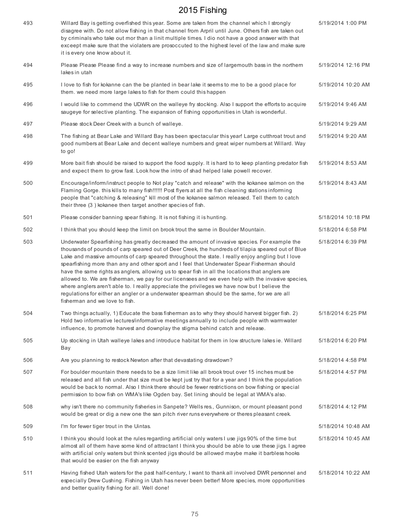| 493 | Willard Bay is getting overfished this year. Some are taken from the channel which I strongly<br>disagree with. Do not allow fishing in that channel from Arpril until June. Others fish are taken out<br>by criminals who take out mor than a linit multiple times. I dio not have a good answer with that<br>exceept make sure that the violaters are prosoccuted to the highest level of the law and make sure<br>it is every one know about it.                                                                                                                                                                                                                                                                                                                                                                                                   | 5/19/2014 1:00 PM  |
|-----|-------------------------------------------------------------------------------------------------------------------------------------------------------------------------------------------------------------------------------------------------------------------------------------------------------------------------------------------------------------------------------------------------------------------------------------------------------------------------------------------------------------------------------------------------------------------------------------------------------------------------------------------------------------------------------------------------------------------------------------------------------------------------------------------------------------------------------------------------------|--------------------|
| 494 | Please Please Please find a way to increase numbers and size of largemouth bass in the northern<br>lakes in utah                                                                                                                                                                                                                                                                                                                                                                                                                                                                                                                                                                                                                                                                                                                                      | 5/19/2014 12:16 PM |
| 495 | I love to fish for kokanne can the be planted in bear lake it seems to me to be a good place for<br>them, we need more large lakes to fish for them could this happen                                                                                                                                                                                                                                                                                                                                                                                                                                                                                                                                                                                                                                                                                 | 5/19/2014 10:20 AM |
| 496 | I would like to commend the UDWR on the walleye fry stocking. Also I support the efforts to acquire<br>saugeye for selective planting. The expansion of fishing opportunities in Utah is wonderful.                                                                                                                                                                                                                                                                                                                                                                                                                                                                                                                                                                                                                                                   | 5/19/2014 9:46 AM  |
| 497 | Please stock Deer Creek with a bunch of walleye.                                                                                                                                                                                                                                                                                                                                                                                                                                                                                                                                                                                                                                                                                                                                                                                                      | 5/19/2014 9:29 AM  |
| 498 | The fishing at Bear Lake and Willard Bay has been spectacular this year! Large cutthroat trout and<br>good numbers at Bear Lake and decent walleye numbers and great wiper numbers at Willard. Way<br>to go!                                                                                                                                                                                                                                                                                                                                                                                                                                                                                                                                                                                                                                          | 5/19/2014 9:20 AM  |
| 499 | More bait fish should be raised to support the food supply. It is hard to to keep planting predator fish<br>and expect them to grow fast. Look how the intro of shad helped lake powell recover.                                                                                                                                                                                                                                                                                                                                                                                                                                                                                                                                                                                                                                                      | 5/19/2014 8:53 AM  |
| 500 | Encourage/inform/instruct people to Not play "catch and release" with the kokanee salmon on the<br>Flaming Gorge. this kills to many fish!!!!!! Post flyers at all the fish cleaning stations informing<br>people that "catching & releasing" kill most of the kokanee salmon released. Tell them to catch<br>their three (3) kokanee then target another species of fish.                                                                                                                                                                                                                                                                                                                                                                                                                                                                            | 5/19/2014 8:43 AM  |
| 501 | Please consider banning spear fishing. It is not fishing it is hunting.                                                                                                                                                                                                                                                                                                                                                                                                                                                                                                                                                                                                                                                                                                                                                                               | 5/18/2014 10:18 PM |
| 502 | I think that you should keep the limit on brook trout the same in Boulder Mountain.                                                                                                                                                                                                                                                                                                                                                                                                                                                                                                                                                                                                                                                                                                                                                                   | 5/18/2014 6:58 PM  |
| 503 | Underwater Spearfishing has greatly decreased the amount of invasive species. For example the<br>thousands of pounds of carp speared out of Deer Creek, the hundreds of tilapia speared out of Blue<br>Lake and massive amounts of carp speared throughout the state. I really enjoy angling but I love<br>spearfishing more than any and other sport and I feel that Underwater Spear Fisherman should<br>have the same rights as anglers, allowing us to spear fish in all the locations that anglers are<br>allowed to. We are fisherman, we pay for our licensees and we even help with the invasive species,<br>where anglers aren't able to. I really appreciate the privileges we have now but I believe the<br>regulations for either an angler or a underwater spearman should be the same, for we are all<br>fisherman and we love to fish. | 5/18/2014 6:39 PM  |
| 504 | Two things actually, 1) Educate the bass fisherman as to why they should harvest bigger fish. 2)<br>Hold two informative lectures/informative meetings annually to include people with warmwater<br>influence, to promote harvest and downplay the stigma behind catch and release.                                                                                                                                                                                                                                                                                                                                                                                                                                                                                                                                                                   | 5/18/2014 6:25 PM  |
| 505 | Up stocking in Utah walleye lakes and introduce habitat for them in low structure lakes ie. Willard<br>Bay                                                                                                                                                                                                                                                                                                                                                                                                                                                                                                                                                                                                                                                                                                                                            | 5/18/2014 6:20 PM  |
| 506 | Are you planning to restock Newton after that devastating drawdown?                                                                                                                                                                                                                                                                                                                                                                                                                                                                                                                                                                                                                                                                                                                                                                                   | 5/18/2014 4:58 PM  |
| 507 | For boulder mountain there needs to be a size limit like all brook trout over 15 inches must be<br>released and all fish under that size must be kept just try that for a year and I think the population<br>would be back to normal. Also I think there should be fewer restrictions on bow fishing or special<br>permission to bow fish on WMA's like Ogden bay. Set lining should be legal at WMA's also.                                                                                                                                                                                                                                                                                                                                                                                                                                          | 5/18/2014 4:57 PM  |
| 508 | why isn't there no community fisheries in Sanpete? Wells res., Gunnison, or mount pleasant pond<br>would be great or dig a new one the san pitch river runs everywhere or theres pleasant creek.                                                                                                                                                                                                                                                                                                                                                                                                                                                                                                                                                                                                                                                      | 5/18/2014 4:12 PM  |
| 509 | I'm for fewer tiger trout in the Uintas.                                                                                                                                                                                                                                                                                                                                                                                                                                                                                                                                                                                                                                                                                                                                                                                                              | 5/18/2014 10:48 AM |
| 510 | I think you should look at the rules regarding artificial only waters I use jigs 90% of the time but<br>almost all of them have some kind of attractant I think you should be able to use these jigs. I agree<br>with artificial only waters but think scented jigs should be allowed maybe make it barbless hooks<br>that would be easier on the fish anyway                                                                                                                                                                                                                                                                                                                                                                                                                                                                                         | 5/18/2014 10:45 AM |
| 511 | Having fished Utah waters for the past half-century, I want to thank all involved DWR personnel and<br>especially Drew Cushing. Fishing in Utah has never been better! More species, more opportunities<br>and better quality fishing for all. Well done!                                                                                                                                                                                                                                                                                                                                                                                                                                                                                                                                                                                             | 5/18/2014 10:22 AM |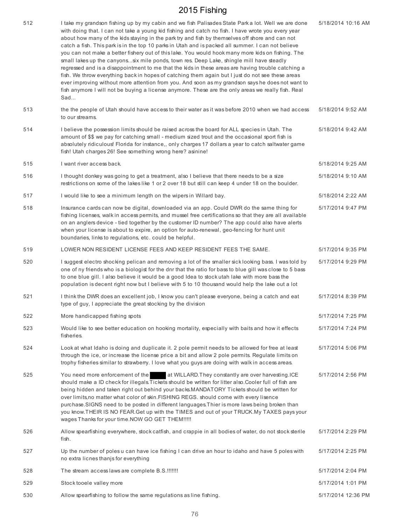| 512 | I take my grandson fishing up by my cabin and we fish Palisades State Park a lot. Well we are done<br>with doing that. I can not take a young kid fishing and catch no fish. I have wrote you every year<br>about how many of the kids staying in the park try and fish by themselves off shore and can not<br>catch a fish. This park is in the top 10 parks in Utah and is packed all summer. I can not believe<br>you can not make a better fishery out of this lake. You would hook many more kids on fishing. The<br>small lakes up the canyonssix mile ponds, town res. Deep Lake, shingle mill have steadly<br>regressed and is a disappointment to me that the kids in these areas are having trouble catching a<br>fish. We throw everything back in hopes of catching them again but I just do not see these areas<br>ever improving without more attention from you. And soon as my grandson says he does not want to<br>fish anymore I will not be buying a license anymore. These are the only areas we really fish. Real<br>Sad | 5/18/2014 10:16 AM |
|-----|-----------------------------------------------------------------------------------------------------------------------------------------------------------------------------------------------------------------------------------------------------------------------------------------------------------------------------------------------------------------------------------------------------------------------------------------------------------------------------------------------------------------------------------------------------------------------------------------------------------------------------------------------------------------------------------------------------------------------------------------------------------------------------------------------------------------------------------------------------------------------------------------------------------------------------------------------------------------------------------------------------------------------------------------------|--------------------|
| 513 | the the people of Utah should have access to their water as it was before 2010 when we had access<br>to our streams.                                                                                                                                                                                                                                                                                                                                                                                                                                                                                                                                                                                                                                                                                                                                                                                                                                                                                                                          | 5/18/2014 9:52 AM  |
| 514 | I believe the possession limits should be raised across the board for ALL species in Utah. The<br>amount of \$\$ we pay for catching small - medium sized trout and the occasional sport fish is<br>absolutely ridiculous! Florida for instance,, only charges 17 dollars a year to catch saltwater game<br>fish! Utah charges 26! See something wrong here? asinine!                                                                                                                                                                                                                                                                                                                                                                                                                                                                                                                                                                                                                                                                         | 5/18/2014 9:42 AM  |
| 515 | I want river access back.                                                                                                                                                                                                                                                                                                                                                                                                                                                                                                                                                                                                                                                                                                                                                                                                                                                                                                                                                                                                                     | 5/18/2014 9:25 AM  |
| 516 | I thought donkey was going to get a treatment, also I believe that there needs to be a size<br>restrictions on some of the lakes like 1 or 2 over 18 but still can keep 4 under 18 on the boulder.                                                                                                                                                                                                                                                                                                                                                                                                                                                                                                                                                                                                                                                                                                                                                                                                                                            | 5/18/2014 9:10 AM  |
| 517 | I would like to see a minimum length on the wipers in Willard bay.                                                                                                                                                                                                                                                                                                                                                                                                                                                                                                                                                                                                                                                                                                                                                                                                                                                                                                                                                                            | 5/18/2014 2:22 AM  |
| 518 | Insurance cards can now be digital, downloaded via an app. Could DWR do the same thing for<br>fishing licenses, walk in access permits, and mussel free certifications so that they are all available<br>on an anglers device - tied together by the customer ID number? The app could also have alerts<br>when your license is about to expire, an option for auto-renewal, geo-fencing for hunt unit<br>boundaries, links to regulations, etc. could be helpful.                                                                                                                                                                                                                                                                                                                                                                                                                                                                                                                                                                            | 5/17/2014 9:47 PM  |
| 519 | LOWER NON RESIDENT LICENSE FEES AND KEEP RESIDENT FEES THE SAME.                                                                                                                                                                                                                                                                                                                                                                                                                                                                                                                                                                                                                                                                                                                                                                                                                                                                                                                                                                              | 5/17/2014 9:35 PM  |
| 520 | I suggest electro shocking pelican and removing a lot of the smaller sick looking bass. I was told by<br>one of ny friends who is a biologist for the dnr that the ratio for bass to blue gill was close to 5 bass<br>to one blue gill. I also believe it would be a good Idea to stock utah lake with more bass the<br>population is decent right now but I believe with 5 to 10 thousand would help the lake out a lot                                                                                                                                                                                                                                                                                                                                                                                                                                                                                                                                                                                                                      | 5/17/2014 9:29 PM  |
| 521 | I think the DWR does an excellent job, I know you can't please everyone, being a catch and eat<br>type of guy, I appreciate the great stocking by the division                                                                                                                                                                                                                                                                                                                                                                                                                                                                                                                                                                                                                                                                                                                                                                                                                                                                                | 5/17/2014 8:39 PM  |
| 522 | More handicapped fishing spots                                                                                                                                                                                                                                                                                                                                                                                                                                                                                                                                                                                                                                                                                                                                                                                                                                                                                                                                                                                                                | 5/17/2014 7:25 PM  |
| 523 | Would like to see better education on hooking mortality, especially with baits and how it effects<br>fisheries.                                                                                                                                                                                                                                                                                                                                                                                                                                                                                                                                                                                                                                                                                                                                                                                                                                                                                                                               | 5/17/2014 7:24 PM  |
| 524 | Look at what Idaho is doing and duplicate it. 2 pole permit needs to be allowed for free at least<br>through the ice, or increase the license price a bit and allow 2 pole permits. Regulate limits on<br>trophy fisheries similar to strawberry. I love what you guys are doing with walk in access areas.                                                                                                                                                                                                                                                                                                                                                                                                                                                                                                                                                                                                                                                                                                                                   | 5/17/2014 5:06 PM  |
| 525 | You need more enforcement of the<br>at WILLARD. They constantly are over harvesting. ICE<br>should make a ID check for illegals. Tickets should be written for litter also. Cooler full of fish are<br>being hidden and taken right out behind your backs.MANDATORY Tickets should be written for<br>over limits, no matter what color of skin. FISHING REGS. should come with every lisence<br>purchase.SIGNS need to be posted in different languages.Thier is more laws being broken than<br>you know.THEIR IS NO FEAR.Get up with the TIMES and out of your TRUCK.My TAXES pays your<br>wages Thanks for your time. NOW GO GET THEM !!!!!                                                                                                                                                                                                                                                                                                                                                                                                 | 5/17/2014 2:56 PM  |
| 526 | Allow spearfishing everywhere, stock catfish, and crappie in all bodies of water, do not stock sterile<br>fish.                                                                                                                                                                                                                                                                                                                                                                                                                                                                                                                                                                                                                                                                                                                                                                                                                                                                                                                               | 5/17/2014 2:29 PM  |
| 527 | Up the number of poles u can have ice fishing I can drive an hour to idaho and have 5 poles with<br>no extra licnes thanjs for everything                                                                                                                                                                                                                                                                                                                                                                                                                                                                                                                                                                                                                                                                                                                                                                                                                                                                                                     | 5/17/2014 2:25 PM  |
| 528 | The stream access laws are complete B.S.!!!!!!!                                                                                                                                                                                                                                                                                                                                                                                                                                                                                                                                                                                                                                                                                                                                                                                                                                                                                                                                                                                               | 5/17/2014 2:04 PM  |
| 529 | Stock tooele valley more                                                                                                                                                                                                                                                                                                                                                                                                                                                                                                                                                                                                                                                                                                                                                                                                                                                                                                                                                                                                                      | 5/17/2014 1:01 PM  |
| 530 | Allow spearfishing to follow the same regulations as line fishing.                                                                                                                                                                                                                                                                                                                                                                                                                                                                                                                                                                                                                                                                                                                                                                                                                                                                                                                                                                            | 5/17/2014 12:36 PM |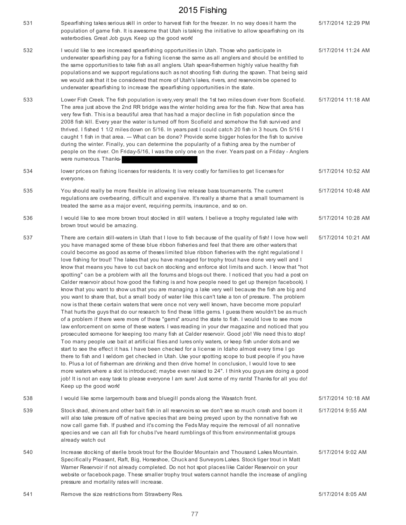| 531 | Spearfishing takes serious skill in order to harvest fish for the freezer. In no way does it harm the<br>population of game fish. It is awesome that Utah is taking the initiative to allow spearfishing on its<br>waterbodies. Great Job guys. Keep up the good work!                                                                                                                                                                                                                                                                                                                                                                                                                                                                                                                                                                                                                                                                                                                                                                                                                                                                                                                                                                                                                                                                                                                                                                                                                                                                                                                                                                                                                                                                                                                                                                                                                                                                                                                                                                                                                                                                                  | 5/17/2014 12:29 PM |
|-----|---------------------------------------------------------------------------------------------------------------------------------------------------------------------------------------------------------------------------------------------------------------------------------------------------------------------------------------------------------------------------------------------------------------------------------------------------------------------------------------------------------------------------------------------------------------------------------------------------------------------------------------------------------------------------------------------------------------------------------------------------------------------------------------------------------------------------------------------------------------------------------------------------------------------------------------------------------------------------------------------------------------------------------------------------------------------------------------------------------------------------------------------------------------------------------------------------------------------------------------------------------------------------------------------------------------------------------------------------------------------------------------------------------------------------------------------------------------------------------------------------------------------------------------------------------------------------------------------------------------------------------------------------------------------------------------------------------------------------------------------------------------------------------------------------------------------------------------------------------------------------------------------------------------------------------------------------------------------------------------------------------------------------------------------------------------------------------------------------------------------------------------------------------|--------------------|
| 532 | I would like to see increased spearfishing opportunities in Utah. Those who participate in<br>underwater spearfishing pay for a fishing license the same as all anglers and should be entitled to<br>the same opportunities to take fish as all anglers. Utah spear-fishermen highly value healthy fish<br>populations and we support regulations such as not shooting fish during the spawn. That being said<br>we would ask that it be considered that more of Utah's lakes, rivers, and reservoirs be opened to<br>underwater spearfishing to increase the spearfishing opportunities in the state.                                                                                                                                                                                                                                                                                                                                                                                                                                                                                                                                                                                                                                                                                                                                                                                                                                                                                                                                                                                                                                                                                                                                                                                                                                                                                                                                                                                                                                                                                                                                                  | 5/17/2014 11:24 AM |
| 533 | Lower Fish Creek. The fish population is very, very small the 1st two miles down river from Scofield.<br>The area just above the 2nd RR bridge was the winter holding area for the fish. Now that area has<br>very few fish. This is a beautiful area that has had a major decline in fish population since the<br>2008 fish kill. Every year the water is turned off from Scofield and somehow the fish survived and<br>thrived. I fished 1 1/2 miles down on 5/16. In years past I could catch 20 fish in 3 hours. On 5/16 I<br>caught 1 fish in that area. --- What can be done? Provide some bigger holes for the fish to survive<br>during the winter. Finally, you can determine the popularity of a fishing area by the number of<br>people on the river. On Friday-5/16, I was the only one on the river. Years past on a Friday - Anglers<br>were numerous. Thanks-                                                                                                                                                                                                                                                                                                                                                                                                                                                                                                                                                                                                                                                                                                                                                                                                                                                                                                                                                                                                                                                                                                                                                                                                                                                                            | 5/17/2014 11:18 AM |
| 534 | lower prices on fishing licenses for residents. It is very costly for families to get licenses for<br>everyone.                                                                                                                                                                                                                                                                                                                                                                                                                                                                                                                                                                                                                                                                                                                                                                                                                                                                                                                                                                                                                                                                                                                                                                                                                                                                                                                                                                                                                                                                                                                                                                                                                                                                                                                                                                                                                                                                                                                                                                                                                                         | 5/17/2014 10:52 AM |
| 535 | You should really be more flexible in allowing live release bass tournaments. The current<br>regulations are overbearing, difficult and expensive. It's really a shame that a small tournament is<br>treated the same as a major event, requiring permits, insurance, and so on.                                                                                                                                                                                                                                                                                                                                                                                                                                                                                                                                                                                                                                                                                                                                                                                                                                                                                                                                                                                                                                                                                                                                                                                                                                                                                                                                                                                                                                                                                                                                                                                                                                                                                                                                                                                                                                                                        | 5/17/2014 10:48 AM |
| 536 | I would like to see more brown trout stocked in still waters. I believe a trophy regulated lake with<br>brown trout would be amazing.                                                                                                                                                                                                                                                                                                                                                                                                                                                                                                                                                                                                                                                                                                                                                                                                                                                                                                                                                                                                                                                                                                                                                                                                                                                                                                                                                                                                                                                                                                                                                                                                                                                                                                                                                                                                                                                                                                                                                                                                                   | 5/17/2014 10:28 AM |
| 537 | There are certain still-waters in Utah that I love to fish because of the quality of fish! I love how well<br>you have managed some of these blue ribbon fisheries and feel that there are other waters that<br>could become as good as some of theses limited blue ribbon fisheries with the right regulations! I<br>love fishing for trout! The lakes that you have managed for trophy trout have done very well and I<br>know that means you have to cut back on stocking and enforce slot limits and such. I know that "hot<br>spotting" can be a problem with all the forums and blogs out there. I noticed that you had a post on<br>Calder reservoir about how good the fishing is and how people need to get up there(on facebook). I<br>know that you want to show us that you are managing a lake very well because the fish are big and<br>you want to share that, but a small body of water like this can't take a ton of pressure. The problem<br>now is that these certain waters that were once not very well known, have become more popular!<br>That hurts the guys that do our research to find these little gems. I guess there wouldn't be as much<br>of a problem if there were more of these "gems" around the state to fish. I would love to see more<br>law enforcement on some of these waters. I was reading in your dwr magazine and noticed that you<br>prosecuted someone for keeping too many fish at Calder reservoir. Good job! We need this to stop!<br>Too many people use bait at artificial flies and lures only waters, or keep fish under slots and we<br>start to see the effect it has. I have been checked for a license in Idaho almost every time I go<br>there to fish and I seldom get checked in Utah. Use your spotting scope to bust people if you have<br>to. Plus a lot of fisherman are drinking and then drive home! In conclusion, I would love to see<br>more waters where a slot is introduced; maybe even raised to 24". I think you guys are doing a good<br>job! It is not an easy task to please everyone I am sure! Just some of my rants! Thanks for all you do!<br>Keep up the good work! | 5/17/2014 10:21 AM |
| 538 | I would like some largemouth bass and bluegill ponds along the Wasatch front.                                                                                                                                                                                                                                                                                                                                                                                                                                                                                                                                                                                                                                                                                                                                                                                                                                                                                                                                                                                                                                                                                                                                                                                                                                                                                                                                                                                                                                                                                                                                                                                                                                                                                                                                                                                                                                                                                                                                                                                                                                                                           | 5/17/2014 10:18 AM |
| 539 | Stock shad, shiners and other bait fish in all reservoirs so we don't see so much crash and boom it<br>will also take pressure off of native species that are being preyed upon by the nonnative fish we<br>now call game fish. If pushed and it's coming the Feds May require the removal of all nonnative<br>species and we can all fish for chubs I've heard rumblings of this from environmentalist groups<br>already watch out                                                                                                                                                                                                                                                                                                                                                                                                                                                                                                                                                                                                                                                                                                                                                                                                                                                                                                                                                                                                                                                                                                                                                                                                                                                                                                                                                                                                                                                                                                                                                                                                                                                                                                                     | 5/17/2014 9:55 AM  |
| 540 | Increase stocking of sterile brook trout for the Boulder Mountain and Thousand Lakes Mountain.<br>Specifically Pleasant, Raft, Big, Horseshoe, Chuck and Surveyors Lakes. Stock tiger trout in Matt<br>Warner Reservoir if not already completed. Do not hot spot places like Calder Reservoir on your<br>website or facebook page. These smaller trophy trout waters cannot handle the increase of angling<br>pressure and mortality rates will increase.                                                                                                                                                                                                                                                                                                                                                                                                                                                                                                                                                                                                                                                                                                                                                                                                                                                                                                                                                                                                                                                                                                                                                                                                                                                                                                                                                                                                                                                                                                                                                                                                                                                                                              | 5/17/2014 9:02 AM  |
| 541 | Remove the size restrictions from Strawberry Res.                                                                                                                                                                                                                                                                                                                                                                                                                                                                                                                                                                                                                                                                                                                                                                                                                                                                                                                                                                                                                                                                                                                                                                                                                                                                                                                                                                                                                                                                                                                                                                                                                                                                                                                                                                                                                                                                                                                                                                                                                                                                                                       | 5/17/2014 8:05 AM  |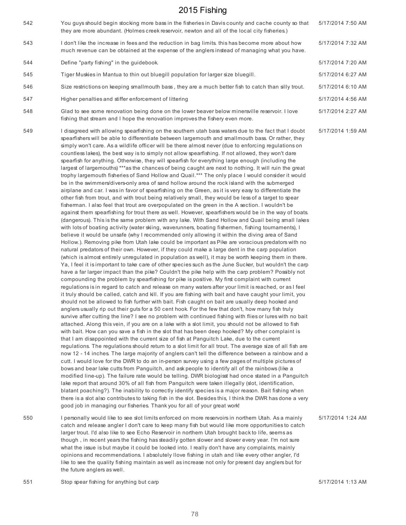| 542 | You guys should begin stocking more bass in the fisheries in Davis county and cache county so that<br>they are more abundant. (Holmes creek reservoir, newton and all of the local city fisheries.)                                                                                                                                                                                                                                                                                                                                                                                                                                                                                                                                                                                                                                                                                                                                                                                                                                                                                                                                                                                                                                                                                                                                                                                                                                                                                                                                                                                                                                                                                                                                                                                                                                                                                                                                                                                                                                                                                                                                                                                                                                                                                                                                                                                                                                                                                                                                                                                                                                                                                                                                                                                                                                                                                                                                                                                                                                                                                                                                                                                                                                                                                                                                                                                                                                                                                                                                                                                                                                                                                                                                                                                                                                                                                                                                                                                                                             | 5/17/2014 7:50 AM |
|-----|---------------------------------------------------------------------------------------------------------------------------------------------------------------------------------------------------------------------------------------------------------------------------------------------------------------------------------------------------------------------------------------------------------------------------------------------------------------------------------------------------------------------------------------------------------------------------------------------------------------------------------------------------------------------------------------------------------------------------------------------------------------------------------------------------------------------------------------------------------------------------------------------------------------------------------------------------------------------------------------------------------------------------------------------------------------------------------------------------------------------------------------------------------------------------------------------------------------------------------------------------------------------------------------------------------------------------------------------------------------------------------------------------------------------------------------------------------------------------------------------------------------------------------------------------------------------------------------------------------------------------------------------------------------------------------------------------------------------------------------------------------------------------------------------------------------------------------------------------------------------------------------------------------------------------------------------------------------------------------------------------------------------------------------------------------------------------------------------------------------------------------------------------------------------------------------------------------------------------------------------------------------------------------------------------------------------------------------------------------------------------------------------------------------------------------------------------------------------------------------------------------------------------------------------------------------------------------------------------------------------------------------------------------------------------------------------------------------------------------------------------------------------------------------------------------------------------------------------------------------------------------------------------------------------------------------------------------------------------------------------------------------------------------------------------------------------------------------------------------------------------------------------------------------------------------------------------------------------------------------------------------------------------------------------------------------------------------------------------------------------------------------------------------------------------------------------------------------------------------------------------------------------------------------------------------------------------------------------------------------------------------------------------------------------------------------------------------------------------------------------------------------------------------------------------------------------------------------------------------------------------------------------------------------------------------------------------------------------------------------------------------------------------------|-------------------|
| 543 | I don't like the increase in fees and the reduction in bag limits. this has become more about how<br>much revenue can be obtained at the expense of the anglers instead of managing what you have.                                                                                                                                                                                                                                                                                                                                                                                                                                                                                                                                                                                                                                                                                                                                                                                                                                                                                                                                                                                                                                                                                                                                                                                                                                                                                                                                                                                                                                                                                                                                                                                                                                                                                                                                                                                                                                                                                                                                                                                                                                                                                                                                                                                                                                                                                                                                                                                                                                                                                                                                                                                                                                                                                                                                                                                                                                                                                                                                                                                                                                                                                                                                                                                                                                                                                                                                                                                                                                                                                                                                                                                                                                                                                                                                                                                                                              | 5/17/2014 7:32 AM |
| 544 | Define "party fishing" in the guidebook.                                                                                                                                                                                                                                                                                                                                                                                                                                                                                                                                                                                                                                                                                                                                                                                                                                                                                                                                                                                                                                                                                                                                                                                                                                                                                                                                                                                                                                                                                                                                                                                                                                                                                                                                                                                                                                                                                                                                                                                                                                                                                                                                                                                                                                                                                                                                                                                                                                                                                                                                                                                                                                                                                                                                                                                                                                                                                                                                                                                                                                                                                                                                                                                                                                                                                                                                                                                                                                                                                                                                                                                                                                                                                                                                                                                                                                                                                                                                                                                        | 5/17/2014 7:20 AM |
| 545 | Tiger Muskies in Mantua to thin out bluegill population for larger size bluegill.                                                                                                                                                                                                                                                                                                                                                                                                                                                                                                                                                                                                                                                                                                                                                                                                                                                                                                                                                                                                                                                                                                                                                                                                                                                                                                                                                                                                                                                                                                                                                                                                                                                                                                                                                                                                                                                                                                                                                                                                                                                                                                                                                                                                                                                                                                                                                                                                                                                                                                                                                                                                                                                                                                                                                                                                                                                                                                                                                                                                                                                                                                                                                                                                                                                                                                                                                                                                                                                                                                                                                                                                                                                                                                                                                                                                                                                                                                                                               | 5/17/2014 6:27 AM |
| 546 | Size restrictions on keeping smallmouth bass, they are a much better fish to catch than silly trout.                                                                                                                                                                                                                                                                                                                                                                                                                                                                                                                                                                                                                                                                                                                                                                                                                                                                                                                                                                                                                                                                                                                                                                                                                                                                                                                                                                                                                                                                                                                                                                                                                                                                                                                                                                                                                                                                                                                                                                                                                                                                                                                                                                                                                                                                                                                                                                                                                                                                                                                                                                                                                                                                                                                                                                                                                                                                                                                                                                                                                                                                                                                                                                                                                                                                                                                                                                                                                                                                                                                                                                                                                                                                                                                                                                                                                                                                                                                            | 5/17/2014 6:10 AM |
| 547 | Higher penalties and stiffer enforcement of littering                                                                                                                                                                                                                                                                                                                                                                                                                                                                                                                                                                                                                                                                                                                                                                                                                                                                                                                                                                                                                                                                                                                                                                                                                                                                                                                                                                                                                                                                                                                                                                                                                                                                                                                                                                                                                                                                                                                                                                                                                                                                                                                                                                                                                                                                                                                                                                                                                                                                                                                                                                                                                                                                                                                                                                                                                                                                                                                                                                                                                                                                                                                                                                                                                                                                                                                                                                                                                                                                                                                                                                                                                                                                                                                                                                                                                                                                                                                                                                           | 5/17/2014 4:56 AM |
| 548 | Glad to see some renovation being done on the lower beaver below minersville reservoir. I love<br>fishing that stream and I hope the renovation improves the fishery even more.                                                                                                                                                                                                                                                                                                                                                                                                                                                                                                                                                                                                                                                                                                                                                                                                                                                                                                                                                                                                                                                                                                                                                                                                                                                                                                                                                                                                                                                                                                                                                                                                                                                                                                                                                                                                                                                                                                                                                                                                                                                                                                                                                                                                                                                                                                                                                                                                                                                                                                                                                                                                                                                                                                                                                                                                                                                                                                                                                                                                                                                                                                                                                                                                                                                                                                                                                                                                                                                                                                                                                                                                                                                                                                                                                                                                                                                 | 5/17/2014 2:27 AM |
| 549 | I disagreed with allowing spearfishing on the southern utah bass waters due to the fact that I doubt<br>spearfishers will be able to differentiate between largemouth and smallmouth bass. Or rather, they<br>simply won't care. As a wildlife officer will be there almost never (due to enforcing regulations on<br>countless lakes), the best way is to simply not allow spearfishing. If not allowed, they won't dare<br>spearfish for anything. Otherwise, they will spearfish for everything large enough (including the<br>largest of largemouths) ***as the chances of being caught are next to nothing. It will ruin the great<br>trophy largemouth fisheries of Sand Hollow and Quail.*** The only place I would consider it would<br>be in the swimmers/divers-only area of sand hollow around the rock island with the submerged<br>airplane and car. I was in favor of spearfishing on the Green, as it is very easy to differentiate the<br>other fish from trout, and with trout being relatively small, they would be less of a target to spear<br>fisherman. I also feel that trout are overpopulated on the green in the A section. I wouldn't be<br>against them spearfishing for trout there as well. However, spearfishers would be in the way of boats.<br>(dangerous). This is the same problem with any lake. With Sand Hollow and Quail being small lakes<br>with lots of boating activity (water skiing, waverunners, boating fishermen, fishing tournaments), I<br>believe it would be unsafe (why I recommended only allowing it within the diving area of Sand<br>Hollow.). Removing pike from Utah lake could be important as Pike are voracious predators with no<br>natural predators of their own. However, if they could make a large dent in the carp population<br>(which is almost entirely unregulated in population as well), it may be worth keeping them in there.<br>Ya, I feel it is important to take care of other species such as the June Sucker, but wouldn't the carp<br>have a far larger impact than the pike? Couldn't the pike help with the carp problem? Possibly not<br>compounding the problem by spearfishing for pike is positive. My first complaint with current<br>regulations is in regard to catch and release on many waters after your limit is reached, or as I feel<br>it truly should be called, catch and kill. If you are fishing with bait and have caught your limit, you<br>should not be allowed to fish further with bait. Fish caught on bait are usually deep hooked and<br>anglers usually rip out their guts for a 50 cent hook. For the few that don't, how many fish truly<br>survive after cutting the line? I see no problem with continued fishing with flies or lures with no bait<br>attached. Along this vein, if you are on a lake with a slot limit, you should not be allowed to fish<br>with bait. How can you save a fish in the slot that has been deep hooked? My other complaint is<br>that I am disappointed with the current size of fish at Panguitch Lake, due to the current<br>regulations. The regulations should return to a slot limit for all trout. The average size of all fish are<br>now 12 - 14 inches. The large majority of anglers can't tell the difference between a rainbow and a<br>cutt. I would love for the DWR to do an in-person survey using a few pages of multiple pictures of<br>bows and bear lake cutts from Panguitch, and ask people to identify all of the rainbows (like a<br>modified line-up). The failure rate would be telling. DWR biologisst had once stated in a Panguitch<br>lake report that around 30% of all fish from Panguitch were taken illegally (slot, identification,<br>blatant poaching?). The inability to correctly identify species is a major reason. Bait fishing when<br>there is a slot also contributes to taking fish in the slot. Besides this, I think the DWR has done a very<br>good job in managing our fisheries. Thank you for all of your great work! | 5/17/2014 1:59 AM |
| 550 | I personally would like to see slot limits enforced on more reservoirs in northern Utah. As a mainly<br>catch and release angler I don't care to keep many fish but would like more opportunities to catch<br>larger trout. I'd also like to see Echo Reservoir in northern Utah brought back to life, seems as<br>though, in recent years the fishing has steadily gotten slower and slower every year. I'm not sure<br>what the issue is but maybe it could be looked into. I really don't have any complaints, mainly<br>opinions and recommendations. I absolutely llove fishing in utah and like every other angler, I'd                                                                                                                                                                                                                                                                                                                                                                                                                                                                                                                                                                                                                                                                                                                                                                                                                                                                                                                                                                                                                                                                                                                                                                                                                                                                                                                                                                                                                                                                                                                                                                                                                                                                                                                                                                                                                                                                                                                                                                                                                                                                                                                                                                                                                                                                                                                                                                                                                                                                                                                                                                                                                                                                                                                                                                                                                                                                                                                                                                                                                                                                                                                                                                                                                                                                                                                                                                                                   | 5/17/2014 1:24 AM |

551 Stop spear fishing for anything but carp Stop Stop Stop Stop Search 5/17/2014 1:13 AM

the future anglers as well.

like to see the quality fishing maintain as well as increase not only for present day anglers but for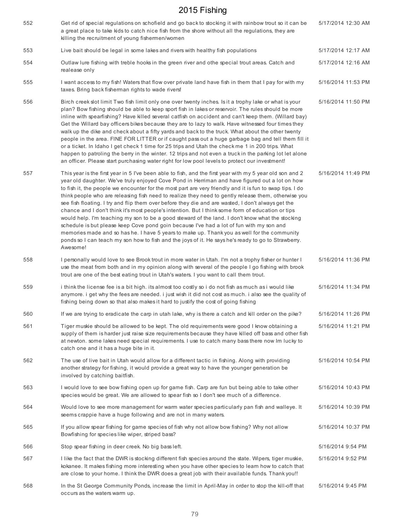| 552 | Get rid of special regulations on schofield and go back to stocking it with rainbow trout so it can be<br>a great place to take kids to catch nice fish from the shore without all the regulations, they are<br>killing the recruitment of young fishermen/women                                                                                                                                                                                                                                                                                                                                                                                                                                                                                                                                                                                                                                                                                                                                                                                           | 5/17/2014 12:30 AM |
|-----|------------------------------------------------------------------------------------------------------------------------------------------------------------------------------------------------------------------------------------------------------------------------------------------------------------------------------------------------------------------------------------------------------------------------------------------------------------------------------------------------------------------------------------------------------------------------------------------------------------------------------------------------------------------------------------------------------------------------------------------------------------------------------------------------------------------------------------------------------------------------------------------------------------------------------------------------------------------------------------------------------------------------------------------------------------|--------------------|
| 553 | Live bait should be legal in some lakes and rivers with healthy fish populations                                                                                                                                                                                                                                                                                                                                                                                                                                                                                                                                                                                                                                                                                                                                                                                                                                                                                                                                                                           | 5/17/2014 12:17 AM |
| 554 | Outlaw lure fishing with treble hooks in the green river and othe special trout areas. Catch and<br>realease only                                                                                                                                                                                                                                                                                                                                                                                                                                                                                                                                                                                                                                                                                                                                                                                                                                                                                                                                          | 5/17/2014 12:16 AM |
| 555 | I want access to my fish! Waters that flow over private land have fish in them that I pay for with my<br>taxes. Bring back fisherman rights to wade rivers!                                                                                                                                                                                                                                                                                                                                                                                                                                                                                                                                                                                                                                                                                                                                                                                                                                                                                                | 5/16/2014 11:53 PM |
| 556 | Birch creek slot limit Two fish limit only one over twenty inches. Is it a trophy lake or what is your<br>plan? Bow fishing should be able to keep sport fish in lakes or reservoir. The rules should be more<br>inline with spearfishing? Have killed several catfish on accident and can't keep them. (Willard bay)<br>Get the Willard bay officers bikes because they are to lazy to walk. Have witnessed four times they<br>walk up the dike and check about a fifty yards and back to the truck. What about the other twenty<br>people in the area. FINE FOR LITTER or if caught pass out a huge garbage bag and tell them fill it<br>or a ticket. In Idaho I get check 1 time for 25 trips and Utah the check me 1 in 200 trips. What<br>happen to patroling the berry in the winter. 12 trips and not even a truck in the parking lot let alone<br>an officer. Please start purchasing water right for low pool levels to protect our investment!                                                                                                   | 5/16/2014 11:50 PM |
| 557 | This year is the first year in 5 I've been able to fish, and the first year with my 5 year old son and 2<br>year old daughter. We've truly enjoyed Cove Pond in Herriman and have figured out a lot on how<br>to fish it, the people we encounter for the most part are very friendly and it is fun to swap tips. I do<br>think people who are releasing fish need to realize they need to gently release them, otherwise you<br>see fish floating. I try and flip them over before they die and are wasted, I don't always get the<br>chance and I don't think it's most people's intention. But I think some form of education or tips<br>would help. I'm teaching my son to be a good steward of the land. I don't know what the stocking<br>schedule is but please keep Cove pond goin because I've had a lot of fun with my son and<br>memories made and so has he. I have 5 years to make up. Thank you as well for the community<br>ponds so I can teach my son how to fish and the joys of it. He says he's ready to go to Strawberry.<br>Awesome! | 5/16/2014 11:49 PM |
| 558 | I personally would love to see Brook trout in more water in Utah. I'm not a trophy fisher or hunter I<br>use the meat from both and in my opinion along with several of the people I go fishing with brook<br>trout are one of the best eating trout in Utah's waters. I you want to call them trout.                                                                                                                                                                                                                                                                                                                                                                                                                                                                                                                                                                                                                                                                                                                                                      | 5/16/2014 11:36 PM |
| 559 | i think the license fee is a bit high. its almost too costly so i do not fish as much as i would like<br>anymore. i get why the fees are needed. i just wish it did not cost as much. i also see the quality of<br>fishing being down so that also makes it hard to justify the cost of going fishing                                                                                                                                                                                                                                                                                                                                                                                                                                                                                                                                                                                                                                                                                                                                                      | 5/16/2014 11:34 PM |
| 560 | If we are trying to eradicate the carp in utah lake, why is there a catch and kill order on the pike?                                                                                                                                                                                                                                                                                                                                                                                                                                                                                                                                                                                                                                                                                                                                                                                                                                                                                                                                                      | 5/16/2014 11:26 PM |
| 561 | Tiger muskie should be allowed to be kept. The old requirements were good I know obtaining a<br>supply of them is harder just raise size requirements because they have killed off bass and other fish<br>at newton. some lakes need special requirements. I use to catch many bass there now Im lucky to<br>catch one and it has a huge bite in it.                                                                                                                                                                                                                                                                                                                                                                                                                                                                                                                                                                                                                                                                                                       | 5/16/2014 11:21 PM |
| 562 | The use of live bait in Utah would allow for a different tactic in fishing. Along with providing<br>another strategy for fishing, it would provide a great way to have the younger generation be<br>involved by catching baitfish.                                                                                                                                                                                                                                                                                                                                                                                                                                                                                                                                                                                                                                                                                                                                                                                                                         | 5/16/2014 10:54 PM |
| 563 | I would love to see bow fishing open up for game fish. Carp are fun but being able to take other<br>species would be great. We are allowed to spear fish so I don't see much of a difference.                                                                                                                                                                                                                                                                                                                                                                                                                                                                                                                                                                                                                                                                                                                                                                                                                                                              | 5/16/2014 10:43 PM |
| 564 | Would love to see more management for warm water species particularly pan fish and walleye. It<br>seems crappie have a huge following and are not in many waters.                                                                                                                                                                                                                                                                                                                                                                                                                                                                                                                                                                                                                                                                                                                                                                                                                                                                                          | 5/16/2014 10:39 PM |
| 565 | If you allow spear fishing for game species of fish why not allow bow fishing? Why not allow<br>Bowfishing for species like wiper, striped bass?                                                                                                                                                                                                                                                                                                                                                                                                                                                                                                                                                                                                                                                                                                                                                                                                                                                                                                           | 5/16/2014 10:37 PM |
| 566 | Stop spear fishing in deer creek. No big bass left.                                                                                                                                                                                                                                                                                                                                                                                                                                                                                                                                                                                                                                                                                                                                                                                                                                                                                                                                                                                                        | 5/16/2014 9:54 PM  |
| 567 | I like the fact that the DWR is stocking different fish species around the state. Wipers, tiger muskie,<br>kokanee. It makes fishing more interesting when you have other species to learn how to catch that<br>are close to your home. I think the DWR does a great job with their available funds. Thank you!!                                                                                                                                                                                                                                                                                                                                                                                                                                                                                                                                                                                                                                                                                                                                           | 5/16/2014 9:52 PM  |
| 568 | In the St George Community Ponds, increase the limit in April-May in order to stop the kill-off that<br>occurs as the waters warm up.                                                                                                                                                                                                                                                                                                                                                                                                                                                                                                                                                                                                                                                                                                                                                                                                                                                                                                                      | 5/16/2014 9:45 PM  |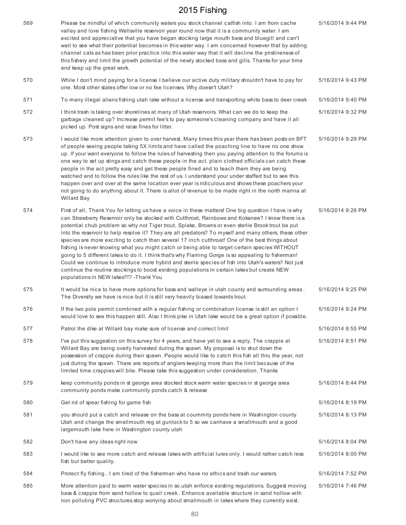| 569 | Please be mindful of which community waters you stock channel catfish into. I am from cache<br>valley and love fishing Wellsville reservoir year round now that it is a community water. I am<br>excited and appreciative that you have began stocking large mouth bass and bluegill and can't<br>wait to see what their potential becomes in this water way. I am concerned however that by adding<br>channel cats as has been prior practice into this water way that it will decline the pristineness of<br>this fishery and limit the growth potential of the newly stocked bass and gills. Thanks for your time<br>and keep up the great work.                                                                                                                                                                                                                                                                                                                                | 5/16/2014 9:44 PM |
|-----|------------------------------------------------------------------------------------------------------------------------------------------------------------------------------------------------------------------------------------------------------------------------------------------------------------------------------------------------------------------------------------------------------------------------------------------------------------------------------------------------------------------------------------------------------------------------------------------------------------------------------------------------------------------------------------------------------------------------------------------------------------------------------------------------------------------------------------------------------------------------------------------------------------------------------------------------------------------------------------|-------------------|
| 570 | While I don't mind paying for a license I believe our active duty military shouldn't have to pay for<br>one. Most other states offer low or no fee licenses. Why doesn't Utah?                                                                                                                                                                                                                                                                                                                                                                                                                                                                                                                                                                                                                                                                                                                                                                                                     | 5/16/2014 9:43 PM |
| 571 | To many illegal aliens fishing utah lake without a license and transporting white bass to deer creek                                                                                                                                                                                                                                                                                                                                                                                                                                                                                                                                                                                                                                                                                                                                                                                                                                                                               | 5/16/2014 9:40 PM |
| 572 | I think trash is taking over shorelines at many of Utah reservoirs. What can we do to keep the<br>garbage cleaned up? Increase permit fee's to pay someone's cleaning company and have it all<br>picked up. Post signs and raise fines for litter.                                                                                                                                                                                                                                                                                                                                                                                                                                                                                                                                                                                                                                                                                                                                 | 5/16/2014 9:32 PM |
| 573 | I would like more attention given to over harvest, Many times this year there has been posts on BFT<br>of people seeing people taking 5X limits and have called the poaching line to have no one show<br>up. If your want everyone to follow the rules of harvesting then you paying attention to the forums is<br>one way to set up stings and catch these people in the act. plain clothed officials can catch these<br>people in the act pretty easy and get these people fined and to teach them they are being<br>watched and to follow the rules like the rest of us. I understand your under staffed but to see this<br>happen over and over at the same location ever year is ridiculous and shows these poachers your<br>not going to do anything about it. There is allot of revenue to be made right in the north marina at<br>Willard Bay                                                                                                                              | 5/16/2014 9:29 PM |
| 574 | First of all, Thank You for letting us have a voice in these matters! One big question I have is why<br>can Strawberry Reservoir only be stocked with Cutthroat, Rainbows and Kokanee? I know there is a<br>potential chub problem so why not Tiger trout, Splake, Browns or even sterile Brook trout be put<br>into the reservoir to help resolve it? They are all predators? To myself and many others, these other<br>species are more exciting to catch than several 17 inch cutthroat! One of the best things about<br>fishing is never knowing what you might catch or being able to target certain species WITHOUT<br>going to 5 different lakes to do it. I think that's why Flaming Gorge is so appealing to fisherman!<br>Could we continue to introduce more hybrid and sterile species of fish into Utah's waters? Not just<br>continue the routine stockings to boost existing populations in certain lakes but create NEW<br>populations in NEW lakes?!? - Thank You | 5/16/2014 9:26 PM |
| 575 | It would be nice to have more options for bass and walleye in utah county and surrounding areas.<br>The Diversity we have is nice but it is still very heavily biased towards trout.                                                                                                                                                                                                                                                                                                                                                                                                                                                                                                                                                                                                                                                                                                                                                                                               | 5/16/2014 9:25 PM |
| 576 | If the two pole permit combined with a regular fishing or combination license is still an option I<br>would love to see this happen still. Also I think pike in Utah lake would be a great option if possible.                                                                                                                                                                                                                                                                                                                                                                                                                                                                                                                                                                                                                                                                                                                                                                     | 5/16/2014 9:24 PM |
| 577 | Patrol the dike at Willard bay make sure of license and correct limit                                                                                                                                                                                                                                                                                                                                                                                                                                                                                                                                                                                                                                                                                                                                                                                                                                                                                                              | 5/16/2014 8:55 PM |
| 578 | I've put this suggestion on this survey for 4 years, and have yet to see a reply. The crappie at<br>Willard Bay are being overly harvested during the spawn. My proposal is to shut down the<br>possession of crappie during their spawn. People would like to catch this fish all thru the year, not<br>just during the spawn. There are reports of anglers keeping more than the limit because of the<br>limited time crappies will bite. Please take this suggestion under consideration. Thanks                                                                                                                                                                                                                                                                                                                                                                                                                                                                                | 5/16/2014 8:51 PM |
| 579 | keep community ponds in st george area stocked stock warm water species in st george area<br>community ponds make community ponds catch & release                                                                                                                                                                                                                                                                                                                                                                                                                                                                                                                                                                                                                                                                                                                                                                                                                                  | 5/16/2014 8:44 PM |
| 580 | Get rid of spear fishing for game fish                                                                                                                                                                                                                                                                                                                                                                                                                                                                                                                                                                                                                                                                                                                                                                                                                                                                                                                                             | 5/16/2014 8:19 PM |
| 581 | you should put a catch and release on the bass at coummity ponds here in Washington county<br>Utah and change the smallmouth reg at gunlock to 5 so we canhave a smallmouth and a good<br>largemouth lake here in Washington county utah                                                                                                                                                                                                                                                                                                                                                                                                                                                                                                                                                                                                                                                                                                                                           | 5/16/2014 8:13 PM |
| 582 | Don't have any ideas right now                                                                                                                                                                                                                                                                                                                                                                                                                                                                                                                                                                                                                                                                                                                                                                                                                                                                                                                                                     | 5/16/2014 8:04 PM |
| 583 | I would like to see more catch and release lakes with artificial lures only. I would rather catch less<br>fish but better quality.                                                                                                                                                                                                                                                                                                                                                                                                                                                                                                                                                                                                                                                                                                                                                                                                                                                 | 5/16/2014 8:00 PM |
| 584 | Protect fly fishing I am tired of the fisherman who have no ethics and trash our waters.                                                                                                                                                                                                                                                                                                                                                                                                                                                                                                                                                                                                                                                                                                                                                                                                                                                                                           | 5/16/2014 7:52 PM |
| 585 | More attention paid to warm water species in so.utah enforce existing regulations. Suggest moving<br>bass & crappie from sand hollow to quail creek. Enhance available structure in sand hollow with<br>non polluting PVC structures stop worrying about smallmouth in lakes where they currently exist.                                                                                                                                                                                                                                                                                                                                                                                                                                                                                                                                                                                                                                                                           | 5/16/2014 7:46 PM |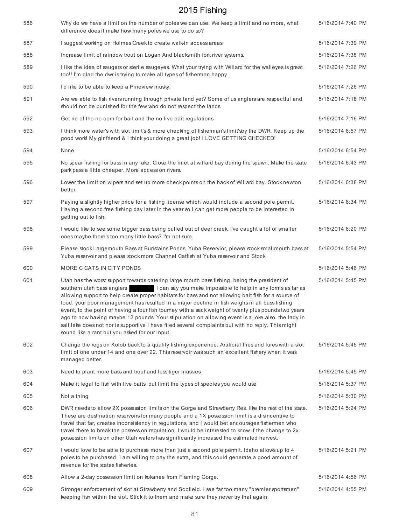| 586 | Why do we have a limit on the number of poles we can use. We keep a limit and no more, what<br>difference does it make how many poles we use to do so?                                                                                                                                                                                                                                                                                                                                                                                                                                                                                                                                                                                                                   | 5/16/2014 7:40 PM |
|-----|--------------------------------------------------------------------------------------------------------------------------------------------------------------------------------------------------------------------------------------------------------------------------------------------------------------------------------------------------------------------------------------------------------------------------------------------------------------------------------------------------------------------------------------------------------------------------------------------------------------------------------------------------------------------------------------------------------------------------------------------------------------------------|-------------------|
| 587 | I suggest working on Holmes Creek to create walk-in access areas.                                                                                                                                                                                                                                                                                                                                                                                                                                                                                                                                                                                                                                                                                                        | 5/16/2014 7:39 PM |
| 588 | Increase limit of rainbow trout on Logan And blacksmith fork river systems.                                                                                                                                                                                                                                                                                                                                                                                                                                                                                                                                                                                                                                                                                              | 5/16/2014 7:38 PM |
| 589 | I like the idea of saugers or sterile saugeyes. What your trying with Willard for the walleyes is great<br>too!! I'm glad the dwr is trying to make all types of fisherman happy.                                                                                                                                                                                                                                                                                                                                                                                                                                                                                                                                                                                        | 5/16/2014 7:26 PM |
| 590 | I'd like to be able to keep a Pineview musky.                                                                                                                                                                                                                                                                                                                                                                                                                                                                                                                                                                                                                                                                                                                            | 5/16/2014 7:26 PM |
| 591 | Are we able to fish rivers running through private land yet? Some of us anglers are respectful and<br>should not be punished for the few who do not respect the lands.                                                                                                                                                                                                                                                                                                                                                                                                                                                                                                                                                                                                   | 5/16/2014 7:18 PM |
| 592 | Get rid of the no corn for bait and the no live bait regulations.                                                                                                                                                                                                                                                                                                                                                                                                                                                                                                                                                                                                                                                                                                        | 5/16/2014 7:16 PM |
| 593 | I think more water's with slot limit's & more checking of fisherman's limit'sby the DWR. Keep up the<br>good work! My girlfriend & I think your doing a great job! I LOVE GETTING CHECKED!                                                                                                                                                                                                                                                                                                                                                                                                                                                                                                                                                                               | 5/16/2014 6:57 PM |
| 594 | None                                                                                                                                                                                                                                                                                                                                                                                                                                                                                                                                                                                                                                                                                                                                                                     | 5/16/2014 6:54 PM |
| 595 | No spear fishing for bass in any lake. Close the inlet at willard bay during the spawn. Make the state<br>park pass a little cheaper. More access on rivers.                                                                                                                                                                                                                                                                                                                                                                                                                                                                                                                                                                                                             | 5/16/2014 6:43 PM |
| 596 | Lower the limit on wipers and set up more check points on the back of Willard bay. Stock newton<br>better.                                                                                                                                                                                                                                                                                                                                                                                                                                                                                                                                                                                                                                                               | 5/16/2014 6:38 PM |
| 597 | Paying a slightly higher price for a fishing license which would include a second pole permit.<br>Having a second free fishing day later in the year so I can get more people to be interested in<br>getting out to fish.                                                                                                                                                                                                                                                                                                                                                                                                                                                                                                                                                | 5/16/2014 6:34 PM |
| 598 | I would like to see some bigger bass being pulled out of deer creek. I've caught a lot of smaller<br>ones maybe there's too many little bass? I'm not sure.                                                                                                                                                                                                                                                                                                                                                                                                                                                                                                                                                                                                              | 5/16/2014 6:20 PM |
| 599 | Please stock Largemouth Bass at Buristains Ponds, Yuba Reservior, please stock smallmouth bass at<br>Yuba reservoir and please stock more Channel Catfish at Yuba reservoir and Stock                                                                                                                                                                                                                                                                                                                                                                                                                                                                                                                                                                                    | 5/16/2014 5:54 PM |
| 600 | MORE C CATS IN CITY PONDS                                                                                                                                                                                                                                                                                                                                                                                                                                                                                                                                                                                                                                                                                                                                                | 5/16/2014 5:46 PM |
| 601 | Utah has the worst support towards catering large mouth bass fishing, being the president of<br>southern utah bass anglers,<br>I can say you make impossible to help.in any forms as far as<br>allowing support to help create proper habitats for bass and not allowing bait fish for a source of<br>food, your poor management has resulted in a major decline in fish weighs in all bass fishing<br>event, to the point of having a four fish tourney with a sack weight of twenty plus pounds two years<br>ago to now having maybe 12 pounds. Your stipulation on allowing event is a joke also. the lady in<br>salt lake does not nor is supportive I have filed several complaints but with no reply. This might<br>sound like a rant but you asked for our input. | 5/16/2014 5:45 PM |
| 602 | Change the regs on Kolob back to a quality fishing experience. Artificial flies and lures with a slot<br>limit of one under 14 and one over 22. This reservoir was such an excellent fishery when it was<br>managed better.                                                                                                                                                                                                                                                                                                                                                                                                                                                                                                                                              | 5/16/2014 5:45 PM |
| 603 | Need to plant more bass and trout and less tiger muskies                                                                                                                                                                                                                                                                                                                                                                                                                                                                                                                                                                                                                                                                                                                 | 5/16/2014 5:45 PM |
| 604 | Make it legal to fish with live baits, but limit the types of species you would use                                                                                                                                                                                                                                                                                                                                                                                                                                                                                                                                                                                                                                                                                      | 5/16/2014 5:37 PM |
| 605 | Not a thing                                                                                                                                                                                                                                                                                                                                                                                                                                                                                                                                                                                                                                                                                                                                                              | 5/16/2014 5:30 PM |
| 606 | DWR needs to allow 2X possession limits on the Gorge and Strawberry Res. like the rest of the state.<br>These are destination reservoirs for many people and a 1X possession limit is a disincentive to<br>travel that far, creates inconsistency in regulations, and I would bet encourages fishermen who<br>travel there to break the possession regulation. I would be interested to know if the change to 2x<br>possession limits on other Utah waters has significantly increased the estimated harvest.                                                                                                                                                                                                                                                            | 5/16/2014 5:24 PM |
| 607 | I would love to be able to purchase more than just a second pole permit. Idaho allows up to 4<br>poles to be purchased. I am willing to pay the extra, and this could generate a good amount of<br>revenue for the states fisheries.                                                                                                                                                                                                                                                                                                                                                                                                                                                                                                                                     | 5/16/2014 5:21 PM |
| 608 | Allow a 2-day possession limit on kokanee from Flaming Gorge.                                                                                                                                                                                                                                                                                                                                                                                                                                                                                                                                                                                                                                                                                                            | 5/16/2014 4:56 PM |
| 609 | Stronger enforcement of slot at Strawberry and Scofield. I see far too many "premier sportsmen"<br>keeping fish within the slot. Stick it to them and make sure they never try that again.                                                                                                                                                                                                                                                                                                                                                                                                                                                                                                                                                                               | 5/16/2014 4:55 PM |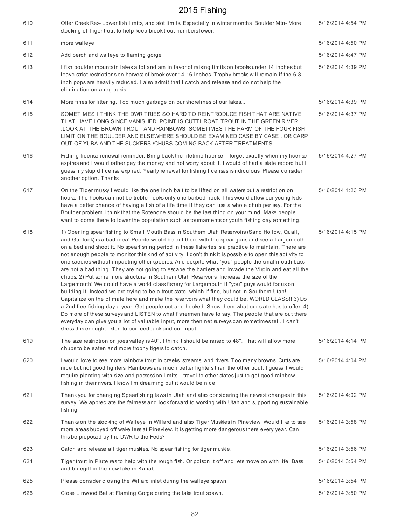| 610 | Otter Creek Res-Lower fish limits, and slot limits. Especially in winter months. Boulder Mtn-More<br>stocking of Tiger trout to help keep brook trout numbers lower.                                                                                                                                                                                                                                                                                                                                                                                                                                                                                                                                                                                                                                                                                                                                                                                                                                                                                                                                                                                                                                                                                                                                                                                                                                        | 5/16/2014 4:54 PM |
|-----|-------------------------------------------------------------------------------------------------------------------------------------------------------------------------------------------------------------------------------------------------------------------------------------------------------------------------------------------------------------------------------------------------------------------------------------------------------------------------------------------------------------------------------------------------------------------------------------------------------------------------------------------------------------------------------------------------------------------------------------------------------------------------------------------------------------------------------------------------------------------------------------------------------------------------------------------------------------------------------------------------------------------------------------------------------------------------------------------------------------------------------------------------------------------------------------------------------------------------------------------------------------------------------------------------------------------------------------------------------------------------------------------------------------|-------------------|
| 611 | more walleye                                                                                                                                                                                                                                                                                                                                                                                                                                                                                                                                                                                                                                                                                                                                                                                                                                                                                                                                                                                                                                                                                                                                                                                                                                                                                                                                                                                                | 5/16/2014 4:50 PM |
| 612 | Add perch and walleye to flaming gorge                                                                                                                                                                                                                                                                                                                                                                                                                                                                                                                                                                                                                                                                                                                                                                                                                                                                                                                                                                                                                                                                                                                                                                                                                                                                                                                                                                      | 5/16/2014 4:47 PM |
| 613 | I fish boulder mountain lakes a lot and am in favor of raising limits on brooks under 14 inches but<br>leave strict restrictions on harvest of brook over 14-16 inches. Trophy brooks will remain if the 6-8<br>inch pops are heavily reduced. I also admit that I catch and release and do not help the<br>elimination on a reg basis.                                                                                                                                                                                                                                                                                                                                                                                                                                                                                                                                                                                                                                                                                                                                                                                                                                                                                                                                                                                                                                                                     | 5/16/2014 4:39 PM |
| 614 | More fines for littering. Too much garbage on our shorelines of our lakes                                                                                                                                                                                                                                                                                                                                                                                                                                                                                                                                                                                                                                                                                                                                                                                                                                                                                                                                                                                                                                                                                                                                                                                                                                                                                                                                   | 5/16/2014 4:39 PM |
| 615 | SOMETIMES I THINK THE DWR TRIES SO HARD TO REINTRODUCE FISH THAT ARE NATIVE<br>THAT HAVE LONG SINCE VANISHED, POINT IS CUTTHROAT TROUT IN THE GREEN RIVER<br>LOOK AT THE BROWN TROUT AND RAINBOWS . SOMETIMES THE HARM OF THE FOUR FISH<br>LIMIT ON THE BOULDER AND ELSEWHERE SHOULD BE EXAMINED CASE BY CASE. OR CARP<br>OUT OF YUBA AND THE SUCKERS / CHUBS COMING BACK AFTER TREATMENTS                                                                                                                                                                                                                                                                                                                                                                                                                                                                                                                                                                                                                                                                                                                                                                                                                                                                                                                                                                                                                  | 5/16/2014 4:37 PM |
| 616 | Fishing license renewal reminder. Bring back the lifetime license! I forget exactly when my license<br>expires and I would rather pay the money and not worry about it. I would of had a state record but I<br>guess my stupid license expired. Yearly renewal for fishing licenses is ridiculous. Please consider<br>another option. Thanks                                                                                                                                                                                                                                                                                                                                                                                                                                                                                                                                                                                                                                                                                                                                                                                                                                                                                                                                                                                                                                                                | 5/16/2014 4:27 PM |
| 617 | On the Tiger musky I would like the one inch bait to be lifted on all waters but a restriction on<br>hooks. The hooks can not be treble hooks only one barbed hook. This would allow our young kids<br>have a better chance of having a fish of a life time if they can use a whole chub per say. For the<br>Boulder problem I think that the Rotenone should be the last thing on your mind. Make people<br>want to come there to lower the population such as tournaments or youth fishing day something.                                                                                                                                                                                                                                                                                                                                                                                                                                                                                                                                                                                                                                                                                                                                                                                                                                                                                                 | 5/16/2014 4:23 PM |
| 618 | 1) Opening spear fishing to Small Mouth Bass in Southern Utah Reservoirs (Sand Hollow, Quail,<br>and Gunlock) is a bad idea! People would be out there with the spear guns and see a Largemouth<br>on a bed and shoot it. No spearfishing period in these fisheries is a practice to maintain. There are<br>not enough people to monitor this kind of activity. I don't think it is possible to open this activity to<br>one species without impacting other species. And despite what "you" people the smallmouth bass<br>are not a bad thing. They are not going to escape the barriers and invade the Virgin and eat all the<br>chubs. 2) Put some more structure in Southern Utah Reservoirs! Increase the size of the<br>Largemouth! We could have a world class fishery for Largemouth if "you" guys would focus on<br>building it. Instead we are trying to be a trout state, which if fine, but not in Southern Utah!<br>Capitalize on the climate here and make the reservoirs what they could be, WORLD CLASS!! 3) Do<br>a 2nd free fishing day a year. Get people out and hooked. Show them what our state has to offer. 4)<br>Do more of these surveys and LISTEN to what fishermen have to say. The people that are out there<br>everyday can give you a lot of valuable input, more then net surveys can sometimes tell. I can't<br>stress this enough, listen to our feedback and our input. | 5/16/2014 4:15 PM |
| 619 | The size restriction on joes valley is 40". I think it should be raised to 48". That will allow more<br>chubs to be eaten and more trophy tigers to catch.                                                                                                                                                                                                                                                                                                                                                                                                                                                                                                                                                                                                                                                                                                                                                                                                                                                                                                                                                                                                                                                                                                                                                                                                                                                  | 5/16/2014 4:14 PM |
| 620 | I would love to see more rainbow trout in creeks, streams, and rivers. Too many browns. Cutts are<br>nice but not good fighters. Rainbows are much better fighters than the other trout. I guess it would<br>require planting with size and possession limits. I travel to other states just to get good rainbow<br>fishing in their rivers. I know I'm dreaming but it would be nice.                                                                                                                                                                                                                                                                                                                                                                                                                                                                                                                                                                                                                                                                                                                                                                                                                                                                                                                                                                                                                      | 5/16/2014 4:04 PM |
| 621 | Thank you for changing Spearfishing laws in Utah and also considering the newest changes in this<br>survey. We appreciate the fairness and look forward to working with Utah and supporting sustainable<br>fishing.                                                                                                                                                                                                                                                                                                                                                                                                                                                                                                                                                                                                                                                                                                                                                                                                                                                                                                                                                                                                                                                                                                                                                                                         | 5/16/2014 4:02 PM |
| 622 | Thanks on the stocking of Walleye in Willard and also Tiger Muskies in Pineview. Would like to see<br>more areas buoyed off wake less at Pineview. It is getting more dangerous there every year. Can<br>this be proposed by the DWR to the Feds?                                                                                                                                                                                                                                                                                                                                                                                                                                                                                                                                                                                                                                                                                                                                                                                                                                                                                                                                                                                                                                                                                                                                                           | 5/16/2014 3:58 PM |
| 623 | Catch and release all tiger muskies. No spear fishing for tiger muskie.                                                                                                                                                                                                                                                                                                                                                                                                                                                                                                                                                                                                                                                                                                                                                                                                                                                                                                                                                                                                                                                                                                                                                                                                                                                                                                                                     | 5/16/2014 3:56 PM |
| 624 | Tiger trout in Piute res to help with the rough fish. Or poison it off and lets move on with life. Bass<br>and bluegill in the new lake in Kanab.                                                                                                                                                                                                                                                                                                                                                                                                                                                                                                                                                                                                                                                                                                                                                                                                                                                                                                                                                                                                                                                                                                                                                                                                                                                           | 5/16/2014 3:54 PM |
| 625 | Please consider closing the Willard inlet during the walleye spawn.                                                                                                                                                                                                                                                                                                                                                                                                                                                                                                                                                                                                                                                                                                                                                                                                                                                                                                                                                                                                                                                                                                                                                                                                                                                                                                                                         | 5/16/2014 3:54 PM |
| 626 | Close Linwood Bat at Flaming Gorge during the lake trout spawn.                                                                                                                                                                                                                                                                                                                                                                                                                                                                                                                                                                                                                                                                                                                                                                                                                                                                                                                                                                                                                                                                                                                                                                                                                                                                                                                                             | 5/16/2014 3:50 PM |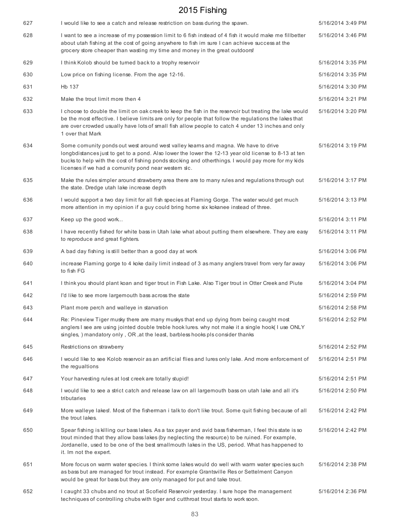| 627 | I would like to see a catch and release restriction on bass during the spawn.                                                                                                                                                                                                                                                                            | 5/16/2014 3:49 PM |
|-----|----------------------------------------------------------------------------------------------------------------------------------------------------------------------------------------------------------------------------------------------------------------------------------------------------------------------------------------------------------|-------------------|
| 628 | I want to see a increase of my possession limit to 6 fish instead of 4 fish it would make me fillbetter<br>about utah fishing at the cost of going anywhere to fish im sure I can achieve success at the<br>grocery store cheaper than wasting my time and money in the great outdoors!                                                                  | 5/16/2014 3:46 PM |
| 629 | I think Kolob should be turned back to a trophy reservoir                                                                                                                                                                                                                                                                                                | 5/16/2014 3:35 PM |
| 630 | Low price on fishing license. From the age 12-16.                                                                                                                                                                                                                                                                                                        | 5/16/2014 3:35 PM |
| 631 | Hb 137                                                                                                                                                                                                                                                                                                                                                   | 5/16/2014 3:30 PM |
| 632 | Make the trout limit more then 4                                                                                                                                                                                                                                                                                                                         | 5/16/2014 3:21 PM |
| 633 | I choose to double the limit on oak creek to keep the fish in the reservoir but treating the lake would<br>be the most effective. I believe limits are only for people that follow the regulations the lakes that<br>are over crowded usually have lots of small fish allow people to catch 4 under 13 inches and only<br>1 over that Mark               | 5/16/2014 3:20 PM |
| 634 | Some comunity ponds out west around west valley keams and magna. We have to drive<br>longbdistances just to get to a pond. Also lower the lower the 12-13 year old license to 8-13 at ten<br>bucks to help with the cost of fishing ponds stocking and otherthings. I would pay more for my kids<br>licenses if we had a comunity pond near western slc. | 5/16/2014 3:19 PM |
| 635 | Make the rules simpler around strawberry area there are to many rules and regulations through out<br>the state. Dredge utah lake increase depth                                                                                                                                                                                                          | 5/16/2014 3:17 PM |
| 636 | I would support a two day limit for all fish species at Flaming Gorge. The water would get much<br>more attention in my opinion if a guy could bring home six kokanee instead of three.                                                                                                                                                                  | 5/16/2014 3:13 PM |
| 637 | Keep up the good work                                                                                                                                                                                                                                                                                                                                    | 5/16/2014 3:11 PM |
| 638 | I have recently fished for white bass in Utah lake what about putting them elsewhere. They are easy<br>to reproduce and great fighters.                                                                                                                                                                                                                  | 5/16/2014 3:11 PM |
| 639 | A bad day fishing is still better than a good day at work                                                                                                                                                                                                                                                                                                | 5/16/2014 3:06 PM |
| 640 | increase Flaming gorge to 4 koke daily limit instead of 3 as many anglers travel from very far away<br>to fish FG                                                                                                                                                                                                                                        | 5/16/2014 3:06 PM |
| 641 | I think you should plant koan and tiger trout in Fish Lake. Also Tiger trout in Otter Creek and Piute                                                                                                                                                                                                                                                    | 5/16/2014 3:04 PM |
| 642 | I'd like to see more largemouth bass across the state                                                                                                                                                                                                                                                                                                    | 5/16/2014 2:59 PM |
| 643 | Plant more perch and walleye in starvation                                                                                                                                                                                                                                                                                                               | 5/16/2014 2:58 PM |
| 644 | Re: Pineview Tiger musky there are many muskys that end up dying from being caught most<br>anglers I see are using jointed double treble hook lures. why not make it a single hook(I use ONLY<br>singles, ) mandatory only, OR, at the least, barbless hooks pls consider thanks                                                                         | 5/16/2014 2:52 PM |
| 645 | Restrictions on strawberry                                                                                                                                                                                                                                                                                                                               | 5/16/2014 2:52 PM |
| 646 | I would like to see Kolob reservoir as an artificial flies and lures only lake. And more enforcement of<br>the regualtions                                                                                                                                                                                                                               | 5/16/2014 2:51 PM |
| 647 | Your harvesting rules at lost creek are totally stupid!                                                                                                                                                                                                                                                                                                  | 5/16/2014 2:51 PM |
| 648 | I would like to see a strict catch and release law on all largemouth bass on utah lake and all it's<br>tributaries                                                                                                                                                                                                                                       | 5/16/2014 2:50 PM |
| 649 | More walleye lakes!. Most of the fisherman i talk to don't like trout. Some quit fishing because of all<br>the trout lakes.                                                                                                                                                                                                                              | 5/16/2014 2:42 PM |
| 650 | Spear fishing is killing our bass lakes. As a tax payer and avid bass fisherman, I feel this state is so<br>trout minded that they allow bass lakes (by neglecting the resource) to be ruined. For example,<br>Jordanelle, used to be one of the best smallmouth lakes in the US, period. What has happened to<br>it. Im not the expert.                 | 5/16/2014 2:42 PM |
| 651 | More focus on warm water species. I think some lakes would do well with warm water species such<br>as bass but are managed for trout instead. For example Grantsville Res or Settelment Canyon<br>would be great for bass but they are only managed for put and take trout.                                                                              | 5/16/2014 2:38 PM |
| 652 | I caught 33 chubs and no trout at Scofield Reservoir yesterday. I sure hope the management<br>techniques of controlling chubs with tiger and cutthroat trout starts to work soon.                                                                                                                                                                        | 5/16/2014 2:36 PM |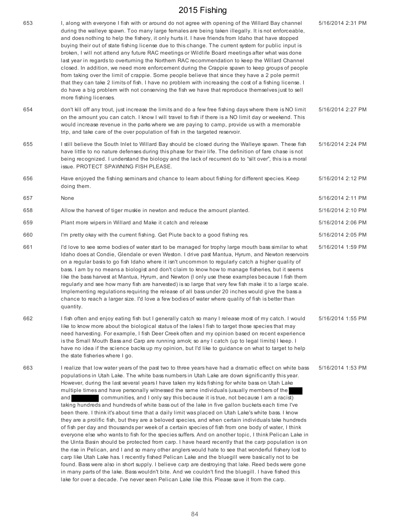| 653 | I, along with everyone I fish with or around do not agree with opening of the Willard Bay channel<br>during the walleye spawn. Too many large females are being taken illegally. It is not enforceable,<br>and does nothing to help the fishery, it only hurts it. I have friends from Idaho that have stopped<br>buying their out of state fishing license due to this change. The current system for public input is<br>broken, I will not attend any future RAC meetings or Wildlife Board meetings after what was done<br>last year in regards to overturning the Northern RAC recommendation to keep the Willard Channel<br>closed. In addition, we need more enforcement during the Crappie spawn to keep groups of people<br>from taking over the limit of crappie. Some people believe that since they have a 2 pole permit<br>that they can take 2 limits of fish. I have no problem with increasing the cost of a fishing license. I<br>do have a big problem with not conserving the fish we have that reproduce themselves just to sell<br>more fishing licenses.                                                                                                                                                                                                                                                                                                                                                                                                                                                                                                                                                                                                | 5/16/2014 2:31 PM |
|-----|------------------------------------------------------------------------------------------------------------------------------------------------------------------------------------------------------------------------------------------------------------------------------------------------------------------------------------------------------------------------------------------------------------------------------------------------------------------------------------------------------------------------------------------------------------------------------------------------------------------------------------------------------------------------------------------------------------------------------------------------------------------------------------------------------------------------------------------------------------------------------------------------------------------------------------------------------------------------------------------------------------------------------------------------------------------------------------------------------------------------------------------------------------------------------------------------------------------------------------------------------------------------------------------------------------------------------------------------------------------------------------------------------------------------------------------------------------------------------------------------------------------------------------------------------------------------------------------------------------------------------------------------------------------------------|-------------------|
| 654 | don't kill off any trout, just increase the limits and do a few free fishing days where there is NO limit<br>on the amount you can catch. I know I will travel to fish if there is a NO limit day or weekend. This<br>would increase revenue in the parks where we are paying to camp, provide us with a memorable<br>trip, and take care of the over population of fish in the targeted reservoir.                                                                                                                                                                                                                                                                                                                                                                                                                                                                                                                                                                                                                                                                                                                                                                                                                                                                                                                                                                                                                                                                                                                                                                                                                                                                          | 5/16/2014 2:27 PM |
| 655 | I still believe the South Inlet to Willard Bay should be closed during the Walleye spawn. These fish<br>have little to no nature defenses during this phase for their life. The definition of fare chase is not<br>being recognized. I understand the biology and the lack of recurrent do to "silt over", this is a moral<br>issue. PROTECT SPAWNING FISH PLEASE.                                                                                                                                                                                                                                                                                                                                                                                                                                                                                                                                                                                                                                                                                                                                                                                                                                                                                                                                                                                                                                                                                                                                                                                                                                                                                                           | 5/16/2014 2:24 PM |
| 656 | Have enjoyed the fishing seminars and chance to learn about fishing for different species. Keep<br>doing them.                                                                                                                                                                                                                                                                                                                                                                                                                                                                                                                                                                                                                                                                                                                                                                                                                                                                                                                                                                                                                                                                                                                                                                                                                                                                                                                                                                                                                                                                                                                                                               | 5/16/2014 2:12 PM |
| 657 | None                                                                                                                                                                                                                                                                                                                                                                                                                                                                                                                                                                                                                                                                                                                                                                                                                                                                                                                                                                                                                                                                                                                                                                                                                                                                                                                                                                                                                                                                                                                                                                                                                                                                         | 5/16/2014 2:11 PM |
| 658 | Allow the harvest of tiger muskie in newton and reduce the amount planted.                                                                                                                                                                                                                                                                                                                                                                                                                                                                                                                                                                                                                                                                                                                                                                                                                                                                                                                                                                                                                                                                                                                                                                                                                                                                                                                                                                                                                                                                                                                                                                                                   | 5/16/2014 2:10 PM |
| 659 | Plant more wipers in Willard and Make it catch and release                                                                                                                                                                                                                                                                                                                                                                                                                                                                                                                                                                                                                                                                                                                                                                                                                                                                                                                                                                                                                                                                                                                                                                                                                                                                                                                                                                                                                                                                                                                                                                                                                   | 5/16/2014 2:06 PM |
| 660 | I'm pretty okay with the current fishing. Get Piute back to a good fishing res.                                                                                                                                                                                                                                                                                                                                                                                                                                                                                                                                                                                                                                                                                                                                                                                                                                                                                                                                                                                                                                                                                                                                                                                                                                                                                                                                                                                                                                                                                                                                                                                              | 5/16/2014 2:05 PM |
| 661 | I'd love to see some bodies of water start to be managed for trophy large mouth bass similar to what<br>Idaho does at Condie, Glendale or even Weston. I drive past Mantua, Hyrum, and Newton reservoirs<br>on a regular basis to go fish Idaho where it isn't uncommon to regularly catch a higher quality of<br>bass. I am by no means a biologist and don't claim to know how to manage fisheries, but it seems<br>like the bass harvest at Mantua, Hyrum, and Newton (I only use these examples because I fish them<br>regularly and see how many fish are harvested) is so large that very few fish make it to a large scale.<br>Implementing regulations requiring the release of all bass under 20 inches would give the bass a<br>chance to reach a larger size. I'd love a few bodies of water where quality of fish is better than<br>quantity.                                                                                                                                                                                                                                                                                                                                                                                                                                                                                                                                                                                                                                                                                                                                                                                                                    | 5/16/2014 1:59 PM |
| 662 | I fish often and enjoy eating fish but I generally catch so many I release most of my catch. I would<br>like to know more about the biological status of the lakes I fish to target those species that may<br>need harvesting. For example, I fish Deer Creek often and my opinion based on recent experience<br>is the Small Mouth Bass and Carp are running amok; so any I catch (up to legal limits) I keep. I<br>have no idea if the science backs up my opinion, but I'd like to guidance on what to target to help<br>the state fisheries where I go.                                                                                                                                                                                                                                                                                                                                                                                                                                                                                                                                                                                                                                                                                                                                                                                                                                                                                                                                                                                                                                                                                                                  | 5/16/2014 1:55 PM |
| 663 | I realize that low water years of the past two to three years have had a dramatic effect on white bass<br>populations in Utah Lake. The white bass numbers in Utah Lake are down significantly this year.<br>However, during the last several years I have taken my kids fishing for white bass on Utah Lake<br>multiple times and have personally witnessed the same individuals (usually members of the<br>communities, and I only say this because it is true, not because I am a racist)<br>and<br>taking hundreds and hundreds of white bass out of the lake in five gallon buckets each time I've<br>been there. I think it's about time that a daily limit was placed on Utah Lake's white bass. I know<br>they are a prolific fish, but they are a beloved species, and when certain individuals take hundreds<br>of fish per day and thousands per week of a certain species of fish from one body of water, I think<br>everyone else who wants to fish for the species suffers. And on another topic, I think Pelican Lake in<br>the Uinta Basin should be protected from carp. I have heard recently that the carp population is on<br>the rise in Pelican, and I and so many other anglers would hate to see that wonderful fishery lost to<br>carp like Utah Lake has. I recently fished Pelican Lake and the bluegill were basically not to be<br>found. Bass were also in short supply. I believe carp are destroying that lake. Reed beds were gone<br>in many parts of the lake. Bass wouldn't bite. And we couldn't find the bluegill. I have fished this<br>lake for over a decade. I've never seen Pelican Lake like this. Please save it from the carp. | 5/16/2014 1:53 PM |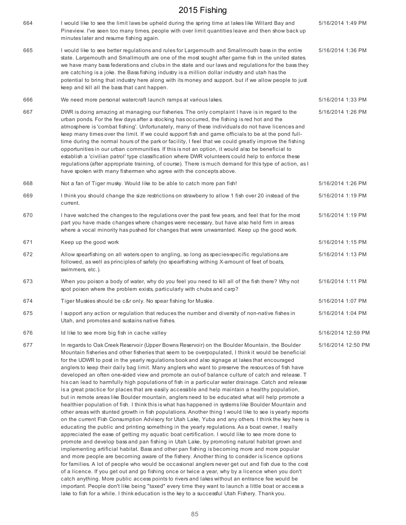| 664 | I would like to see the limit laws be upheld during the spring time at lakes like Willard Bay and<br>Pineview. I've seen too many times, people with over limit quantities leave and then show back up<br>minutes later and resume fishing again.                                                                                                                                                                                                                                                                                                                                                                                                                                                                                                                                                                                                                                                                                                                                                                                                                                                                                                                                                                                                                                                                                                                                                                                                                                                                                                                                                                                                                                                                                                                                                                                                                                                                                                                                                                                                                                               | 5/16/2014 1:49 PM  |
|-----|-------------------------------------------------------------------------------------------------------------------------------------------------------------------------------------------------------------------------------------------------------------------------------------------------------------------------------------------------------------------------------------------------------------------------------------------------------------------------------------------------------------------------------------------------------------------------------------------------------------------------------------------------------------------------------------------------------------------------------------------------------------------------------------------------------------------------------------------------------------------------------------------------------------------------------------------------------------------------------------------------------------------------------------------------------------------------------------------------------------------------------------------------------------------------------------------------------------------------------------------------------------------------------------------------------------------------------------------------------------------------------------------------------------------------------------------------------------------------------------------------------------------------------------------------------------------------------------------------------------------------------------------------------------------------------------------------------------------------------------------------------------------------------------------------------------------------------------------------------------------------------------------------------------------------------------------------------------------------------------------------------------------------------------------------------------------------------------------------|--------------------|
| 665 | I would like to see better regulations and rules for Largemouth and Smallmouth bass in the entire<br>state. Largemouth and Smallmouth are one of the most sought after game fish in the united states.<br>we have many bass federations and clubs in the state and our laws and regulations for the bass they<br>are catching is a joke. the Bass fishing industry is a million dollar industry and utah has the<br>potential to bring that industry here along with its money and support. but if we allow people to just<br>keep and kill all the bass that cant happen.                                                                                                                                                                                                                                                                                                                                                                                                                                                                                                                                                                                                                                                                                                                                                                                                                                                                                                                                                                                                                                                                                                                                                                                                                                                                                                                                                                                                                                                                                                                      | 5/16/2014 1:36 PM  |
| 666 | We need more personal watercraft launch ramps at various lakes.                                                                                                                                                                                                                                                                                                                                                                                                                                                                                                                                                                                                                                                                                                                                                                                                                                                                                                                                                                                                                                                                                                                                                                                                                                                                                                                                                                                                                                                                                                                                                                                                                                                                                                                                                                                                                                                                                                                                                                                                                                 | 5/16/2014 1:33 PM  |
| 667 | DWR is doing amazing at managing our fisheries. The only complaint I have is in regard to the<br>urban ponds. For the few days after a stocking has occurred, the fishing is red hot and the<br>atmosphere is 'combat fishing'. Unfortunately, many of these individuals do not have licences and<br>keep many times over the limit. If we could support fish and game officials to be at the pond full-<br>time during the normal hours of the park or facility, I feel that we could greatly improve the fishing<br>opportunities in our urban communities. If this is not an option, it would also be beneficial to<br>establish a 'civilian patrol' type classification where DWR volunteers could help to enforce these<br>regulations (after appropriate training, of course). There is much demand for this type of action, as I<br>have spoken with many fishermen who agree with the concepts above.                                                                                                                                                                                                                                                                                                                                                                                                                                                                                                                                                                                                                                                                                                                                                                                                                                                                                                                                                                                                                                                                                                                                                                                   | 5/16/2014 1:26 PM  |
| 668 | Not a fan of Tiger musky. Would like to be able to catch more pan fish!                                                                                                                                                                                                                                                                                                                                                                                                                                                                                                                                                                                                                                                                                                                                                                                                                                                                                                                                                                                                                                                                                                                                                                                                                                                                                                                                                                                                                                                                                                                                                                                                                                                                                                                                                                                                                                                                                                                                                                                                                         | 5/16/2014 1:26 PM  |
| 669 | I think you should change the size restrictions on strawberry to allow 1 fish over 20 instead of the<br>current.                                                                                                                                                                                                                                                                                                                                                                                                                                                                                                                                                                                                                                                                                                                                                                                                                                                                                                                                                                                                                                                                                                                                                                                                                                                                                                                                                                                                                                                                                                                                                                                                                                                                                                                                                                                                                                                                                                                                                                                | 5/16/2014 1:19 PM  |
| 670 | I have watched the changes to the regulations over the past few years, and feel that for the most<br>part you have made changes where changes were necessary, but have also held firm in areas<br>where a vocal minority has pushed for changes that were unwarranted. Keep up the good work                                                                                                                                                                                                                                                                                                                                                                                                                                                                                                                                                                                                                                                                                                                                                                                                                                                                                                                                                                                                                                                                                                                                                                                                                                                                                                                                                                                                                                                                                                                                                                                                                                                                                                                                                                                                    | 5/16/2014 1:19 PM  |
| 671 | Keep up the good work                                                                                                                                                                                                                                                                                                                                                                                                                                                                                                                                                                                                                                                                                                                                                                                                                                                                                                                                                                                                                                                                                                                                                                                                                                                                                                                                                                                                                                                                                                                                                                                                                                                                                                                                                                                                                                                                                                                                                                                                                                                                           | 5/16/2014 1:15 PM  |
| 672 | Allow spearfishing on all waters open to angling, so long as species-specific regulations are<br>followed, as well as principles of safety (no spearfishing withing X-amount of feet of boats,<br>swimmers, etc.).                                                                                                                                                                                                                                                                                                                                                                                                                                                                                                                                                                                                                                                                                                                                                                                                                                                                                                                                                                                                                                                                                                                                                                                                                                                                                                                                                                                                                                                                                                                                                                                                                                                                                                                                                                                                                                                                              | 5/16/2014 1:13 PM  |
| 673 | When you poison a body of water, why do you feel you need to kill all of the fish there? Why not<br>spot poison where the problem exists, particularly with chubs and carp?                                                                                                                                                                                                                                                                                                                                                                                                                                                                                                                                                                                                                                                                                                                                                                                                                                                                                                                                                                                                                                                                                                                                                                                                                                                                                                                                                                                                                                                                                                                                                                                                                                                                                                                                                                                                                                                                                                                     | 5/16/2014 1:11 PM  |
| 674 | Tiger Muskies should be c&r only. No spear fishing for Muskie.                                                                                                                                                                                                                                                                                                                                                                                                                                                                                                                                                                                                                                                                                                                                                                                                                                                                                                                                                                                                                                                                                                                                                                                                                                                                                                                                                                                                                                                                                                                                                                                                                                                                                                                                                                                                                                                                                                                                                                                                                                  | 5/16/2014 1:07 PM  |
| 675 | I support any action or regulation that reduces the number and diversity of non-native fishes in<br>Utah, and promotes and sustains native fishes.                                                                                                                                                                                                                                                                                                                                                                                                                                                                                                                                                                                                                                                                                                                                                                                                                                                                                                                                                                                                                                                                                                                                                                                                                                                                                                                                                                                                                                                                                                                                                                                                                                                                                                                                                                                                                                                                                                                                              | 5/16/2014 1:04 PM  |
| 676 | Id like to see more big fish in cache valley                                                                                                                                                                                                                                                                                                                                                                                                                                                                                                                                                                                                                                                                                                                                                                                                                                                                                                                                                                                                                                                                                                                                                                                                                                                                                                                                                                                                                                                                                                                                                                                                                                                                                                                                                                                                                                                                                                                                                                                                                                                    | 5/16/2014 12:59 PM |
| 677 | In regards to Oak Creek Reservoir (Upper Bowns Reservoir) on the Boulder Mountain, the Boulder<br>Mountain fisheries and other fisheries that seem to be overpopulated, I think it would be beneficial<br>for the UDWR to post in the yearly regulations book and also signage at lakes that encouraged<br>anglers to keep their daily bag limit. Many anglers who want to preserve the resources of fish have<br>developed an often one-sided view and promote an out-of balance culture of catch and release. T<br>his can lead to harmfully high populations of fish in a particular water drainage. Catch and release<br>is a great practice for places that are easily accessible and help maintain a healthy population,<br>but in remote areas like Boulder mountain, anglers need to be educated what will help promote a<br>healthier population of fish. I think this is what has happened in systems like Boulder Mountain and<br>other areas with stunted growth in fish populations. Another thing I would like to see is yearly reports<br>on the current Fish Consumption Advisory for Utah Lake, Yuba and any others. I think the key here is<br>educating the public and printing something in the yearly regulations. As a boat owner, I really<br>appreciated the ease of getting my aquatic boat certification. I would like to see more done to<br>promote and develop bass and pan fishing in Utah Lake, by promoting natural habitat grown and<br>implementing artificial habitat. Bass and other pan fishing is becoming more and more popular<br>and more people are becoming aware of the fishery. Another thing to consider is licence options<br>for families. A lot of people who would be occasional anglers never get out and fish due to the cost<br>of a licence. If you get out and go fishing once or twice a year, why by a licence when you don't<br>catch anything. More public access points to rivers and lakes without an entrance fee would be<br>important. People don't like being "taxed" every time they want to launch a little boat or access a | 5/16/2014 12:50 PM |

lake to fish for a while. I think education is the key to a successful Utah Fishery. Thank you.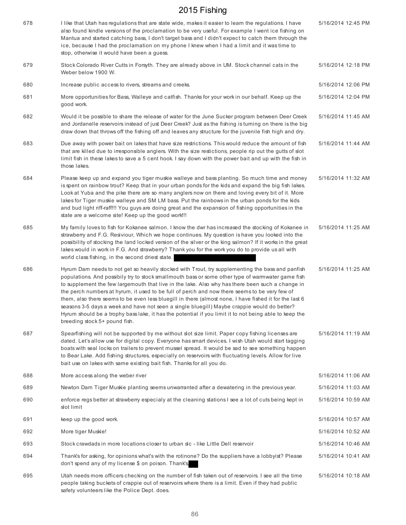| 678 | I like that Utah has regulations that are state wide, makes it easier to learn the regulations. I have<br>also found kindle versions of the proclamation to be very useful. For example I went ice fishing on<br>Mantua and started catching bass, I don't target bass and I didn't expect to catch them through the<br>ice, because I had the proclamation on my phone I knew when I had a limit and it was time to<br>stop, otherwise it would have been a guess.                                                                                                                                                                                                                                                                                            | 5/16/2014 12:45 PM |
|-----|----------------------------------------------------------------------------------------------------------------------------------------------------------------------------------------------------------------------------------------------------------------------------------------------------------------------------------------------------------------------------------------------------------------------------------------------------------------------------------------------------------------------------------------------------------------------------------------------------------------------------------------------------------------------------------------------------------------------------------------------------------------|--------------------|
| 679 | Stock Colorado River Cutts in Forsyth. They are already above in UM. Stock channel cats in the<br>Weber below 1900 W.                                                                                                                                                                                                                                                                                                                                                                                                                                                                                                                                                                                                                                          | 5/16/2014 12:18 PM |
| 680 | Increase public access to rivers, streams and creeks.                                                                                                                                                                                                                                                                                                                                                                                                                                                                                                                                                                                                                                                                                                          | 5/16/2014 12:06 PM |
| 681 | More opportunities for Bass, Walleye and catfish. Thanks for your work in our behalf. Keep up the<br>good work.                                                                                                                                                                                                                                                                                                                                                                                                                                                                                                                                                                                                                                                | 5/16/2014 12:04 PM |
| 682 | Would it be possible to share the release of water for the June Sucker program between Deer Creek<br>and Jordanelle reservoirs instead of just Deer Creek? Just as the fishing is turning on there is the big<br>draw down that throws off the fishing off and leaves any structure for the juvenile fish high and dry.                                                                                                                                                                                                                                                                                                                                                                                                                                        | 5/16/2014 11:45 AM |
| 683 | Due away with power bait on lakes that have size restrictions. This would reduce the amount of fish<br>that are killed due to irresponsible anglers. With the size restictions, people rip out the gutts of slot<br>limit fish in these lakes to save a 5 cent hook. I say down with the power bait and up with the fish in<br>those lakes.                                                                                                                                                                                                                                                                                                                                                                                                                    | 5/16/2014 11:44 AM |
| 684 | Please keep up and expand you tiger muskie walleye and bass planting. So much time and money<br>is spent on rainbow trout? Keep that in your urban ponds for the kids and expand the big fish lakes.<br>Look at Yuba and the pike there are so many anglers now on there and loving every bit of it. More<br>lakes for Tiger muskie walleye and SM LM bass. Put the rainbows in the urban ponds for the kids<br>and bud light riff-raff!!! You guys are doing great and the expansion of fishing opportunities in the<br>state are a welcome site! Keep up the good work!!!                                                                                                                                                                                    | 5/16/2014 11:32 AM |
| 685 | My family loves to fish for Kokanee salmon. I know the dwr has increased the stocking of Kokanee in<br>strawberry and F.G. Resiviour, Which we hope continues. My question is have you looked into the<br>possibility of stocking the land locked version of the silver or the king salmon? If it works in the great<br>lakes would in work in F.G. And strawberry? Thank you for the work you do to provide us all with<br>world class fishing, in the second driest state.                                                                                                                                                                                                                                                                                   | 5/16/2014 11:25 AM |
| 686 | Hyrum Dam needs to not get so heavily stocked with Trout, try supplementing the bass and panfish<br>populations. And possibily try to stock smallmouth bass or some other type of warmwater game fish<br>to supplement the few largemouth that live in the lake. Also why has there been such a change in<br>the perch numbers at hyrum, it used to be full of perch and now there seems to be very few of<br>them, also there seems to be even less bluegill in there (almost none, I have fished it for the last 6<br>seasons 3-5 days a week and have not seen a single bluegill) Maybe crappie would do better?<br>Hyrum should be a trophy bass lake, it has the potential if you limit it to not being able to keep the<br>breeding stock 5+ pound fish. | 5/16/2014 11:25 AM |
| 687 | Spearfishing will not be supported by me without slot size limit. Paper copy fishing licenses are<br>dated. Let's allow use for digital copy. Everyone has smart devices. I wish Utah would start tagging<br>boats with seal locks on trailers to prevent mussel spread. It would be sad to see something happen<br>to Bear Lake. Add fishing structures, especially on reservoirs with fluctuating levels. Allow for live<br>bait use on lakes with same existing bait fish. Thanks for all you do.                                                                                                                                                                                                                                                           | 5/16/2014 11:19 AM |
| 688 | More access along the weber river                                                                                                                                                                                                                                                                                                                                                                                                                                                                                                                                                                                                                                                                                                                              | 5/16/2014 11:06 AM |
| 689 | Newton Dam Tiger Muskie planting seems unwarranted after a dewatering in the previous year.                                                                                                                                                                                                                                                                                                                                                                                                                                                                                                                                                                                                                                                                    | 5/16/2014 11:03 AM |
| 690 | enforce regs better at strawberry especialy at the cleaning stations I see a lot of cuts being kept in<br>slot limit                                                                                                                                                                                                                                                                                                                                                                                                                                                                                                                                                                                                                                           | 5/16/2014 10:59 AM |
| 691 | keep up the good work.                                                                                                                                                                                                                                                                                                                                                                                                                                                                                                                                                                                                                                                                                                                                         | 5/16/2014 10:57 AM |
| 692 | More tiger Muskie!                                                                                                                                                                                                                                                                                                                                                                                                                                                                                                                                                                                                                                                                                                                                             | 5/16/2014 10:52 AM |
| 693 | Stock crawdads in more locations closer to urban sic-like Little Dell reservoir                                                                                                                                                                                                                                                                                                                                                                                                                                                                                                                                                                                                                                                                                | 5/16/2014 10:46 AM |
| 694 | Thank's for asking, for opinions what's with the rotinone? Do the suppliers have a lobbyist? Please<br>don't spend any of my license \$ on poison. Thank's,                                                                                                                                                                                                                                                                                                                                                                                                                                                                                                                                                                                                    | 5/16/2014 10:41 AM |
| 695 | Utah needs more officers checking on the number of fish taken out of reservoirs. I see all the time<br>people taking buckets of crappie out of reservoirs where there is a limit. Even if they had public<br>safety volunteers like the Police Dept. does.                                                                                                                                                                                                                                                                                                                                                                                                                                                                                                     | 5/16/2014 10:18 AM |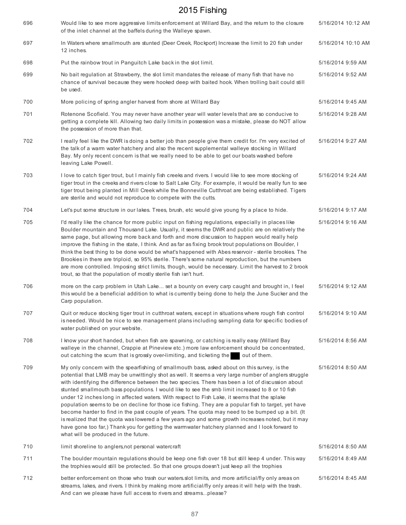| 696 | Would like to see more aggressive limits enforcement at Willard Bay, and the return to the closure<br>of the inlet channel at the baffels during the Walleye spawn.                                                                                                                                                                                                                                                                                                                                                                                                                                                                                                                                                                                                                                                                                                                                                                                                       | 5/16/2014 10:12 AM |
|-----|---------------------------------------------------------------------------------------------------------------------------------------------------------------------------------------------------------------------------------------------------------------------------------------------------------------------------------------------------------------------------------------------------------------------------------------------------------------------------------------------------------------------------------------------------------------------------------------------------------------------------------------------------------------------------------------------------------------------------------------------------------------------------------------------------------------------------------------------------------------------------------------------------------------------------------------------------------------------------|--------------------|
| 697 | In Waters where smallmouth are stunted (Deer Creek, Rockport) Increase the limit to 20 fish under<br>12 inches.                                                                                                                                                                                                                                                                                                                                                                                                                                                                                                                                                                                                                                                                                                                                                                                                                                                           | 5/16/2014 10:10 AM |
| 698 | Put the rainbow trout in Panguitch Lake back in the slot limit.                                                                                                                                                                                                                                                                                                                                                                                                                                                                                                                                                                                                                                                                                                                                                                                                                                                                                                           | 5/16/2014 9:59 AM  |
| 699 | No bait regulation at Strawberry, the slot limit mandates the release of many fish that have no<br>chance of survival because they were hooked deep with baited hook. When trolling bait could still<br>be used.                                                                                                                                                                                                                                                                                                                                                                                                                                                                                                                                                                                                                                                                                                                                                          | 5/16/2014 9:52 AM  |
| 700 | More policing of spring angler harvest from shore at Willard Bay                                                                                                                                                                                                                                                                                                                                                                                                                                                                                                                                                                                                                                                                                                                                                                                                                                                                                                          | 5/16/2014 9:45 AM  |
| 701 | Rotenone Scofield. You may never have another year will water levels that are so conducive to<br>getting a complete kill. Allowing two daily limits in possession was a mistake, please do NOT allow<br>the possession of more than that.                                                                                                                                                                                                                                                                                                                                                                                                                                                                                                                                                                                                                                                                                                                                 | 5/16/2014 9:28 AM  |
| 702 | I really feel like the DWR is doing a better job than people give them credit for. I'm very excited of<br>the talk of a warm water hatchery and also the recent supplemental walleye stocking in Willard<br>Bay. My only recent concern is that we really need to be able to get our boats washed before<br>leaving Lake Powell.                                                                                                                                                                                                                                                                                                                                                                                                                                                                                                                                                                                                                                          | 5/16/2014 9:27 AM  |
| 703 | I love to catch tiger trout, but I mainly fish creeks and rivers. I would like to see more stocking of<br>tiger trout in the creeks and rivers close to Salt Lake City. For example, it would be really fun to see<br>tiger trout being planted in Mill Creek while the Bonneville Cutthroat are being established. Tigers<br>are sterile and would not reproduce to compete with the cutts.                                                                                                                                                                                                                                                                                                                                                                                                                                                                                                                                                                              | 5/16/2014 9:24 AM  |
| 704 | Let's put some structure in our lakes. Trees, brush, etc would give young fry a place to hide.                                                                                                                                                                                                                                                                                                                                                                                                                                                                                                                                                                                                                                                                                                                                                                                                                                                                            | 5/16/2014 9:17 AM  |
| 705 | I'd really like the chance for more public input on fishing regulations, especially in places like<br>Boulder mountain and Thousand Lake. Usually, it seems the DWR and public are on relatively the<br>same page, but allowing more back and forth and more discussion to happen would really help<br>improve the fishing in the state, I think. And as far as fixing brook trout populations on Boulder, I<br>think the best thing to be done would be what's happened with Abes reservoir - sterile brookies. The<br>Brookies in there are triploid, so 95% sterile. There's some natural reproduction, but the numbers<br>are more controlled. Imposing strict limits, though, would be necessary. Limit the harvest to 2 brook<br>trout, so that the population of mostly sterile fish isn't hurt.                                                                                                                                                                   | 5/16/2014 9:16 AM  |
| 706 | more on the carp problem in Utah Lake set a bounty on every carp caught and brought in, I feel<br>this would be a beneficial addition to what is currently being done to help the June Sucker and the<br>Carp population.                                                                                                                                                                                                                                                                                                                                                                                                                                                                                                                                                                                                                                                                                                                                                 | 5/16/2014 9:12 AM  |
| 707 | Quit or reduce stocking tiger trout in cutthroat waters, except in situations where rough fish control<br>is needed. Would be nice to see management plans including sampling data for specific bodies of<br>water published on your website.                                                                                                                                                                                                                                                                                                                                                                                                                                                                                                                                                                                                                                                                                                                             | 5/16/2014 9:10 AM  |
| 708 | I know your short handed, but when fish are spawning, or catching is really easy (Willard Bay<br>walleye in the channel, Crappie at Pineview etc.) more law enforcement should be concentrated,<br>out catching the scum that is grossly over-limiting, and ticketing the<br>out of them.                                                                                                                                                                                                                                                                                                                                                                                                                                                                                                                                                                                                                                                                                 | 5/16/2014 8:56 AM  |
| 709 | My only concern with the spearfishing of smallmouth bass, asked about on this survey, is the<br>potential that LMB may be unwittingly shot as well. It seems a very large number of anglers struggle<br>with identifying the difference between the two species. There has been a lot of discussion about<br>stunted smallmouth bass populations. I would like to see the smb limit increased to 8 or 10 fish<br>under 12 inches long in affected waters. With respect to Fish Lake, it seems that the splake<br>population seems to be on decline for those ice fishing. They are a popular fish to target, yet have<br>become harder to find in the past couple of years. The quota may need to be bumped up a bit. (It<br>is realized that the quota was lowered a few years ago and some growth increases noted, but it may<br>have gone too far,) Thank you for getting the warmwater hatchery planned and I look forward to<br>what will be produced in the future. | 5/16/2014 8:50 AM  |
| 710 | limit shoreline to anglers, not personal watercraft                                                                                                                                                                                                                                                                                                                                                                                                                                                                                                                                                                                                                                                                                                                                                                                                                                                                                                                       | 5/16/2014 8:50 AM  |
| 711 | The boulder mountain regulations should be keep one fish over 18 but still keep 4 under. This way<br>the trophies would still be protected. So that one groups doesn't just keep all the trophies                                                                                                                                                                                                                                                                                                                                                                                                                                                                                                                                                                                                                                                                                                                                                                         | 5/16/2014 8:49 AM  |
| 712 | better enforcement on those who trash our waters.slot limits, and more artificial/fly only areas on<br>streams, lakes, and rivers. I think by making more artificial/fly only areas it will help with the trash.<br>And can we please have full access to rivers and streamsplease?                                                                                                                                                                                                                                                                                                                                                                                                                                                                                                                                                                                                                                                                                       | 5/16/2014 8:45 AM  |